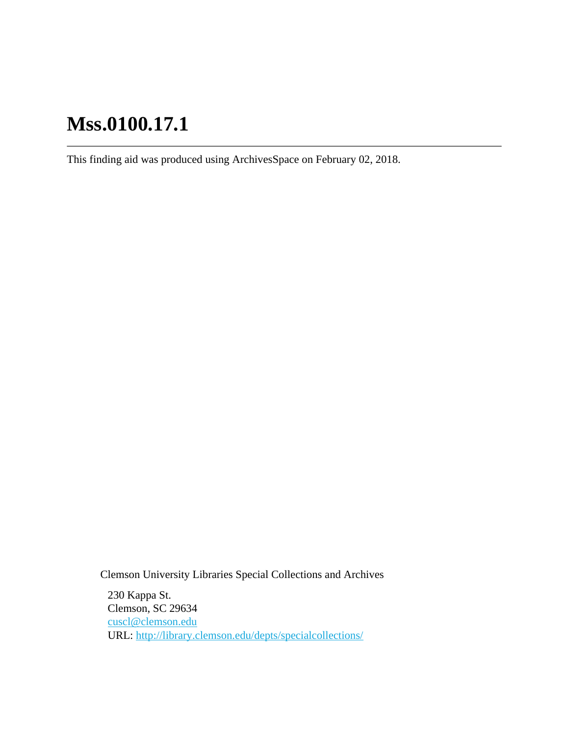# **Mss.0100.17.1**

This finding aid was produced using ArchivesSpace on February 02, 2018.

Clemson University Libraries Special Collections and Archives

230 Kappa St. Clemson, SC 29634 [cuscl@clemson.edu](mailto:cuscl@clemson.edu) URL:<http://library.clemson.edu/depts/specialcollections/>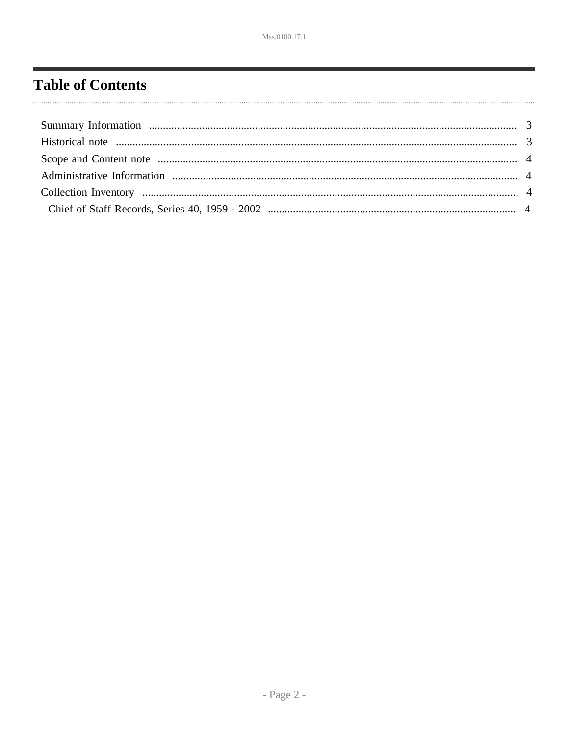# <span id="page-1-0"></span>**Table of Contents**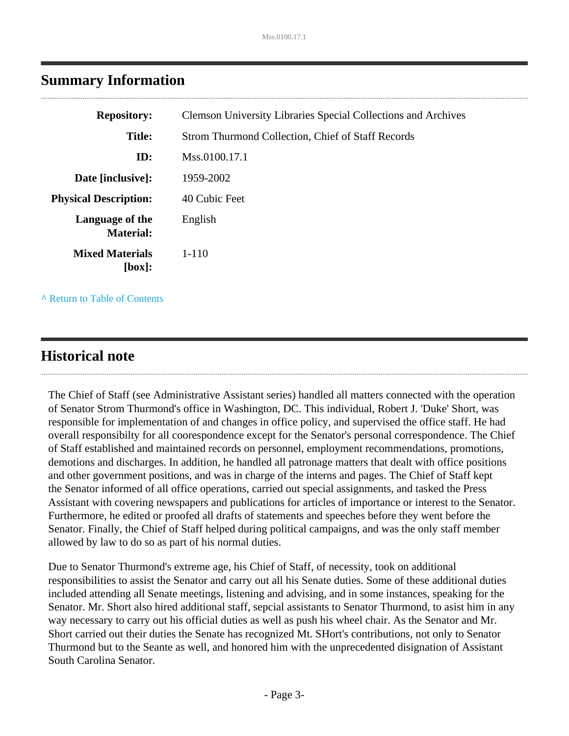| <b>Repository:</b>                  | <b>Clemson University Libraries Special Collections and Archives</b> |
|-------------------------------------|----------------------------------------------------------------------|
| <b>Title:</b>                       | Strom Thurmond Collection, Chief of Staff Records                    |
| ID:                                 | Mss.0100.17.1                                                        |
| Date [inclusive]:                   | 1959-2002                                                            |
| <b>Physical Description:</b>        | 40 Cubic Feet                                                        |
| Language of the<br><b>Material:</b> | English                                                              |
| <b>Mixed Materials</b><br>[box]:    | $1 - 110$                                                            |
|                                     |                                                                      |

## <span id="page-2-0"></span>**Summary Information**

**^** [Return to Table of Contents](#page-1-0)

## <span id="page-2-1"></span>**Historical note**

The Chief of Staff (see Administrative Assistant series) handled all matters connected with the operation of Senator Strom Thurmond's office in Washington, DC. This individual, Robert J. 'Duke' Short, was responsible for implementation of and changes in office policy, and supervised the office staff. He had overall responsibilty for all coorespondence except for the Senator's personal correspondence. The Chief of Staff established and maintained records on personnel, employment recommendations, promotions, demotions and discharges. In addition, he handled all patronage matters that dealt with office positions and other government positions, and was in charge of the interns and pages. The Chief of Staff kept the Senator informed of all office operations, carried out special assignments, and tasked the Press Assistant with covering newspapers and publications for articles of importance or interest to the Senator. Furthermore, he edited or proofed all drafts of statements and speeches before they went before the Senator. Finally, the Chief of Staff helped during political campaigns, and was the only staff member allowed by law to do so as part of his normal duties.

Due to Senator Thurmond's extreme age, his Chief of Staff, of necessity, took on additional responsibilities to assist the Senator and carry out all his Senate duties. Some of these additional duties included attending all Senate meetings, listening and advising, and in some instances, speaking for the Senator. Mr. Short also hired additional staff, sepcial assistants to Senator Thurmond, to asist him in any way necessary to carry out his official duties as well as push his wheel chair. As the Senator and Mr. Short carried out their duties the Senate has recognized Mt. SHort's contributions, not only to Senator Thurmond but to the Seante as well, and honored him with the unprecedented disignation of Assistant South Carolina Senator.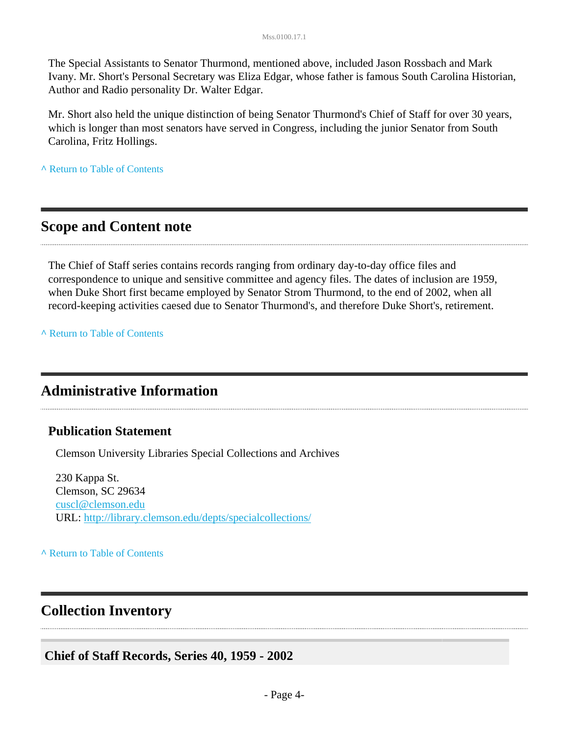The Special Assistants to Senator Thurmond, mentioned above, included Jason Rossbach and Mark Ivany. Mr. Short's Personal Secretary was Eliza Edgar, whose father is famous South Carolina Historian, Author and Radio personality Dr. Walter Edgar.

Mr. Short also held the unique distinction of being Senator Thurmond's Chief of Staff for over 30 years, which is longer than most senators have served in Congress, including the junior Senator from South Carolina, Fritz Hollings.

**^** [Return to Table of Contents](#page-1-0)

## <span id="page-3-0"></span>**Scope and Content note**

The Chief of Staff series contains records ranging from ordinary day-to-day office files and correspondence to unique and sensitive committee and agency files. The dates of inclusion are 1959, when Duke Short first became employed by Senator Strom Thurmond, to the end of 2002, when all record-keeping activities caesed due to Senator Thurmond's, and therefore Duke Short's, retirement.

**^** [Return to Table of Contents](#page-1-0)

## <span id="page-3-1"></span>**Administrative Information**

#### **Publication Statement**

Clemson University Libraries Special Collections and Archives

230 Kappa St. Clemson, SC 29634 [cuscl@clemson.edu](mailto:cuscl@clemson.edu) URL:<http://library.clemson.edu/depts/specialcollections/>

**^** [Return to Table of Contents](#page-1-0)

## <span id="page-3-2"></span>**Collection Inventory**

<span id="page-3-3"></span>**Chief of Staff Records, Series 40, 1959 - 2002**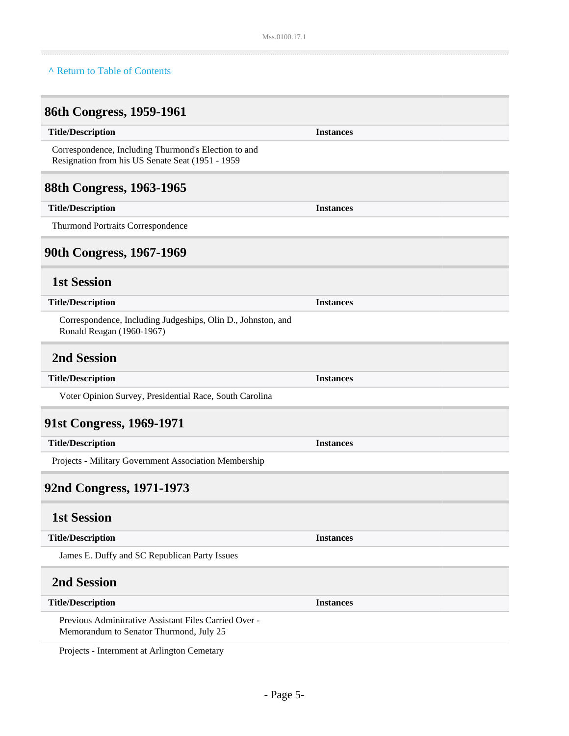#### **^** [Return to Table of Contents](#page-1-0)

# **86th Congress, 1959-1961**

| <b>Title/Description</b>                                                                                 | <b>Instances</b> |
|----------------------------------------------------------------------------------------------------------|------------------|
| Correspondence, Including Thurmond's Election to and<br>Resignation from his US Senate Seat (1951 - 1959 |                  |
| 88th Congress, 1963-1965                                                                                 |                  |
| <b>Title/Description</b>                                                                                 | <b>Instances</b> |
| Thurmond Portraits Correspondence                                                                        |                  |
| 90th Congress, 1967-1969                                                                                 |                  |
| <b>1st Session</b>                                                                                       |                  |
| <b>Title/Description</b>                                                                                 | <b>Instances</b> |
| Correspondence, Including Judgeships, Olin D., Johnston, and<br>Ronald Reagan (1960-1967)                |                  |
| <b>2nd Session</b>                                                                                       |                  |
| <b>Title/Description</b>                                                                                 | <b>Instances</b> |
| Voter Opinion Survey, Presidential Race, South Carolina                                                  |                  |
| 91st Congress, 1969-1971                                                                                 |                  |
| <b>Title/Description</b>                                                                                 | <b>Instances</b> |
| Projects - Military Government Association Membership                                                    |                  |
| 92nd Congress, 1971-1973                                                                                 |                  |
| <b>1st Session</b>                                                                                       |                  |
| <b>Title/Description</b>                                                                                 | <b>Instances</b> |
| James E. Duffy and SC Republican Party Issues                                                            |                  |
| <b>2nd Session</b>                                                                                       |                  |
| <b>Title/Description</b>                                                                                 | <b>Instances</b> |
| Previous Adminitrative Assistant Files Carried Over -<br>Memorandum to Senator Thurmond, July 25         |                  |

Projects - Internment at Arlington Cemetary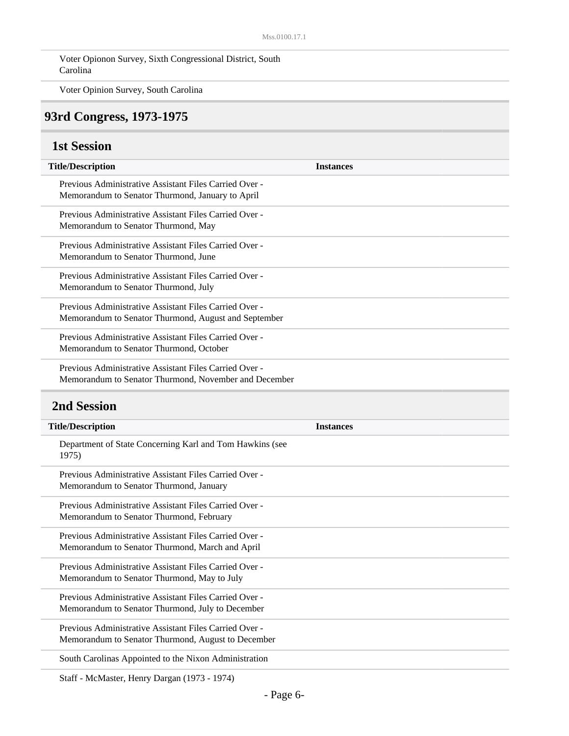Voter Opionon Survey, Sixth Congressional District, South Carolina

Voter Opinion Survey, South Carolina

#### **93rd Congress, 1973-1975**

#### **1st Session**

| <b>Title/Description</b>                                                                                        | <b>Instances</b> |
|-----------------------------------------------------------------------------------------------------------------|------------------|
| Previous Administrative Assistant Files Carried Over -<br>Memorandum to Senator Thurmond, January to April      |                  |
| Previous Administrative Assistant Files Carried Over -<br>Memorandum to Senator Thurmond, May                   |                  |
| Previous Administrative Assistant Files Carried Over -<br>Memorandum to Senator Thurmond, June                  |                  |
| Previous Administrative Assistant Files Carried Over -<br>Memorandum to Senator Thurmond, July                  |                  |
| Previous Administrative Assistant Files Carried Over -<br>Memorandum to Senator Thurmond, August and September  |                  |
| Previous Administrative Assistant Files Carried Over -<br>Memorandum to Senator Thurmond, October               |                  |
| Previous Administrative Assistant Files Carried Over -<br>Memorandum to Senator Thurmond, November and December |                  |
|                                                                                                                 |                  |
| <b>2nd Session</b>                                                                                              |                  |
| <b>Title/Description</b>                                                                                        | <b>Instances</b> |
| Department of State Concerning Karl and Tom Hawkins (see<br>1975)                                               |                  |
| Previous Administrative Assistant Files Carried Over -<br>Memorandum to Senator Thurmond, January               |                  |
| Previous Administrative Assistant Files Carried Over -<br>Memorandum to Senator Thurmond, February              |                  |
| Previous Administrative Assistant Files Carried Over -<br>Memorandum to Senator Thurmond, March and April       |                  |
| Previous Administrative Assistant Files Carried Over -<br>Memorandum to Senator Thurmond, May to July           |                  |
| Previous Administrative Assistant Files Carried Over -<br>Memorandum to Senator Thurmond, July to December      |                  |

Memorandum to Senator Thurmond, August to December

South Carolinas Appointed to the Nixon Administration

Staff - McMaster, Henry Dargan (1973 - 1974)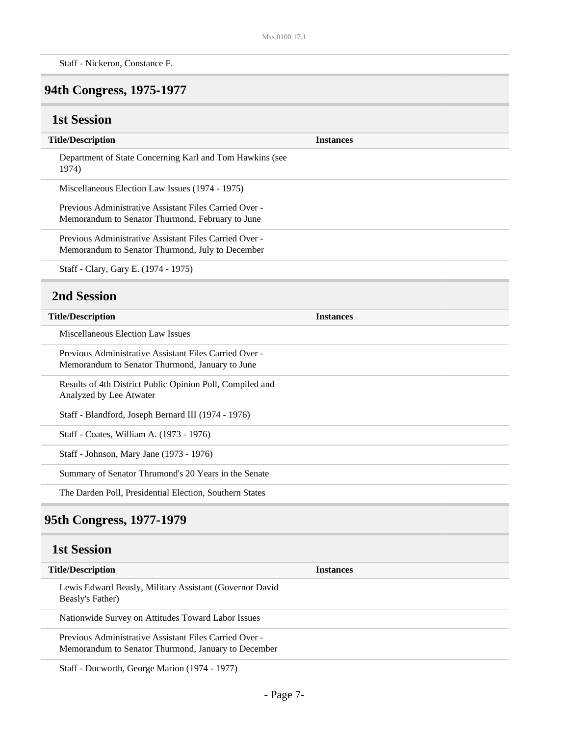Staff - Nickeron, Constance F.

# **94th Congress, 1975-1977**

## **1st Session**

| <b>Title/Description</b>                                                                                      | <b>Instances</b> |
|---------------------------------------------------------------------------------------------------------------|------------------|
| Department of State Concerning Karl and Tom Hawkins (see<br>1974)                                             |                  |
| Miscellaneous Election Law Issues (1974 - 1975)                                                               |                  |
| Previous Administrative Assistant Files Carried Over -<br>Memorandum to Senator Thurmond, February to June    |                  |
| Previous Administrative Assistant Files Carried Over -<br>Memorandum to Senator Thurmond, July to December    |                  |
| Staff - Clary, Gary E. (1974 - 1975)                                                                          |                  |
| <b>2nd Session</b>                                                                                            |                  |
| <b>Title/Description</b>                                                                                      | <b>Instances</b> |
| Miscellaneous Election Law Issues                                                                             |                  |
| Previous Administrative Assistant Files Carried Over -<br>Memorandum to Senator Thurmond, January to June     |                  |
| Results of 4th District Public Opinion Poll, Compiled and<br>Analyzed by Lee Atwater                          |                  |
| Staff - Blandford, Joseph Bernard III (1974 - 1976)                                                           |                  |
| Staff - Coates, William A. (1973 - 1976)                                                                      |                  |
| Staff - Johnson, Mary Jane (1973 - 1976)                                                                      |                  |
| Summary of Senator Thrumond's 20 Years in the Senate                                                          |                  |
| The Darden Poll, Presidential Election, Southern States                                                       |                  |
| 95th Congress, 1977-1979                                                                                      |                  |
| <b>1st Session</b>                                                                                            |                  |
| <b>Title/Description</b>                                                                                      | <b>Instances</b> |
| Lewis Edward Beasly, Military Assistant (Governor David<br>Beasly's Father)                                   |                  |
| Nationwide Survey on Attitudes Toward Labor Issues                                                            |                  |
| Previous Administrative Assistant Files Carried Over -<br>Memorandum to Senator Thurmond, January to December |                  |
|                                                                                                               |                  |

Staff - Ducworth, George Marion (1974 - 1977)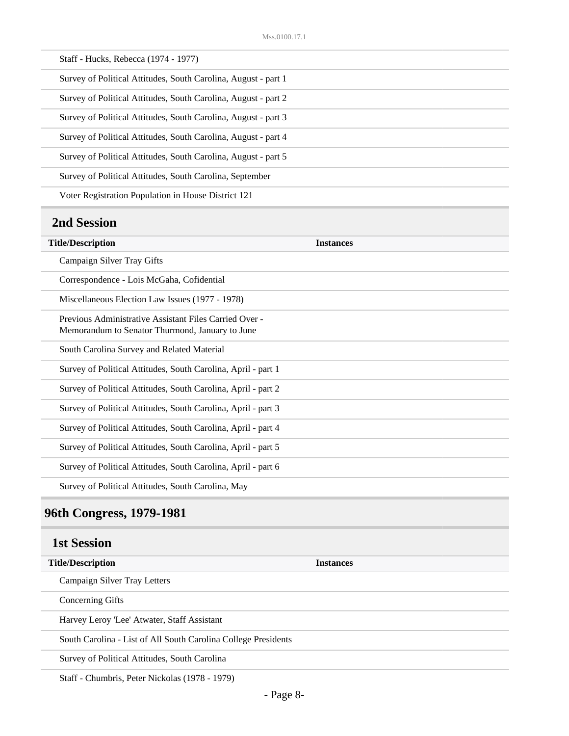| Staff - Hucks, Rebecca (1974 - 1977)                           |
|----------------------------------------------------------------|
| Survey of Political Attitudes, South Carolina, August - part 1 |
| Survey of Political Attitudes, South Carolina, August - part 2 |
| Survey of Political Attitudes, South Carolina, August - part 3 |
| Survey of Political Attitudes, South Carolina, August - part 4 |
| Survey of Political Attitudes, South Carolina, August - part 5 |
| Survey of Political Attitudes, South Carolina, September       |
| Voter Registration Population in House District 121            |

## **2nd Session**

| <b>Title/Description</b>                                                                                  | <b>Instances</b> |
|-----------------------------------------------------------------------------------------------------------|------------------|
| Campaign Silver Tray Gifts                                                                                |                  |
| Correspondence - Lois McGaha, Cofidential                                                                 |                  |
| Miscellaneous Election Law Issues (1977 - 1978)                                                           |                  |
| Previous Administrative Assistant Files Carried Over -<br>Memorandum to Senator Thurmond, January to June |                  |
| South Carolina Survey and Related Material                                                                |                  |
| Survey of Political Attitudes, South Carolina, April - part 1                                             |                  |
| Survey of Political Attitudes, South Carolina, April - part 2                                             |                  |
| Survey of Political Attitudes, South Carolina, April - part 3                                             |                  |
| Survey of Political Attitudes, South Carolina, April - part 4                                             |                  |
| Survey of Political Attitudes, South Carolina, April - part 5                                             |                  |
| Survey of Political Attitudes, South Carolina, April - part 6                                             |                  |
| Survey of Political Attitudes, South Carolina, May                                                        |                  |

# **96th Congress, 1979-1981**

### **1st Session**

| <b>Title/Description</b>                                       | <b>Instances</b> |
|----------------------------------------------------------------|------------------|
| Campaign Silver Tray Letters                                   |                  |
| Concerning Gifts                                               |                  |
| Harvey Leroy 'Lee' Atwater, Staff Assistant                    |                  |
| South Carolina - List of All South Carolina College Presidents |                  |
| Survey of Political Attitudes, South Carolina                  |                  |
| دمسماه مسمرين والمتحدث المساويات المساحي                       |                  |

Staff - Chumbris, Peter Nickolas (1978 - 1979)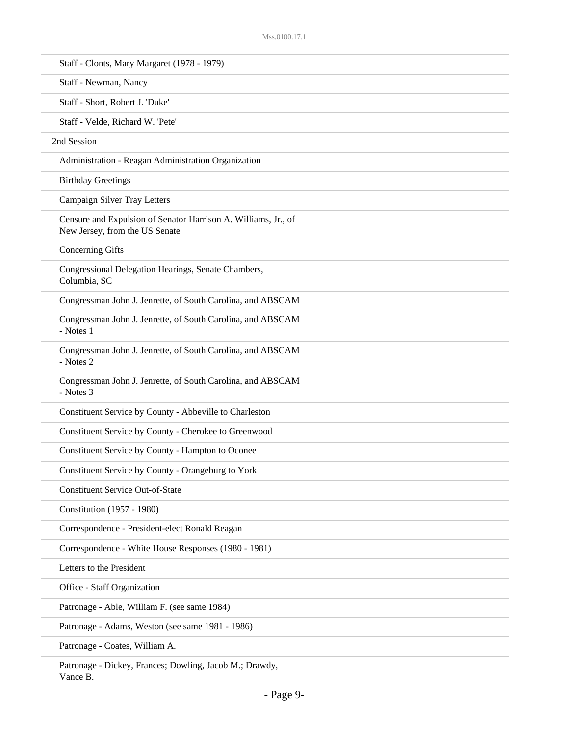| Staff - Clonts, Mary Margaret (1978 - 1979)                                                      |
|--------------------------------------------------------------------------------------------------|
| Staff - Newman, Nancy                                                                            |
| Staff - Short, Robert J. 'Duke'                                                                  |
| Staff - Velde, Richard W. 'Pete'                                                                 |
| 2nd Session                                                                                      |
| Administration - Reagan Administration Organization                                              |
| <b>Birthday Greetings</b>                                                                        |
| Campaign Silver Tray Letters                                                                     |
| Censure and Expulsion of Senator Harrison A. Williams, Jr., of<br>New Jersey, from the US Senate |
| <b>Concerning Gifts</b>                                                                          |
| Congressional Delegation Hearings, Senate Chambers,<br>Columbia, SC                              |
| Congressman John J. Jenrette, of South Carolina, and ABSCAM                                      |
| Congressman John J. Jenrette, of South Carolina, and ABSCAM<br>- Notes 1                         |
| Congressman John J. Jenrette, of South Carolina, and ABSCAM<br>- Notes 2                         |
| Congressman John J. Jenrette, of South Carolina, and ABSCAM<br>- Notes 3                         |
| Constituent Service by County - Abbeville to Charleston                                          |
| Constituent Service by County - Cherokee to Greenwood                                            |
| Constituent Service by County - Hampton to Oconee                                                |
| Constituent Service by County - Orangeburg to York                                               |
| <b>Constituent Service Out-of-State</b>                                                          |
| Constitution (1957 - 1980)                                                                       |
| Correspondence - President-elect Ronald Reagan                                                   |
| Correspondence - White House Responses (1980 - 1981)                                             |
| Letters to the President                                                                         |
| Office - Staff Organization                                                                      |
| Patronage - Able, William F. (see same 1984)                                                     |
| Patronage - Adams, Weston (see same 1981 - 1986)                                                 |
| Patronage - Coates, William A.                                                                   |
| Patronage - Dickey, Frances; Dowling, Jacob M.; Drawdy,                                          |

Vance B.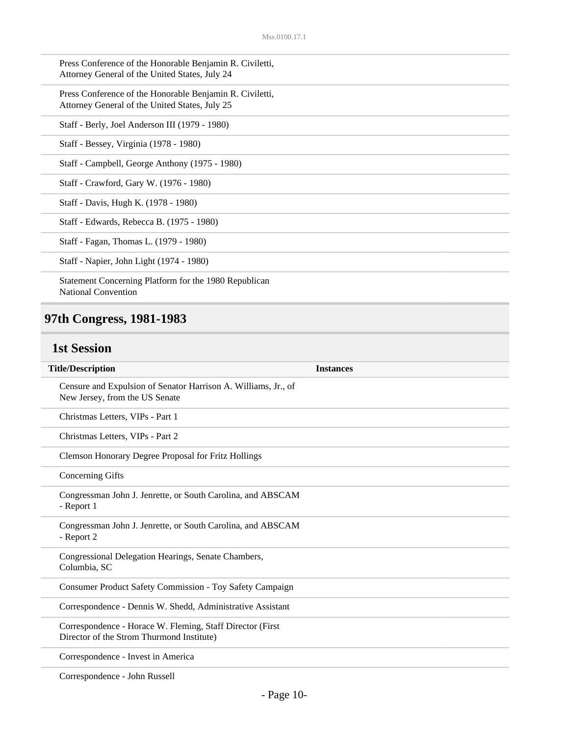| Press Conference of the Honorable Benjamin R. Civiletti,<br>Attorney General of the United States, July 24 |
|------------------------------------------------------------------------------------------------------------|
| Press Conference of the Honorable Benjamin R. Civiletti,<br>Attorney General of the United States, July 25 |
| Staff - Berly, Joel Anderson III (1979 - 1980)                                                             |
| Staff - Bessey, Virginia (1978 - 1980)                                                                     |
| Staff - Campbell, George Anthony (1975 - 1980)                                                             |
| Staff - Crawford, Gary W. (1976 - 1980)                                                                    |
| Staff - Davis, Hugh K. (1978 - 1980)                                                                       |
| Staff - Edwards, Rebecca B. (1975 - 1980)                                                                  |
| Staff - Fagan, Thomas L. (1979 - 1980)                                                                     |
| Staff - Napier, John Light (1974 - 1980)                                                                   |
| Statement Concerning Platform for the 1980 Republican<br><b>National Convention</b>                        |

# **97th Congress, 1981-1983**

## **1st Session**

| <b>Title/Description</b>                                                                                | <b>Instances</b> |
|---------------------------------------------------------------------------------------------------------|------------------|
| Censure and Expulsion of Senator Harrison A. Williams, Jr., of<br>New Jersey, from the US Senate        |                  |
| Christmas Letters, VIPs - Part 1                                                                        |                  |
| Christmas Letters, VIPs - Part 2                                                                        |                  |
| Clemson Honorary Degree Proposal for Fritz Hollings                                                     |                  |
| <b>Concerning Gifts</b>                                                                                 |                  |
| Congressman John J. Jenrette, or South Carolina, and ABSCAM<br>- Report 1                               |                  |
| Congressman John J. Jenrette, or South Carolina, and ABSCAM<br>- Report 2                               |                  |
| Congressional Delegation Hearings, Senate Chambers,<br>Columbia, SC                                     |                  |
| <b>Consumer Product Safety Commission - Toy Safety Campaign</b>                                         |                  |
| Correspondence - Dennis W. Shedd, Administrative Assistant                                              |                  |
| Correspondence - Horace W. Fleming, Staff Director (First)<br>Director of the Strom Thurmond Institute) |                  |
| Correspondence - Invest in America                                                                      |                  |

Correspondence - John Russell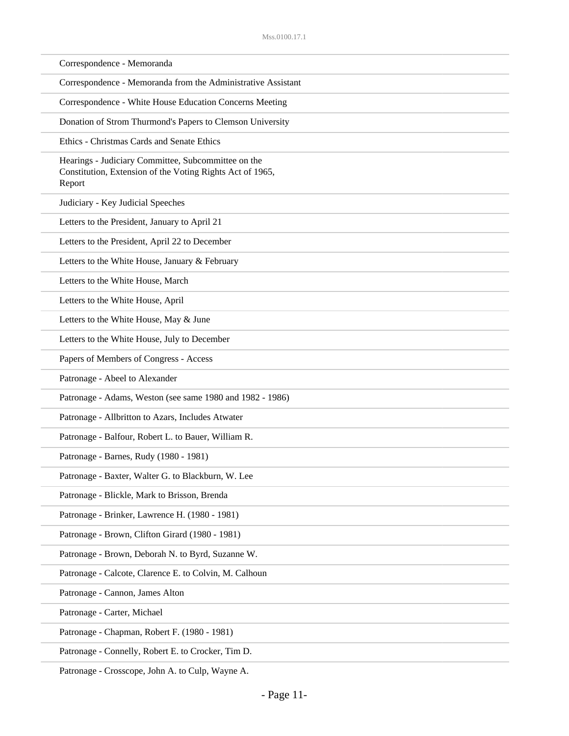| Correspondence - Memoranda                                                                                                 |
|----------------------------------------------------------------------------------------------------------------------------|
| Correspondence - Memoranda from the Administrative Assistant                                                               |
| Correspondence - White House Education Concerns Meeting                                                                    |
| Donation of Strom Thurmond's Papers to Clemson University                                                                  |
| Ethics - Christmas Cards and Senate Ethics                                                                                 |
| Hearings - Judiciary Committee, Subcommittee on the<br>Constitution, Extension of the Voting Rights Act of 1965,<br>Report |
| Judiciary - Key Judicial Speeches                                                                                          |
| Letters to the President, January to April 21                                                                              |
| Letters to the President, April 22 to December                                                                             |
| Letters to the White House, January & February                                                                             |
| Letters to the White House, March                                                                                          |
| Letters to the White House, April                                                                                          |
| Letters to the White House, May & June                                                                                     |
| Letters to the White House, July to December                                                                               |
| Papers of Members of Congress - Access                                                                                     |
| Patronage - Abeel to Alexander                                                                                             |
| Patronage - Adams, Weston (see same 1980 and 1982 - 1986)                                                                  |
| Patronage - Allbritton to Azars, Includes Atwater                                                                          |
| Patronage - Balfour, Robert L. to Bauer, William R.                                                                        |
| Patronage - Barnes, Rudy (1980 - 1981)                                                                                     |
| Patronage - Baxter, Walter G. to Blackburn, W. Lee                                                                         |
| Patronage - Blickle, Mark to Brisson, Brenda                                                                               |
| Patronage - Brinker, Lawrence H. (1980 - 1981)                                                                             |
| Patronage - Brown, Clifton Girard (1980 - 1981)                                                                            |
| Patronage - Brown, Deborah N. to Byrd, Suzanne W.                                                                          |
| Patronage - Calcote, Clarence E. to Colvin, M. Calhoun                                                                     |
| Patronage - Cannon, James Alton                                                                                            |
| Patronage - Carter, Michael                                                                                                |
| Patronage - Chapman, Robert F. (1980 - 1981)                                                                               |
| Patronage - Connelly, Robert E. to Crocker, Tim D.                                                                         |

Patronage - Crosscope, John A. to Culp, Wayne A.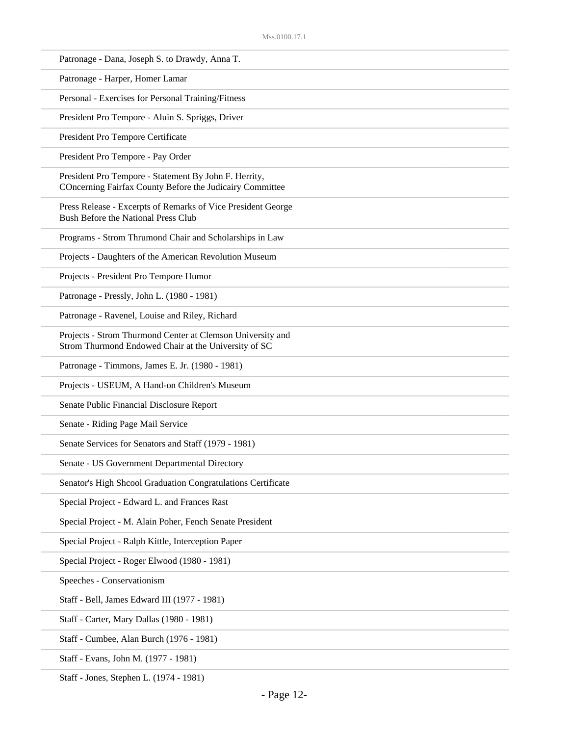Staff - Jones, Stephen L. (1974 - 1981)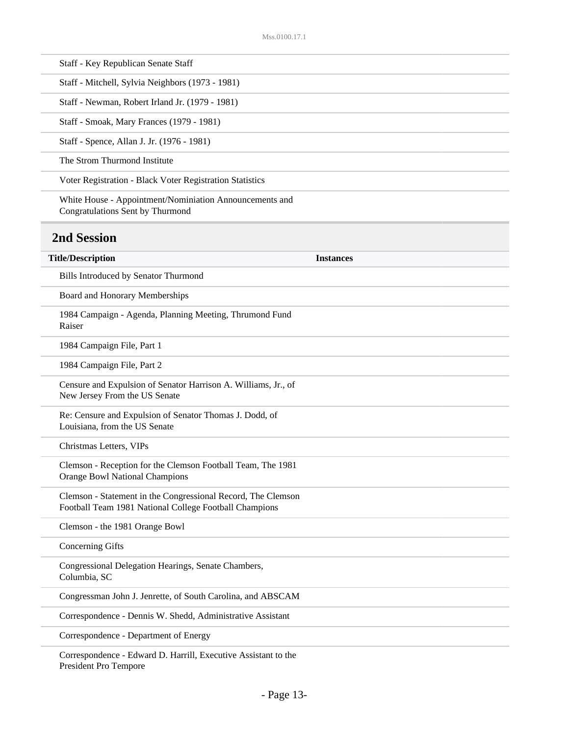| Staff - Key Republican Senate Staff                                                                                    |                  |
|------------------------------------------------------------------------------------------------------------------------|------------------|
| Staff - Mitchell, Sylvia Neighbors (1973 - 1981)                                                                       |                  |
| Staff - Newman, Robert Irland Jr. (1979 - 1981)                                                                        |                  |
| Staff - Smoak, Mary Frances (1979 - 1981)                                                                              |                  |
| Staff - Spence, Allan J. Jr. (1976 - 1981)                                                                             |                  |
| The Strom Thurmond Institute                                                                                           |                  |
| Voter Registration - Black Voter Registration Statistics                                                               |                  |
| White House - Appointment/Nominiation Announcements and<br>Congratulations Sent by Thurmond                            |                  |
| <b>2nd Session</b>                                                                                                     |                  |
| <b>Title/Description</b>                                                                                               | <b>Instances</b> |
| Bills Introduced by Senator Thurmond                                                                                   |                  |
| Board and Honorary Memberships                                                                                         |                  |
| 1984 Campaign - Agenda, Planning Meeting, Thrumond Fund<br>Raiser                                                      |                  |
| 1984 Campaign File, Part 1                                                                                             |                  |
| 1984 Campaign File, Part 2                                                                                             |                  |
| Censure and Expulsion of Senator Harrison A. Williams, Jr., of<br>New Jersey From the US Senate                        |                  |
| Re: Censure and Expulsion of Senator Thomas J. Dodd, of<br>Louisiana, from the US Senate                               |                  |
| Christmas Letters, VIPs                                                                                                |                  |
| Clemson - Reception for the Clemson Football Team, The 1981<br>Orange Bowl National Champions                          |                  |
| Clemson - Statement in the Congressional Record, The Clemson<br>Football Team 1981 National College Football Champions |                  |
| Clemson - the 1981 Orange Bowl                                                                                         |                  |
| <b>Concerning Gifts</b>                                                                                                |                  |
| Congressional Delegation Hearings, Senate Chambers,<br>Columbia, SC                                                    |                  |
| Congressman John J. Jenrette, of South Carolina, and ABSCAM                                                            |                  |
| Correspondence - Dennis W. Shedd, Administrative Assistant                                                             |                  |
| Correspondence - Department of Energy                                                                                  |                  |
| Correspondence - Edward D. Harrill, Executive Assistant to the                                                         |                  |

President Pro Tempore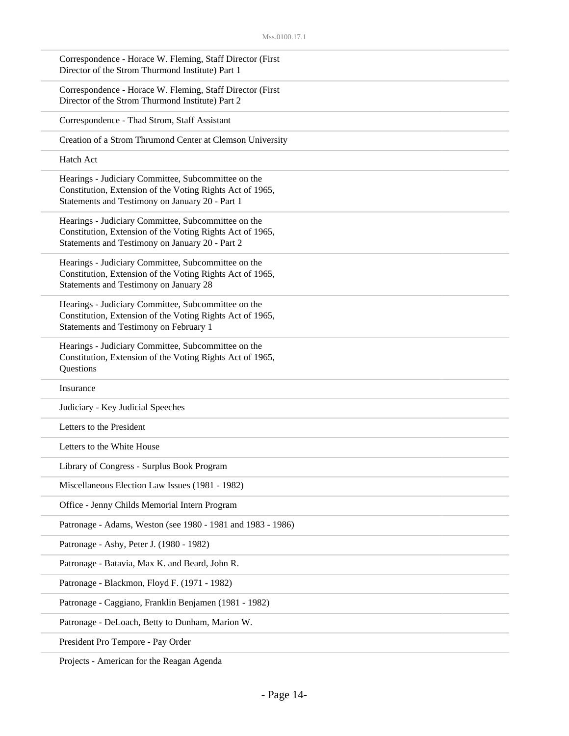| Correspondence - Horace W. Fleming, Staff Director (First<br>Director of the Strom Thurmond Institute) Part 1                                                       |  |
|---------------------------------------------------------------------------------------------------------------------------------------------------------------------|--|
| Correspondence - Horace W. Fleming, Staff Director (First<br>Director of the Strom Thurmond Institute) Part 2                                                       |  |
| Correspondence - Thad Strom, Staff Assistant                                                                                                                        |  |
| Creation of a Strom Thrumond Center at Clemson University                                                                                                           |  |
| Hatch Act                                                                                                                                                           |  |
| Hearings - Judiciary Committee, Subcommittee on the<br>Constitution, Extension of the Voting Rights Act of 1965,<br>Statements and Testimony on January 20 - Part 1 |  |
| Hearings - Judiciary Committee, Subcommittee on the<br>Constitution, Extension of the Voting Rights Act of 1965,<br>Statements and Testimony on January 20 - Part 2 |  |
| Hearings - Judiciary Committee, Subcommittee on the<br>Constitution, Extension of the Voting Rights Act of 1965,<br>Statements and Testimony on January 28          |  |
| Hearings - Judiciary Committee, Subcommittee on the<br>Constitution, Extension of the Voting Rights Act of 1965,<br>Statements and Testimony on February 1          |  |
| Hearings - Judiciary Committee, Subcommittee on the<br>Constitution, Extension of the Voting Rights Act of 1965,<br>Questions                                       |  |
| Insurance                                                                                                                                                           |  |
| Judiciary - Key Judicial Speeches                                                                                                                                   |  |
| Letters to the President                                                                                                                                            |  |
| Letters to the White House                                                                                                                                          |  |
| Library of Congress - Surplus Book Program                                                                                                                          |  |
| Miscellaneous Election Law Issues (1981 - 1982)                                                                                                                     |  |
| Office - Jenny Childs Memorial Intern Program                                                                                                                       |  |
| Patronage - Adams, Weston (see 1980 - 1981 and 1983 - 1986)                                                                                                         |  |
| Patronage - Ashy, Peter J. (1980 - 1982)                                                                                                                            |  |
| Patronage - Batavia, Max K. and Beard, John R.                                                                                                                      |  |
| Patronage - Blackmon, Floyd F. (1971 - 1982)                                                                                                                        |  |
| Patronage - Caggiano, Franklin Benjamen (1981 - 1982)                                                                                                               |  |
| Patronage - DeLoach, Betty to Dunham, Marion W.                                                                                                                     |  |
| President Pro Tempore - Pay Order                                                                                                                                   |  |

Projects - American for the Reagan Agenda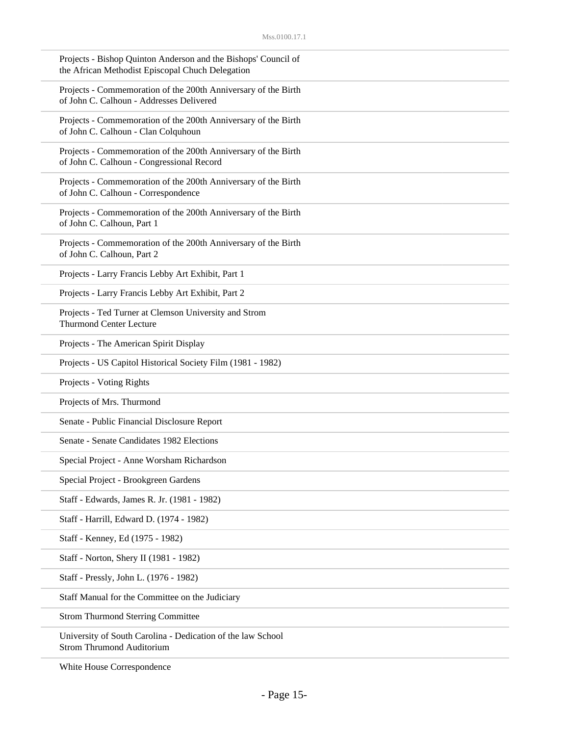| Projects - Bishop Quinton Anderson and the Bishops' Council of<br>the African Methodist Episcopal Chuch Delegation |  |
|--------------------------------------------------------------------------------------------------------------------|--|
| Projects - Commemoration of the 200th Anniversary of the Birth<br>of John C. Calhoun - Addresses Delivered         |  |
| Projects - Commemoration of the 200th Anniversary of the Birth<br>of John C. Calhoun - Clan Colquhoun              |  |
| Projects - Commemoration of the 200th Anniversary of the Birth<br>of John C. Calhoun - Congressional Record        |  |
| Projects - Commemoration of the 200th Anniversary of the Birth<br>of John C. Calhoun - Correspondence              |  |
| Projects - Commemoration of the 200th Anniversary of the Birth<br>of John C. Calhoun, Part 1                       |  |
| Projects - Commemoration of the 200th Anniversary of the Birth<br>of John C. Calhoun, Part 2                       |  |
| Projects - Larry Francis Lebby Art Exhibit, Part 1                                                                 |  |
| Projects - Larry Francis Lebby Art Exhibit, Part 2                                                                 |  |
| Projects - Ted Turner at Clemson University and Strom<br><b>Thurmond Center Lecture</b>                            |  |
| Projects - The American Spirit Display                                                                             |  |
| Projects - US Capitol Historical Society Film (1981 - 1982)                                                        |  |
| Projects - Voting Rights                                                                                           |  |
| Projects of Mrs. Thurmond                                                                                          |  |
| Senate - Public Financial Disclosure Report                                                                        |  |
| Senate - Senate Candidates 1982 Elections                                                                          |  |
| Special Project - Anne Worsham Richardson                                                                          |  |
| Special Project - Brookgreen Gardens                                                                               |  |
| Staff - Edwards, James R. Jr. (1981 - 1982)                                                                        |  |
| Staff - Harrill, Edward D. (1974 - 1982)                                                                           |  |
| Staff - Kenney, Ed (1975 - 1982)                                                                                   |  |
| Staff - Norton, Shery II (1981 - 1982)                                                                             |  |
| Staff - Pressly, John L. (1976 - 1982)                                                                             |  |
| Staff Manual for the Committee on the Judiciary                                                                    |  |
| <b>Strom Thurmond Sterring Committee</b>                                                                           |  |
| University of South Carolina - Dedication of the law School<br><b>Strom Thrumond Auditorium</b>                    |  |

White House Correspondence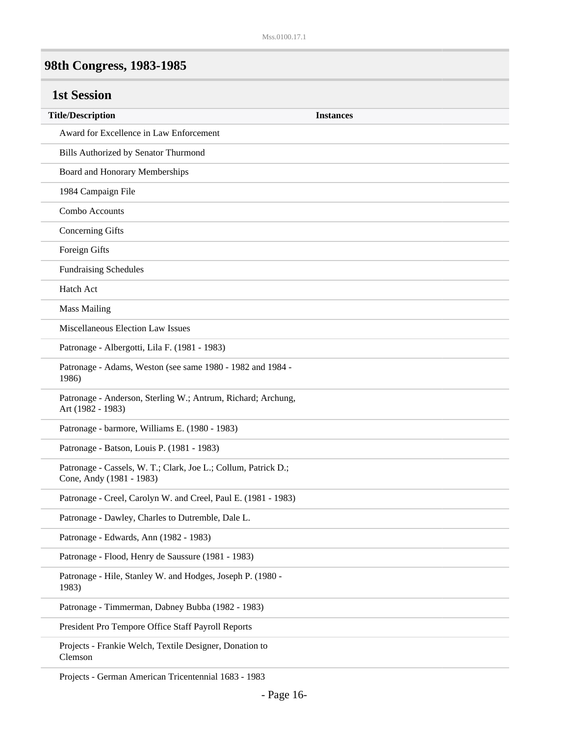# **98th Congress, 1983-1985**

| <b>1st Session</b>                                                                         |                  |
|--------------------------------------------------------------------------------------------|------------------|
| <b>Title/Description</b>                                                                   | <b>Instances</b> |
| Award for Excellence in Law Enforcement                                                    |                  |
| Bills Authorized by Senator Thurmond                                                       |                  |
| Board and Honorary Memberships                                                             |                  |
| 1984 Campaign File                                                                         |                  |
| Combo Accounts                                                                             |                  |
| <b>Concerning Gifts</b>                                                                    |                  |
| Foreign Gifts                                                                              |                  |
| <b>Fundraising Schedules</b>                                                               |                  |
| <b>Hatch Act</b>                                                                           |                  |
| <b>Mass Mailing</b>                                                                        |                  |
| Miscellaneous Election Law Issues                                                          |                  |
| Patronage - Albergotti, Lila F. (1981 - 1983)                                              |                  |
| Patronage - Adams, Weston (see same 1980 - 1982 and 1984 -<br>1986)                        |                  |
| Patronage - Anderson, Sterling W.; Antrum, Richard; Archung,<br>Art (1982 - 1983)          |                  |
| Patronage - barmore, Williams E. (1980 - 1983)                                             |                  |
| Patronage - Batson, Louis P. (1981 - 1983)                                                 |                  |
| Patronage - Cassels, W. T.; Clark, Joe L.; Collum, Patrick D.;<br>Cone, Andy (1981 - 1983) |                  |
| Patronage - Creel, Carolyn W. and Creel, Paul E. (1981 - 1983)                             |                  |
| Patronage - Dawley, Charles to Dutremble, Dale L.                                          |                  |
| Patronage - Edwards, Ann (1982 - 1983)                                                     |                  |
| Patronage - Flood, Henry de Saussure (1981 - 1983)                                         |                  |
| Patronage - Hile, Stanley W. and Hodges, Joseph P. (1980 -<br>1983)                        |                  |
| Patronage - Timmerman, Dabney Bubba (1982 - 1983)                                          |                  |
| President Pro Tempore Office Staff Payroll Reports                                         |                  |
| Projects - Frankie Welch, Textile Designer, Donation to<br>Clemson                         |                  |

Projects - German American Tricentennial 1683 - 1983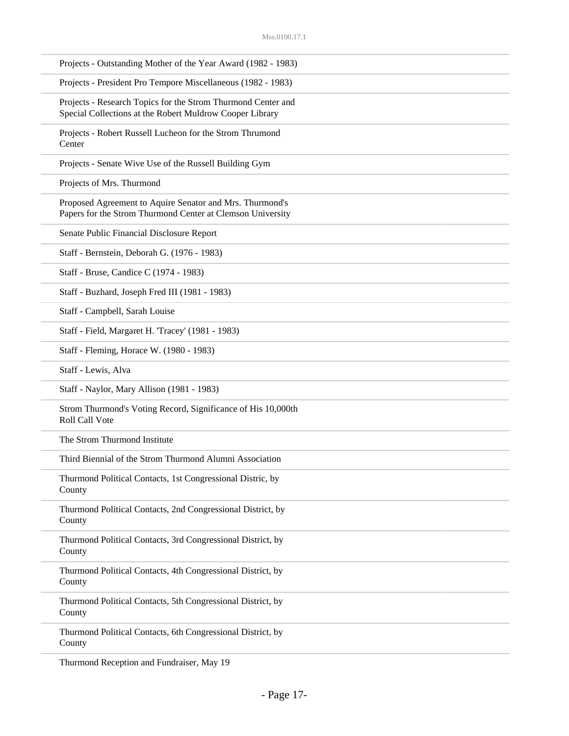| Projects - Outstanding Mother of the Year Award (1982 - 1983)                                                            |
|--------------------------------------------------------------------------------------------------------------------------|
| Projects - President Pro Tempore Miscellaneous (1982 - 1983)                                                             |
| Projects - Research Topics for the Strom Thurmond Center and<br>Special Collections at the Robert Muldrow Cooper Library |
| Projects - Robert Russell Lucheon for the Strom Thrumond<br>Center                                                       |
| Projects - Senate Wive Use of the Russell Building Gym                                                                   |
| Projects of Mrs. Thurmond                                                                                                |
| Proposed Agreement to Aquire Senator and Mrs. Thurmond's<br>Papers for the Strom Thurmond Center at Clemson University   |
| Senate Public Financial Disclosure Report                                                                                |
| Staff - Bernstein, Deborah G. (1976 - 1983)                                                                              |
| Staff - Bruse, Candice C (1974 - 1983)                                                                                   |
| Staff - Buzhard, Joseph Fred III (1981 - 1983)                                                                           |
| Staff - Campbell, Sarah Louise                                                                                           |
| Staff - Field, Margaret H. 'Tracey' (1981 - 1983)                                                                        |
| Staff - Fleming, Horace W. (1980 - 1983)                                                                                 |
| Staff - Lewis, Alva                                                                                                      |
| Staff - Naylor, Mary Allison (1981 - 1983)                                                                               |
| Strom Thurmond's Voting Record, Significance of His 10,000th<br>Roll Call Vote                                           |
| The Strom Thurmond Institute                                                                                             |
| Third Biennial of the Strom Thurmond Alumni Association                                                                  |
| Thurmond Political Contacts, 1st Congressional Distric, by<br>County                                                     |
| Thurmond Political Contacts, 2nd Congressional District, by<br>County                                                    |
| Thurmond Political Contacts, 3rd Congressional District, by<br>County                                                    |
| Thurmond Political Contacts, 4th Congressional District, by<br>County                                                    |
| Thurmond Political Contacts, 5th Congressional District, by<br>County                                                    |
| Thurmond Political Contacts, 6th Congressional District, by<br>County                                                    |
|                                                                                                                          |

Thurmond Reception and Fundraiser, May 19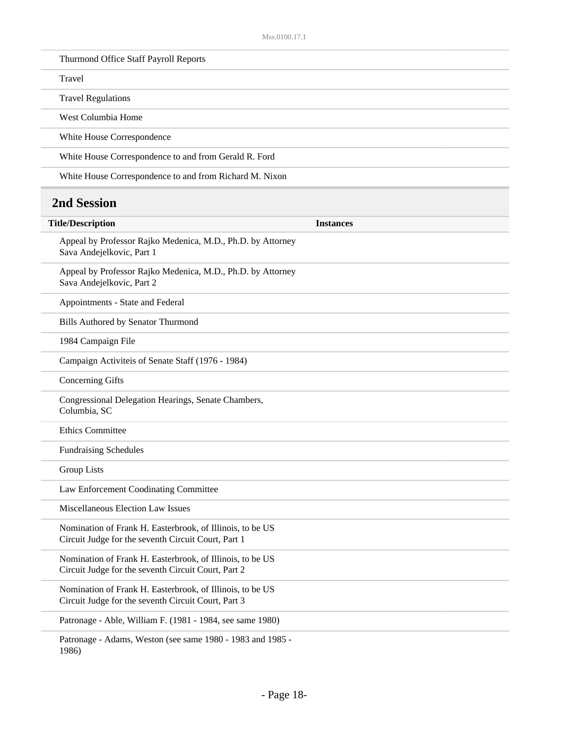| Thurmond Office Staff Payroll Reports                   |  |
|---------------------------------------------------------|--|
| Travel                                                  |  |
| <b>Travel Regulations</b>                               |  |
| West Columbia Home                                      |  |
| White House Correspondence                              |  |
| White House Correspondence to and from Gerald R. Ford   |  |
| White House Correspondence to and from Richard M. Nixon |  |

#### **2nd Session**

| <b>Title/Description</b>                                                                                         | <b>Instances</b> |
|------------------------------------------------------------------------------------------------------------------|------------------|
| Appeal by Professor Rajko Medenica, M.D., Ph.D. by Attorney<br>Sava Andejelkovic, Part 1                         |                  |
| Appeal by Professor Rajko Medenica, M.D., Ph.D. by Attorney<br>Sava Andejelkovic, Part 2                         |                  |
| Appointments - State and Federal                                                                                 |                  |
| Bills Authored by Senator Thurmond                                                                               |                  |
| 1984 Campaign File                                                                                               |                  |
| Campaign Activiteis of Senate Staff (1976 - 1984)                                                                |                  |
| <b>Concerning Gifts</b>                                                                                          |                  |
| Congressional Delegation Hearings, Senate Chambers,<br>Columbia, SC                                              |                  |
| <b>Ethics Committee</b>                                                                                          |                  |
| <b>Fundraising Schedules</b>                                                                                     |                  |
| <b>Group Lists</b>                                                                                               |                  |
| Law Enforcement Coodinating Committee                                                                            |                  |
| Miscellaneous Election Law Issues                                                                                |                  |
| Nomination of Frank H. Easterbrook, of Illinois, to be US<br>Circuit Judge for the seventh Circuit Court, Part 1 |                  |
| Nomination of Frank H. Easterbrook, of Illinois, to be US<br>Circuit Judge for the seventh Circuit Court, Part 2 |                  |
| Nomination of Frank H. Easterbrook, of Illinois, to be US<br>Circuit Judge for the seventh Circuit Court, Part 3 |                  |
| Patronage - Able, William F. (1981 - 1984, see same 1980)                                                        |                  |
| Patronage - Adams, Weston (see same 1980 - 1983 and 1985 -                                                       |                  |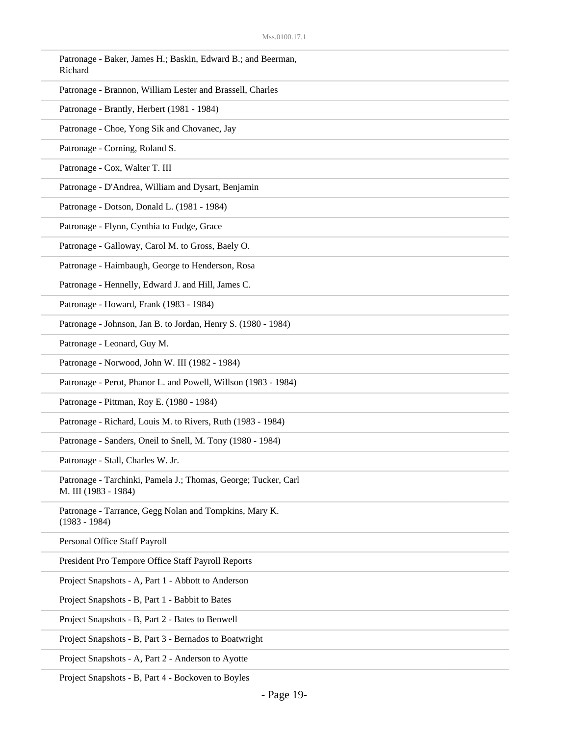| Patronage - Baker, James H.; Baskin, Edward B.; and Beerman,<br>Richard                |
|----------------------------------------------------------------------------------------|
| Patronage - Brannon, William Lester and Brassell, Charles                              |
| Patronage - Brantly, Herbert (1981 - 1984)                                             |
| Patronage - Choe, Yong Sik and Chovanec, Jay                                           |
| Patronage - Corning, Roland S.                                                         |
| Patronage - Cox, Walter T. III                                                         |
| Patronage - D'Andrea, William and Dysart, Benjamin                                     |
| Patronage - Dotson, Donald L. (1981 - 1984)                                            |
| Patronage - Flynn, Cynthia to Fudge, Grace                                             |
| Patronage - Galloway, Carol M. to Gross, Baely O.                                      |
| Patronage - Haimbaugh, George to Henderson, Rosa                                       |
| Patronage - Hennelly, Edward J. and Hill, James C.                                     |
| Patronage - Howard, Frank (1983 - 1984)                                                |
| Patronage - Johnson, Jan B. to Jordan, Henry S. (1980 - 1984)                          |
| Patronage - Leonard, Guy M.                                                            |
| Patronage - Norwood, John W. III (1982 - 1984)                                         |
| Patronage - Perot, Phanor L. and Powell, Willson (1983 - 1984)                         |
| Patronage - Pittman, Roy E. (1980 - 1984)                                              |
| Patronage - Richard, Louis M. to Rivers, Ruth (1983 - 1984)                            |
| Patronage - Sanders, Oneil to Snell, M. Tony (1980 - 1984)                             |
| Patronage - Stall, Charles W. Jr.                                                      |
| Patronage - Tarchinki, Pamela J.; Thomas, George; Tucker, Carl<br>M. III (1983 - 1984) |
| Patronage - Tarrance, Gegg Nolan and Tompkins, Mary K.<br>$(1983 - 1984)$              |
| Personal Office Staff Payroll                                                          |
| President Pro Tempore Office Staff Payroll Reports                                     |
| Project Snapshots - A, Part 1 - Abbott to Anderson                                     |
| Project Snapshots - B, Part 1 - Babbit to Bates                                        |
| Project Snapshots - B, Part 2 - Bates to Benwell                                       |
| Project Snapshots - B, Part 3 - Bernados to Boatwright                                 |
| Project Snapshots - A, Part 2 - Anderson to Ayotte                                     |

Project Snapshots - B, Part 4 - Bockoven to Boyles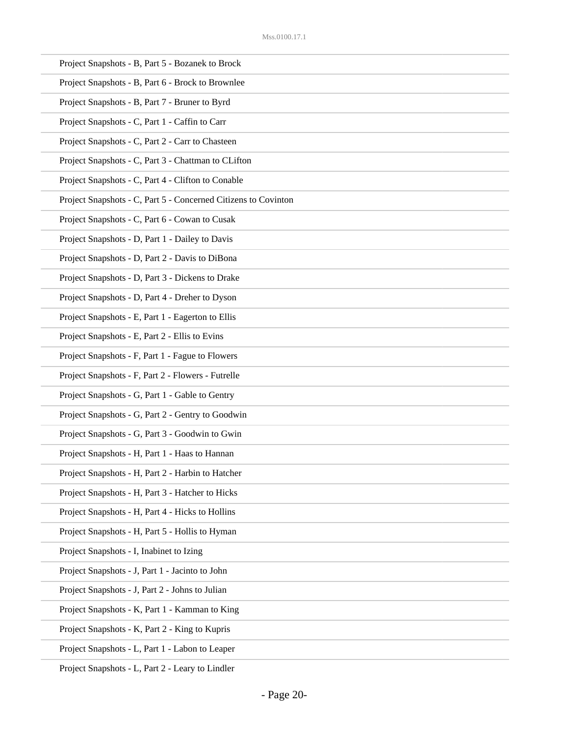| Project Snapshots - B, Part 5 - Bozanek to Brock               |
|----------------------------------------------------------------|
| Project Snapshots - B, Part 6 - Brock to Brownlee              |
| Project Snapshots - B, Part 7 - Bruner to Byrd                 |
| Project Snapshots - C, Part 1 - Caffin to Carr                 |
| Project Snapshots - C, Part 2 - Carr to Chasteen               |
| Project Snapshots - C, Part 3 - Chattman to CLifton            |
| Project Snapshots - C, Part 4 - Clifton to Conable             |
| Project Snapshots - C, Part 5 - Concerned Citizens to Covinton |
| Project Snapshots - C, Part 6 - Cowan to Cusak                 |
| Project Snapshots - D, Part 1 - Dailey to Davis                |
| Project Snapshots - D, Part 2 - Davis to DiBona                |
| Project Snapshots - D, Part 3 - Dickens to Drake               |
| Project Snapshots - D, Part 4 - Dreher to Dyson                |
| Project Snapshots - E, Part 1 - Eagerton to Ellis              |
| Project Snapshots - E, Part 2 - Ellis to Evins                 |
| Project Snapshots - F, Part 1 - Fague to Flowers               |
| Project Snapshots - F, Part 2 - Flowers - Futrelle             |
| Project Snapshots - G, Part 1 - Gable to Gentry                |
| Project Snapshots - G, Part 2 - Gentry to Goodwin              |
| Project Snapshots - G, Part 3 - Goodwin to Gwin                |
| Project Snapshots - H, Part 1 - Haas to Hannan                 |
| Project Snapshots - H, Part 2 - Harbin to Hatcher              |
| Project Snapshots - H, Part 3 - Hatcher to Hicks               |
| Project Snapshots - H, Part 4 - Hicks to Hollins               |
| Project Snapshots - H, Part 5 - Hollis to Hyman                |
| Project Snapshots - I, Inabinet to Izing                       |
| Project Snapshots - J, Part 1 - Jacinto to John                |
| Project Snapshots - J, Part 2 - Johns to Julian                |
| Project Snapshots - K, Part 1 - Kamman to King                 |
| Project Snapshots - K, Part 2 - King to Kupris                 |
| Project Snapshots - L, Part 1 - Labon to Leaper                |

Project Snapshots - L, Part 2 - Leary to Lindler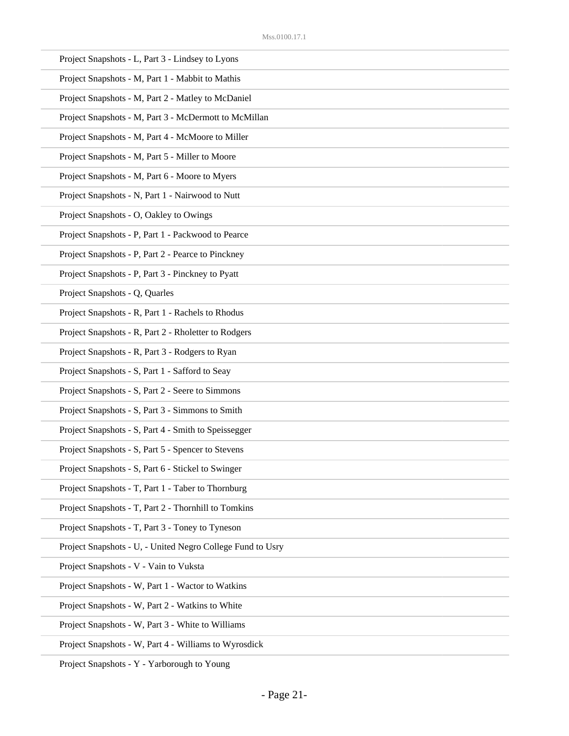| Project Snapshots - L, Part 3 - Lindsey to Lyons           |
|------------------------------------------------------------|
| Project Snapshots - M, Part 1 - Mabbit to Mathis           |
| Project Snapshots - M, Part 2 - Matley to McDaniel         |
| Project Snapshots - M, Part 3 - McDermott to McMillan      |
| Project Snapshots - M, Part 4 - McMoore to Miller          |
| Project Snapshots - M, Part 5 - Miller to Moore            |
| Project Snapshots - M, Part 6 - Moore to Myers             |
| Project Snapshots - N, Part 1 - Nairwood to Nutt           |
| Project Snapshots - O, Oakley to Owings                    |
| Project Snapshots - P, Part 1 - Packwood to Pearce         |
| Project Snapshots - P, Part 2 - Pearce to Pinckney         |
| Project Snapshots - P, Part 3 - Pinckney to Pyatt          |
| Project Snapshots - Q, Quarles                             |
| Project Snapshots - R, Part 1 - Rachels to Rhodus          |
| Project Snapshots - R, Part 2 - Rholetter to Rodgers       |
| Project Snapshots - R, Part 3 - Rodgers to Ryan            |
| Project Snapshots - S, Part 1 - Safford to Seay            |
| Project Snapshots - S, Part 2 - Seere to Simmons           |
| Project Snapshots - S, Part 3 - Simmons to Smith           |
| Project Snapshots - S, Part 4 - Smith to Speissegger       |
| Project Snapshots - S, Part 5 - Spencer to Stevens         |
| Project Snapshots - S, Part 6 - Stickel to Swinger         |
| Project Snapshots - T, Part 1 - Taber to Thornburg         |
| Project Snapshots - T, Part 2 - Thornhill to Tomkins       |
| Project Snapshots - T, Part 3 - Toney to Tyneson           |
| Project Snapshots - U, - United Negro College Fund to Usry |
| Project Snapshots - V - Vain to Vuksta                     |
| Project Snapshots - W, Part 1 - Wactor to Watkins          |
| Project Snapshots - W, Part 2 - Watkins to White           |
| Project Snapshots - W, Part 3 - White to Williams          |
| Project Snapshots - W, Part 4 - Williams to Wyrosdick      |

Project Snapshots - Y - Yarborough to Young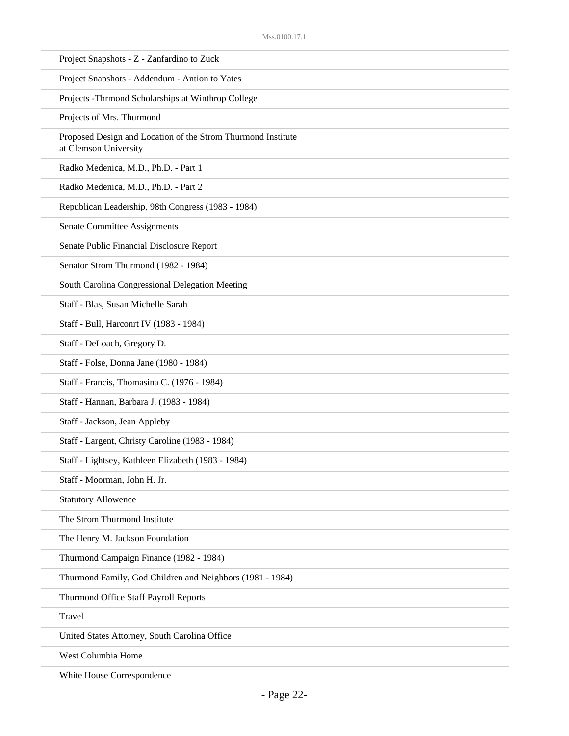| Project Snapshots - Z - Zanfardino to Zuck                                            |
|---------------------------------------------------------------------------------------|
| Project Snapshots - Addendum - Antion to Yates                                        |
| Projects - Thrmond Scholarships at Winthrop College                                   |
| Projects of Mrs. Thurmond                                                             |
| Proposed Design and Location of the Strom Thurmond Institute<br>at Clemson University |
| Radko Medenica, M.D., Ph.D. - Part 1                                                  |
| Radko Medenica, M.D., Ph.D. - Part 2                                                  |
| Republican Leadership, 98th Congress (1983 - 1984)                                    |
| Senate Committee Assignments                                                          |
| Senate Public Financial Disclosure Report                                             |
| Senator Strom Thurmond (1982 - 1984)                                                  |
| South Carolina Congressional Delegation Meeting                                       |
| Staff - Blas, Susan Michelle Sarah                                                    |
| Staff - Bull, Harconrt IV (1983 - 1984)                                               |
| Staff - DeLoach, Gregory D.                                                           |
| Staff - Folse, Donna Jane (1980 - 1984)                                               |
| Staff - Francis, Thomasina C. (1976 - 1984)                                           |
| Staff - Hannan, Barbara J. (1983 - 1984)                                              |
| Staff - Jackson, Jean Appleby                                                         |
| Staff - Largent, Christy Caroline (1983 - 1984)                                       |
| Staff - Lightsey, Kathleen Elizabeth (1983 - 1984)                                    |
| Staff - Moorman, John H. Jr.                                                          |
| <b>Statutory Allowence</b>                                                            |
| The Strom Thurmond Institute                                                          |
| The Henry M. Jackson Foundation                                                       |
| Thurmond Campaign Finance (1982 - 1984)                                               |
| Thurmond Family, God Children and Neighbors (1981 - 1984)                             |
| Thurmond Office Staff Payroll Reports                                                 |
| Travel                                                                                |
| United States Attorney, South Carolina Office                                         |
| West Columbia Home                                                                    |

White House Correspondence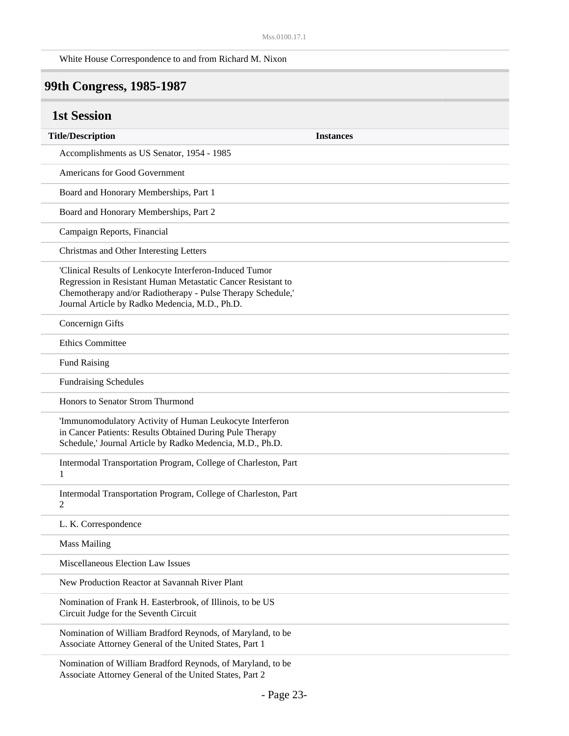White House Correspondence to and from Richard M. Nixon

## **99th Congress, 1985-1987**

| <b>1st Session</b>                                                                                                                                                                                                                       |                  |
|------------------------------------------------------------------------------------------------------------------------------------------------------------------------------------------------------------------------------------------|------------------|
| <b>Title/Description</b>                                                                                                                                                                                                                 | <b>Instances</b> |
| Accomplishments as US Senator, 1954 - 1985                                                                                                                                                                                               |                  |
| Americans for Good Government                                                                                                                                                                                                            |                  |
| Board and Honorary Memberships, Part 1                                                                                                                                                                                                   |                  |
| Board and Honorary Memberships, Part 2                                                                                                                                                                                                   |                  |
| Campaign Reports, Financial                                                                                                                                                                                                              |                  |
| Christmas and Other Interesting Letters                                                                                                                                                                                                  |                  |
| 'Clinical Results of Lenkocyte Interferon-Induced Tumor<br>Regression in Resistant Human Metastatic Cancer Resistant to<br>Chemotherapy and/or Radiotherapy - Pulse Therapy Schedule,'<br>Journal Article by Radko Medencia, M.D., Ph.D. |                  |
| Concernign Gifts                                                                                                                                                                                                                         |                  |
| <b>Ethics Committee</b>                                                                                                                                                                                                                  |                  |
| <b>Fund Raising</b>                                                                                                                                                                                                                      |                  |
| <b>Fundraising Schedules</b>                                                                                                                                                                                                             |                  |
| Honors to Senator Strom Thurmond                                                                                                                                                                                                         |                  |
| 'Immunomodulatory Activity of Human Leukocyte Interferon<br>in Cancer Patients: Results Obtained During Pule Therapy<br>Schedule,' Journal Article by Radko Medencia, M.D., Ph.D.                                                        |                  |
| Intermodal Transportation Program, College of Charleston, Part<br>1                                                                                                                                                                      |                  |
| Intermodal Transportation Program, College of Charleston, Part<br>2                                                                                                                                                                      |                  |
| L. K. Correspondence                                                                                                                                                                                                                     |                  |
| <b>Mass Mailing</b>                                                                                                                                                                                                                      |                  |
| Miscellaneous Election Law Issues                                                                                                                                                                                                        |                  |
| New Production Reactor at Savannah River Plant                                                                                                                                                                                           |                  |
| Nomination of Frank H. Easterbrook, of Illinois, to be US<br>Circuit Judge for the Seventh Circuit                                                                                                                                       |                  |
| Nomination of William Bradford Reynods, of Maryland, to be<br>Associate Attorney General of the United States, Part 1                                                                                                                    |                  |
| Nomination of William Bradford Reynods, of Maryland, to be<br>Associate Attorney General of the United States, Part 2                                                                                                                    |                  |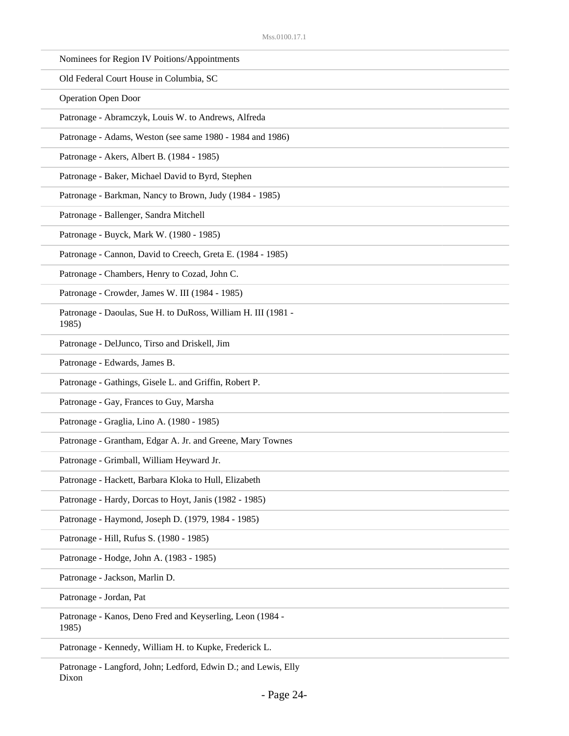| Nominees for Region IV Poitions/Appointments                           |
|------------------------------------------------------------------------|
| Old Federal Court House in Columbia, SC                                |
| <b>Operation Open Door</b>                                             |
| Patronage - Abramczyk, Louis W. to Andrews, Alfreda                    |
| Patronage - Adams, Weston (see same 1980 - 1984 and 1986)              |
| Patronage - Akers, Albert B. (1984 - 1985)                             |
| Patronage - Baker, Michael David to Byrd, Stephen                      |
| Patronage - Barkman, Nancy to Brown, Judy (1984 - 1985)                |
| Patronage - Ballenger, Sandra Mitchell                                 |
| Patronage - Buyck, Mark W. (1980 - 1985)                               |
| Patronage - Cannon, David to Creech, Greta E. (1984 - 1985)            |
| Patronage - Chambers, Henry to Cozad, John C.                          |
| Patronage - Crowder, James W. III (1984 - 1985)                        |
| Patronage - Daoulas, Sue H. to DuRoss, William H. III (1981 -<br>1985) |
| Patronage - DelJunco, Tirso and Driskell, Jim                          |
| Patronage - Edwards, James B.                                          |
| Patronage - Gathings, Gisele L. and Griffin, Robert P.                 |
| Patronage - Gay, Frances to Guy, Marsha                                |
| Patronage - Graglia, Lino A. (1980 - 1985)                             |
| Patronage - Grantham, Edgar A. Jr. and Greene, Mary Townes             |
| Patronage - Grimball, William Heyward Jr.                              |
| Patronage - Hackett, Barbara Kloka to Hull, Elizabeth                  |
| Patronage - Hardy, Dorcas to Hoyt, Janis (1982 - 1985)                 |
| Patronage - Haymond, Joseph D. (1979, 1984 - 1985)                     |
| Patronage - Hill, Rufus S. (1980 - 1985)                               |
| Patronage - Hodge, John A. (1983 - 1985)                               |
| Patronage - Jackson, Marlin D.                                         |
| Patronage - Jordan, Pat                                                |
| Patronage - Kanos, Deno Fred and Keyserling, Leon (1984 -<br>1985)     |
| Patronage - Kennedy, William H. to Kupke, Frederick L.                 |
|                                                                        |

Patronage - Langford, John; Ledford, Edwin D.; and Lewis, Elly Dixon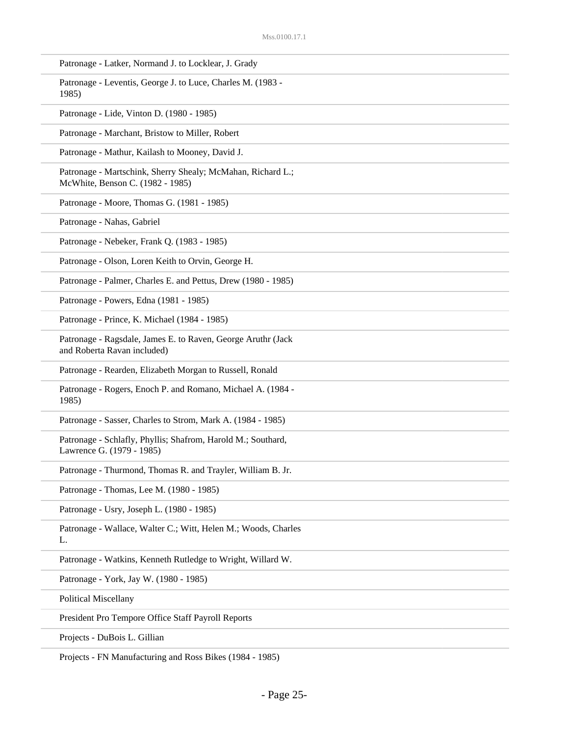| Patronage - Latker, Normand J. to Locklear, J. Grady                                            |
|-------------------------------------------------------------------------------------------------|
| Patronage - Leventis, George J. to Luce, Charles M. (1983 -<br>1985)                            |
| Patronage - Lide, Vinton D. (1980 - 1985)                                                       |
| Patronage - Marchant, Bristow to Miller, Robert                                                 |
| Patronage - Mathur, Kailash to Mooney, David J.                                                 |
| Patronage - Martschink, Sherry Shealy; McMahan, Richard L.;<br>McWhite, Benson C. (1982 - 1985) |
| Patronage - Moore, Thomas G. (1981 - 1985)                                                      |
| Patronage - Nahas, Gabriel                                                                      |
| Patronage - Nebeker, Frank Q. (1983 - 1985)                                                     |
| Patronage - Olson, Loren Keith to Orvin, George H.                                              |
| Patronage - Palmer, Charles E. and Pettus, Drew (1980 - 1985)                                   |
| Patronage - Powers, Edna (1981 - 1985)                                                          |
| Patronage - Prince, K. Michael (1984 - 1985)                                                    |
| Patronage - Ragsdale, James E. to Raven, George Aruthr (Jack<br>and Roberta Ravan included)     |
| Patronage - Rearden, Elizabeth Morgan to Russell, Ronald                                        |
| Patronage - Rogers, Enoch P. and Romano, Michael A. (1984 -<br>1985)                            |
| Patronage - Sasser, Charles to Strom, Mark A. (1984 - 1985)                                     |
| Patronage - Schlafly, Phyllis; Shafrom, Harold M.; Southard,<br>Lawrence G. (1979 - 1985)       |
| Patronage - Thurmond, Thomas R. and Trayler, William B. Jr.                                     |
| Patronage - Thomas, Lee M. (1980 - 1985)                                                        |
| Patronage - Usry, Joseph L. (1980 - 1985)                                                       |
| Patronage - Wallace, Walter C.; Witt, Helen M.; Woods, Charles<br>L.                            |
| Patronage - Watkins, Kenneth Rutledge to Wright, Willard W.                                     |
| Patronage - York, Jay W. (1980 - 1985)                                                          |
| <b>Political Miscellany</b>                                                                     |
| President Pro Tempore Office Staff Payroll Reports                                              |
| Projects - DuBois L. Gillian                                                                    |

Projects - FN Manufacturing and Ross Bikes (1984 - 1985)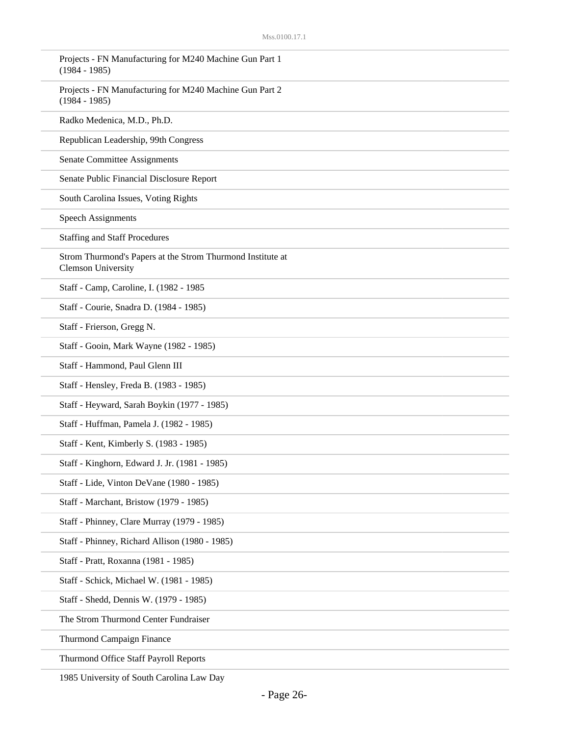| Projects - FN Manufacturing for M240 Machine Gun Part 1<br>$(1984 - 1985)$              |
|-----------------------------------------------------------------------------------------|
| Projects - FN Manufacturing for M240 Machine Gun Part 2<br>$(1984 - 1985)$              |
| Radko Medenica, M.D., Ph.D.                                                             |
| Republican Leadership, 99th Congress                                                    |
| <b>Senate Committee Assignments</b>                                                     |
| Senate Public Financial Disclosure Report                                               |
| South Carolina Issues, Voting Rights                                                    |
| <b>Speech Assignments</b>                                                               |
| <b>Staffing and Staff Procedures</b>                                                    |
| Strom Thurmond's Papers at the Strom Thurmond Institute at<br><b>Clemson University</b> |
| Staff - Camp, Caroline, I. (1982 - 1985                                                 |
| Staff - Courie, Snadra D. (1984 - 1985)                                                 |
| Staff - Frierson, Gregg N.                                                              |
| Staff - Gooin, Mark Wayne (1982 - 1985)                                                 |
| Staff - Hammond, Paul Glenn III                                                         |
| Staff - Hensley, Freda B. (1983 - 1985)                                                 |
| Staff - Heyward, Sarah Boykin (1977 - 1985)                                             |
| Staff - Huffman, Pamela J. (1982 - 1985)                                                |
| Staff - Kent, Kimberly S. (1983 - 1985)                                                 |
| Staff - Kinghorn, Edward J. Jr. (1981 - 1985)                                           |
| Staff - Lide, Vinton DeVane (1980 - 1985)                                               |
| Staff - Marchant, Bristow (1979 - 1985)                                                 |
| Staff - Phinney, Clare Murray (1979 - 1985)                                             |
| Staff - Phinney, Richard Allison (1980 - 1985)                                          |
| Staff - Pratt, Roxanna (1981 - 1985)                                                    |
| Staff - Schick, Michael W. (1981 - 1985)                                                |
| Staff - Shedd, Dennis W. (1979 - 1985)                                                  |
| The Strom Thurmond Center Fundraiser                                                    |
| Thurmond Campaign Finance                                                               |
| Thurmond Office Staff Payroll Reports                                                   |

1985 University of South Carolina Law Day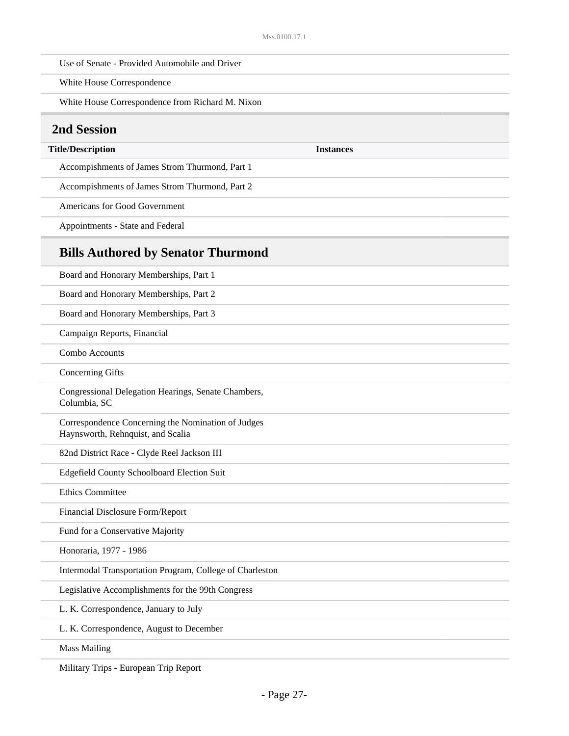White House Correspondence

White House Correspondence from Richard M. Nixon

#### **2nd Session**

#### **Title/Description Instances**

Accompishments of James Strom Thurmond, Part 1

Accompishments of James Strom Thurmond, Part 2

Americans for Good Government

Appointments - State and Federal

#### **Bills Authored by Senator Thurmond**

Board and Honorary Memberships, Part 1 Board and Honorary Memberships, Part 2 Board and Honorary Memberships, Part 3 Campaign Reports, Financial Combo Accounts Concerning Gifts Congressional Delegation Hearings, Senate Chambers, Columbia, SC Correspondence Concerning the Nomination of Judges Haynsworth, Rehnquist, and Scalia 82nd District Race - Clyde Reel Jackson III Edgefield County Schoolboard Election Suit Ethics Committee Financial Disclosure Form/Report Fund for a Conservative Majority Honoraria, 1977 - 1986 Intermodal Transportation Program, College of Charleston Legislative Accomplishments for the 99th Congress L. K. Correspondence, January to July L. K. Correspondence, August to December Mass Mailing

Military Trips - European Trip Report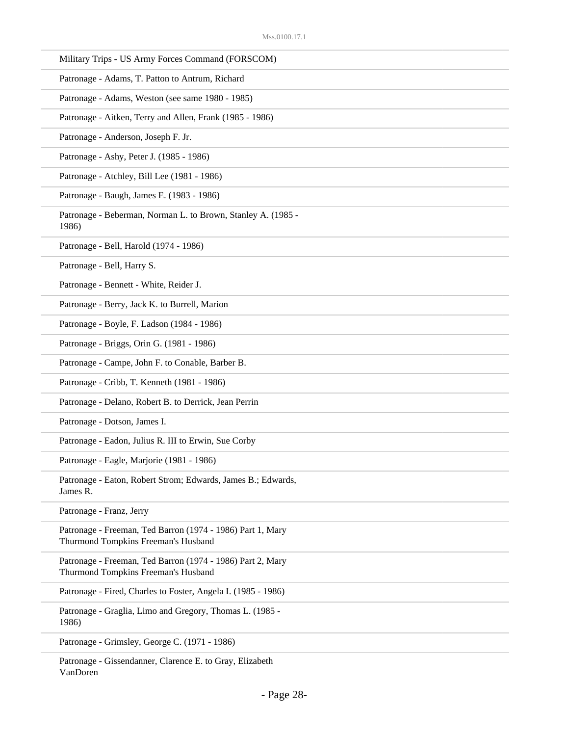| Military Trips - US Army Forces Command (FORSCOM)                                                 |
|---------------------------------------------------------------------------------------------------|
| Patronage - Adams, T. Patton to Antrum, Richard                                                   |
| Patronage - Adams, Weston (see same 1980 - 1985)                                                  |
| Patronage - Aitken, Terry and Allen, Frank (1985 - 1986)                                          |
| Patronage - Anderson, Joseph F. Jr.                                                               |
| Patronage - Ashy, Peter J. (1985 - 1986)                                                          |
| Patronage - Atchley, Bill Lee (1981 - 1986)                                                       |
| Patronage - Baugh, James E. (1983 - 1986)                                                         |
| Patronage - Beberman, Norman L. to Brown, Stanley A. (1985 -<br>1986)                             |
| Patronage - Bell, Harold (1974 - 1986)                                                            |
| Patronage - Bell, Harry S.                                                                        |
| Patronage - Bennett - White, Reider J.                                                            |
| Patronage - Berry, Jack K. to Burrell, Marion                                                     |
| Patronage - Boyle, F. Ladson (1984 - 1986)                                                        |
| Patronage - Briggs, Orin G. (1981 - 1986)                                                         |
| Patronage - Campe, John F. to Conable, Barber B.                                                  |
| Patronage - Cribb, T. Kenneth (1981 - 1986)                                                       |
| Patronage - Delano, Robert B. to Derrick, Jean Perrin                                             |
| Patronage - Dotson, James I.                                                                      |
| Patronage - Eadon, Julius R. III to Erwin, Sue Corby                                              |
| Patronage - Eagle, Marjorie (1981 - 1986)                                                         |
| Patronage - Eaton, Robert Strom; Edwards, James B.; Edwards,<br>James R.                          |
| Patronage - Franz, Jerry                                                                          |
| Patronage - Freeman, Ted Barron (1974 - 1986) Part 1, Mary<br>Thurmond Tompkins Freeman's Husband |
| Patronage - Freeman, Ted Barron (1974 - 1986) Part 2, Mary<br>Thurmond Tompkins Freeman's Husband |
| Patronage - Fired, Charles to Foster, Angela I. (1985 - 1986)                                     |
| Patronage - Graglia, Limo and Gregory, Thomas L. (1985 -<br>1986)                                 |
| Patronage - Grimsley, George C. (1971 - 1986)                                                     |

Patronage - Gissendanner, Clarence E. to Gray, Elizabeth VanDoren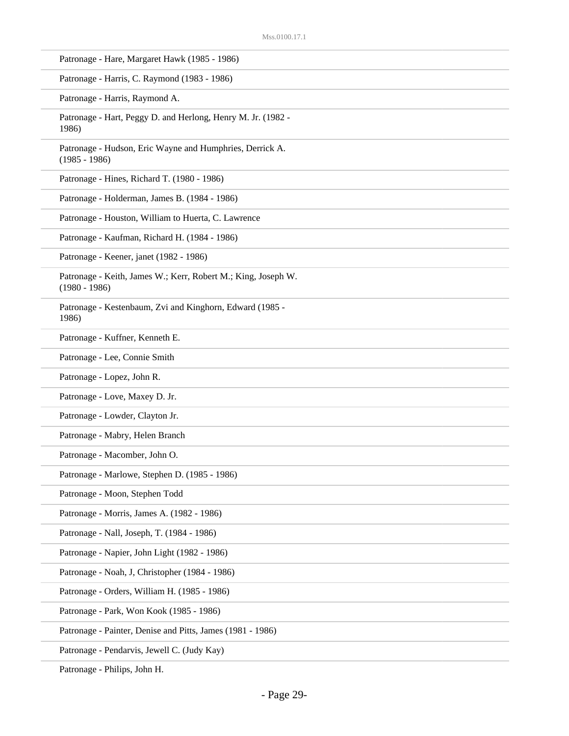| Patronage - Hare, Margaret Hawk (1985 - 1986)                                    |
|----------------------------------------------------------------------------------|
| Patronage - Harris, C. Raymond (1983 - 1986)                                     |
| Patronage - Harris, Raymond A.                                                   |
| Patronage - Hart, Peggy D. and Herlong, Henry M. Jr. (1982 -<br>1986)            |
| Patronage - Hudson, Eric Wayne and Humphries, Derrick A.<br>$(1985 - 1986)$      |
| Patronage - Hines, Richard T. (1980 - 1986)                                      |
| Patronage - Holderman, James B. (1984 - 1986)                                    |
| Patronage - Houston, William to Huerta, C. Lawrence                              |
| Patronage - Kaufman, Richard H. (1984 - 1986)                                    |
| Patronage - Keener, janet (1982 - 1986)                                          |
| Patronage - Keith, James W.; Kerr, Robert M.; King, Joseph W.<br>$(1980 - 1986)$ |
| Patronage - Kestenbaum, Zvi and Kinghorn, Edward (1985 -<br>1986)                |
| Patronage - Kuffner, Kenneth E.                                                  |
| Patronage - Lee, Connie Smith                                                    |
| Patronage - Lopez, John R.                                                       |
| Patronage - Love, Maxey D. Jr.                                                   |
| Patronage - Lowder, Clayton Jr.                                                  |
| Patronage - Mabry, Helen Branch                                                  |
| Patronage - Macomber, John O.                                                    |
| Patronage - Marlowe, Stephen D. (1985 - 1986)                                    |
| Patronage - Moon, Stephen Todd                                                   |
| Patronage - Morris, James A. (1982 - 1986)                                       |
| Patronage - Nall, Joseph, T. (1984 - 1986)                                       |
| Patronage - Napier, John Light (1982 - 1986)                                     |
| Patronage - Noah, J, Christopher (1984 - 1986)                                   |
| Patronage - Orders, William H. (1985 - 1986)                                     |
| Patronage - Park, Won Kook (1985 - 1986)                                         |
| Patronage - Painter, Denise and Pitts, James (1981 - 1986)                       |
| Patronage - Pendarvis, Jewell C. (Judy Kay)                                      |
|                                                                                  |

Patronage - Philips, John H.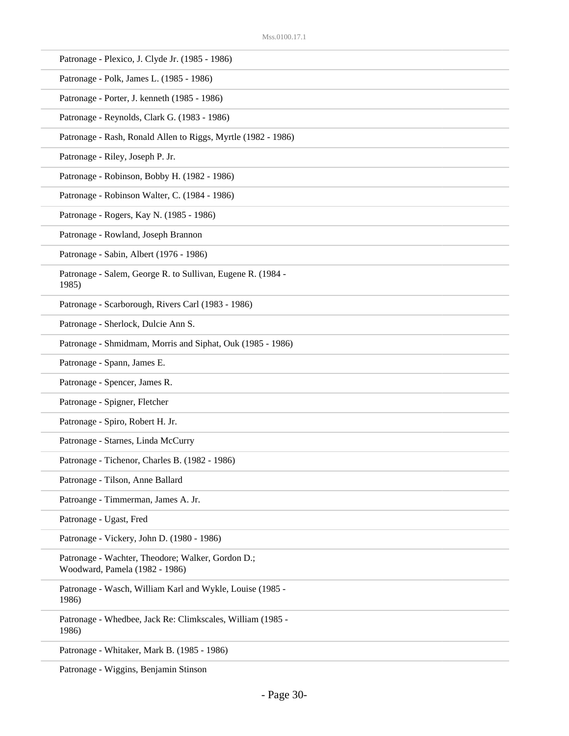| Patronage - Plexico, J. Clyde Jr. (1985 - 1986)                                     |
|-------------------------------------------------------------------------------------|
| Patronage - Polk, James L. (1985 - 1986)                                            |
| Patronage - Porter, J. kenneth (1985 - 1986)                                        |
| Patronage - Reynolds, Clark G. (1983 - 1986)                                        |
| Patronage - Rash, Ronald Allen to Riggs, Myrtle (1982 - 1986)                       |
| Patronage - Riley, Joseph P. Jr.                                                    |
| Patronage - Robinson, Bobby H. (1982 - 1986)                                        |
| Patronage - Robinson Walter, C. (1984 - 1986)                                       |
| Patronage - Rogers, Kay N. (1985 - 1986)                                            |
| Patronage - Rowland, Joseph Brannon                                                 |
| Patronage - Sabin, Albert (1976 - 1986)                                             |
| Patronage - Salem, George R. to Sullivan, Eugene R. (1984 -<br>1985)                |
| Patronage - Scarborough, Rivers Carl (1983 - 1986)                                  |
| Patronage - Sherlock, Dulcie Ann S.                                                 |
| Patronage - Shmidmam, Morris and Siphat, Ouk (1985 - 1986)                          |
| Patronage - Spann, James E.                                                         |
| Patronage - Spencer, James R.                                                       |
| Patronage - Spigner, Fletcher                                                       |
| Patronage - Spiro, Robert H. Jr.                                                    |
| Patronage - Starnes, Linda McCurry                                                  |
| Patronage - Tichenor, Charles B. (1982 - 1986)                                      |
| Patronage - Tilson, Anne Ballard                                                    |
| Patroange - Timmerman, James A. Jr.                                                 |
| Patronage - Ugast, Fred                                                             |
|                                                                                     |
| Patronage - Vickery, John D. (1980 - 1986)                                          |
| Patronage - Wachter, Theodore; Walker, Gordon D.;<br>Woodward, Pamela (1982 - 1986) |
| Patronage - Wasch, William Karl and Wykle, Louise (1985 -<br>1986)                  |
| Patronage - Whedbee, Jack Re: Climkscales, William (1985 -<br>1986)                 |
| Patronage - Whitaker, Mark B. (1985 - 1986)                                         |

Patronage - Wiggins, Benjamin Stinson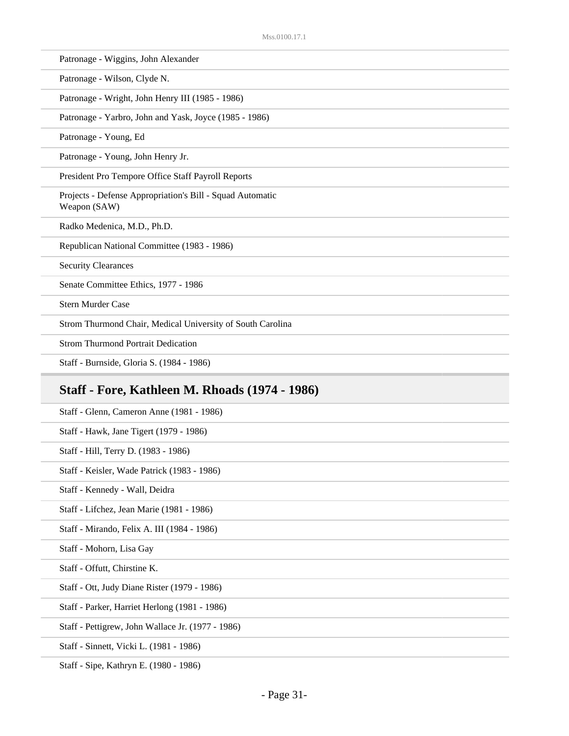Patronage - Wiggins, John Alexander

Patronage - Wilson, Clyde N.

Patronage - Wright, John Henry III (1985 - 1986)

Patronage - Yarbro, John and Yask, Joyce (1985 - 1986)

Patronage - Young, Ed

Patronage - Young, John Henry Jr.

President Pro Tempore Office Staff Payroll Reports

Projects - Defense Appropriation's Bill - Squad Automatic Weapon (SAW)

Radko Medenica, M.D., Ph.D.

Republican National Committee (1983 - 1986)

Security Clearances

Senate Committee Ethics, 1977 - 1986

Stern Murder Case

Strom Thurmond Chair, Medical University of South Carolina

Strom Thurmond Portrait Dedication

Staff - Burnside, Gloria S. (1984 - 1986)

#### **Staff - Fore, Kathleen M. Rhoads (1974 - 1986)**

Staff - Glenn, Cameron Anne (1981 - 1986)

Staff - Hawk, Jane Tigert (1979 - 1986)

Staff - Hill, Terry D. (1983 - 1986)

Staff - Keisler, Wade Patrick (1983 - 1986)

Staff - Kennedy - Wall, Deidra

Staff - Lifchez, Jean Marie (1981 - 1986)

Staff - Mirando, Felix A. III (1984 - 1986)

Staff - Mohorn, Lisa Gay

Staff - Offutt, Chirstine K.

Staff - Ott, Judy Diane Rister (1979 - 1986)

Staff - Parker, Harriet Herlong (1981 - 1986)

Staff - Pettigrew, John Wallace Jr. (1977 - 1986)

Staff - Sinnett, Vicki L. (1981 - 1986)

Staff - Sipe, Kathryn E. (1980 - 1986)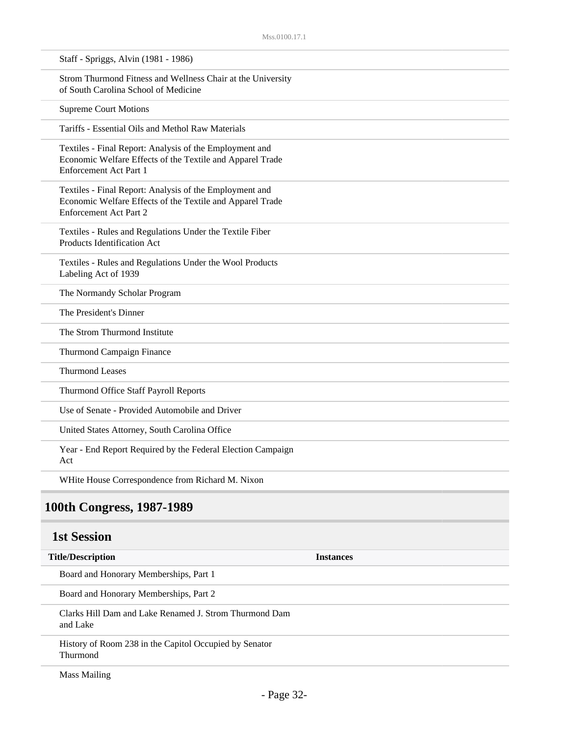| Staff - Spriggs, Alvin (1981 - 1986)                                                                                                                  |                  |
|-------------------------------------------------------------------------------------------------------------------------------------------------------|------------------|
| Strom Thurmond Fitness and Wellness Chair at the University<br>of South Carolina School of Medicine                                                   |                  |
| <b>Supreme Court Motions</b>                                                                                                                          |                  |
| Tariffs - Essential Oils and Methol Raw Materials                                                                                                     |                  |
| Textiles - Final Report: Analysis of the Employment and<br>Economic Welfare Effects of the Textile and Apparel Trade<br>Enforcement Act Part 1        |                  |
| Textiles - Final Report: Analysis of the Employment and<br>Economic Welfare Effects of the Textile and Apparel Trade<br><b>Enforcement Act Part 2</b> |                  |
| Textiles - Rules and Regulations Under the Textile Fiber<br>Products Identification Act                                                               |                  |
| Textiles - Rules and Regulations Under the Wool Products<br>Labeling Act of 1939                                                                      |                  |
| The Normandy Scholar Program                                                                                                                          |                  |
| The President's Dinner                                                                                                                                |                  |
| The Strom Thurmond Institute                                                                                                                          |                  |
| Thurmond Campaign Finance                                                                                                                             |                  |
| <b>Thurmond Leases</b>                                                                                                                                |                  |
| Thurmond Office Staff Payroll Reports                                                                                                                 |                  |
| Use of Senate - Provided Automobile and Driver                                                                                                        |                  |
| United States Attorney, South Carolina Office                                                                                                         |                  |
| Year - End Report Required by the Federal Election Campaign<br>Act                                                                                    |                  |
| WHite House Correspondence from Richard M. Nixon                                                                                                      |                  |
| 100th Congress, 1987-1989                                                                                                                             |                  |
| <b>1st Session</b>                                                                                                                                    |                  |
| <b>Title/Description</b>                                                                                                                              | <b>Instances</b> |
| Board and Honorary Memberships, Part 1                                                                                                                |                  |
| Board and Honorary Memberships, Part 2                                                                                                                |                  |
| Clarks Hill Dam and Lake Renamed J. Strom Thurmond Dam<br>and Lake                                                                                    |                  |
| History of Room 238 in the Capitol Occupied by Senator<br>Thurmond                                                                                    |                  |
|                                                                                                                                                       |                  |

Mass Mailing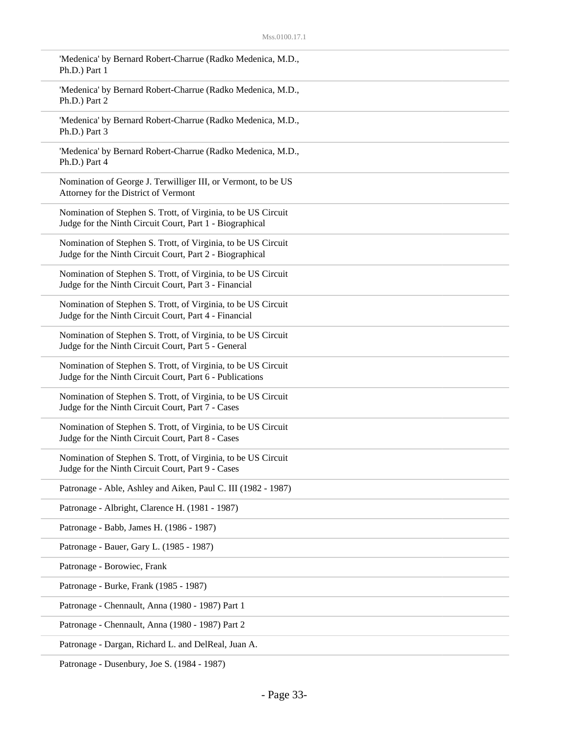| 'Medenica' by Bernard Robert-Charrue (Radko Medenica, M.D.,<br>Ph.D.) Part 1                                              |
|---------------------------------------------------------------------------------------------------------------------------|
| 'Medenica' by Bernard Robert-Charrue (Radko Medenica, M.D.,<br>Ph.D.) Part 2                                              |
| 'Medenica' by Bernard Robert-Charrue (Radko Medenica, M.D.,<br>Ph.D.) Part 3                                              |
| 'Medenica' by Bernard Robert-Charrue (Radko Medenica, M.D.,<br>Ph.D.) Part 4                                              |
| Nomination of George J. Terwilliger III, or Vermont, to be US<br>Attorney for the District of Vermont                     |
| Nomination of Stephen S. Trott, of Virginia, to be US Circuit<br>Judge for the Ninth Circuit Court, Part 1 - Biographical |
| Nomination of Stephen S. Trott, of Virginia, to be US Circuit<br>Judge for the Ninth Circuit Court, Part 2 - Biographical |
| Nomination of Stephen S. Trott, of Virginia, to be US Circuit<br>Judge for the Ninth Circuit Court, Part 3 - Financial    |
| Nomination of Stephen S. Trott, of Virginia, to be US Circuit<br>Judge for the Ninth Circuit Court, Part 4 - Financial    |
| Nomination of Stephen S. Trott, of Virginia, to be US Circuit<br>Judge for the Ninth Circuit Court, Part 5 - General      |
| Nomination of Stephen S. Trott, of Virginia, to be US Circuit<br>Judge for the Ninth Circuit Court, Part 6 - Publications |
| Nomination of Stephen S. Trott, of Virginia, to be US Circuit<br>Judge for the Ninth Circuit Court, Part 7 - Cases        |
| Nomination of Stephen S. Trott, of Virginia, to be US Circuit<br>Judge for the Ninth Circuit Court, Part 8 - Cases        |
| Nomination of Stephen S. Trott, of Virginia, to be US Circuit<br>Judge for the Ninth Circuit Court, Part 9 - Cases        |
| Patronage - Able, Ashley and Aiken, Paul C. III (1982 - 1987)                                                             |
| Patronage - Albright, Clarence H. (1981 - 1987)                                                                           |
| Patronage - Babb, James H. (1986 - 1987)                                                                                  |
| Patronage - Bauer, Gary L. (1985 - 1987)                                                                                  |
| Patronage - Borowiec, Frank                                                                                               |
| Patronage - Burke, Frank (1985 - 1987)                                                                                    |
| Patronage - Chennault, Anna (1980 - 1987) Part 1                                                                          |
| Patronage - Chennault, Anna (1980 - 1987) Part 2                                                                          |
| Patronage - Dargan, Richard L. and DelReal, Juan A.                                                                       |

Patronage - Dusenbury, Joe S. (1984 - 1987)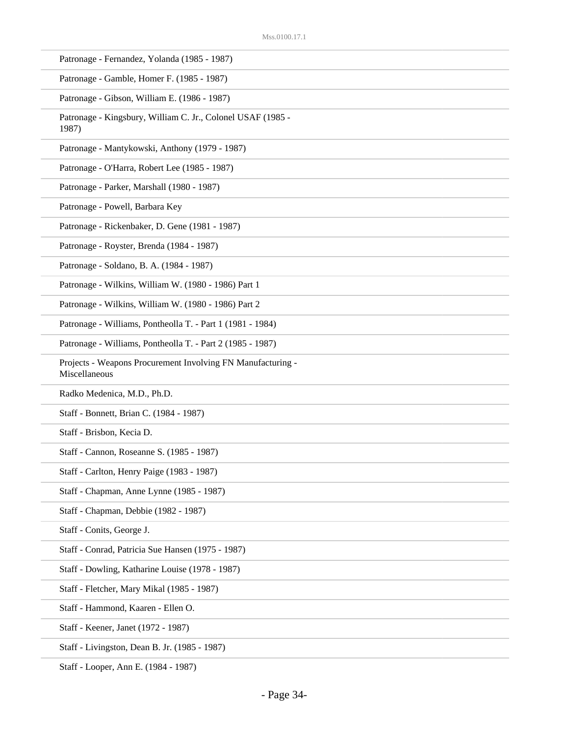| Patronage - Fernandez, Yolanda (1985 - 1987) |  |  |
|----------------------------------------------|--|--|
|----------------------------------------------|--|--|

Patronage - Gamble, Homer F. (1985 - 1987)

Patronage - Gibson, William E. (1986 - 1987)

Patronage - Kingsbury, William C. Jr., Colonel USAF (1985 - 1987)

Patronage - Mantykowski, Anthony (1979 - 1987)

Patronage - O'Harra, Robert Lee (1985 - 1987)

Patronage - Parker, Marshall (1980 - 1987)

Patronage - Powell, Barbara Key

Patronage - Rickenbaker, D. Gene (1981 - 1987)

Patronage - Royster, Brenda (1984 - 1987)

Patronage - Soldano, B. A. (1984 - 1987)

Patronage - Wilkins, William W. (1980 - 1986) Part 1

Patronage - Wilkins, William W. (1980 - 1986) Part 2

Patronage - Williams, Pontheolla T. - Part 1 (1981 - 1984)

Patronage - Williams, Pontheolla T. - Part 2 (1985 - 1987)

Projects - Weapons Procurement Involving FN Manufacturing - Miscellaneous

Radko Medenica, M.D., Ph.D.

Staff - Bonnett, Brian C. (1984 - 1987)

Staff - Brisbon, Kecia D.

Staff - Cannon, Roseanne S. (1985 - 1987)

Staff - Carlton, Henry Paige (1983 - 1987)

Staff - Chapman, Anne Lynne (1985 - 1987)

Staff - Chapman, Debbie (1982 - 1987)

Staff - Conits, George J.

Staff - Conrad, Patricia Sue Hansen (1975 - 1987)

Staff - Dowling, Katharine Louise (1978 - 1987)

Staff - Fletcher, Mary Mikal (1985 - 1987)

Staff - Hammond, Kaaren - Ellen O.

Staff - Keener, Janet (1972 - 1987)

Staff - Livingston, Dean B. Jr. (1985 - 1987)

Staff - Looper, Ann E. (1984 - 1987)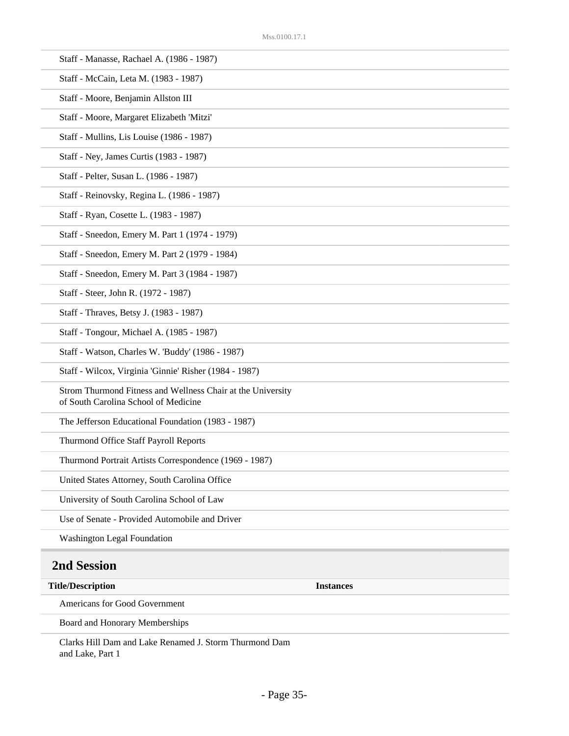| Staff - Manasse, Rachael A. (1986 - 1987)                                                           |                  |
|-----------------------------------------------------------------------------------------------------|------------------|
| Staff - McCain, Leta M. (1983 - 1987)                                                               |                  |
| Staff - Moore, Benjamin Allston III                                                                 |                  |
| Staff - Moore, Margaret Elizabeth 'Mitzi'                                                           |                  |
| Staff - Mullins, Lis Louise (1986 - 1987)                                                           |                  |
| Staff - Ney, James Curtis (1983 - 1987)                                                             |                  |
| Staff - Pelter, Susan L. (1986 - 1987)                                                              |                  |
| Staff - Reinovsky, Regina L. (1986 - 1987)                                                          |                  |
| Staff - Ryan, Cosette L. (1983 - 1987)                                                              |                  |
| Staff - Sneedon, Emery M. Part 1 (1974 - 1979)                                                      |                  |
| Staff - Sneedon, Emery M. Part 2 (1979 - 1984)                                                      |                  |
| Staff - Sneedon, Emery M. Part 3 (1984 - 1987)                                                      |                  |
| Staff - Steer, John R. (1972 - 1987)                                                                |                  |
| Staff - Thraves, Betsy J. (1983 - 1987)                                                             |                  |
| Staff - Tongour, Michael A. (1985 - 1987)                                                           |                  |
| Staff - Watson, Charles W. 'Buddy' (1986 - 1987)                                                    |                  |
| Staff - Wilcox, Virginia 'Ginnie' Risher (1984 - 1987)                                              |                  |
| Strom Thurmond Fitness and Wellness Chair at the University<br>of South Carolina School of Medicine |                  |
| The Jefferson Educational Foundation (1983 - 1987)                                                  |                  |
| Thurmond Office Staff Payroll Reports                                                               |                  |
| Thurmond Portrait Artists Correspondence (1969 - 1987)                                              |                  |
| United States Attorney, South Carolina Office                                                       |                  |
| University of South Carolina School of Law                                                          |                  |
| Use of Senate - Provided Automobile and Driver                                                      |                  |
| <b>Washington Legal Foundation</b>                                                                  |                  |
| 2nd Session                                                                                         |                  |
| <b>Title/Description</b>                                                                            | <b>Instances</b> |
| Americans for Good Government                                                                       |                  |
| Board and Honorary Memberships                                                                      |                  |

Clarks Hill Dam and Lake Renamed J. Storm Thurmond Dam and Lake, Part 1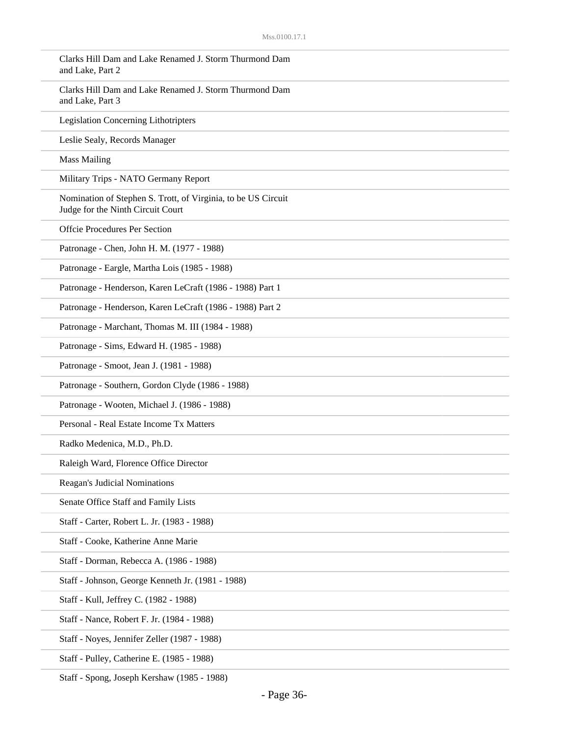| Clarks Hill Dam and Lake Renamed J. Storm Thurmond Dam<br>and Lake, Part 2                         |
|----------------------------------------------------------------------------------------------------|
| Clarks Hill Dam and Lake Renamed J. Storm Thurmond Dam<br>and Lake, Part 3                         |
| <b>Legislation Concerning Lithotripters</b>                                                        |
| Leslie Sealy, Records Manager                                                                      |
| <b>Mass Mailing</b>                                                                                |
| Military Trips - NATO Germany Report                                                               |
| Nomination of Stephen S. Trott, of Virginia, to be US Circuit<br>Judge for the Ninth Circuit Court |
| <b>Offcie Procedures Per Section</b>                                                               |
| Patronage - Chen, John H. M. (1977 - 1988)                                                         |
| Patronage - Eargle, Martha Lois (1985 - 1988)                                                      |
| Patronage - Henderson, Karen LeCraft (1986 - 1988) Part 1                                          |
| Patronage - Henderson, Karen LeCraft (1986 - 1988) Part 2                                          |
| Patronage - Marchant, Thomas M. III (1984 - 1988)                                                  |
| Patronage - Sims, Edward H. (1985 - 1988)                                                          |
| Patronage - Smoot, Jean J. (1981 - 1988)                                                           |
| Patronage - Southern, Gordon Clyde (1986 - 1988)                                                   |
| Patronage - Wooten, Michael J. (1986 - 1988)                                                       |
| Personal - Real Estate Income Tx Matters                                                           |
| Radko Medenica, M.D., Ph.D.                                                                        |
| Raleigh Ward, Florence Office Director                                                             |
| Reagan's Judicial Nominations                                                                      |
| Senate Office Staff and Family Lists                                                               |
| Staff - Carter, Robert L. Jr. (1983 - 1988)                                                        |
| Staff - Cooke, Katherine Anne Marie                                                                |
| Staff - Dorman, Rebecca A. (1986 - 1988)                                                           |
| Staff - Johnson, George Kenneth Jr. (1981 - 1988)                                                  |
| Staff - Kull, Jeffrey C. (1982 - 1988)                                                             |
| Staff - Nance, Robert F. Jr. (1984 - 1988)                                                         |
| Staff - Noyes, Jennifer Zeller (1987 - 1988)                                                       |
| Staff - Pulley, Catherine E. (1985 - 1988)                                                         |

Staff - Spong, Joseph Kershaw (1985 - 1988)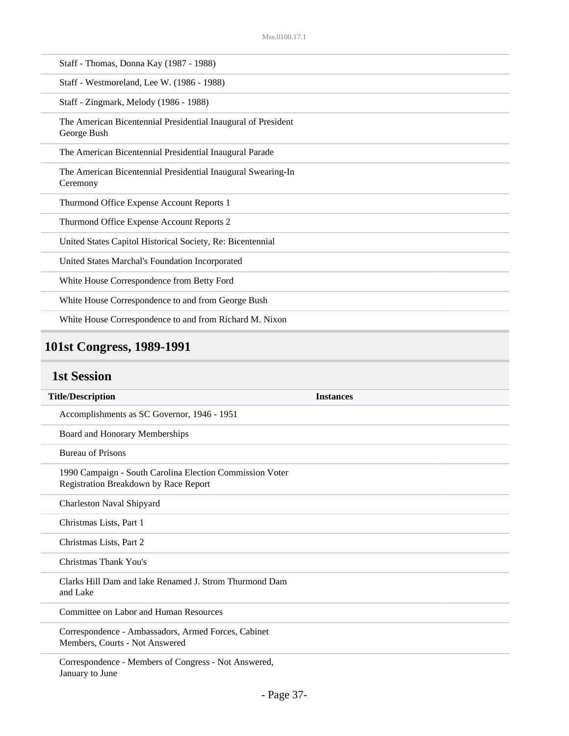| Staff - Thomas, Donna Kay (1987 - 1988)                                      |
|------------------------------------------------------------------------------|
| Staff - Westmoreland, Lee W. (1986 - 1988)                                   |
| Staff - Zingmark, Melody (1986 - 1988)                                       |
| The American Bicentennial Presidential Inaugural of President<br>George Bush |
| The American Bicentennial Presidential Inaugural Parade                      |
| The American Bicentennial Presidential Inaugural Swearing-In<br>Ceremony     |
| Thurmond Office Expense Account Reports 1                                    |
| Thurmond Office Expense Account Reports 2                                    |
| United States Capitol Historical Society, Re: Bicentennial                   |
| United States Marchal's Foundation Incorporated                              |
| White House Correspondence from Betty Ford                                   |
| White House Correspondence to and from George Bush                           |
| White House Correspondence to and from Richard M. Nixon                      |

# **101st Congress, 1989-1991**

### **1st Session**

| <b>Title/Description</b>                                                                          | <b>Instances</b> |
|---------------------------------------------------------------------------------------------------|------------------|
| Accomplishments as SC Governor, 1946 - 1951                                                       |                  |
| Board and Honorary Memberships                                                                    |                  |
| <b>Bureau of Prisons</b>                                                                          |                  |
| 1990 Campaign - South Carolina Election Commission Voter<br>Registration Breakdown by Race Report |                  |
| Charleston Naval Shipyard                                                                         |                  |
| Christmas Lists, Part 1                                                                           |                  |
| Christmas Lists, Part 2                                                                           |                  |
| Christmas Thank You's                                                                             |                  |
| Clarks Hill Dam and lake Renamed J. Strom Thurmond Dam<br>and Lake                                |                  |
| Committee on Labor and Human Resources                                                            |                  |
| Correspondence - Ambassadors, Armed Forces, Cabinet<br>Members, Courts - Not Answered             |                  |
| Correspondence - Members of Congress - Not Answered,<br>January to June                           |                  |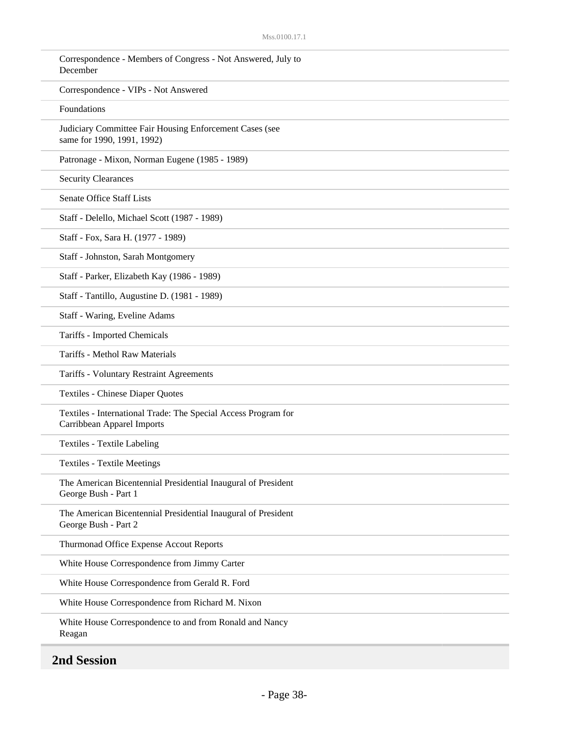| Correspondence - Members of Congress - Not Answered, July to<br>December                     |
|----------------------------------------------------------------------------------------------|
| Correspondence - VIPs - Not Answered                                                         |
| Foundations                                                                                  |
| Judiciary Committee Fair Housing Enforcement Cases (see<br>same for 1990, 1991, 1992)        |
| Patronage - Mixon, Norman Eugene (1985 - 1989)                                               |
| <b>Security Clearances</b>                                                                   |
| <b>Senate Office Staff Lists</b>                                                             |
| Staff - Delello, Michael Scott (1987 - 1989)                                                 |
| Staff - Fox, Sara H. (1977 - 1989)                                                           |
| Staff - Johnston, Sarah Montgomery                                                           |
| Staff - Parker, Elizabeth Kay (1986 - 1989)                                                  |
| Staff - Tantillo, Augustine D. (1981 - 1989)                                                 |
| Staff - Waring, Eveline Adams                                                                |
| Tariffs - Imported Chemicals                                                                 |
| Tariffs - Methol Raw Materials                                                               |
| Tariffs - Voluntary Restraint Agreements                                                     |
| Textiles - Chinese Diaper Quotes                                                             |
| Textiles - International Trade: The Special Access Program for<br>Carribbean Apparel Imports |
| <b>Textiles - Textile Labeling</b>                                                           |
| <b>Textiles - Textile Meetings</b>                                                           |
| The American Bicentennial Presidential Inaugural of President<br>George Bush - Part 1        |
| The American Bicentennial Presidential Inaugural of President<br>George Bush - Part 2        |
| Thurmonad Office Expense Accout Reports                                                      |
| White House Correspondence from Jimmy Carter                                                 |
| White House Correspondence from Gerald R. Ford                                               |
| White House Correspondence from Richard M. Nixon                                             |
| White House Correspondence to and from Ronald and Nancy<br>Reagan                            |

**2nd Session**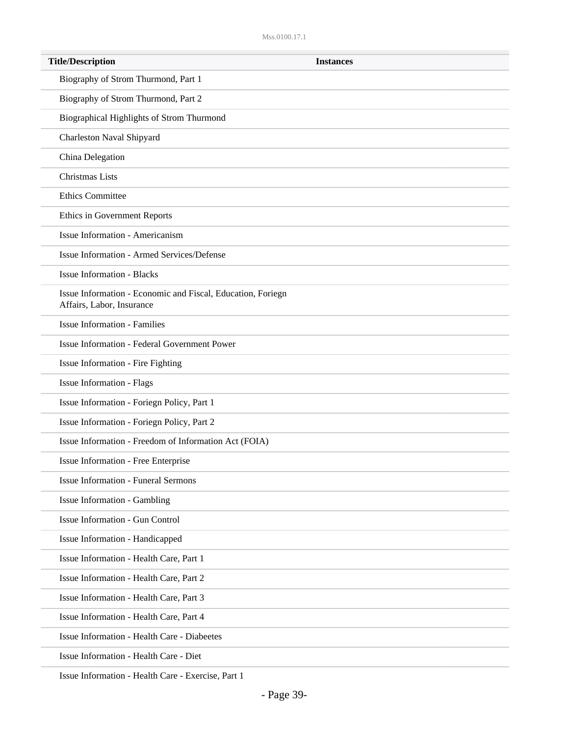| <b>Title/Description</b>                                                                 | <b>Instances</b> |
|------------------------------------------------------------------------------------------|------------------|
| Biography of Strom Thurmond, Part 1                                                      |                  |
| Biography of Strom Thurmond, Part 2                                                      |                  |
| Biographical Highlights of Strom Thurmond                                                |                  |
| Charleston Naval Shipyard                                                                |                  |
| China Delegation                                                                         |                  |
| Christmas Lists                                                                          |                  |
| <b>Ethics Committee</b>                                                                  |                  |
| Ethics in Government Reports                                                             |                  |
| <b>Issue Information - Americanism</b>                                                   |                  |
| Issue Information - Armed Services/Defense                                               |                  |
| <b>Issue Information - Blacks</b>                                                        |                  |
| Issue Information - Economic and Fiscal, Education, Foriegn<br>Affairs, Labor, Insurance |                  |
| <b>Issue Information - Families</b>                                                      |                  |
| Issue Information - Federal Government Power                                             |                  |
| Issue Information - Fire Fighting                                                        |                  |
| <b>Issue Information - Flags</b>                                                         |                  |
| Issue Information - Foriegn Policy, Part 1                                               |                  |
| Issue Information - Foriegn Policy, Part 2                                               |                  |
| Issue Information - Freedom of Information Act (FOIA)                                    |                  |
| Issue Information - Free Enterprise                                                      |                  |
| <b>Issue Information - Funeral Sermons</b>                                               |                  |
| Issue Information - Gambling                                                             |                  |
| Issue Information - Gun Control                                                          |                  |
| Issue Information - Handicapped                                                          |                  |
| Issue Information - Health Care, Part 1                                                  |                  |
| Issue Information - Health Care, Part 2                                                  |                  |
| Issue Information - Health Care, Part 3                                                  |                  |
| Issue Information - Health Care, Part 4                                                  |                  |
| <b>Issue Information - Health Care - Diabeetes</b>                                       |                  |
| Issue Information - Health Care - Diet                                                   |                  |

Issue Information - Health Care - Exercise, Part 1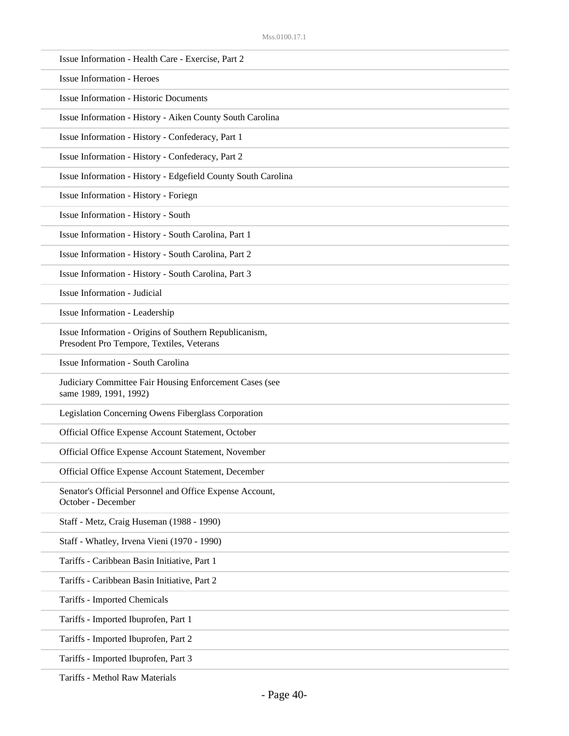| Issue Information - Health Care - Exercise, Part 2                                                  |
|-----------------------------------------------------------------------------------------------------|
| <b>Issue Information - Heroes</b>                                                                   |
| <b>Issue Information - Historic Documents</b>                                                       |
| Issue Information - History - Aiken County South Carolina                                           |
| Issue Information - History - Confederacy, Part 1                                                   |
| Issue Information - History - Confederacy, Part 2                                                   |
| Issue Information - History - Edgefield County South Carolina                                       |
| Issue Information - History - Foriegn                                                               |
| Issue Information - History - South                                                                 |
| Issue Information - History - South Carolina, Part 1                                                |
| Issue Information - History - South Carolina, Part 2                                                |
| Issue Information - History - South Carolina, Part 3                                                |
| <b>Issue Information - Judicial</b>                                                                 |
| Issue Information - Leadership                                                                      |
| Issue Information - Origins of Southern Republicanism,<br>Presodent Pro Tempore, Textiles, Veterans |
| Issue Information - South Carolina                                                                  |
| Judiciary Committee Fair Housing Enforcement Cases (see<br>same 1989, 1991, 1992)                   |
| Legislation Concerning Owens Fiberglass Corporation                                                 |
| Official Office Expense Account Statement, October                                                  |
| Official Office Expense Account Statement, November                                                 |
| Official Office Expense Account Statement, December                                                 |
| Senator's Official Personnel and Office Expense Account,<br>October - December                      |
| Staff - Metz, Craig Huseman (1988 - 1990)                                                           |
| Staff - Whatley, Irvena Vieni (1970 - 1990)                                                         |
| Tariffs - Caribbean Basin Initiative, Part 1                                                        |
| Tariffs - Caribbean Basin Initiative, Part 2                                                        |
| Tariffs - Imported Chemicals                                                                        |
| Tariffs - Imported Ibuprofen, Part 1                                                                |
| Tariffs - Imported Ibuprofen, Part 2                                                                |
| Tariffs - Imported Ibuprofen, Part 3                                                                |
|                                                                                                     |

Tariffs - Methol Raw Materials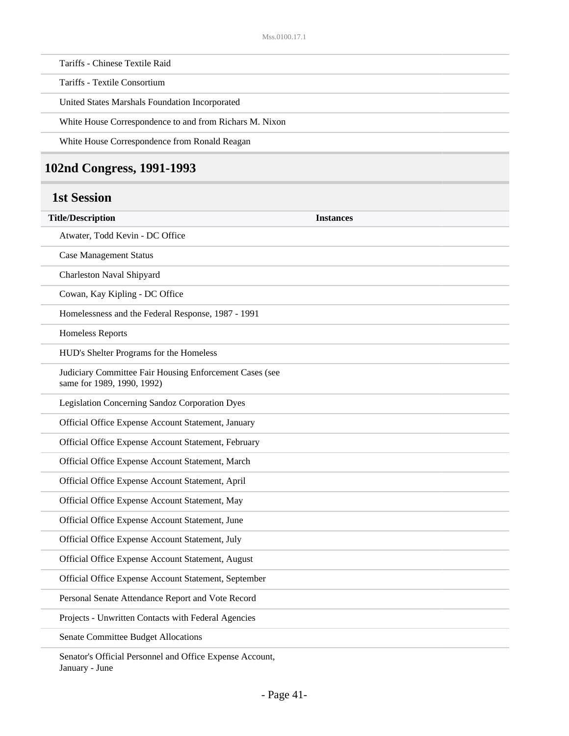Tariffs - Chinese Textile Raid

Tariffs - Textile Consortium

United States Marshals Foundation Incorporated

White House Correspondence to and from Richars M. Nixon

White House Correspondence from Ronald Reagan

#### **102nd Congress, 1991-1993**

#### **1st Session**

| <b>Title/Description</b><br><b>Instances</b>                                          |  |
|---------------------------------------------------------------------------------------|--|
| Atwater, Todd Kevin - DC Office                                                       |  |
| <b>Case Management Status</b>                                                         |  |
| Charleston Naval Shipyard                                                             |  |
| Cowan, Kay Kipling - DC Office                                                        |  |
| Homelessness and the Federal Response, 1987 - 1991                                    |  |
| <b>Homeless Reports</b>                                                               |  |
| HUD's Shelter Programs for the Homeless                                               |  |
| Judiciary Committee Fair Housing Enforcement Cases (see<br>same for 1989, 1990, 1992) |  |
| Legislation Concerning Sandoz Corporation Dyes                                        |  |
| Official Office Expense Account Statement, January                                    |  |
| Official Office Expense Account Statement, February                                   |  |
| Official Office Expense Account Statement, March                                      |  |
| Official Office Expense Account Statement, April                                      |  |
| Official Office Expense Account Statement, May                                        |  |
| Official Office Expense Account Statement, June                                       |  |
| Official Office Expense Account Statement, July                                       |  |
| Official Office Expense Account Statement, August                                     |  |
| Official Office Expense Account Statement, September                                  |  |
| Personal Senate Attendance Report and Vote Record                                     |  |
| Projects - Unwritten Contacts with Federal Agencies                                   |  |
| Senate Committee Budget Allocations                                                   |  |

Senator's Official Personnel and Office Expense Account, January - June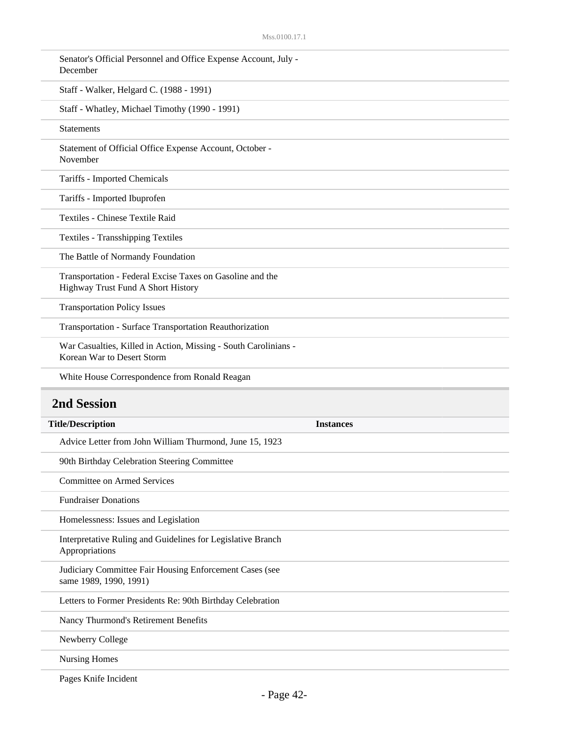| Senator's Official Personnel and Office Expense Account, July -<br>December                     |
|-------------------------------------------------------------------------------------------------|
| Staff - Walker, Helgard C. (1988 - 1991)                                                        |
| Staff - Whatley, Michael Timothy (1990 - 1991)                                                  |
| <b>Statements</b>                                                                               |
| Statement of Official Office Expense Account, October -<br>November                             |
| Tariffs - Imported Chemicals                                                                    |
| Tariffs - Imported Ibuprofen                                                                    |
| Textiles - Chinese Textile Raid                                                                 |
| <b>Textiles - Transshipping Textiles</b>                                                        |
| The Battle of Normandy Foundation                                                               |
| Transportation - Federal Excise Taxes on Gasoline and the<br>Highway Trust Fund A Short History |
| <b>Transportation Policy Issues</b>                                                             |
| Transportation - Surface Transportation Reauthorization                                         |
| War Casualties, Killed in Action, Missing - South Carolinians -<br>Korean War to Desert Storm   |
|                                                                                                 |
| White House Correspondence from Ronald Reagan                                                   |
| <b>2nd Session</b>                                                                              |
| <b>Title/Description</b><br><b>Instances</b>                                                    |
| Advice Letter from John William Thurmond, June 15, 1923                                         |
| 90th Birthday Celebration Steering Committee                                                    |
| <b>Committee on Armed Services</b>                                                              |
| <b>Fundraiser Donations</b>                                                                     |
| Homelessness: Issues and Legislation                                                            |
| Interpretative Ruling and Guidelines for Legislative Branch<br>Appropriations                   |
| Judiciary Committee Fair Housing Enforcement Cases (see<br>same 1989, 1990, 1991)               |
| Letters to Former Presidents Re: 90th Birthday Celebration                                      |
| Nancy Thurmond's Retirement Benefits                                                            |
| Newberry College                                                                                |
| <b>Nursing Homes</b>                                                                            |

Pages Knife Incident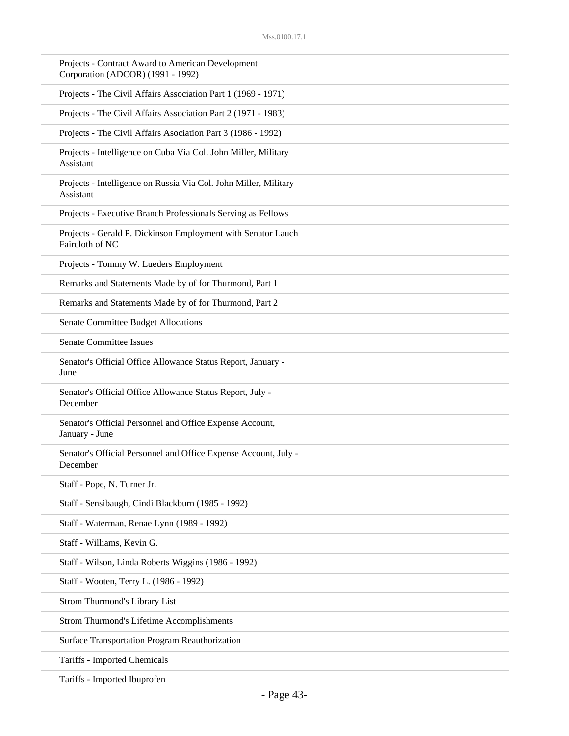| Projects - Contract Award to American Development<br>Corporation (ADCOR) (1991 - 1992) |
|----------------------------------------------------------------------------------------|
| Projects - The Civil Affairs Association Part 1 (1969 - 1971)                          |
| Projects - The Civil Affairs Association Part 2 (1971 - 1983)                          |
| Projects - The Civil Affairs Asociation Part 3 (1986 - 1992)                           |
| Projects - Intelligence on Cuba Via Col. John Miller, Military<br>Assistant            |
| Projects - Intelligence on Russia Via Col. John Miller, Military<br>Assistant          |
| Projects - Executive Branch Professionals Serving as Fellows                           |
| Projects - Gerald P. Dickinson Employment with Senator Lauch<br>Faircloth of NC        |
| Projects - Tommy W. Lueders Employment                                                 |
| Remarks and Statements Made by of for Thurmond, Part 1                                 |
| Remarks and Statements Made by of for Thurmond, Part 2                                 |
| Senate Committee Budget Allocations                                                    |
| <b>Senate Committee Issues</b>                                                         |
| Senator's Official Office Allowance Status Report, January -<br>June                   |
| Senator's Official Office Allowance Status Report, July -<br>December                  |
| Senator's Official Personnel and Office Expense Account,<br>January - June             |
| Senator's Official Personnel and Office Expense Account, July -<br>December            |
| Staff - Pope, N. Turner Jr.                                                            |
| Staff - Sensibaugh, Cindi Blackburn (1985 - 1992)                                      |
| Staff - Waterman, Renae Lynn (1989 - 1992)                                             |
| Staff - Williams, Kevin G.                                                             |
| Staff - Wilson, Linda Roberts Wiggins (1986 - 1992)                                    |
| Staff - Wooten, Terry L. (1986 - 1992)                                                 |
| Strom Thurmond's Library List                                                          |
| Strom Thurmond's Lifetime Accomplishments                                              |
| Surface Transportation Program Reauthorization                                         |
| Tariffs - Imported Chemicals                                                           |

Tariffs - Imported Ibuprofen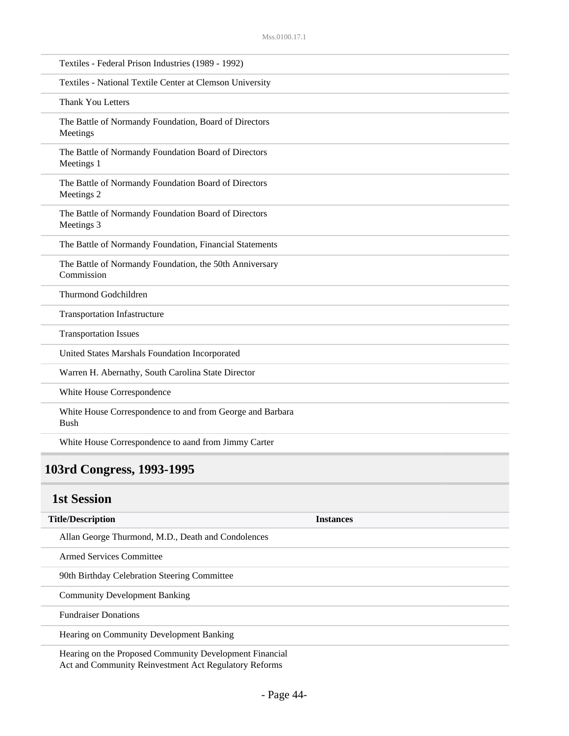| Textiles - Federal Prison Industries (1989 - 1992)                       |
|--------------------------------------------------------------------------|
| Textiles - National Textile Center at Clemson University                 |
| <b>Thank You Letters</b>                                                 |
| The Battle of Normandy Foundation, Board of Directors<br>Meetings        |
| The Battle of Normandy Foundation Board of Directors<br>Meetings 1       |
| The Battle of Normandy Foundation Board of Directors<br>Meetings 2       |
| The Battle of Normandy Foundation Board of Directors<br>Meetings 3       |
| The Battle of Normandy Foundation, Financial Statements                  |
| The Battle of Normandy Foundation, the 50th Anniversary<br>Commission    |
| Thurmond Godchildren                                                     |
| <b>Transportation Infastructure</b>                                      |
| <b>Transportation Issues</b>                                             |
| United States Marshals Foundation Incorporated                           |
| Warren H. Abernathy, South Carolina State Director                       |
| White House Correspondence                                               |
| White House Correspondence to and from George and Barbara<br><b>Bush</b> |
| White House Correspondence to aand from Jimmy Carter                     |

# **103rd Congress, 1993-1995**

### **1st Session**

| <b>Title/Description</b>                                | <b>Instances</b> |
|---------------------------------------------------------|------------------|
| Allan George Thurmond, M.D., Death and Condolences      |                  |
| Armed Services Committee                                |                  |
| 90th Birthday Celebration Steering Committee            |                  |
| <b>Community Development Banking</b>                    |                  |
| <b>Fundraiser Donations</b>                             |                  |
| Hearing on Community Development Banking                |                  |
| Hearing on the Proposed Community Development Financial |                  |

Act and Community Reinvestment Act Regulatory Reforms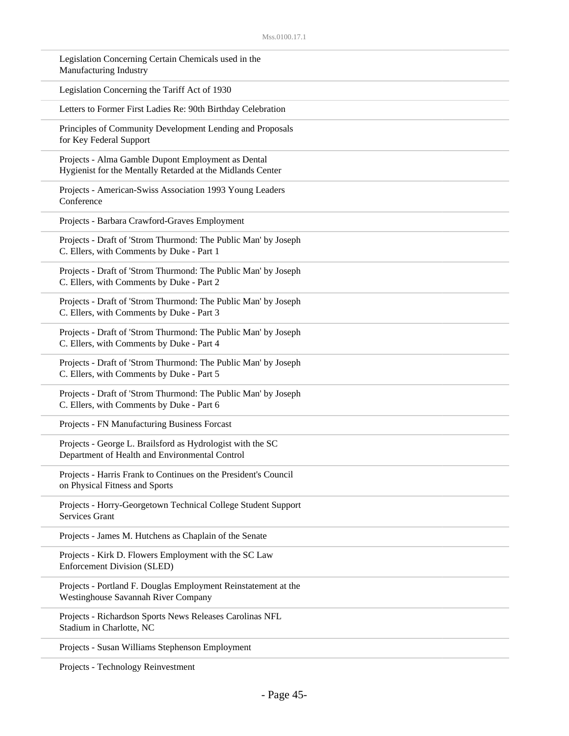| Legislation Concerning Certain Chemicals used in the<br>Manufacturing Industry                                   |
|------------------------------------------------------------------------------------------------------------------|
| Legislation Concerning the Tariff Act of 1930                                                                    |
| Letters to Former First Ladies Re: 90th Birthday Celebration                                                     |
| Principles of Community Development Lending and Proposals<br>for Key Federal Support                             |
| Projects - Alma Gamble Dupont Employment as Dental<br>Hygienist for the Mentally Retarded at the Midlands Center |
| Projects - American-Swiss Association 1993 Young Leaders<br>Conference                                           |
| Projects - Barbara Crawford-Graves Employment                                                                    |
| Projects - Draft of 'Strom Thurmond: The Public Man' by Joseph<br>C. Ellers, with Comments by Duke - Part 1      |
| Projects - Draft of 'Strom Thurmond: The Public Man' by Joseph<br>C. Ellers, with Comments by Duke - Part 2      |
| Projects - Draft of 'Strom Thurmond: The Public Man' by Joseph<br>C. Ellers, with Comments by Duke - Part 3      |
| Projects - Draft of 'Strom Thurmond: The Public Man' by Joseph<br>C. Ellers, with Comments by Duke - Part 4      |
| Projects - Draft of 'Strom Thurmond: The Public Man' by Joseph<br>C. Ellers, with Comments by Duke - Part 5      |
| Projects - Draft of 'Strom Thurmond: The Public Man' by Joseph<br>C. Ellers, with Comments by Duke - Part 6      |
| Projects - FN Manufacturing Business Forcast                                                                     |
| Projects - George L. Brailsford as Hydrologist with the SC<br>Department of Health and Environmental Control     |
| Projects - Harris Frank to Continues on the President's Council<br>on Physical Fitness and Sports                |
| Projects - Horry-Georgetown Technical College Student Support<br><b>Services Grant</b>                           |
| Projects - James M. Hutchens as Chaplain of the Senate                                                           |
| Projects - Kirk D. Flowers Employment with the SC Law<br><b>Enforcement Division (SLED)</b>                      |
| Projects - Portland F. Douglas Employment Reinstatement at the<br>Westinghouse Savannah River Company            |
| Projects - Richardson Sports News Releases Carolinas NFL<br>Stadium in Charlotte, NC                             |
| Projects - Susan Williams Stephenson Employment                                                                  |

Projects - Technology Reinvestment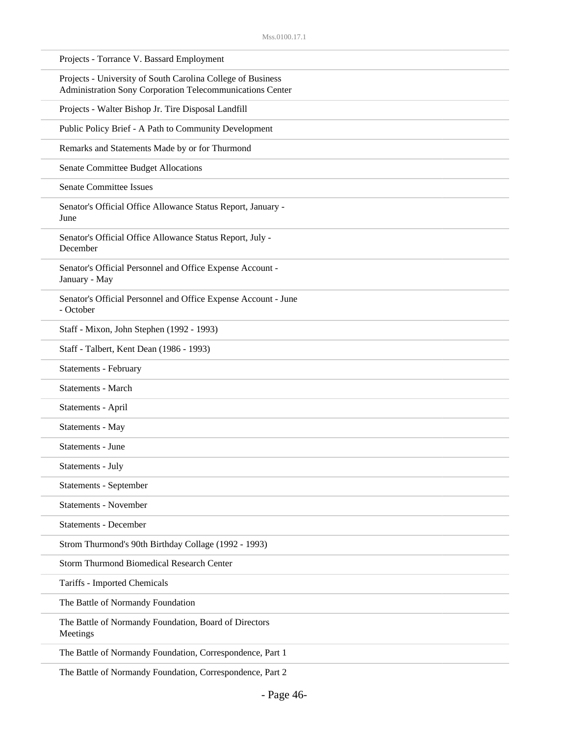| Projects - Torrance V. Bassard Employment                                                                                |
|--------------------------------------------------------------------------------------------------------------------------|
| Projects - University of South Carolina College of Business<br>Administration Sony Corporation Telecommunications Center |
| Projects - Walter Bishop Jr. Tire Disposal Landfill                                                                      |
| Public Policy Brief - A Path to Community Development                                                                    |
| Remarks and Statements Made by or for Thurmond                                                                           |
| Senate Committee Budget Allocations                                                                                      |
| <b>Senate Committee Issues</b>                                                                                           |
| Senator's Official Office Allowance Status Report, January -<br>June                                                     |
| Senator's Official Office Allowance Status Report, July -<br>December                                                    |
| Senator's Official Personnel and Office Expense Account -<br>January - May                                               |
| Senator's Official Personnel and Office Expense Account - June<br>- October                                              |
| Staff - Mixon, John Stephen (1992 - 1993)                                                                                |
| Staff - Talbert, Kent Dean (1986 - 1993)                                                                                 |
| Statements - February                                                                                                    |
| <b>Statements - March</b>                                                                                                |
| Statements - April                                                                                                       |
| Statements - May                                                                                                         |
| Statements - June                                                                                                        |
| Statements - July                                                                                                        |
| Statements - September                                                                                                   |
| <b>Statements - November</b>                                                                                             |
| <b>Statements - December</b>                                                                                             |
| Strom Thurmond's 90th Birthday Collage (1992 - 1993)                                                                     |
| <b>Storm Thurmond Biomedical Research Center</b>                                                                         |
| Tariffs - Imported Chemicals                                                                                             |
| The Battle of Normandy Foundation                                                                                        |
| The Battle of Normandy Foundation, Board of Directors<br>Meetings                                                        |
| The Battle of Normandy Foundation, Correspondence, Part 1                                                                |
|                                                                                                                          |

The Battle of Normandy Foundation, Correspondence, Part 2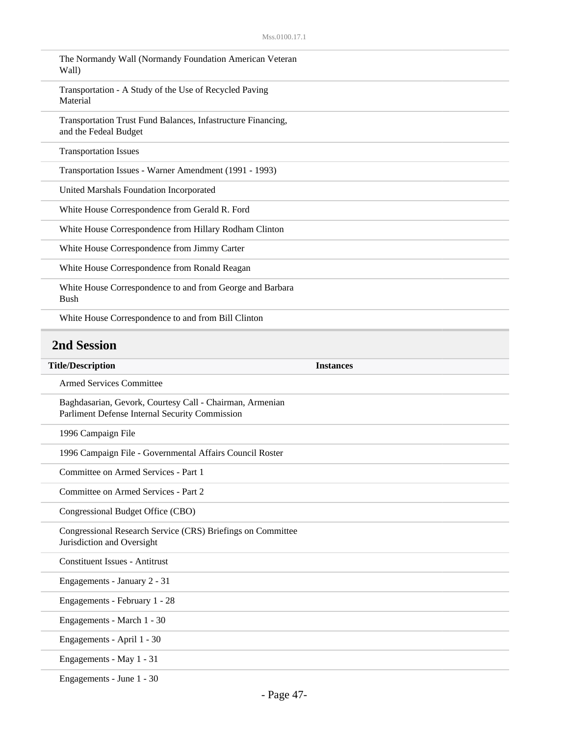| The Normandy Wall (Normandy Foundation American Veteran<br>Wall)                                           |                  |
|------------------------------------------------------------------------------------------------------------|------------------|
| Transportation - A Study of the Use of Recycled Paving<br>Material                                         |                  |
| Transportation Trust Fund Balances, Infastructure Financing,<br>and the Fedeal Budget                      |                  |
| <b>Transportation Issues</b>                                                                               |                  |
| Transportation Issues - Warner Amendment (1991 - 1993)                                                     |                  |
| United Marshals Foundation Incorporated                                                                    |                  |
| White House Correspondence from Gerald R. Ford                                                             |                  |
| White House Correspondence from Hillary Rodham Clinton                                                     |                  |
| White House Correspondence from Jimmy Carter                                                               |                  |
| White House Correspondence from Ronald Reagan                                                              |                  |
| White House Correspondence to and from George and Barbara<br><b>Bush</b>                                   |                  |
| White House Correspondence to and from Bill Clinton                                                        |                  |
| <b>2nd Session</b>                                                                                         |                  |
|                                                                                                            |                  |
| <b>Title/Description</b>                                                                                   | <b>Instances</b> |
| <b>Armed Services Committee</b>                                                                            |                  |
| Baghdasarian, Gevork, Courtesy Call - Chairman, Armenian<br>Parliment Defense Internal Security Commission |                  |
| 1996 Campaign File                                                                                         |                  |
| 1996 Campaign File - Governmental Affairs Council Roster                                                   |                  |
| Committee on Armed Services - Part 1                                                                       |                  |
| Committee on Armed Services - Part 2                                                                       |                  |
| Congressional Budget Office (CBO)                                                                          |                  |
| Congressional Research Service (CRS) Briefings on Committee<br>Jurisdiction and Oversight                  |                  |
| <b>Constituent Issues - Antitrust</b>                                                                      |                  |
| Engagements - January 2 - 31                                                                               |                  |
| Engagements - February 1 - 28                                                                              |                  |
| Engagements - March 1 - 30                                                                                 |                  |
| Engagements - April 1 - 30                                                                                 |                  |

Engagements - June 1 - 30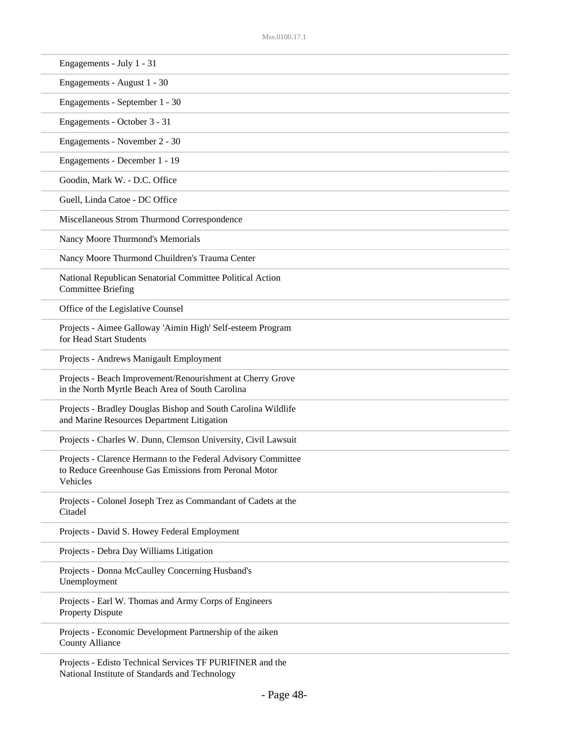| Engagements - July 1 - 31                                                                                                          |  |
|------------------------------------------------------------------------------------------------------------------------------------|--|
| Engagements - August 1 - 30                                                                                                        |  |
| Engagements - September 1 - 30                                                                                                     |  |
| Engagements - October 3 - 31                                                                                                       |  |
| Engagements - November 2 - 30                                                                                                      |  |
| Engagements - December 1 - 19                                                                                                      |  |
| Goodin, Mark W. - D.C. Office                                                                                                      |  |
| Guell, Linda Catoe - DC Office                                                                                                     |  |
| Miscellaneous Strom Thurmond Correspondence                                                                                        |  |
| Nancy Moore Thurmond's Memorials                                                                                                   |  |
| Nancy Moore Thurmond Chuildren's Trauma Center                                                                                     |  |
| National Republican Senatorial Committee Political Action<br><b>Committee Briefing</b>                                             |  |
| Office of the Legislative Counsel                                                                                                  |  |
| Projects - Aimee Galloway 'Aimin High' Self-esteem Program<br>for Head Start Students                                              |  |
| Projects - Andrews Manigault Employment                                                                                            |  |
| Projects - Beach Improvement/Renourishment at Cherry Grove<br>in the North Myrtle Beach Area of South Carolina                     |  |
| Projects - Bradley Douglas Bishop and South Carolina Wildlife<br>and Marine Resources Department Litigation                        |  |
| Projects - Charles W. Dunn, Clemson University, Civil Lawsuit                                                                      |  |
| Projects - Clarence Hermann to the Federal Advisory Committee<br>to Reduce Greenhouse Gas Emissions from Peronal Motor<br>Vehicles |  |
| Projects - Colonel Joseph Trez as Commandant of Cadets at the<br>Citadel                                                           |  |
| Projects - David S. Howey Federal Employment                                                                                       |  |
| Projects - Debra Day Williams Litigation                                                                                           |  |
| Projects - Donna McCaulley Concerning Husband's<br>Unemployment                                                                    |  |
| Projects - Earl W. Thomas and Army Corps of Engineers<br><b>Property Dispute</b>                                                   |  |
| Projects - Economic Development Partnership of the aiken<br><b>County Alliance</b>                                                 |  |
| Projects - Edisto Technical Services TF PURIFINER and the                                                                          |  |

National Institute of Standards and Technology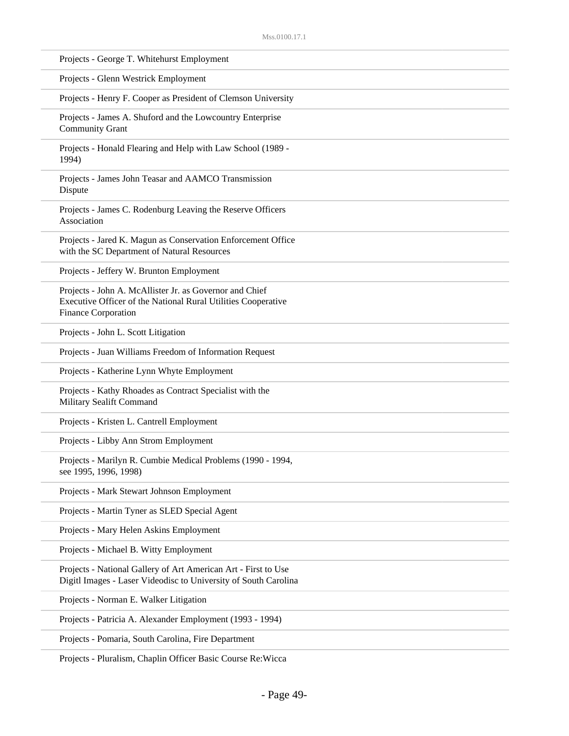| Projects - George T. Whitehurst Employment                                                                                                      |
|-------------------------------------------------------------------------------------------------------------------------------------------------|
| Projects - Glenn Westrick Employment                                                                                                            |
| Projects - Henry F. Cooper as President of Clemson University                                                                                   |
| Projects - James A. Shuford and the Lowcountry Enterprise<br><b>Community Grant</b>                                                             |
| Projects - Honald Flearing and Help with Law School (1989 -<br>1994)                                                                            |
| Projects - James John Teasar and AAMCO Transmission<br>Dispute                                                                                  |
| Projects - James C. Rodenburg Leaving the Reserve Officers<br>Association                                                                       |
| Projects - Jared K. Magun as Conservation Enforcement Office<br>with the SC Department of Natural Resources                                     |
| Projects - Jeffery W. Brunton Employment                                                                                                        |
| Projects - John A. McAllister Jr. as Governor and Chief<br>Executive Officer of the National Rural Utilities Cooperative<br>Finance Corporation |
| Projects - John L. Scott Litigation                                                                                                             |
| Projects - Juan Williams Freedom of Information Request                                                                                         |
| Projects - Katherine Lynn Whyte Employment                                                                                                      |
| Projects - Kathy Rhoades as Contract Specialist with the<br>Military Sealift Command                                                            |
| Projects - Kristen L. Cantrell Employment                                                                                                       |
| Projects - Libby Ann Strom Employment                                                                                                           |
| Projects - Marilyn R. Cumbie Medical Problems (1990 - 1994,<br>see 1995, 1996, 1998)                                                            |
| Projects - Mark Stewart Johnson Employment                                                                                                      |
| Projects - Martin Tyner as SLED Special Agent                                                                                                   |
| Projects - Mary Helen Askins Employment                                                                                                         |
| Projects - Michael B. Witty Employment                                                                                                          |
| Projects - National Gallery of Art American Art - First to Use<br>Digitl Images - Laser Videodisc to University of South Carolina               |
| Projects - Norman E. Walker Litigation                                                                                                          |
| Projects - Patricia A. Alexander Employment (1993 - 1994)                                                                                       |
| Projects - Pomaria, South Carolina, Fire Department                                                                                             |
|                                                                                                                                                 |

Projects - Pluralism, Chaplin Officer Basic Course Re:Wicca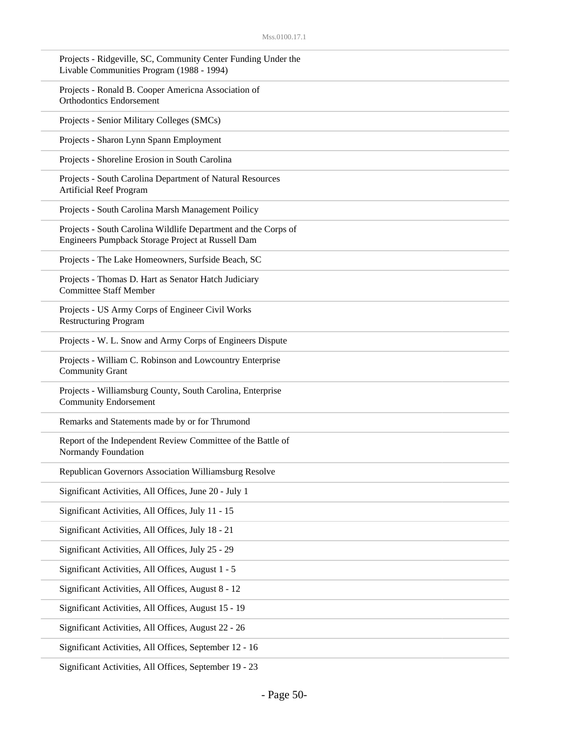| Projects - Ridgeville, SC, Community Center Funding Under the<br>Livable Communities Program (1988 - 1994)          |
|---------------------------------------------------------------------------------------------------------------------|
| Projects - Ronald B. Cooper Americna Association of<br><b>Orthodontics Endorsement</b>                              |
| Projects - Senior Military Colleges (SMCs)                                                                          |
| Projects - Sharon Lynn Spann Employment                                                                             |
| Projects - Shoreline Erosion in South Carolina                                                                      |
| Projects - South Carolina Department of Natural Resources<br><b>Artificial Reef Program</b>                         |
| Projects - South Carolina Marsh Management Poilicy                                                                  |
| Projects - South Carolina Wildlife Department and the Corps of<br>Engineers Pumpback Storage Project at Russell Dam |
| Projects - The Lake Homeowners, Surfside Beach, SC                                                                  |
| Projects - Thomas D. Hart as Senator Hatch Judiciary<br><b>Committee Staff Member</b>                               |
| Projects - US Army Corps of Engineer Civil Works<br><b>Restructuring Program</b>                                    |
| Projects - W. L. Snow and Army Corps of Engineers Dispute                                                           |
| Projects - William C. Robinson and Lowcountry Enterprise<br><b>Community Grant</b>                                  |
| Projects - Williamsburg County, South Carolina, Enterprise<br><b>Community Endorsement</b>                          |
| Remarks and Statements made by or for Thrumond                                                                      |
| Report of the Independent Review Committee of the Battle of<br>Normandy Foundation                                  |
| Republican Governors Association Williamsburg Resolve                                                               |
| Significant Activities, All Offices, June 20 - July 1                                                               |
| Significant Activities, All Offices, July 11 - 15                                                                   |
| Significant Activities, All Offices, July 18 - 21                                                                   |
| Significant Activities, All Offices, July 25 - 29                                                                   |
| Significant Activities, All Offices, August 1 - 5                                                                   |
| Significant Activities, All Offices, August 8 - 12                                                                  |
| Significant Activities, All Offices, August 15 - 19                                                                 |
| Significant Activities, All Offices, August 22 - 26                                                                 |
| Significant Activities, All Offices, September 12 - 16                                                              |
|                                                                                                                     |

Significant Activities, All Offices, September 19 - 23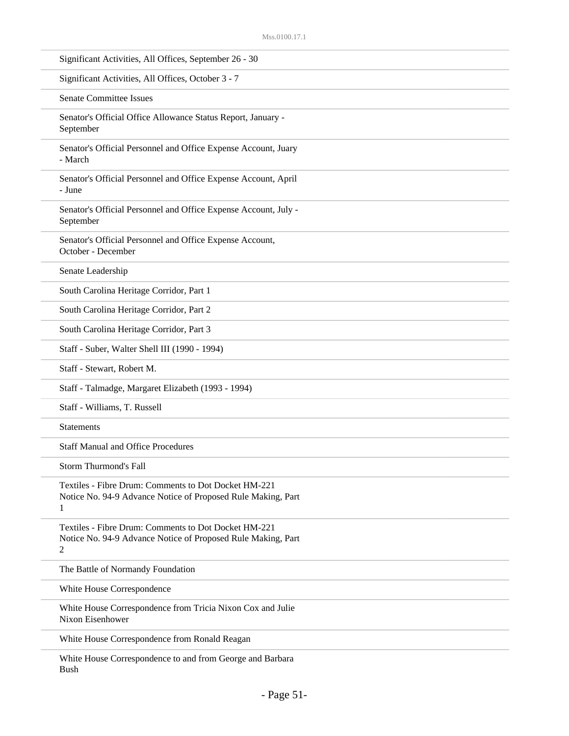| Significant Activities, All Offices, September 26 - 30                                                                    |
|---------------------------------------------------------------------------------------------------------------------------|
| Significant Activities, All Offices, October 3 - 7                                                                        |
| <b>Senate Committee Issues</b>                                                                                            |
| Senator's Official Office Allowance Status Report, January -<br>September                                                 |
| Senator's Official Personnel and Office Expense Account, Juary<br>- March                                                 |
| Senator's Official Personnel and Office Expense Account, April<br>- June                                                  |
| Senator's Official Personnel and Office Expense Account, July -<br>September                                              |
| Senator's Official Personnel and Office Expense Account,<br>October - December                                            |
| Senate Leadership                                                                                                         |
| South Carolina Heritage Corridor, Part 1                                                                                  |
| South Carolina Heritage Corridor, Part 2                                                                                  |
| South Carolina Heritage Corridor, Part 3                                                                                  |
| Staff - Suber, Walter Shell III (1990 - 1994)                                                                             |
| Staff - Stewart, Robert M.                                                                                                |
| Staff - Talmadge, Margaret Elizabeth (1993 - 1994)                                                                        |
| Staff - Williams, T. Russell                                                                                              |
| <b>Statements</b>                                                                                                         |
| <b>Staff Manual and Office Procedures</b>                                                                                 |
| Storm Thurmond's Fall                                                                                                     |
| Textiles - Fibre Drum: Comments to Dot Docket HM-221<br>Notice No. 94-9 Advance Notice of Proposed Rule Making, Part<br>1 |
| Textiles - Fibre Drum: Comments to Dot Docket HM-221<br>Notice No. 94-9 Advance Notice of Proposed Rule Making, Part<br>2 |
| The Battle of Normandy Foundation                                                                                         |
| White House Correspondence                                                                                                |
| White House Correspondence from Tricia Nixon Cox and Julie<br>Nixon Eisenhower                                            |
| White House Correspondence from Ronald Reagan                                                                             |
| White House Correspondence to and from George and Barbara                                                                 |

- Page 51-

Bush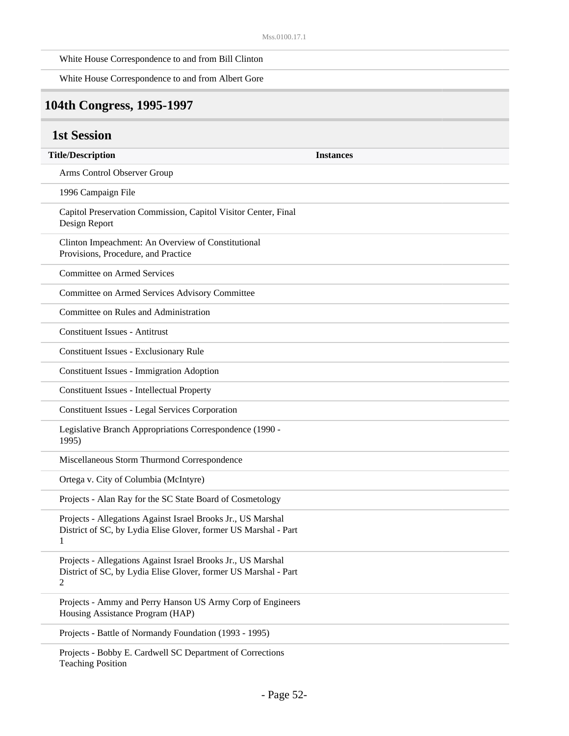White House Correspondence to and from Bill Clinton

| White House Correspondence to and from Albert Gore                                                                                   |                  |
|--------------------------------------------------------------------------------------------------------------------------------------|------------------|
| 104th Congress, 1995-1997                                                                                                            |                  |
| <b>1st Session</b>                                                                                                                   |                  |
| <b>Title/Description</b>                                                                                                             | <b>Instances</b> |
| Arms Control Observer Group                                                                                                          |                  |
| 1996 Campaign File                                                                                                                   |                  |
| Capitol Preservation Commission, Capitol Visitor Center, Final<br>Design Report                                                      |                  |
| Clinton Impeachment: An Overview of Constitutional<br>Provisions, Procedure, and Practice                                            |                  |
| <b>Committee on Armed Services</b>                                                                                                   |                  |
| Committee on Armed Services Advisory Committee                                                                                       |                  |
| Committee on Rules and Administration                                                                                                |                  |
| <b>Constituent Issues - Antitrust</b>                                                                                                |                  |
| <b>Constituent Issues - Exclusionary Rule</b>                                                                                        |                  |
| <b>Constituent Issues - Immigration Adoption</b>                                                                                     |                  |
| <b>Constituent Issues - Intellectual Property</b>                                                                                    |                  |
| <b>Constituent Issues - Legal Services Corporation</b>                                                                               |                  |
| Legislative Branch Appropriations Correspondence (1990 -<br>1995)                                                                    |                  |
| Miscellaneous Storm Thurmond Correspondence                                                                                          |                  |
| Ortega v. City of Columbia (McIntyre)                                                                                                |                  |
| Projects - Alan Ray for the SC State Board of Cosmetology                                                                            |                  |
| Projects - Allegations Against Israel Brooks Jr., US Marshal<br>District of SC, by Lydia Elise Glover, former US Marshal - Part<br>1 |                  |
| Projects - Allegations Against Israel Brooks Jr., US Marshal<br>District of SC, by Lydia Elise Glover, former US Marshal - Part<br>2 |                  |
| Projects - Ammy and Perry Hanson US Army Corp of Engineers<br>Housing Assistance Program (HAP)                                       |                  |
| Projects - Battle of Normandy Foundation (1993 - 1995)                                                                               |                  |
| Projects - Bobby E. Cardwell SC Department of Corrections                                                                            |                  |

Teaching Position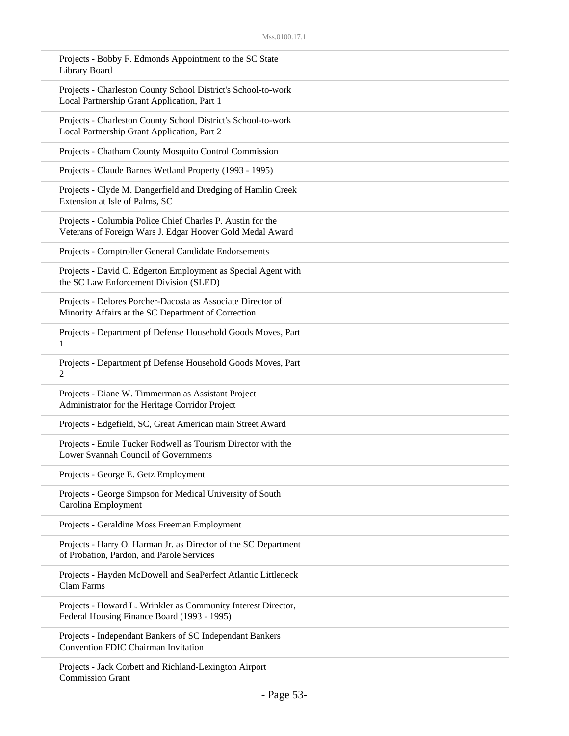| Projects - Bobby F. Edmonds Appointment to the SC State<br>Library Board                                                |
|-------------------------------------------------------------------------------------------------------------------------|
| Projects - Charleston County School District's School-to-work<br>Local Partnership Grant Application, Part 1            |
| Projects - Charleston County School District's School-to-work<br>Local Partnership Grant Application, Part 2            |
| Projects - Chatham County Mosquito Control Commission                                                                   |
| Projects - Claude Barnes Wetland Property (1993 - 1995)                                                                 |
| Projects - Clyde M. Dangerfield and Dredging of Hamlin Creek<br>Extension at Isle of Palms, SC                          |
| Projects - Columbia Police Chief Charles P. Austin for the<br>Veterans of Foreign Wars J. Edgar Hoover Gold Medal Award |
| Projects - Comptroller General Candidate Endorsements                                                                   |
| Projects - David C. Edgerton Employment as Special Agent with<br>the SC Law Enforcement Division (SLED)                 |
| Projects - Delores Porcher-Dacosta as Associate Director of<br>Minority Affairs at the SC Department of Correction      |
| Projects - Department pf Defense Household Goods Moves, Part<br>1                                                       |
| Projects - Department pf Defense Household Goods Moves, Part<br>2                                                       |
| Projects - Diane W. Timmerman as Assistant Project<br>Administrator for the Heritage Corridor Project                   |
| Projects - Edgefield, SC, Great American main Street Award                                                              |
| Projects - Emile Tucker Rodwell as Tourism Director with the<br>Lower Svannah Council of Governments                    |
| Projects - George E. Getz Employment                                                                                    |
| Projects - George Simpson for Medical University of South<br>Carolina Employment                                        |
| Projects - Geraldine Moss Freeman Employment                                                                            |
| Projects - Harry O. Harman Jr. as Director of the SC Department<br>of Probation, Pardon, and Parole Services            |
| Projects - Hayden McDowell and SeaPerfect Atlantic Littleneck<br><b>Clam Farms</b>                                      |
| Projects - Howard L. Wrinkler as Community Interest Director,<br>Federal Housing Finance Board (1993 - 1995)            |
| Projects - Independant Bankers of SC Independant Bankers<br><b>Convention FDIC Chairman Invitation</b>                  |
| Projects - Jack Corbett and Richland-Lexington Airport                                                                  |

Commission Grant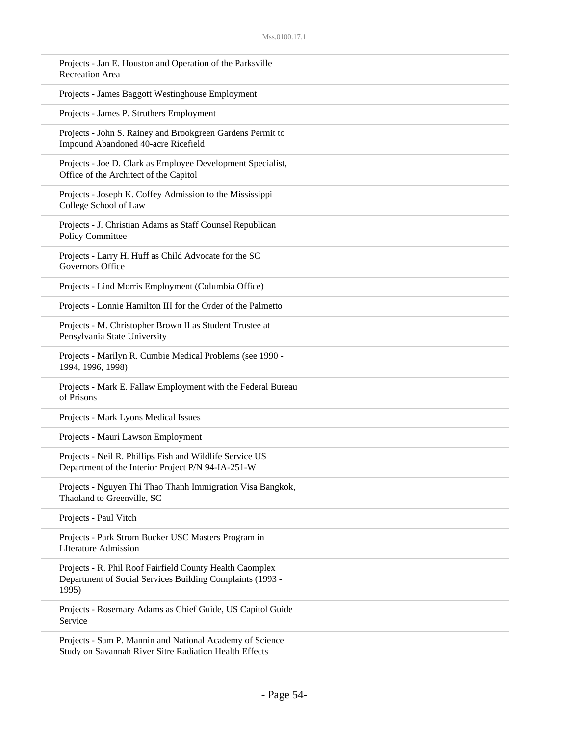| Projects - Jan E. Houston and Operation of the Parksville<br><b>Recreation Area</b>                                            |  |
|--------------------------------------------------------------------------------------------------------------------------------|--|
| Projects - James Baggott Westinghouse Employment                                                                               |  |
| Projects - James P. Struthers Employment                                                                                       |  |
| Projects - John S. Rainey and Brookgreen Gardens Permit to<br>Impound Abandoned 40-acre Ricefield                              |  |
| Projects - Joe D. Clark as Employee Development Specialist,<br>Office of the Architect of the Capitol                          |  |
| Projects - Joseph K. Coffey Admission to the Mississippi<br>College School of Law                                              |  |
| Projects - J. Christian Adams as Staff Counsel Republican<br>Policy Committee                                                  |  |
| Projects - Larry H. Huff as Child Advocate for the SC<br>Governors Office                                                      |  |
| Projects - Lind Morris Employment (Columbia Office)                                                                            |  |
| Projects - Lonnie Hamilton III for the Order of the Palmetto                                                                   |  |
| Projects - M. Christopher Brown II as Student Trustee at<br>Pensylvania State University                                       |  |
| Projects - Marilyn R. Cumbie Medical Problems (see 1990 -<br>1994, 1996, 1998)                                                 |  |
| Projects - Mark E. Fallaw Employment with the Federal Bureau<br>of Prisons                                                     |  |
| Projects - Mark Lyons Medical Issues                                                                                           |  |
| Projects - Mauri Lawson Employment                                                                                             |  |
| Projects - Neil R. Phillips Fish and Wildlife Service US<br>Department of the Interior Project P/N 94-IA-251-W                 |  |
| Projects - Nguyen Thi Thao Thanh Immigration Visa Bangkok,<br>Thaoland to Greenville, SC                                       |  |
| Projects - Paul Vitch                                                                                                          |  |
| Projects - Park Strom Bucker USC Masters Program in<br><b>LIterature Admission</b>                                             |  |
| Projects - R. Phil Roof Fairfield County Health Caomplex<br>Department of Social Services Building Complaints (1993 -<br>1995) |  |
| Projects - Rosemary Adams as Chief Guide, US Capitol Guide<br>Service                                                          |  |
| Projects - Sam P. Mannin and National Academy of Science<br>Study on Savannah River Sitre Radiation Health Effects             |  |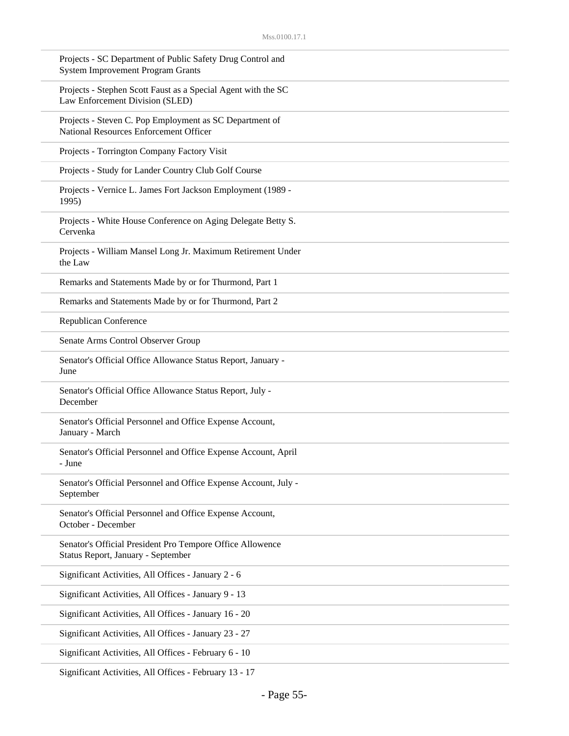| Projects - SC Department of Public Safety Drug Control and<br><b>System Improvement Program Grants</b> |
|--------------------------------------------------------------------------------------------------------|
| Projects - Stephen Scott Faust as a Special Agent with the SC<br>Law Enforcement Division (SLED)       |
| Projects - Steven C. Pop Employment as SC Department of<br>National Resources Enforcement Officer      |
| Projects - Torrington Company Factory Visit                                                            |
| Projects - Study for Lander Country Club Golf Course                                                   |
| Projects - Vernice L. James Fort Jackson Employment (1989 -<br>1995)                                   |
| Projects - White House Conference on Aging Delegate Betty S.<br>Cervenka                               |
| Projects - William Mansel Long Jr. Maximum Retirement Under<br>the Law                                 |
| Remarks and Statements Made by or for Thurmond, Part 1                                                 |
| Remarks and Statements Made by or for Thurmond, Part 2                                                 |
| Republican Conference                                                                                  |
| Senate Arms Control Observer Group                                                                     |
| Senator's Official Office Allowance Status Report, January -<br>June                                   |
| Senator's Official Office Allowance Status Report, July -<br>December                                  |
| Senator's Official Personnel and Office Expense Account,<br>January - March                            |
| Senator's Official Personnel and Office Expense Account, April<br>- June                               |
| Senator's Official Personnel and Office Expense Account, July -<br>September                           |
| Senator's Official Personnel and Office Expense Account,<br>October - December                         |
| Senator's Official President Pro Tempore Office Allowence<br>Status Report, January - September        |
| Significant Activities, All Offices - January 2 - 6                                                    |
| Significant Activities, All Offices - January 9 - 13                                                   |
| Significant Activities, All Offices - January 16 - 20                                                  |
| Significant Activities, All Offices - January 23 - 27                                                  |
| Significant Activities, All Offices - February 6 - 10                                                  |
|                                                                                                        |

Significant Activities, All Offices - February 13 - 17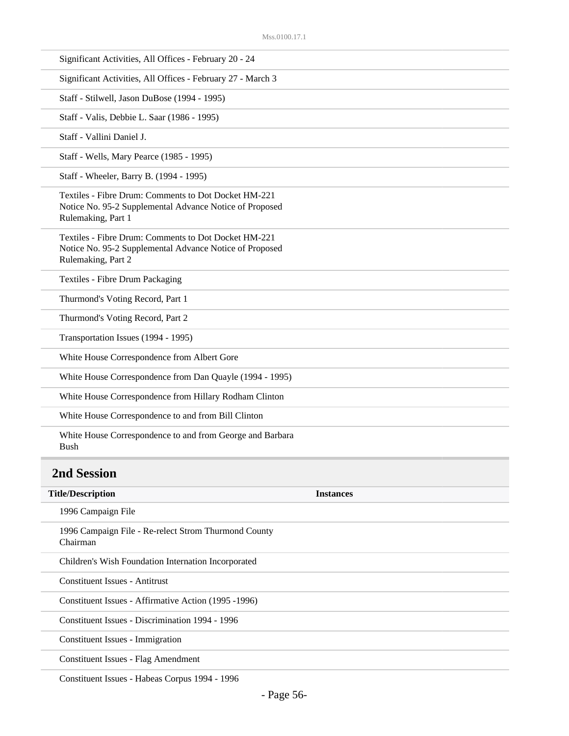| Significant Activities, All Offices - February 20 - 24                                                                                |                  |
|---------------------------------------------------------------------------------------------------------------------------------------|------------------|
| Significant Activities, All Offices - February 27 - March 3                                                                           |                  |
| Staff - Stilwell, Jason DuBose (1994 - 1995)                                                                                          |                  |
| Staff - Valis, Debbie L. Saar (1986 - 1995)                                                                                           |                  |
| Staff - Vallini Daniel J.                                                                                                             |                  |
| Staff - Wells, Mary Pearce (1985 - 1995)                                                                                              |                  |
| Staff - Wheeler, Barry B. (1994 - 1995)                                                                                               |                  |
| Textiles - Fibre Drum: Comments to Dot Docket HM-221<br>Notice No. 95-2 Supplemental Advance Notice of Proposed<br>Rulemaking, Part 1 |                  |
| Textiles - Fibre Drum: Comments to Dot Docket HM-221<br>Notice No. 95-2 Supplemental Advance Notice of Proposed<br>Rulemaking, Part 2 |                  |
| Textiles - Fibre Drum Packaging                                                                                                       |                  |
| Thurmond's Voting Record, Part 1                                                                                                      |                  |
| Thurmond's Voting Record, Part 2                                                                                                      |                  |
| Transportation Issues (1994 - 1995)                                                                                                   |                  |
| White House Correspondence from Albert Gore                                                                                           |                  |
| White House Correspondence from Dan Quayle (1994 - 1995)                                                                              |                  |
| White House Correspondence from Hillary Rodham Clinton                                                                                |                  |
| White House Correspondence to and from Bill Clinton                                                                                   |                  |
| White House Correspondence to and from George and Barbara<br><b>Bush</b>                                                              |                  |
| <b>2nd Session</b>                                                                                                                    |                  |
| <b>Title/Description</b>                                                                                                              | <b>Instances</b> |
| 1996 Campaign File                                                                                                                    |                  |
| 1996 Campaign File - Re-relect Strom Thurmond County<br>Chairman                                                                      |                  |
| Children's Wish Foundation Internation Incorporated                                                                                   |                  |
| <b>Constituent Issues - Antitrust</b>                                                                                                 |                  |
| Constituent Issues - Affirmative Action (1995 -1996)                                                                                  |                  |
| Constituent Issues - Discrimination 1994 - 1996                                                                                       |                  |
|                                                                                                                                       |                  |
| Constituent Issues - Immigration                                                                                                      |                  |

Constituent Issues - Habeas Corpus 1994 - 1996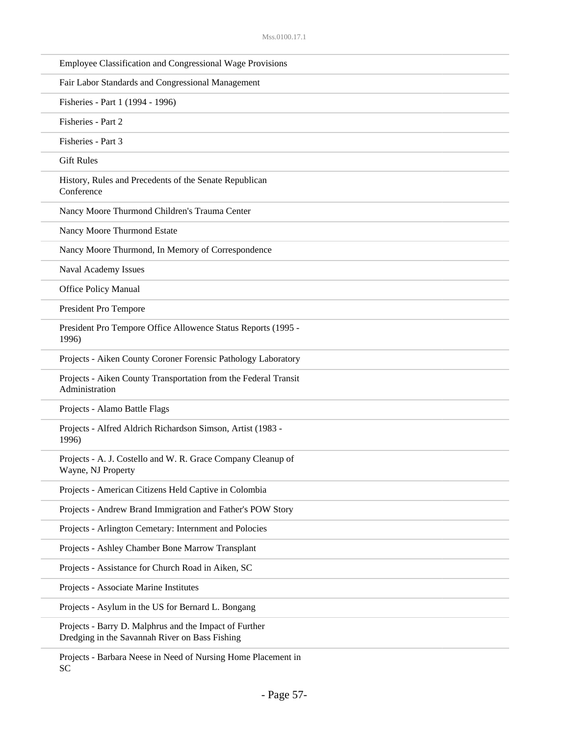| Employee Classification and Congressional Wage Provisions                                                |
|----------------------------------------------------------------------------------------------------------|
| Fair Labor Standards and Congressional Management                                                        |
| Fisheries - Part 1 (1994 - 1996)                                                                         |
| Fisheries - Part 2                                                                                       |
| Fisheries - Part 3                                                                                       |
| <b>Gift Rules</b>                                                                                        |
| History, Rules and Precedents of the Senate Republican<br>Conference                                     |
| Nancy Moore Thurmond Children's Trauma Center                                                            |
| Nancy Moore Thurmond Estate                                                                              |
| Nancy Moore Thurmond, In Memory of Correspondence                                                        |
| Naval Academy Issues                                                                                     |
| <b>Office Policy Manual</b>                                                                              |
| President Pro Tempore                                                                                    |
| President Pro Tempore Office Allowence Status Reports (1995 -<br>1996)                                   |
| Projects - Aiken County Coroner Forensic Pathology Laboratory                                            |
| Projects - Aiken County Transportation from the Federal Transit<br>Administration                        |
| Projects - Alamo Battle Flags                                                                            |
| Projects - Alfred Aldrich Richardson Simson, Artist (1983 -<br>1996)                                     |
| Projects - A. J. Costello and W. R. Grace Company Cleanup of<br>Wayne, NJ Property                       |
| Projects - American Citizens Held Captive in Colombia                                                    |
| Projects - Andrew Brand Immigration and Father's POW Story                                               |
| Projects - Arlington Cemetary: Internment and Polocies                                                   |
| Projects - Ashley Chamber Bone Marrow Transplant                                                         |
| Projects - Assistance for Church Road in Aiken, SC                                                       |
| Projects - Associate Marine Institutes                                                                   |
| Projects - Asylum in the US for Bernard L. Bongang                                                       |
| Projects - Barry D. Malphrus and the Impact of Further<br>Dredging in the Savannah River on Bass Fishing |
|                                                                                                          |

Projects - Barbara Neese in Need of Nursing Home Placement in SC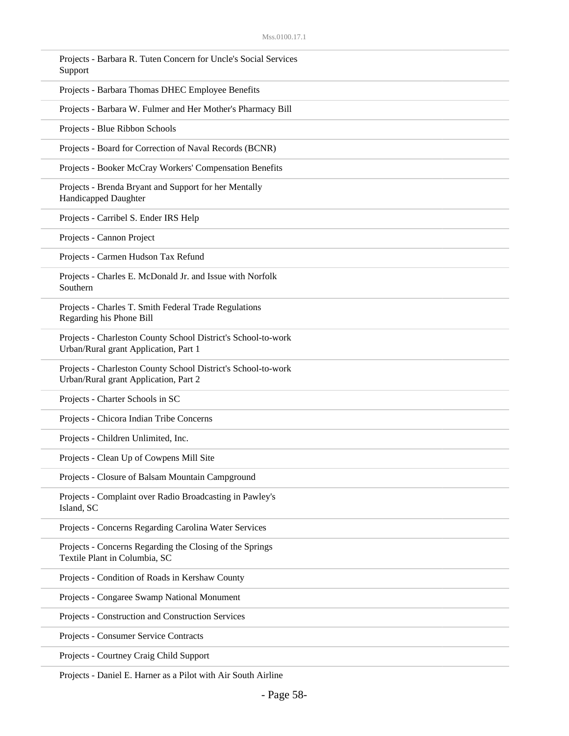| Projects - Barbara R. Tuten Concern for Uncle's Social Services<br>Support                             |
|--------------------------------------------------------------------------------------------------------|
| Projects - Barbara Thomas DHEC Employee Benefits                                                       |
| Projects - Barbara W. Fulmer and Her Mother's Pharmacy Bill                                            |
| Projects - Blue Ribbon Schools                                                                         |
| Projects - Board for Correction of Naval Records (BCNR)                                                |
| Projects - Booker McCray Workers' Compensation Benefits                                                |
| Projects - Brenda Bryant and Support for her Mentally<br>Handicapped Daughter                          |
| Projects - Carribel S. Ender IRS Help                                                                  |
| Projects - Cannon Project                                                                              |
| Projects - Carmen Hudson Tax Refund                                                                    |
| Projects - Charles E. McDonald Jr. and Issue with Norfolk<br>Southern                                  |
| Projects - Charles T. Smith Federal Trade Regulations<br>Regarding his Phone Bill                      |
| Projects - Charleston County School District's School-to-work<br>Urban/Rural grant Application, Part 1 |
| Projects - Charleston County School District's School-to-work<br>Urban/Rural grant Application, Part 2 |
| Projects - Charter Schools in SC                                                                       |
| Projects - Chicora Indian Tribe Concerns                                                               |
| Projects - Children Unlimited, Inc.                                                                    |
| Projects - Clean Up of Cowpens Mill Site                                                               |
| Projects - Closure of Balsam Mountain Campground                                                       |
| Projects - Complaint over Radio Broadcasting in Pawley's<br>Island, SC                                 |
| Projects - Concerns Regarding Carolina Water Services                                                  |
| Projects - Concerns Regarding the Closing of the Springs<br>Textile Plant in Columbia, SC              |
| Projects - Condition of Roads in Kershaw County                                                        |
| Projects - Congaree Swamp National Monument                                                            |
| Projects - Construction and Construction Services                                                      |
| Projects - Consumer Service Contracts                                                                  |
| Projects - Courtney Craig Child Support                                                                |

Projects - Daniel E. Harner as a Pilot with Air South Airline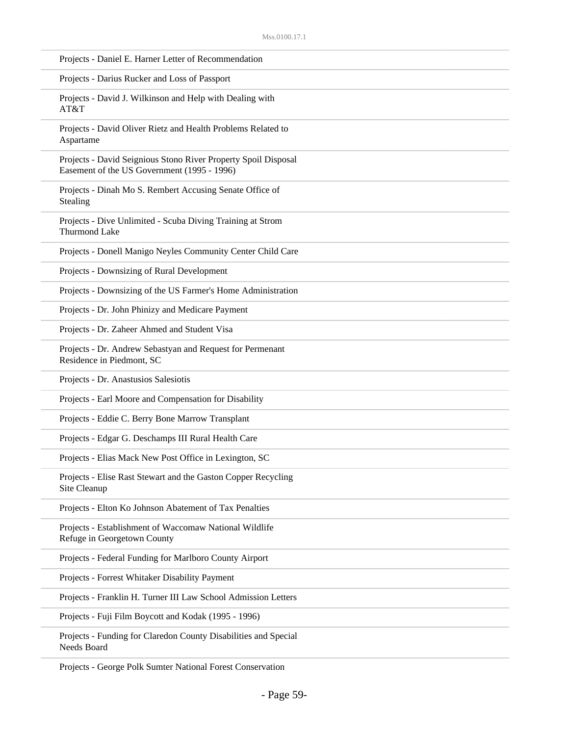| Projects - Daniel E. Harner Letter of Recommendation                                                          |
|---------------------------------------------------------------------------------------------------------------|
| Projects - Darius Rucker and Loss of Passport                                                                 |
| Projects - David J. Wilkinson and Help with Dealing with<br>AT&T                                              |
| Projects - David Oliver Rietz and Health Problems Related to<br>Aspartame                                     |
| Projects - David Seignious Stono River Property Spoil Disposal<br>Easement of the US Government (1995 - 1996) |
| Projects - Dinah Mo S. Rembert Accusing Senate Office of<br>Stealing                                          |
| Projects - Dive Unlimited - Scuba Diving Training at Strom<br><b>Thurmond Lake</b>                            |
| Projects - Donell Manigo Neyles Community Center Child Care                                                   |
| Projects - Downsizing of Rural Development                                                                    |
| Projects - Downsizing of the US Farmer's Home Administration                                                  |
| Projects - Dr. John Phinizy and Medicare Payment                                                              |
| Projects - Dr. Zaheer Ahmed and Student Visa                                                                  |
| Projects - Dr. Andrew Sebastyan and Request for Permenant<br>Residence in Piedmont, SC                        |
| Projects - Dr. Anastusios Salesiotis                                                                          |
| Projects - Earl Moore and Compensation for Disability                                                         |
| Projects - Eddie C. Berry Bone Marrow Transplant                                                              |
| Projects - Edgar G. Deschamps III Rural Health Care                                                           |
| Projects - Elias Mack New Post Office in Lexington, SC                                                        |
| Projects - Elise Rast Stewart and the Gaston Copper Recycling<br>Site Cleanup                                 |
| Projects - Elton Ko Johnson Abatement of Tax Penalties                                                        |
| Projects - Establishment of Waccomaw National Wildlife<br>Refuge in Georgetown County                         |
| Projects - Federal Funding for Marlboro County Airport                                                        |
| Projects - Forrest Whitaker Disability Payment                                                                |
| Projects - Franklin H. Turner III Law School Admission Letters                                                |
| Projects - Fuji Film Boycott and Kodak (1995 - 1996)                                                          |
| Projects - Funding for Claredon County Disabilities and Special<br>Needs Board                                |

Projects - George Polk Sumter National Forest Conservation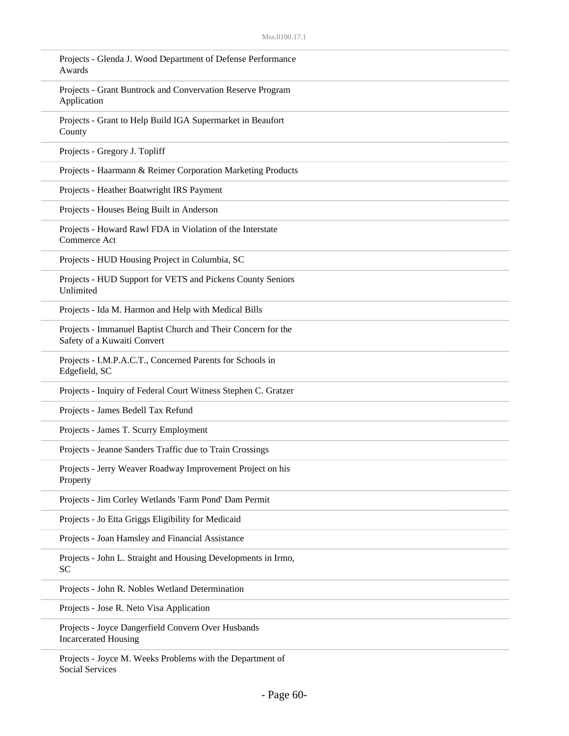| Projects - Glenda J. Wood Department of Defense Performance<br>Awards                       |
|---------------------------------------------------------------------------------------------|
| Projects - Grant Buntrock and Convervation Reserve Program<br>Application                   |
| Projects - Grant to Help Build IGA Supermarket in Beaufort<br>County                        |
| Projects - Gregory J. Topliff                                                               |
| Projects - Haarmann & Reimer Corporation Marketing Products                                 |
| Projects - Heather Boatwright IRS Payment                                                   |
| Projects - Houses Being Built in Anderson                                                   |
| Projects - Howard Rawl FDA in Violation of the Interstate<br>Commerce Act                   |
| Projects - HUD Housing Project in Columbia, SC                                              |
| Projects - HUD Support for VETS and Pickens County Seniors<br>Unlimited                     |
| Projects - Ida M. Harmon and Help with Medical Bills                                        |
| Projects - Immanuel Baptist Church and Their Concern for the<br>Safety of a Kuwaiti Convert |
| Projects - I.M.P.A.C.T., Concerned Parents for Schools in<br>Edgefield, SC                  |
| Projects - Inquiry of Federal Court Witness Stephen C. Gratzer                              |
| Projects - James Bedell Tax Refund                                                          |
| Projects - James T. Scurry Employment                                                       |
| Projects - Jeanne Sanders Traffic due to Train Crossings                                    |
| Projects - Jerry Weaver Roadway Improvement Project on his<br>Property                      |
| Projects - Jim Corley Wetlands 'Farm Pond' Dam Permit                                       |
| Projects - Jo Etta Griggs Eligibility for Medicaid                                          |
| Projects - Joan Hamsley and Financial Assistance                                            |
| Projects - John L. Straight and Housing Developments in Irmo,<br><b>SC</b>                  |
| Projects - John R. Nobles Wetland Determination                                             |
| Projects - Jose R. Neto Visa Application                                                    |
| Projects - Joyce Dangerfield Convern Over Husbands<br><b>Incarcerated Housing</b>           |
| Projects - Joyce M. Weeks Problems with the Department of                                   |

Social Services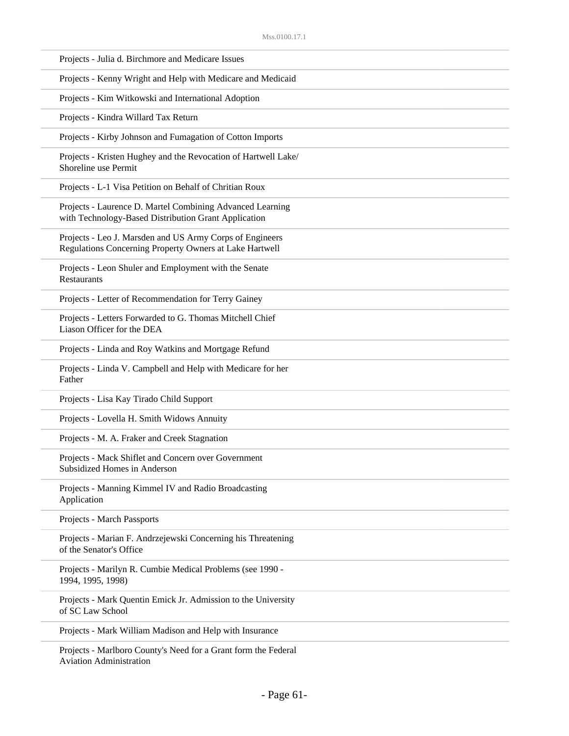| Projects - Julia d. Birchmore and Medicare Issues                                                                   |
|---------------------------------------------------------------------------------------------------------------------|
| Projects - Kenny Wright and Help with Medicare and Medicaid                                                         |
| Projects - Kim Witkowski and International Adoption                                                                 |
| Projects - Kindra Willard Tax Return                                                                                |
| Projects - Kirby Johnson and Fumagation of Cotton Imports                                                           |
| Projects - Kristen Hughey and the Revocation of Hartwell Lake/<br>Shoreline use Permit                              |
| Projects - L-1 Visa Petition on Behalf of Chritian Roux                                                             |
| Projects - Laurence D. Martel Combining Advanced Learning<br>with Technology-Based Distribution Grant Application   |
| Projects - Leo J. Marsden and US Army Corps of Engineers<br>Regulations Concerning Property Owners at Lake Hartwell |
| Projects - Leon Shuler and Employment with the Senate<br><b>Restaurants</b>                                         |
| Projects - Letter of Recommendation for Terry Gainey                                                                |
| Projects - Letters Forwarded to G. Thomas Mitchell Chief<br>Liason Officer for the DEA                              |
| Projects - Linda and Roy Watkins and Mortgage Refund                                                                |
| Projects - Linda V. Campbell and Help with Medicare for her<br>Father                                               |
| Projects - Lisa Kay Tirado Child Support                                                                            |
| Projects - Lovella H. Smith Widows Annuity                                                                          |
| Projects - M. A. Fraker and Creek Stagnation                                                                        |
| Projects - Mack Shiflet and Concern over Government<br>Subsidized Homes in Anderson                                 |
| Projects - Manning Kimmel IV and Radio Broadcasting<br>Application                                                  |
| Projects - March Passports                                                                                          |
| Projects - Marian F. Andrzejewski Concerning his Threatening<br>of the Senator's Office                             |
| Projects - Marilyn R. Cumbie Medical Problems (see 1990 -<br>1994, 1995, 1998)                                      |
| Projects - Mark Quentin Emick Jr. Admission to the University<br>of SC Law School                                   |
| Projects - Mark William Madison and Help with Insurance                                                             |
| Projects - Marlboro County's Need for a Grant form the Eederal                                                      |

Projects - Marlboro County's Need for a Grant form the Federal Aviation Administration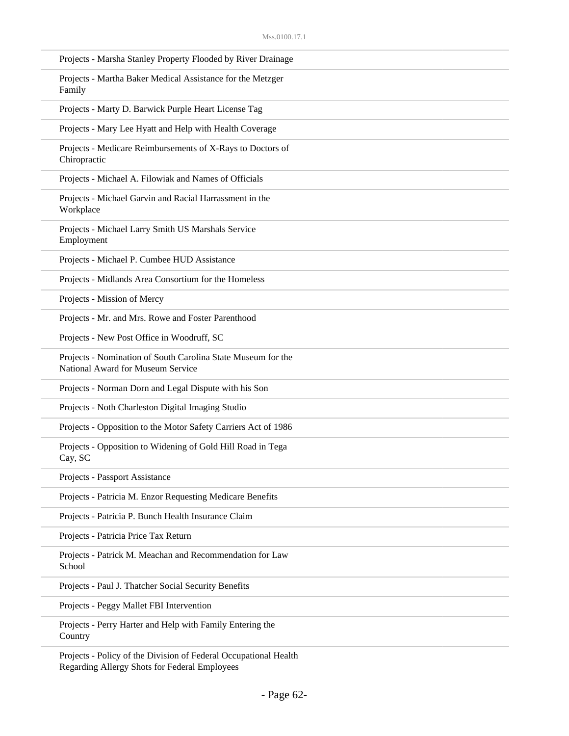| Projects - Marsha Stanley Property Flooded by River Drainage                                      |
|---------------------------------------------------------------------------------------------------|
| Projects - Martha Baker Medical Assistance for the Metzger<br>Family                              |
| Projects - Marty D. Barwick Purple Heart License Tag                                              |
| Projects - Mary Lee Hyatt and Help with Health Coverage                                           |
| Projects - Medicare Reimbursements of X-Rays to Doctors of<br>Chiropractic                        |
| Projects - Michael A. Filowiak and Names of Officials                                             |
| Projects - Michael Garvin and Racial Harrassment in the<br>Workplace                              |
| Projects - Michael Larry Smith US Marshals Service<br>Employment                                  |
| Projects - Michael P. Cumbee HUD Assistance                                                       |
| Projects - Midlands Area Consortium for the Homeless                                              |
| Projects - Mission of Mercy                                                                       |
| Projects - Mr. and Mrs. Rowe and Foster Parenthood                                                |
| Projects - New Post Office in Woodruff, SC                                                        |
| Projects - Nomination of South Carolina State Museum for the<br>National Award for Museum Service |
| Projects - Norman Dorn and Legal Dispute with his Son                                             |
| Projects - Noth Charleston Digital Imaging Studio                                                 |
| Projects - Opposition to the Motor Safety Carriers Act of 1986                                    |
| Projects - Opposition to Widening of Gold Hill Road in Tega<br>Cay, SC                            |
| Projects - Passport Assistance                                                                    |
| Projects - Patricia M. Enzor Requesting Medicare Benefits                                         |
| Projects - Patricia P. Bunch Health Insurance Claim                                               |
| Projects - Patricia Price Tax Return                                                              |
| Projects - Patrick M. Meachan and Recommendation for Law<br>School                                |
| Projects - Paul J. Thatcher Social Security Benefits                                              |
| Projects - Peggy Mallet FBI Intervention                                                          |
| Projects - Perry Harter and Help with Family Entering the<br>Country                              |
| Projects - Policy of the Division of Federal Occupational Health                                  |

Projects - Policy of the Division of Federal Occupational Health Regarding Allergy Shots for Federal Employees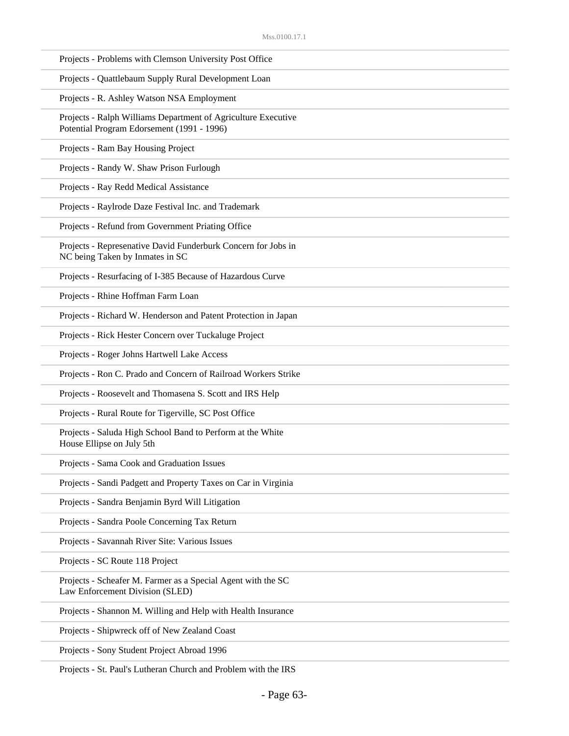| Projects - Problems with Clemson University Post Office                                                     |
|-------------------------------------------------------------------------------------------------------------|
| Projects - Quattlebaum Supply Rural Development Loan                                                        |
| Projects - R. Ashley Watson NSA Employment                                                                  |
| Projects - Ralph Williams Department of Agriculture Executive<br>Potential Program Edorsement (1991 - 1996) |
| Projects - Ram Bay Housing Project                                                                          |
| Projects - Randy W. Shaw Prison Furlough                                                                    |
| Projects - Ray Redd Medical Assistance                                                                      |
| Projects - Raylrode Daze Festival Inc. and Trademark                                                        |
| Projects - Refund from Government Priating Office                                                           |
| Projects - Represenative David Funderburk Concern for Jobs in<br>NC being Taken by Inmates in SC            |
| Projects - Resurfacing of I-385 Because of Hazardous Curve                                                  |
| Projects - Rhine Hoffman Farm Loan                                                                          |
| Projects - Richard W. Henderson and Patent Protection in Japan                                              |
| Projects - Rick Hester Concern over Tuckaluge Project                                                       |
| Projects - Roger Johns Hartwell Lake Access                                                                 |
| Projects - Ron C. Prado and Concern of Railroad Workers Strike                                              |
| Projects - Roosevelt and Thomasena S. Scott and IRS Help                                                    |
| Projects - Rural Route for Tigerville, SC Post Office                                                       |
| Projects - Saluda High School Band to Perform at the White<br>House Ellipse on July 5th                     |
| Projects - Sama Cook and Graduation Issues                                                                  |
| Projects - Sandi Padgett and Property Taxes on Car in Virginia                                              |
| Projects - Sandra Benjamin Byrd Will Litigation                                                             |
| Projects - Sandra Poole Concerning Tax Return                                                               |
| Projects - Savannah River Site: Various Issues                                                              |
| Projects - SC Route 118 Project                                                                             |
| Projects - Scheafer M. Farmer as a Special Agent with the SC<br>Law Enforcement Division (SLED)             |
| Projects - Shannon M. Willing and Help with Health Insurance                                                |
| Projects - Shipwreck off of New Zealand Coast                                                               |
| Projects - Sony Student Project Abroad 1996                                                                 |
|                                                                                                             |

Projects - St. Paul's Lutheran Church and Problem with the IRS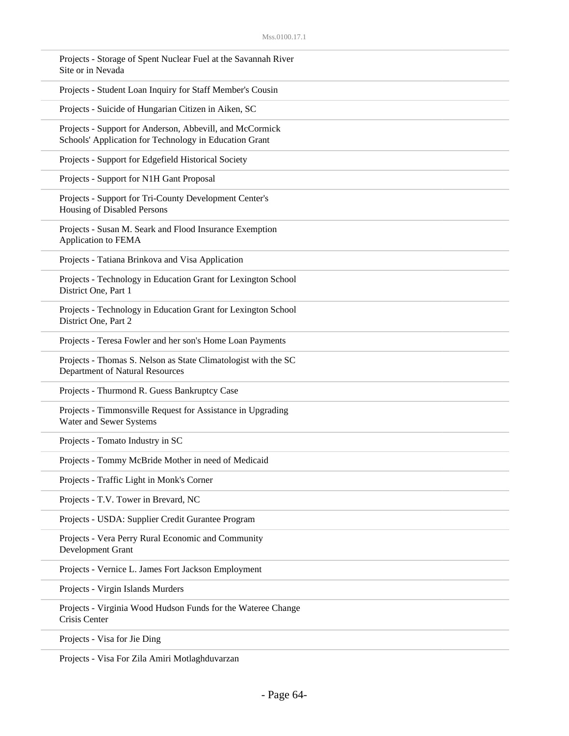| Projects - Storage of Spent Nuclear Fuel at the Savannah River<br>Site or in Nevada                                |  |
|--------------------------------------------------------------------------------------------------------------------|--|
| Projects - Student Loan Inquiry for Staff Member's Cousin                                                          |  |
| Projects - Suicide of Hungarian Citizen in Aiken, SC                                                               |  |
| Projects - Support for Anderson, Abbevill, and McCormick<br>Schools' Application for Technology in Education Grant |  |
| Projects - Support for Edgefield Historical Society                                                                |  |
| Projects - Support for N1H Gant Proposal                                                                           |  |
| Projects - Support for Tri-County Development Center's<br>Housing of Disabled Persons                              |  |
| Projects - Susan M. Seark and Flood Insurance Exemption<br>Application to FEMA                                     |  |
| Projects - Tatiana Brinkova and Visa Application                                                                   |  |
| Projects - Technology in Education Grant for Lexington School<br>District One, Part 1                              |  |
| Projects - Technology in Education Grant for Lexington School<br>District One, Part 2                              |  |
| Projects - Teresa Fowler and her son's Home Loan Payments                                                          |  |
| Projects - Thomas S. Nelson as State Climatologist with the SC<br>Department of Natural Resources                  |  |
| Projects - Thurmond R. Guess Bankruptcy Case                                                                       |  |
| Projects - Timmonsville Request for Assistance in Upgrading<br>Water and Sewer Systems                             |  |
| Projects - Tomato Industry in SC                                                                                   |  |
| Projects - Tommy McBride Mother in need of Medicaid                                                                |  |
| Projects - Traffic Light in Monk's Corner                                                                          |  |
| Projects - T.V. Tower in Brevard, NC                                                                               |  |
| Projects - USDA: Supplier Credit Gurantee Program                                                                  |  |
| Projects - Vera Perry Rural Economic and Community<br>Development Grant                                            |  |
| Projects - Vernice L. James Fort Jackson Employment                                                                |  |
| Projects - Virgin Islands Murders                                                                                  |  |
| Projects - Virginia Wood Hudson Funds for the Wateree Change<br>Crisis Center                                      |  |
| Projects - Visa for Jie Ding                                                                                       |  |

Projects - Visa For Zila Amiri Motlaghduvarzan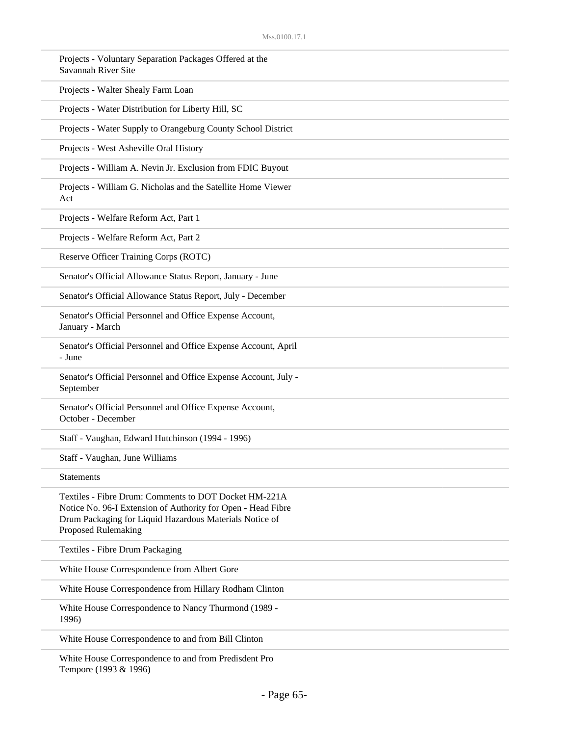| Projects - Voluntary Separation Packages Offered at the<br>Savannah River Site                                                                                                                          |
|---------------------------------------------------------------------------------------------------------------------------------------------------------------------------------------------------------|
| Projects - Walter Shealy Farm Loan                                                                                                                                                                      |
| Projects - Water Distribution for Liberty Hill, SC                                                                                                                                                      |
| Projects - Water Supply to Orangeburg County School District                                                                                                                                            |
| Projects - West Asheville Oral History                                                                                                                                                                  |
| Projects - William A. Nevin Jr. Exclusion from FDIC Buyout                                                                                                                                              |
| Projects - William G. Nicholas and the Satellite Home Viewer<br>Act                                                                                                                                     |
| Projects - Welfare Reform Act, Part 1                                                                                                                                                                   |
| Projects - Welfare Reform Act, Part 2                                                                                                                                                                   |
| Reserve Officer Training Corps (ROTC)                                                                                                                                                                   |
| Senator's Official Allowance Status Report, January - June                                                                                                                                              |
| Senator's Official Allowance Status Report, July - December                                                                                                                                             |
| Senator's Official Personnel and Office Expense Account,<br>January - March                                                                                                                             |
| Senator's Official Personnel and Office Expense Account, April<br>- June                                                                                                                                |
| Senator's Official Personnel and Office Expense Account, July -<br>September                                                                                                                            |
| Senator's Official Personnel and Office Expense Account,<br>October - December                                                                                                                          |
| Staff - Vaughan, Edward Hutchinson (1994 - 1996)                                                                                                                                                        |
| Staff - Vaughan, June Williams                                                                                                                                                                          |
| <b>Statements</b>                                                                                                                                                                                       |
| Textiles - Fibre Drum: Comments to DOT Docket HM-221A<br>Notice No. 96-I Extension of Authority for Open - Head Fibre<br>Drum Packaging for Liquid Hazardous Materials Notice of<br>Proposed Rulemaking |
| Textiles - Fibre Drum Packaging                                                                                                                                                                         |
| White House Correspondence from Albert Gore                                                                                                                                                             |
| White House Correspondence from Hillary Rodham Clinton                                                                                                                                                  |
| White House Correspondence to Nancy Thurmond (1989 -<br>1996)                                                                                                                                           |
| White House Correspondence to and from Bill Clinton                                                                                                                                                     |
| White House Correspondence to and from Predisdent Pro                                                                                                                                                   |

Tempore (1993 & 1996)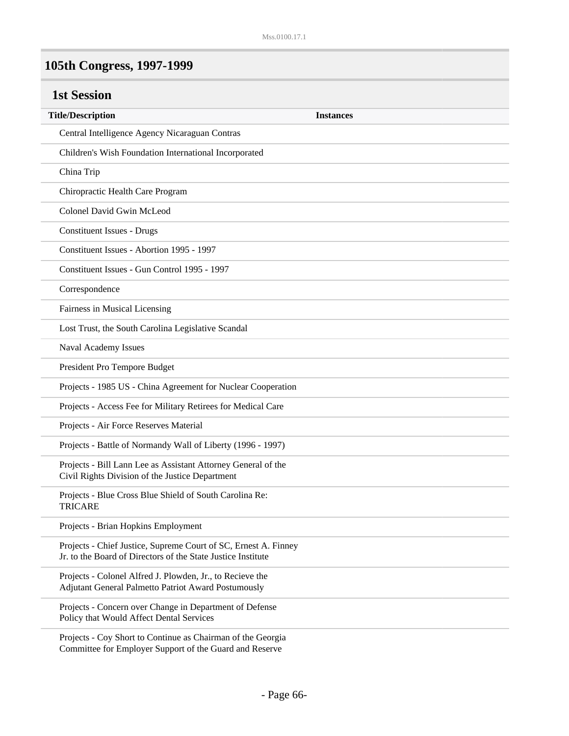# **105th Congress, 1997-1999**

| <b>1st Session</b>                                                                                                              |                  |
|---------------------------------------------------------------------------------------------------------------------------------|------------------|
| <b>Title/Description</b>                                                                                                        | <b>Instances</b> |
| Central Intelligence Agency Nicaraguan Contras                                                                                  |                  |
| Children's Wish Foundation International Incorporated                                                                           |                  |
| China Trip                                                                                                                      |                  |
| Chiropractic Health Care Program                                                                                                |                  |
| Colonel David Gwin McLeod                                                                                                       |                  |
| <b>Constituent Issues - Drugs</b>                                                                                               |                  |
| Constituent Issues - Abortion 1995 - 1997                                                                                       |                  |
| Constituent Issues - Gun Control 1995 - 1997                                                                                    |                  |
| Correspondence                                                                                                                  |                  |
| Fairness in Musical Licensing                                                                                                   |                  |
| Lost Trust, the South Carolina Legislative Scandal                                                                              |                  |
| Naval Academy Issues                                                                                                            |                  |
| President Pro Tempore Budget                                                                                                    |                  |
| Projects - 1985 US - China Agreement for Nuclear Cooperation                                                                    |                  |
| Projects - Access Fee for Military Retirees for Medical Care                                                                    |                  |
| Projects - Air Force Reserves Material                                                                                          |                  |
| Projects - Battle of Normandy Wall of Liberty (1996 - 1997)                                                                     |                  |
| Projects - Bill Lann Lee as Assistant Attorney General of the<br>Civil Rights Division of the Justice Department                |                  |
| Projects - Blue Cross Blue Shield of South Carolina Re:<br>TRICARE                                                              |                  |
| Projects - Brian Hopkins Employment                                                                                             |                  |
| Projects - Chief Justice, Supreme Court of SC, Ernest A. Finney<br>Jr. to the Board of Directors of the State Justice Institute |                  |
| Projects - Colonel Alfred J. Plowden, Jr., to Recieve the<br>Adjutant General Palmetto Patriot Award Postumously                |                  |
| Projects - Concern over Change in Department of Defense<br>Policy that Would Affect Dental Services                             |                  |
| Projects - Coy Short to Continue as Chairman of the Georgia                                                                     |                  |

Committee for Employer Support of the Guard and Reserve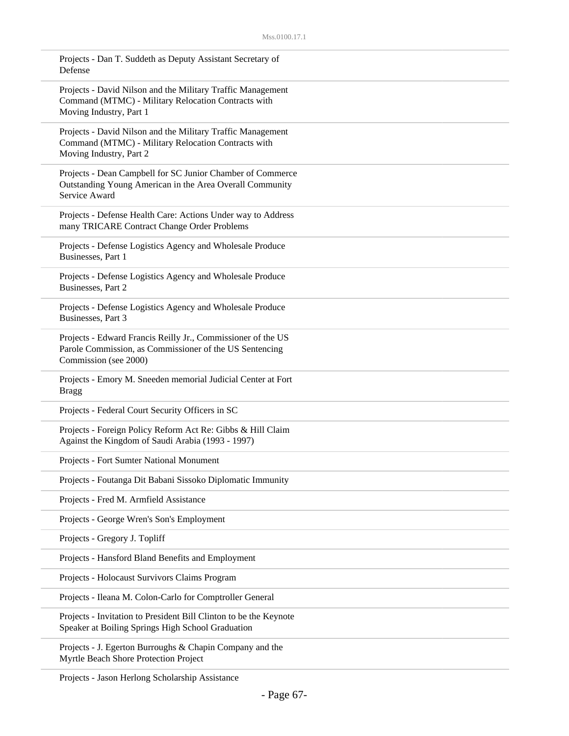| Projects - Dan T. Suddeth as Deputy Assistant Secretary of<br>Defense                                                                            |
|--------------------------------------------------------------------------------------------------------------------------------------------------|
| Projects - David Nilson and the Military Traffic Management<br>Command (MTMC) - Military Relocation Contracts with<br>Moving Industry, Part 1    |
| Projects - David Nilson and the Military Traffic Management<br>Command (MTMC) - Military Relocation Contracts with<br>Moving Industry, Part 2    |
| Projects - Dean Campbell for SC Junior Chamber of Commerce<br>Outstanding Young American in the Area Overall Community<br>Service Award          |
| Projects - Defense Health Care: Actions Under way to Address<br>many TRICARE Contract Change Order Problems                                      |
| Projects - Defense Logistics Agency and Wholesale Produce<br>Businesses, Part 1                                                                  |
| Projects - Defense Logistics Agency and Wholesale Produce<br>Businesses, Part 2                                                                  |
| Projects - Defense Logistics Agency and Wholesale Produce<br>Businesses, Part 3                                                                  |
| Projects - Edward Francis Reilly Jr., Commissioner of the US<br>Parole Commission, as Commissioner of the US Sentencing<br>Commission (see 2000) |
| Projects - Emory M. Sneeden memorial Judicial Center at Fort<br><b>Bragg</b>                                                                     |
| Projects - Federal Court Security Officers in SC                                                                                                 |
| Projects - Foreign Policy Reform Act Re: Gibbs & Hill Claim<br>Against the Kingdom of Saudi Arabia (1993 - 1997)                                 |
| Projects - Fort Sumter National Monument                                                                                                         |
| Projects - Foutanga Dit Babani Sissoko Diplomatic Immunity                                                                                       |
| Projects - Fred M. Armfield Assistance                                                                                                           |
| Projects - George Wren's Son's Employment                                                                                                        |
| Projects - Gregory J. Topliff                                                                                                                    |
| Projects - Hansford Bland Benefits and Employment                                                                                                |
| Projects - Holocaust Survivors Claims Program                                                                                                    |
| Projects - Ileana M. Colon-Carlo for Comptroller General                                                                                         |
| Projects - Invitation to President Bill Clinton to be the Keynote<br>Speaker at Boiling Springs High School Graduation                           |
| Projects - J. Egerton Burroughs & Chapin Company and the<br>Myrtle Beach Shore Protection Project                                                |

Projects - Jason Herlong Scholarship Assistance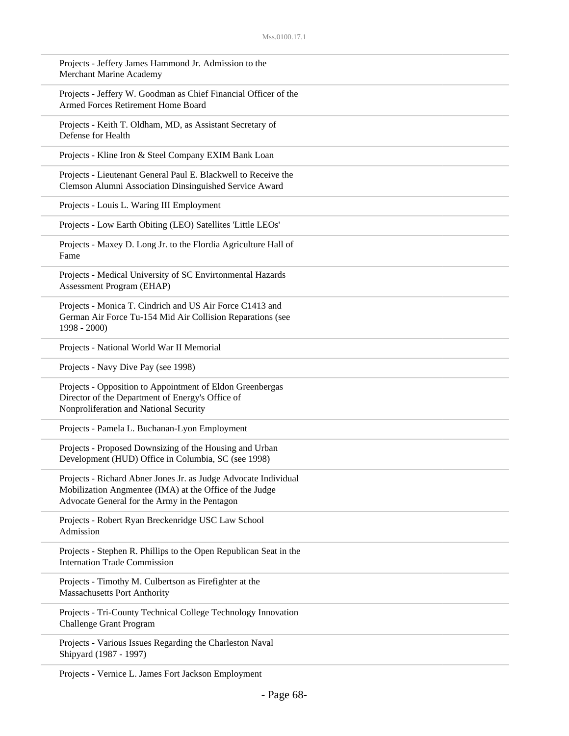| Projects - Jeffery James Hammond Jr. Admission to the<br>Merchant Marine Academy                                                                                            |
|-----------------------------------------------------------------------------------------------------------------------------------------------------------------------------|
| Projects - Jeffery W. Goodman as Chief Financial Officer of the<br>Armed Forces Retirement Home Board                                                                       |
| Projects - Keith T. Oldham, MD, as Assistant Secretary of<br>Defense for Health                                                                                             |
| Projects - Kline Iron & Steel Company EXIM Bank Loan                                                                                                                        |
| Projects - Lieutenant General Paul E. Blackwell to Receive the<br>Clemson Alumni Association Dinsinguished Service Award                                                    |
| Projects - Louis L. Waring III Employment                                                                                                                                   |
| Projects - Low Earth Obiting (LEO) Satellites 'Little LEOs'                                                                                                                 |
| Projects - Maxey D. Long Jr. to the Flordia Agriculture Hall of<br>Fame                                                                                                     |
| Projects - Medical University of SC Envirtonmental Hazards<br>Assessment Program (EHAP)                                                                                     |
| Projects - Monica T. Cindrich and US Air Force C1413 and<br>German Air Force Tu-154 Mid Air Collision Reparations (see<br>$1998 - 2000$                                     |
| Projects - National World War II Memorial                                                                                                                                   |
| Projects - Navy Dive Pay (see 1998)                                                                                                                                         |
| Projects - Opposition to Appointment of Eldon Greenbergas<br>Director of the Department of Energy's Office of<br>Nonproliferation and National Security                     |
| Projects - Pamela L. Buchanan-Lyon Employment                                                                                                                               |
| Projects - Proposed Downsizing of the Housing and Urban<br>Development (HUD) Office in Columbia, SC (see 1998)                                                              |
| Projects - Richard Abner Jones Jr. as Judge Advocate Individual<br>Mobilization Angmentee (IMA) at the Office of the Judge<br>Advocate General for the Army in the Pentagon |
| Projects - Robert Ryan Breckenridge USC Law School<br>Admission                                                                                                             |
| Projects - Stephen R. Phillips to the Open Republican Seat in the<br><b>Internation Trade Commission</b>                                                                    |
| Projects - Timothy M. Culbertson as Firefighter at the<br><b>Massachusetts Port Anthority</b>                                                                               |
| Projects - Tri-County Technical College Technology Innovation<br><b>Challenge Grant Program</b>                                                                             |
| Projects - Various Issues Regarding the Charleston Naval<br>Shipyard (1987 - 1997)                                                                                          |

Projects - Vernice L. James Fort Jackson Employment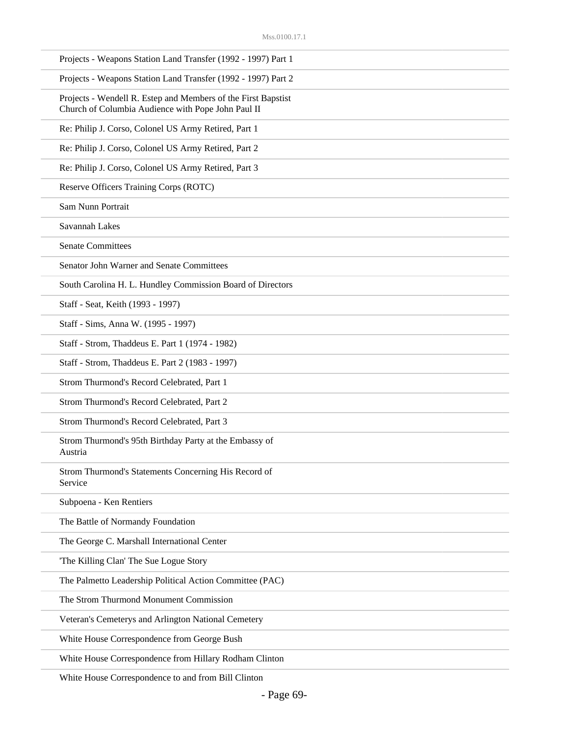| Projects - Weapons Station Land Transfer (1992 - 1997) Part 1                                                       |
|---------------------------------------------------------------------------------------------------------------------|
| Projects - Weapons Station Land Transfer (1992 - 1997) Part 2                                                       |
| Projects - Wendell R. Estep and Members of the First Bapstist<br>Church of Columbia Audience with Pope John Paul II |
| Re: Philip J. Corso, Colonel US Army Retired, Part 1                                                                |
| Re: Philip J. Corso, Colonel US Army Retired, Part 2                                                                |
| Re: Philip J. Corso, Colonel US Army Retired, Part 3                                                                |
| Reserve Officers Training Corps (ROTC)                                                                              |
| Sam Nunn Portrait                                                                                                   |
| Savannah Lakes                                                                                                      |
| <b>Senate Committees</b>                                                                                            |
| Senator John Warner and Senate Committees                                                                           |
| South Carolina H. L. Hundley Commission Board of Directors                                                          |
| Staff - Seat, Keith (1993 - 1997)                                                                                   |
| Staff - Sims, Anna W. (1995 - 1997)                                                                                 |
| Staff - Strom, Thaddeus E. Part 1 (1974 - 1982)                                                                     |
| Staff - Strom, Thaddeus E. Part 2 (1983 - 1997)                                                                     |
| Strom Thurmond's Record Celebrated, Part 1                                                                          |
| Strom Thurmond's Record Celebrated, Part 2                                                                          |
| Strom Thurmond's Record Celebrated, Part 3                                                                          |
| Strom Thurmond's 95th Birthday Party at the Embassy of<br>Austria                                                   |
| Strom Thurmond's Statements Concerning His Record of<br>Service                                                     |
| Subpoena - Ken Rentiers                                                                                             |
| The Battle of Normandy Foundation                                                                                   |
| The George C. Marshall International Center                                                                         |
| 'The Killing Clan' The Sue Logue Story                                                                              |
| The Palmetto Leadership Political Action Committee (PAC)                                                            |
| The Strom Thurmond Monument Commission                                                                              |
| Veteran's Cemeterys and Arlington National Cemetery                                                                 |
| White House Correspondence from George Bush                                                                         |
| White House Correspondence from Hillary Rodham Clinton                                                              |

White House Correspondence to and from Bill Clinton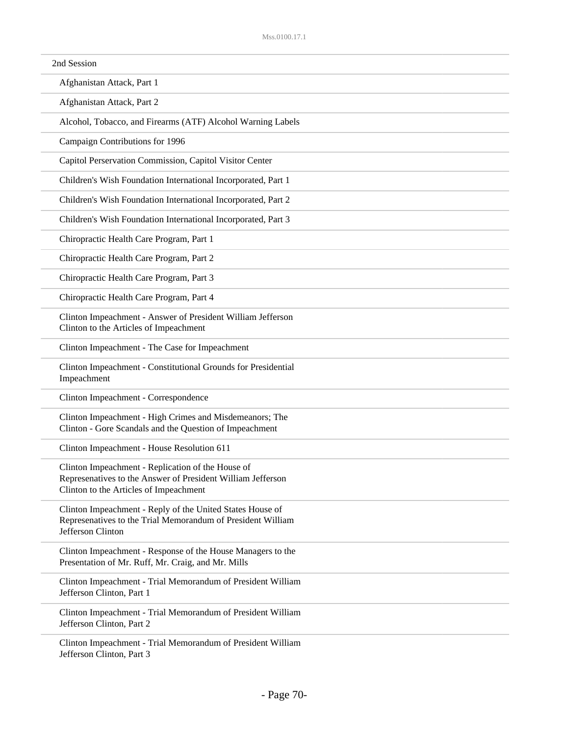| 2nd Session                                                                                                                                                |  |
|------------------------------------------------------------------------------------------------------------------------------------------------------------|--|
| Afghanistan Attack, Part 1                                                                                                                                 |  |
| Afghanistan Attack, Part 2                                                                                                                                 |  |
| Alcohol, Tobacco, and Firearms (ATF) Alcohol Warning Labels                                                                                                |  |
| Campaign Contributions for 1996                                                                                                                            |  |
| Capitol Perservation Commission, Capitol Visitor Center                                                                                                    |  |
| Children's Wish Foundation International Incorporated, Part 1                                                                                              |  |
| Children's Wish Foundation International Incorporated, Part 2                                                                                              |  |
| Children's Wish Foundation International Incorporated, Part 3                                                                                              |  |
| Chiropractic Health Care Program, Part 1                                                                                                                   |  |
| Chiropractic Health Care Program, Part 2                                                                                                                   |  |
| Chiropractic Health Care Program, Part 3                                                                                                                   |  |
| Chiropractic Health Care Program, Part 4                                                                                                                   |  |
| Clinton Impeachment - Answer of President William Jefferson<br>Clinton to the Articles of Impeachment                                                      |  |
| Clinton Impeachment - The Case for Impeachment                                                                                                             |  |
| Clinton Impeachment - Constitutional Grounds for Presidential<br>Impeachment                                                                               |  |
| Clinton Impeachment - Correspondence                                                                                                                       |  |
| Clinton Impeachment - High Crimes and Misdemeanors; The<br>Clinton - Gore Scandals and the Question of Impeachment                                         |  |
| Clinton Impeachment - House Resolution 611                                                                                                                 |  |
| Clinton Impeachment - Replication of the House of<br>Represenatives to the Answer of President William Jefferson<br>Clinton to the Articles of Impeachment |  |
| Clinton Impeachment - Reply of the United States House of<br>Represenatives to the Trial Memorandum of President William<br>Jefferson Clinton              |  |
| Clinton Impeachment - Response of the House Managers to the<br>Presentation of Mr. Ruff, Mr. Craig, and Mr. Mills                                          |  |
| Clinton Impeachment - Trial Memorandum of President William<br>Jefferson Clinton, Part 1                                                                   |  |
| Clinton Impeachment - Trial Memorandum of President William<br>Jefferson Clinton, Part 2                                                                   |  |
| Clinton Impeachment - Trial Memorandum of President William<br>Jefferson Clinton, Part 3                                                                   |  |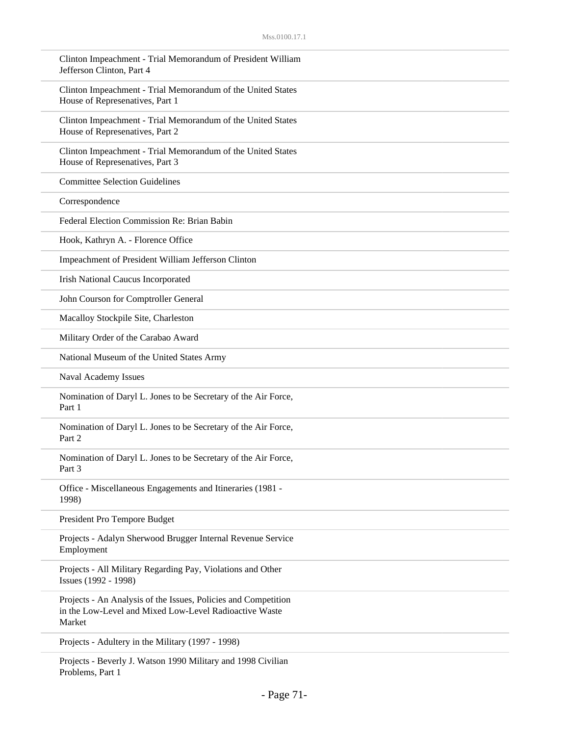| Clinton Impeachment - Trial Memorandum of President William<br>Jefferson Clinton, Part 4                                           |
|------------------------------------------------------------------------------------------------------------------------------------|
| Clinton Impeachment - Trial Memorandum of the United States<br>House of Represenatives, Part 1                                     |
| Clinton Impeachment - Trial Memorandum of the United States<br>House of Represenatives, Part 2                                     |
| Clinton Impeachment - Trial Memorandum of the United States<br>House of Represenatives, Part 3                                     |
| <b>Committee Selection Guidelines</b>                                                                                              |
| Correspondence                                                                                                                     |
| Federal Election Commission Re: Brian Babin                                                                                        |
| Hook, Kathryn A. - Florence Office                                                                                                 |
| Impeachment of President William Jefferson Clinton                                                                                 |
| Irish National Caucus Incorporated                                                                                                 |
| John Courson for Comptroller General                                                                                               |
| Macalloy Stockpile Site, Charleston                                                                                                |
| Military Order of the Carabao Award                                                                                                |
| National Museum of the United States Army                                                                                          |
| Naval Academy Issues                                                                                                               |
| Nomination of Daryl L. Jones to be Secretary of the Air Force,<br>Part 1                                                           |
| Nomination of Daryl L. Jones to be Secretary of the Air Force,<br>Part 2                                                           |
| Nomination of Daryl L. Jones to be Secretary of the Air Force,<br>Part 3                                                           |
| Office - Miscellaneous Engagements and Itineraries (1981 -<br>1998)                                                                |
| President Pro Tempore Budget                                                                                                       |
| Projects - Adalyn Sherwood Brugger Internal Revenue Service<br>Employment                                                          |
| Projects - All Military Regarding Pay, Violations and Other<br>Issues (1992 - 1998)                                                |
| Projects - An Analysis of the Issues, Policies and Competition<br>in the Low-Level and Mixed Low-Level Radioactive Waste<br>Market |
| Projects - Adultery in the Military (1997 - 1998)                                                                                  |
|                                                                                                                                    |

Projects - Beverly J. Watson 1990 Military and 1998 Civilian Problems, Part 1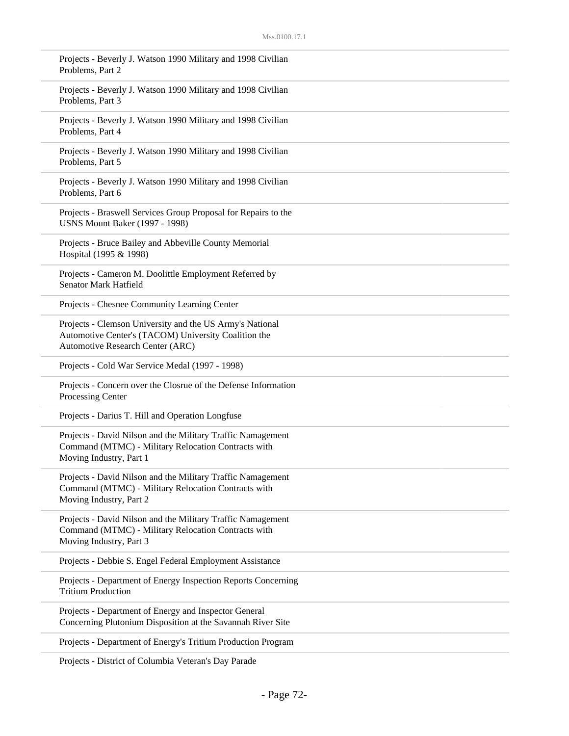| Projects - Beverly J. Watson 1990 Military and 1998 Civilian<br>Problems, Part 2                                                                     |
|------------------------------------------------------------------------------------------------------------------------------------------------------|
| Projects - Beverly J. Watson 1990 Military and 1998 Civilian<br>Problems, Part 3                                                                     |
| Projects - Beverly J. Watson 1990 Military and 1998 Civilian<br>Problems, Part 4                                                                     |
| Projects - Beverly J. Watson 1990 Military and 1998 Civilian<br>Problems, Part 5                                                                     |
| Projects - Beverly J. Watson 1990 Military and 1998 Civilian<br>Problems, Part 6                                                                     |
| Projects - Braswell Services Group Proposal for Repairs to the<br><b>USNS Mount Baker (1997 - 1998)</b>                                              |
| Projects - Bruce Bailey and Abbeville County Memorial<br>Hospital (1995 & 1998)                                                                      |
| Projects - Cameron M. Doolittle Employment Referred by<br>Senator Mark Hatfield                                                                      |
| Projects - Chesnee Community Learning Center                                                                                                         |
| Projects - Clemson University and the US Army's National<br>Automotive Center's (TACOM) University Coalition the<br>Automotive Research Center (ARC) |
| Projects - Cold War Service Medal (1997 - 1998)                                                                                                      |
| Projects - Concern over the Closrue of the Defense Information<br>Processing Center                                                                  |
| Projects - Darius T. Hill and Operation Longfuse                                                                                                     |
| Projects - David Nilson and the Military Traffic Namagement<br>Command (MTMC) - Military Relocation Contracts with<br>Moving Industry, Part 1        |
| Projects - David Nilson and the Military Traffic Namagement<br>Command (MTMC) - Military Relocation Contracts with<br>Moving Industry, Part 2        |
| Projects - David Nilson and the Military Traffic Namagement<br>Command (MTMC) - Military Relocation Contracts with<br>Moving Industry, Part 3        |
| Projects - Debbie S. Engel Federal Employment Assistance                                                                                             |
| Projects - Department of Energy Inspection Reports Concerning<br><b>Tritium Production</b>                                                           |
| Projects - Department of Energy and Inspector General<br>Concerning Plutonium Disposition at the Savannah River Site                                 |
| Projects - Department of Energy's Tritium Production Program                                                                                         |

Projects - District of Columbia Veteran's Day Parade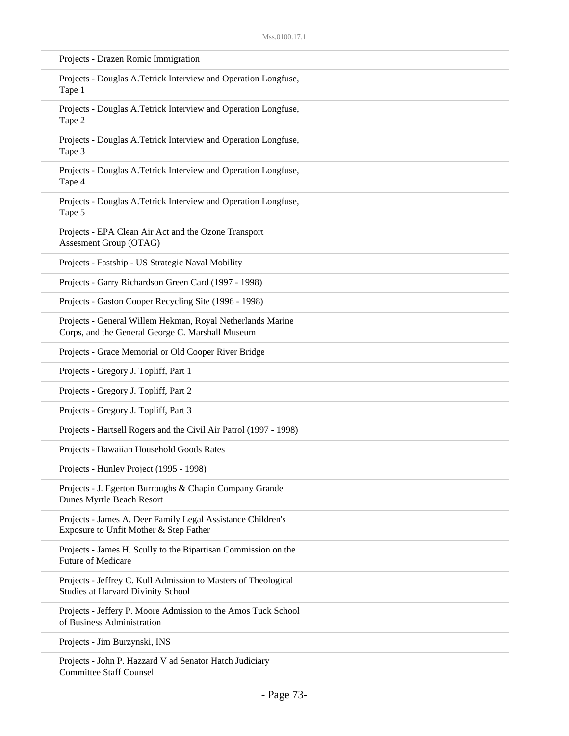| Projects - Drazen Romic Immigration                                                                            |  |
|----------------------------------------------------------------------------------------------------------------|--|
| Projects - Douglas A.Tetrick Interview and Operation Longfuse,<br>Tape 1                                       |  |
| Projects - Douglas A.Tetrick Interview and Operation Longfuse,<br>Tape 2                                       |  |
| Projects - Douglas A.Tetrick Interview and Operation Longfuse,<br>Tape 3                                       |  |
| Projects - Douglas A.Tetrick Interview and Operation Longfuse,<br>Tape 4                                       |  |
| Projects - Douglas A.Tetrick Interview and Operation Longfuse,<br>Tape 5                                       |  |
| Projects - EPA Clean Air Act and the Ozone Transport<br>Assesment Group (OTAG)                                 |  |
| Projects - Fastship - US Strategic Naval Mobility                                                              |  |
| Projects - Garry Richardson Green Card (1997 - 1998)                                                           |  |
| Projects - Gaston Cooper Recycling Site (1996 - 1998)                                                          |  |
| Projects - General Willem Hekman, Royal Netherlands Marine<br>Corps, and the General George C. Marshall Museum |  |
| Projects - Grace Memorial or Old Cooper River Bridge                                                           |  |
| Projects - Gregory J. Topliff, Part 1                                                                          |  |
| Projects - Gregory J. Topliff, Part 2                                                                          |  |
| Projects - Gregory J. Topliff, Part 3                                                                          |  |
| Projects - Hartsell Rogers and the Civil Air Patrol (1997 - 1998)                                              |  |
| Projects - Hawaiian Household Goods Rates                                                                      |  |
| Projects - Hunley Project (1995 - 1998)                                                                        |  |
| Projects - J. Egerton Burroughs & Chapin Company Grande<br>Dunes Myrtle Beach Resort                           |  |
| Projects - James A. Deer Family Legal Assistance Children's<br>Exposure to Unfit Mother & Step Father          |  |
| Projects - James H. Scully to the Bipartisan Commission on the<br>Future of Medicare                           |  |
| Projects - Jeffrey C. Kull Admission to Masters of Theological<br>Studies at Harvard Divinity School           |  |
| Projects - Jeffery P. Moore Admission to the Amos Tuck School<br>of Business Administration                    |  |
| Projects - Jim Burzynski, INS                                                                                  |  |
| Projects - John P. Hazzard V ad Senator Hatch Judiciary<br><b>Committee Staff Counsel</b>                      |  |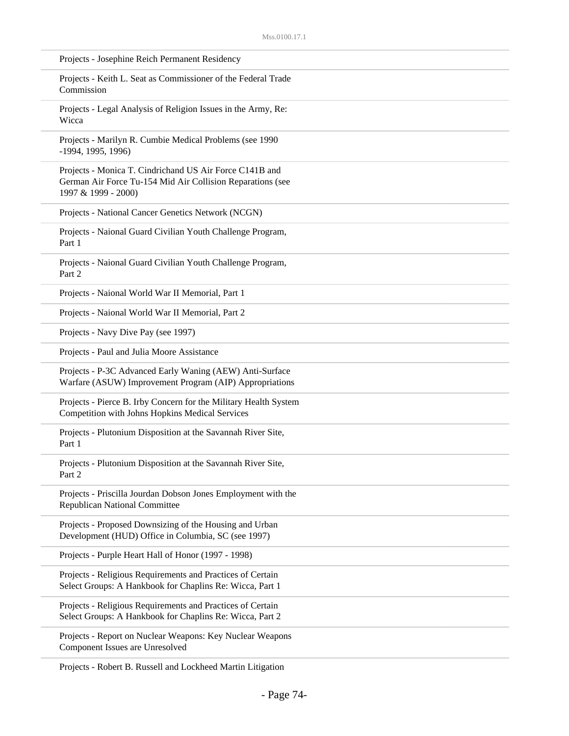| Projects - Josephine Reich Permanent Residency                                                                                               |
|----------------------------------------------------------------------------------------------------------------------------------------------|
| Projects - Keith L. Seat as Commissioner of the Federal Trade<br>Commission                                                                  |
| Projects - Legal Analysis of Religion Issues in the Army, Re:<br>Wicca                                                                       |
| Projects - Marilyn R. Cumbie Medical Problems (see 1990<br>-1994, 1995, 1996)                                                                |
| Projects - Monica T. Cindrichand US Air Force C141B and<br>German Air Force Tu-154 Mid Air Collision Reparations (see<br>1997 & 1999 - 2000) |
| Projects - National Cancer Genetics Network (NCGN)                                                                                           |
| Projects - Naional Guard Civilian Youth Challenge Program,<br>Part 1                                                                         |
| Projects - Naional Guard Civilian Youth Challenge Program,<br>Part 2                                                                         |
| Projects - Naional World War II Memorial, Part 1                                                                                             |
| Projects - Naional World War II Memorial, Part 2                                                                                             |
| Projects - Navy Dive Pay (see 1997)                                                                                                          |
| Projects - Paul and Julia Moore Assistance                                                                                                   |
| Projects - P-3C Advanced Early Waning (AEW) Anti-Surface<br>Warfare (ASUW) Improvement Program (AIP) Appropriations                          |
| Projects - Pierce B. Irby Concern for the Military Health System<br>Competition with Johns Hopkins Medical Services                          |
| Projects - Plutonium Disposition at the Savannah River Site,<br>Part 1                                                                       |
| Projects - Plutonium Disposition at the Savannah River Site,<br>Part 2                                                                       |
| Projects - Priscilla Jourdan Dobson Jones Employment with the<br><b>Republican National Committee</b>                                        |
| Projects - Proposed Downsizing of the Housing and Urban<br>Development (HUD) Office in Columbia, SC (see 1997)                               |
| Projects - Purple Heart Hall of Honor (1997 - 1998)                                                                                          |
| Projects - Religious Requirements and Practices of Certain<br>Select Groups: A Hankbook for Chaplins Re: Wicca, Part 1                       |
| Projects - Religious Requirements and Practices of Certain<br>Select Groups: A Hankbook for Chaplins Re: Wicca, Part 2                       |
| Projects - Report on Nuclear Weapons: Key Nuclear Weapons<br>Component Issues are Unresolved                                                 |
|                                                                                                                                              |

Projects - Robert B. Russell and Lockheed Martin Litigation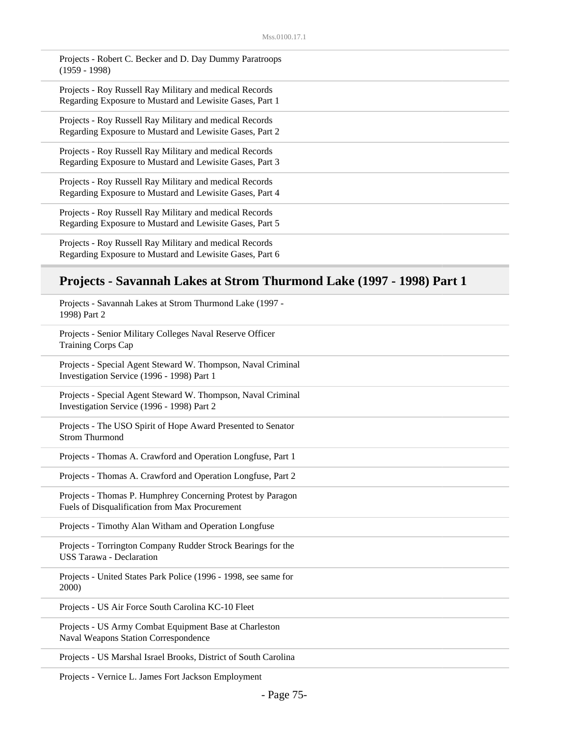| Projects - Robert C. Becker and D. Day Dummy Paratroops<br>$(1959 - 1998)$                                          |
|---------------------------------------------------------------------------------------------------------------------|
| Projects - Roy Russell Ray Military and medical Records<br>Regarding Exposure to Mustard and Lewisite Gases, Part 1 |
| Projects - Roy Russell Ray Military and medical Records<br>Regarding Exposure to Mustard and Lewisite Gases, Part 2 |
| Projects - Roy Russell Ray Military and medical Records<br>Regarding Exposure to Mustard and Lewisite Gases, Part 3 |
| Projects - Roy Russell Ray Military and medical Records<br>Regarding Exposure to Mustard and Lewisite Gases, Part 4 |
| Projects - Roy Russell Ray Military and medical Records<br>Regarding Exposure to Mustard and Lewisite Gases, Part 5 |
| Projects - Roy Russell Ray Military and medical Records<br>Regarding Exposure to Mustard and Lewisite Gases, Part 6 |

#### **Projects - Savannah Lakes at Strom Thurmond Lake (1997 - 1998) Part 1**

Projects - Savannah Lakes at Strom Thurmond Lake (1997 - 1998) Part 2

Projects - Senior Military Colleges Naval Reserve Officer Training Corps Cap

Projects - Special Agent Steward W. Thompson, Naval Criminal Investigation Service (1996 - 1998) Part 1

Projects - Special Agent Steward W. Thompson, Naval Criminal Investigation Service (1996 - 1998) Part 2

Projects - The USO Spirit of Hope Award Presented to Senator Strom Thurmond

Projects - Thomas A. Crawford and Operation Longfuse, Part 1

Projects - Thomas A. Crawford and Operation Longfuse, Part 2

Projects - Thomas P. Humphrey Concerning Protest by Paragon Fuels of Disqualification from Max Procurement

Projects - Timothy Alan Witham and Operation Longfuse

Projects - Torrington Company Rudder Strock Bearings for the USS Tarawa - Declaration

Projects - United States Park Police (1996 - 1998, see same for 2000)

Projects - US Air Force South Carolina KC-10 Fleet

Projects - US Army Combat Equipment Base at Charleston Naval Weapons Station Correspondence

Projects - US Marshal Israel Brooks, District of South Carolina

Projects - Vernice L. James Fort Jackson Employment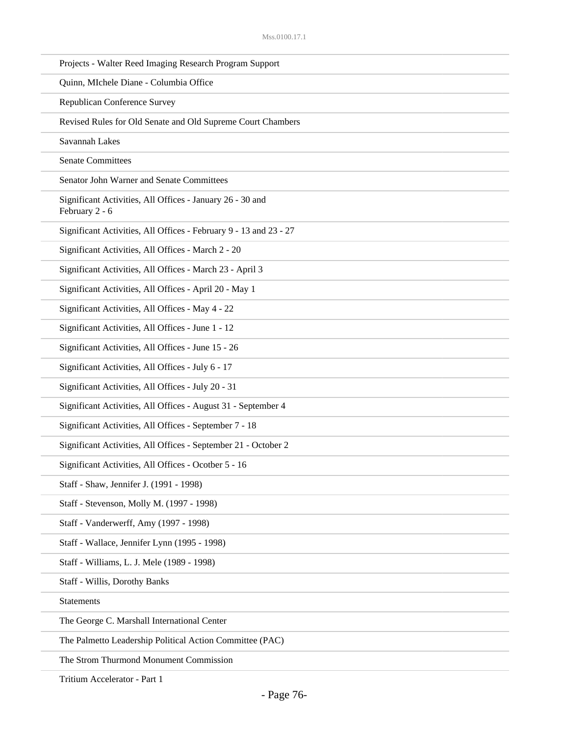| Projects - Walter Reed Imaging Research Program Support                     |
|-----------------------------------------------------------------------------|
| Quinn, MIchele Diane - Columbia Office                                      |
| Republican Conference Survey                                                |
| Revised Rules for Old Senate and Old Supreme Court Chambers                 |
| Savannah Lakes                                                              |
| <b>Senate Committees</b>                                                    |
| Senator John Warner and Senate Committees                                   |
| Significant Activities, All Offices - January 26 - 30 and<br>February 2 - 6 |
| Significant Activities, All Offices - February 9 - 13 and 23 - 27           |
| Significant Activities, All Offices - March 2 - 20                          |
| Significant Activities, All Offices - March 23 - April 3                    |
| Significant Activities, All Offices - April 20 - May 1                      |
| Significant Activities, All Offices - May 4 - 22                            |
| Significant Activities, All Offices - June 1 - 12                           |
| Significant Activities, All Offices - June 15 - 26                          |
| Significant Activities, All Offices - July 6 - 17                           |
| Significant Activities, All Offices - July 20 - 31                          |
| Significant Activities, All Offices - August 31 - September 4               |
| Significant Activities, All Offices - September 7 - 18                      |
| Significant Activities, All Offices - September 21 - October 2              |
| Significant Activities, All Offices - Ocotber 5 - 16                        |
| Staff - Shaw, Jennifer J. (1991 - 1998)                                     |
| Staff - Stevenson, Molly M. (1997 - 1998)                                   |
| Staff - Vanderwerff, Amy (1997 - 1998)                                      |
| Staff - Wallace, Jennifer Lynn (1995 - 1998)                                |
| Staff - Williams, L. J. Mele (1989 - 1998)                                  |
| Staff - Willis, Dorothy Banks                                               |
| <b>Statements</b>                                                           |
| The George C. Marshall International Center                                 |
| The Palmetto Leadership Political Action Committee (PAC)                    |
| The Strom Thurmond Monument Commission                                      |

Tritium Accelerator - Part 1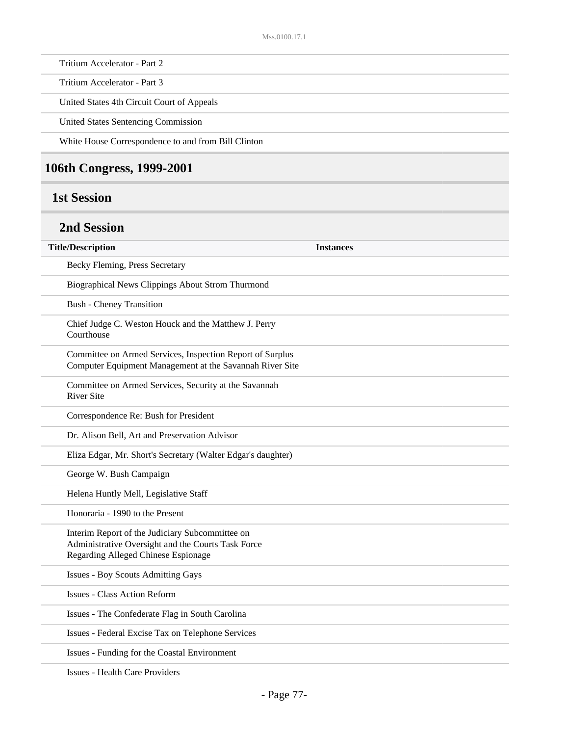Tritium Accelerator - Part 2

Tritium Accelerator - Part 3

United States 4th Circuit Court of Appeals

United States Sentencing Commission

White House Correspondence to and from Bill Clinton

## **106th Congress, 1999-2001**

#### **1st Session**

### **2nd Session**

| <b>Title/Description</b>                                                                                                                     | <b>Instances</b> |
|----------------------------------------------------------------------------------------------------------------------------------------------|------------------|
| Becky Fleming, Press Secretary                                                                                                               |                  |
| Biographical News Clippings About Strom Thurmond                                                                                             |                  |
| <b>Bush - Cheney Transition</b>                                                                                                              |                  |
| Chief Judge C. Weston Houck and the Matthew J. Perry<br>Courthouse                                                                           |                  |
| Committee on Armed Services, Inspection Report of Surplus<br>Computer Equipment Management at the Savannah River Site                        |                  |
| Committee on Armed Services, Security at the Savannah<br><b>River Site</b>                                                                   |                  |
| Correspondence Re: Bush for President                                                                                                        |                  |
| Dr. Alison Bell, Art and Preservation Advisor                                                                                                |                  |
| Eliza Edgar, Mr. Short's Secretary (Walter Edgar's daughter)                                                                                 |                  |
| George W. Bush Campaign                                                                                                                      |                  |
| Helena Huntly Mell, Legislative Staff                                                                                                        |                  |
| Honoraria - 1990 to the Present                                                                                                              |                  |
| Interim Report of the Judiciary Subcommittee on<br>Administrative Oversight and the Courts Task Force<br>Regarding Alleged Chinese Espionage |                  |
| <b>Issues - Boy Scouts Admitting Gays</b>                                                                                                    |                  |
| <b>Issues - Class Action Reform</b>                                                                                                          |                  |
| Issues - The Confederate Flag in South Carolina                                                                                              |                  |
| Issues - Federal Excise Tax on Telephone Services                                                                                            |                  |
| Issues - Funding for the Coastal Environment                                                                                                 |                  |
| <b>Issues - Health Care Providers</b>                                                                                                        |                  |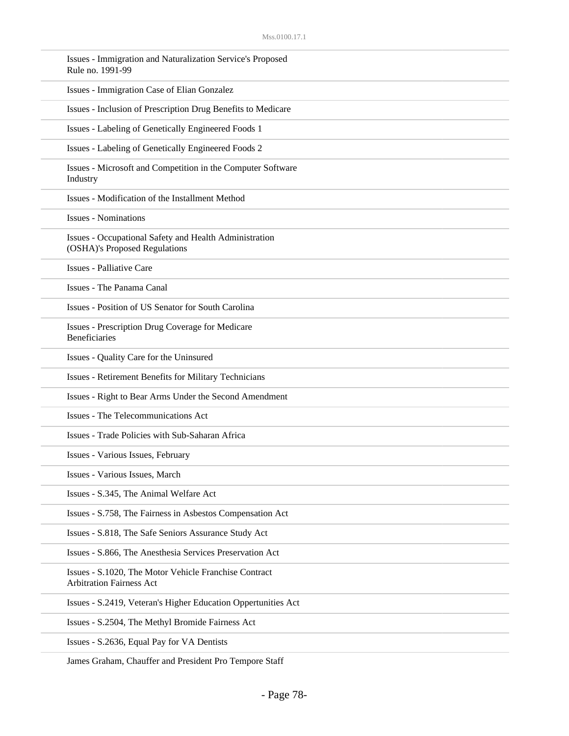| Issues - Immigration and Naturalization Service's Proposed<br>Rule no. 1991-99           |
|------------------------------------------------------------------------------------------|
| Issues - Immigration Case of Elian Gonzalez                                              |
| Issues - Inclusion of Prescription Drug Benefits to Medicare                             |
| Issues - Labeling of Genetically Engineered Foods 1                                      |
| Issues - Labeling of Genetically Engineered Foods 2                                      |
| Issues - Microsoft and Competition in the Computer Software<br>Industry                  |
| Issues - Modification of the Installment Method                                          |
| <b>Issues - Nominations</b>                                                              |
| Issues - Occupational Safety and Health Administration<br>(OSHA)'s Proposed Regulations  |
| <b>Issues - Palliative Care</b>                                                          |
| Issues - The Panama Canal                                                                |
| Issues - Position of US Senator for South Carolina                                       |
| <b>Issues - Prescription Drug Coverage for Medicare</b><br><b>Beneficiaries</b>          |
| Issues - Quality Care for the Uninsured                                                  |
| <b>Issues - Retirement Benefits for Military Technicians</b>                             |
| Issues - Right to Bear Arms Under the Second Amendment                                   |
| Issues - The Telecommunications Act                                                      |
| Issues - Trade Policies with Sub-Saharan Africa                                          |
| Issues - Various Issues, February                                                        |
| Issues - Various Issues, March                                                           |
| Issues - S.345, The Animal Welfare Act                                                   |
| Issues - S.758, The Fairness in Asbestos Compensation Act                                |
| Issues - S.818, The Safe Seniors Assurance Study Act                                     |
| Issues - S.866, The Anesthesia Services Preservation Act                                 |
| Issues - S.1020, The Motor Vehicle Franchise Contract<br><b>Arbitration Fairness Act</b> |
| Issues - S.2419, Veteran's Higher Education Oppertunities Act                            |
| Issues - S.2504, The Methyl Bromide Fairness Act                                         |
| Issues - S.2636, Equal Pay for VA Dentists                                               |
|                                                                                          |

James Graham, Chauffer and President Pro Tempore Staff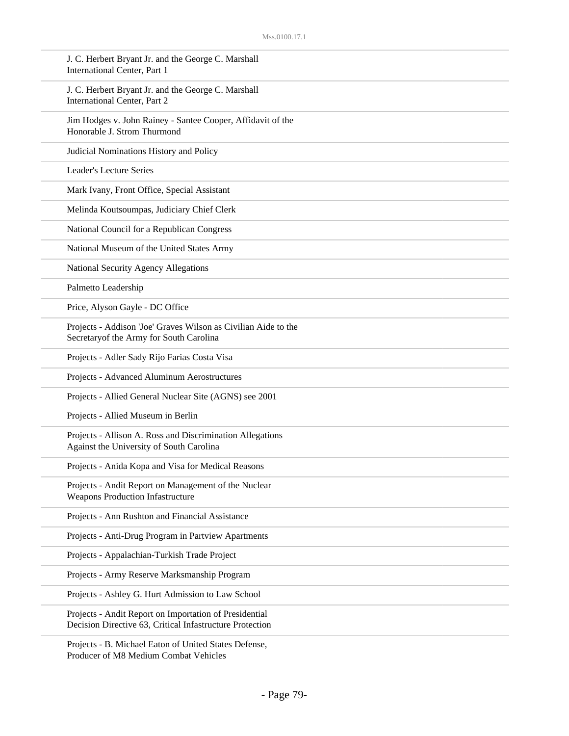| J. C. Herbert Bryant Jr. and the George C. Marshall<br>International Center, Part 1                                |
|--------------------------------------------------------------------------------------------------------------------|
| J. C. Herbert Bryant Jr. and the George C. Marshall<br>International Center, Part 2                                |
| Jim Hodges v. John Rainey - Santee Cooper, Affidavit of the<br>Honorable J. Strom Thurmond                         |
| Judicial Nominations History and Policy                                                                            |
| Leader's Lecture Series                                                                                            |
| Mark Ivany, Front Office, Special Assistant                                                                        |
| Melinda Koutsoumpas, Judiciary Chief Clerk                                                                         |
| National Council for a Republican Congress                                                                         |
| National Museum of the United States Army                                                                          |
| National Security Agency Allegations                                                                               |
| Palmetto Leadership                                                                                                |
| Price, Alyson Gayle - DC Office                                                                                    |
| Projects - Addison 'Joe' Graves Wilson as Civilian Aide to the<br>Secretaryof the Army for South Carolina          |
| Projects - Adler Sady Rijo Farias Costa Visa                                                                       |
| Projects - Advanced Aluminum Aerostructures                                                                        |
| Projects - Allied General Nuclear Site (AGNS) see 2001                                                             |
| Projects - Allied Museum in Berlin                                                                                 |
| Projects - Allison A. Ross and Discrimination Allegations<br>Against the University of South Carolina              |
| Projects - Anida Kopa and Visa for Medical Reasons                                                                 |
| Projects - Andit Report on Management of the Nuclear<br><b>Weapons Production Infastructure</b>                    |
| Projects - Ann Rushton and Financial Assistance                                                                    |
| Projects - Anti-Drug Program in Partview Apartments                                                                |
| Projects - Appalachian-Turkish Trade Project                                                                       |
| Projects - Army Reserve Marksmanship Program                                                                       |
| Projects - Ashley G. Hurt Admission to Law School                                                                  |
| Projects - Andit Report on Importation of Presidential<br>Decision Directive 63, Critical Infastructure Protection |
| Projects - B. Michael Eaton of United States Defense,                                                              |

Producer of M8 Medium Combat Vehicles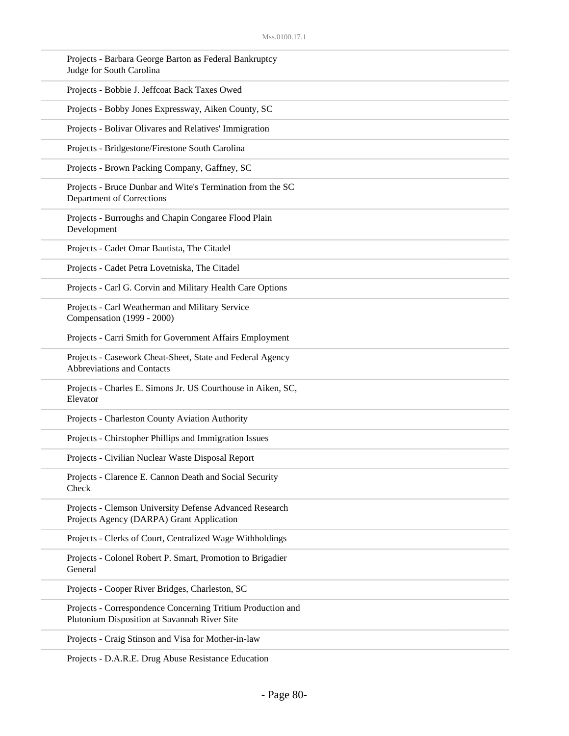| Projects - Barbara George Barton as Federal Bankruptcy<br>Judge for South Carolina                          |
|-------------------------------------------------------------------------------------------------------------|
| Projects - Bobbie J. Jeffcoat Back Taxes Owed                                                               |
| Projects - Bobby Jones Expressway, Aiken County, SC                                                         |
| Projects - Bolivar Olivares and Relatives' Immigration                                                      |
| Projects - Bridgestone/Firestone South Carolina                                                             |
| Projects - Brown Packing Company, Gaffney, SC                                                               |
| Projects - Bruce Dunbar and Wite's Termination from the SC<br>Department of Corrections                     |
| Projects - Burroughs and Chapin Congaree Flood Plain<br>Development                                         |
| Projects - Cadet Omar Bautista, The Citadel                                                                 |
| Projects - Cadet Petra Lovetniska, The Citadel                                                              |
| Projects - Carl G. Corvin and Military Health Care Options                                                  |
| Projects - Carl Weatherman and Military Service<br>Compensation (1999 - 2000)                               |
| Projects - Carri Smith for Government Affairs Employment                                                    |
| Projects - Casework Cheat-Sheet, State and Federal Agency<br>Abbreviations and Contacts                     |
| Projects - Charles E. Simons Jr. US Courthouse in Aiken, SC,<br>Elevator                                    |
| Projects - Charleston County Aviation Authority                                                             |
| Projects - Chirstopher Phillips and Immigration Issues                                                      |
| Projects - Civilian Nuclear Waste Disposal Report                                                           |
| Projects - Clarence E. Cannon Death and Social Security<br>Check                                            |
| Projects - Clemson University Defense Advanced Research<br>Projects Agency (DARPA) Grant Application        |
| Projects - Clerks of Court, Centralized Wage Withholdings                                                   |
| Projects - Colonel Robert P. Smart, Promotion to Brigadier<br>General                                       |
| Projects - Cooper River Bridges, Charleston, SC                                                             |
| Projects - Correspondence Concerning Tritium Production and<br>Plutonium Disposition at Savannah River Site |
| Projects - Craig Stinson and Visa for Mother-in-law                                                         |

Projects - D.A.R.E. Drug Abuse Resistance Education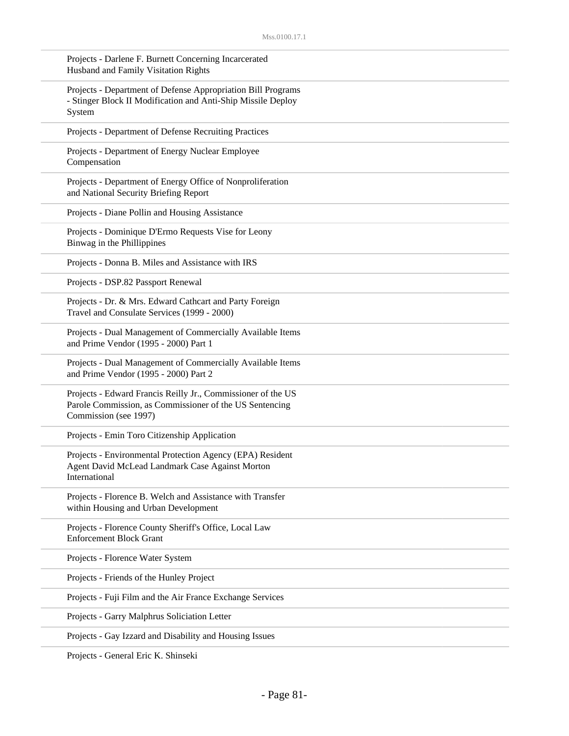| Projects - Darlene F. Burnett Concerning Incarcerated<br>Husband and Family Visitation Rights                                                    |
|--------------------------------------------------------------------------------------------------------------------------------------------------|
| Projects - Department of Defense Appropriation Bill Programs<br>- Stinger Block II Modification and Anti-Ship Missile Deploy<br>System           |
| Projects - Department of Defense Recruiting Practices                                                                                            |
| Projects - Department of Energy Nuclear Employee<br>Compensation                                                                                 |
| Projects - Department of Energy Office of Nonproliferation<br>and National Security Briefing Report                                              |
| Projects - Diane Pollin and Housing Assistance                                                                                                   |
| Projects - Dominique D'Ermo Requests Vise for Leony<br>Binwag in the Phillippines                                                                |
| Projects - Donna B. Miles and Assistance with IRS                                                                                                |
| Projects - DSP.82 Passport Renewal                                                                                                               |
| Projects - Dr. & Mrs. Edward Cathcart and Party Foreign<br>Travel and Consulate Services (1999 - 2000)                                           |
| Projects - Dual Management of Commercially Available Items<br>and Prime Vendor (1995 - 2000) Part 1                                              |
| Projects - Dual Management of Commercially Available Items<br>and Prime Vendor (1995 - 2000) Part 2                                              |
| Projects - Edward Francis Reilly Jr., Commissioner of the US<br>Parole Commission, as Commissioner of the US Sentencing<br>Commission (see 1997) |
| Projects - Emin Toro Citizenship Application                                                                                                     |
| Projects - Environmental Protection Agency (EPA) Resident<br>Agent David McLead Landmark Case Against Morton<br>International                    |
| Projects - Florence B. Welch and Assistance with Transfer<br>within Housing and Urban Development                                                |
| Projects - Florence County Sheriff's Office, Local Law<br><b>Enforcement Block Grant</b>                                                         |
| Projects - Florence Water System                                                                                                                 |
| Projects - Friends of the Hunley Project                                                                                                         |
| Projects - Fuji Film and the Air France Exchange Services                                                                                        |
| Projects - Garry Malphrus Soliciation Letter                                                                                                     |
| Projects - Gay Izzard and Disability and Housing Issues                                                                                          |
|                                                                                                                                                  |

Projects - General Eric K. Shinseki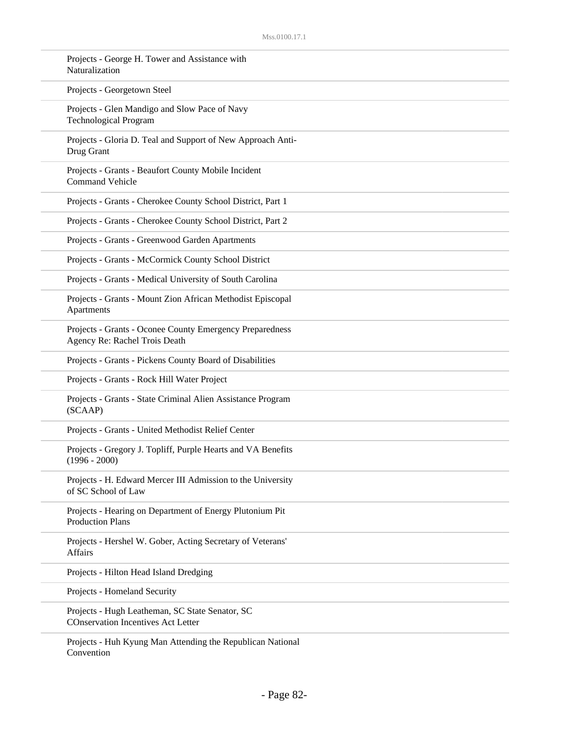| Naturalization  | Projects - George H. Tower and Assistance with                                               |
|-----------------|----------------------------------------------------------------------------------------------|
|                 | Projects - Georgetown Steel                                                                  |
|                 | Projects - Glen Mandigo and Slow Pace of Navy<br><b>Technological Program</b>                |
| Drug Grant      | Projects - Gloria D. Teal and Support of New Approach Anti-                                  |
|                 | Projects - Grants - Beaufort County Mobile Incident<br><b>Command Vehicle</b>                |
|                 | Projects - Grants - Cherokee County School District, Part 1                                  |
|                 | Projects - Grants - Cherokee County School District, Part 2                                  |
|                 | Projects - Grants - Greenwood Garden Apartments                                              |
|                 | Projects - Grants - McCormick County School District                                         |
|                 | Projects - Grants - Medical University of South Carolina                                     |
| Apartments      | Projects - Grants - Mount Zion African Methodist Episcopal                                   |
|                 | Projects - Grants - Oconee County Emergency Preparedness<br>Agency Re: Rachel Trois Death    |
|                 | Projects - Grants - Pickens County Board of Disabilities                                     |
|                 | Projects - Grants - Rock Hill Water Project                                                  |
| (SCAAP)         | Projects - Grants - State Criminal Alien Assistance Program                                  |
|                 | Projects - Grants - United Methodist Relief Center                                           |
| $(1996 - 2000)$ | Projects - Gregory J. Topliff, Purple Hearts and VA Benefits                                 |
|                 | Projects - H. Edward Mercer III Admission to the University<br>of SC School of Law           |
|                 | Projects - Hearing on Department of Energy Plutonium Pit<br><b>Production Plans</b>          |
| Affairs         | Projects - Hershel W. Gober, Acting Secretary of Veterans'                                   |
|                 | Projects - Hilton Head Island Dredging                                                       |
|                 | Projects - Homeland Security                                                                 |
|                 | Projects - Hugh Leatheman, SC State Senator, SC<br><b>COnservation Incentives Act Letter</b> |
|                 | Projects - Huh Kyung Man Attending the Republican National                                   |

Convention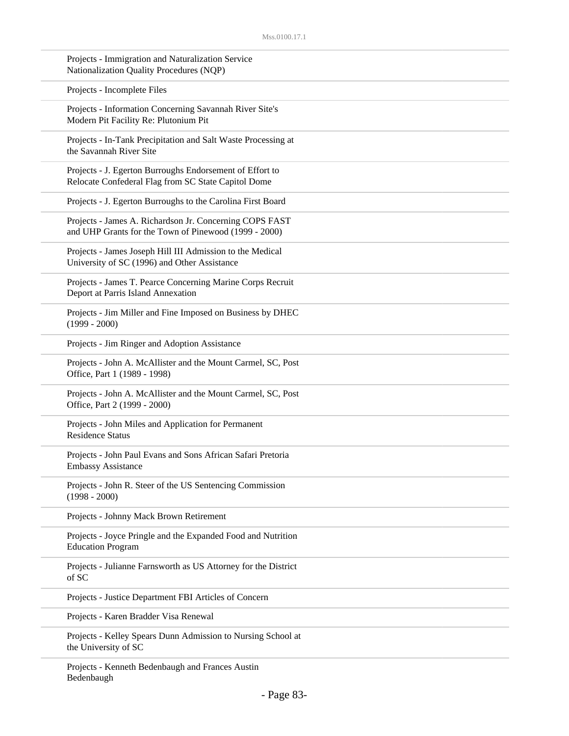| Projects - Immigration and Naturalization Service<br>Nationalization Quality Procedures (NQP)                    |
|------------------------------------------------------------------------------------------------------------------|
| Projects - Incomplete Files                                                                                      |
| Projects - Information Concerning Savannah River Site's<br>Modern Pit Facility Re: Plutonium Pit                 |
| Projects - In-Tank Precipitation and Salt Waste Processing at<br>the Savannah River Site                         |
| Projects - J. Egerton Burroughs Endorsement of Effort to<br>Relocate Confederal Flag from SC State Capitol Dome  |
| Projects - J. Egerton Burroughs to the Carolina First Board                                                      |
| Projects - James A. Richardson Jr. Concerning COPS FAST<br>and UHP Grants for the Town of Pinewood (1999 - 2000) |
| Projects - James Joseph Hill III Admission to the Medical<br>University of SC (1996) and Other Assistance        |
| Projects - James T. Pearce Concerning Marine Corps Recruit<br>Deport at Parris Island Annexation                 |
| Projects - Jim Miller and Fine Imposed on Business by DHEC<br>$(1999 - 2000)$                                    |
| Projects - Jim Ringer and Adoption Assistance                                                                    |
| Projects - John A. McAllister and the Mount Carmel, SC, Post<br>Office, Part 1 (1989 - 1998)                     |
| Projects - John A. McAllister and the Mount Carmel, SC, Post<br>Office, Part 2 (1999 - 2000)                     |
| Projects - John Miles and Application for Permanent<br><b>Residence Status</b>                                   |
| Projects - John Paul Evans and Sons African Safari Pretoria<br><b>Embassy Assistance</b>                         |
| Projects - John R. Steer of the US Sentencing Commission<br>$(1998 - 2000)$                                      |
| Projects - Johnny Mack Brown Retirement                                                                          |
| Projects - Joyce Pringle and the Expanded Food and Nutrition<br><b>Education Program</b>                         |
| Projects - Julianne Farnsworth as US Attorney for the District<br>of SC                                          |
| Projects - Justice Department FBI Articles of Concern                                                            |
| Projects - Karen Bradder Visa Renewal                                                                            |
| Projects - Kelley Spears Dunn Admission to Nursing School at<br>the University of SC                             |
| Projects - Kenneth Redenbaugh and Frances Austin                                                                 |

Projects - Kenneth Bedenbaugh and Frances Austin Bedenbaugh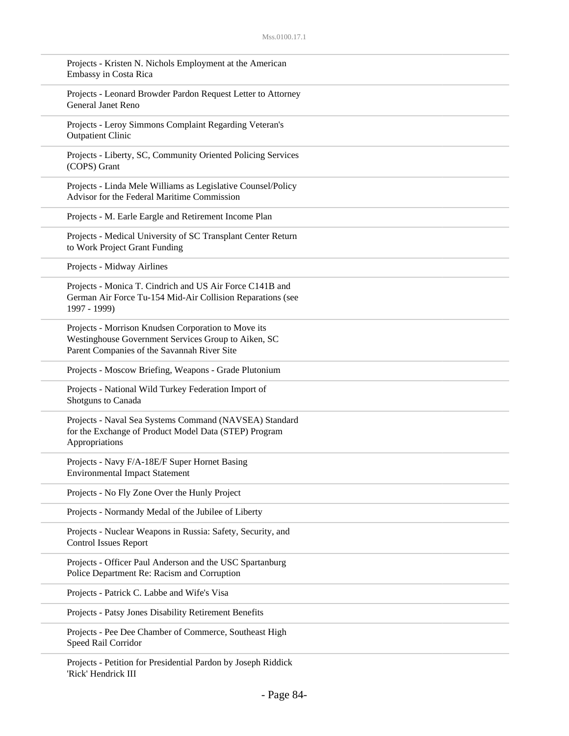| Projects - Kristen N. Nichols Employment at the American<br>Embassy in Costa Rica                                                                         |
|-----------------------------------------------------------------------------------------------------------------------------------------------------------|
| Projects - Leonard Browder Pardon Request Letter to Attorney<br>General Janet Reno                                                                        |
| Projects - Leroy Simmons Complaint Regarding Veteran's<br><b>Outpatient Clinic</b>                                                                        |
| Projects - Liberty, SC, Community Oriented Policing Services<br>(COPS) Grant                                                                              |
| Projects - Linda Mele Williams as Legislative Counsel/Policy<br>Advisor for the Federal Maritime Commission                                               |
| Projects - M. Earle Eargle and Retirement Income Plan                                                                                                     |
| Projects - Medical University of SC Transplant Center Return<br>to Work Project Grant Funding                                                             |
| Projects - Midway Airlines                                                                                                                                |
| Projects - Monica T. Cindrich and US Air Force C141B and<br>German Air Force Tu-154 Mid-Air Collision Reparations (see<br>1997 - 1999)                    |
| Projects - Morrison Knudsen Corporation to Move its<br>Westinghouse Government Services Group to Aiken, SC<br>Parent Companies of the Savannah River Site |
| Projects - Moscow Briefing, Weapons - Grade Plutonium                                                                                                     |
| Projects - National Wild Turkey Federation Import of<br>Shotguns to Canada                                                                                |
| Projects - Naval Sea Systems Command (NAVSEA) Standard<br>for the Exchange of Product Model Data (STEP) Program<br>Appropriations                         |
| Projects - Navy F/A-18E/F Super Hornet Basing<br><b>Environmental Impact Statement</b>                                                                    |
| Projects - No Fly Zone Over the Hunly Project                                                                                                             |
| Projects - Normandy Medal of the Jubilee of Liberty                                                                                                       |
| Projects - Nuclear Weapons in Russia: Safety, Security, and<br>Control Issues Report                                                                      |
| Projects - Officer Paul Anderson and the USC Spartanburg<br>Police Department Re: Racism and Corruption                                                   |
| Projects - Patrick C. Labbe and Wife's Visa                                                                                                               |
| Projects - Patsy Jones Disability Retirement Benefits                                                                                                     |
| Projects - Pee Dee Chamber of Commerce, Southeast High<br>Speed Rail Corridor                                                                             |
| Projects - Petition for Presidential Pardon by Joseph Riddick<br>'Rick' Hendrick III                                                                      |

- Page 84-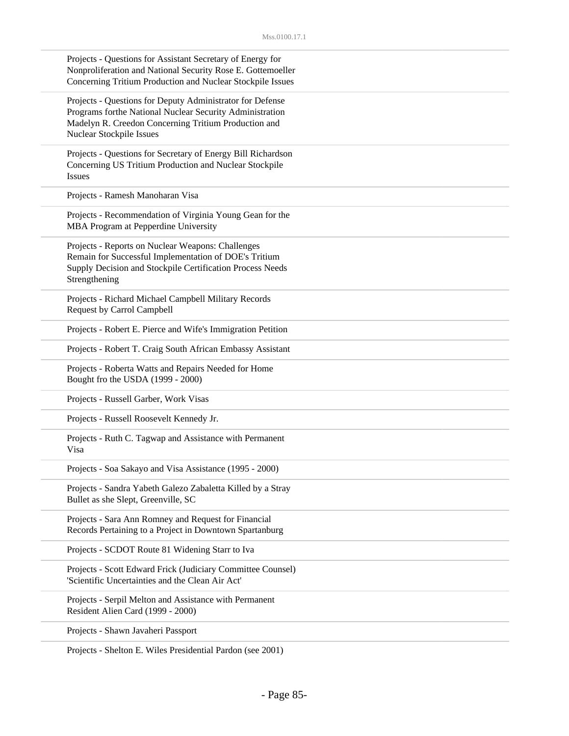| Projects - Questions for Assistant Secretary of Energy for<br>Nonproliferation and National Security Rose E. Gottemoeller<br>Concerning Tritium Production and Nuclear Stockpile Issues                   |
|-----------------------------------------------------------------------------------------------------------------------------------------------------------------------------------------------------------|
| Projects - Questions for Deputy Administrator for Defense<br>Programs forthe National Nuclear Security Administration<br>Madelyn R. Creedon Concerning Tritium Production and<br>Nuclear Stockpile Issues |
| Projects - Questions for Secretary of Energy Bill Richardson<br>Concerning US Tritium Production and Nuclear Stockpile<br><b>Issues</b>                                                                   |
| Projects - Ramesh Manoharan Visa                                                                                                                                                                          |
| Projects - Recommendation of Virginia Young Gean for the<br>MBA Program at Pepperdine University                                                                                                          |
| Projects - Reports on Nuclear Weapons: Challenges<br>Remain for Successful Implementation of DOE's Tritium<br>Supply Decision and Stockpile Certification Process Needs<br>Strengthening                  |
| Projects - Richard Michael Campbell Military Records<br><b>Request by Carrol Campbell</b>                                                                                                                 |
| Projects - Robert E. Pierce and Wife's Immigration Petition                                                                                                                                               |
| Projects - Robert T. Craig South African Embassy Assistant                                                                                                                                                |
| Projects - Roberta Watts and Repairs Needed for Home<br>Bought fro the USDA (1999 - 2000)                                                                                                                 |
| Projects - Russell Garber, Work Visas                                                                                                                                                                     |
| Projects - Russell Roosevelt Kennedy Jr.                                                                                                                                                                  |
| Projects - Ruth C. Tagwap and Assistance with Permanent<br>Visa                                                                                                                                           |
| Projects - Soa Sakayo and Visa Assistance (1995 - 2000)                                                                                                                                                   |
| Projects - Sandra Yabeth Galezo Zabaletta Killed by a Stray<br>Bullet as she Slept, Greenville, SC                                                                                                        |
| Projects - Sara Ann Romney and Request for Financial<br>Records Pertaining to a Project in Downtown Spartanburg                                                                                           |
| Projects - SCDOT Route 81 Widening Starr to Iva                                                                                                                                                           |
| Projects - Scott Edward Frick (Judiciary Committee Counsel)<br>'Scientific Uncertainties and the Clean Air Act'                                                                                           |
| Projects - Serpil Melton and Assistance with Permanent<br>Resident Alien Card (1999 - 2000)                                                                                                               |
| Projects - Shawn Javaheri Passport                                                                                                                                                                        |
|                                                                                                                                                                                                           |

Projects - Shelton E. Wiles Presidential Pardon (see 2001)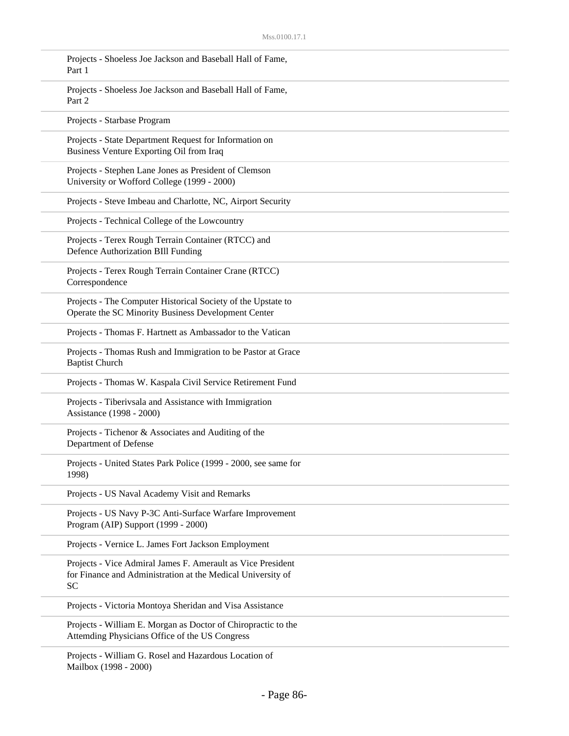| Projects - Shoeless Joe Jackson and Baseball Hall of Fame,<br>Part 1                                                                    |
|-----------------------------------------------------------------------------------------------------------------------------------------|
| Projects - Shoeless Joe Jackson and Baseball Hall of Fame,<br>Part 2                                                                    |
| Projects - Starbase Program                                                                                                             |
| Projects - State Department Request for Information on<br>Business Venture Exporting Oil from Iraq                                      |
| Projects - Stephen Lane Jones as President of Clemson<br>University or Wofford College (1999 - 2000)                                    |
| Projects - Steve Imbeau and Charlotte, NC, Airport Security                                                                             |
| Projects - Technical College of the Lowcountry                                                                                          |
| Projects - Terex Rough Terrain Container (RTCC) and<br>Defence Authorization BIll Funding                                               |
| Projects - Terex Rough Terrain Container Crane (RTCC)<br>Correspondence                                                                 |
| Projects - The Computer Historical Society of the Upstate to<br>Operate the SC Minority Business Development Center                     |
| Projects - Thomas F. Hartnett as Ambassador to the Vatican                                                                              |
| Projects - Thomas Rush and Immigration to be Pastor at Grace<br><b>Baptist Church</b>                                                   |
| Projects - Thomas W. Kaspala Civil Service Retirement Fund                                                                              |
| Projects - Tiberivsala and Assistance with Immigration<br>Assistance (1998 - 2000)                                                      |
| Projects - Tichenor & Associates and Auditing of the<br>Department of Defense                                                           |
| Projects - United States Park Police (1999 - 2000, see same for<br>1998)                                                                |
| Projects - US Naval Academy Visit and Remarks                                                                                           |
| Projects - US Navy P-3C Anti-Surface Warfare Improvement<br>Program (AIP) Support (1999 - 2000)                                         |
| Projects - Vernice L. James Fort Jackson Employment                                                                                     |
| Projects - Vice Admiral James F. Amerault as Vice President<br>for Finance and Administration at the Medical University of<br><b>SC</b> |
| Projects - Victoria Montoya Sheridan and Visa Assistance                                                                                |
| Projects - William E. Morgan as Doctor of Chiropractic to the<br>Attending Physicians Office of the US Congress                         |
| Projects - William G. Rosel and Hazardous Location of                                                                                   |

Mailbox (1998 - 2000)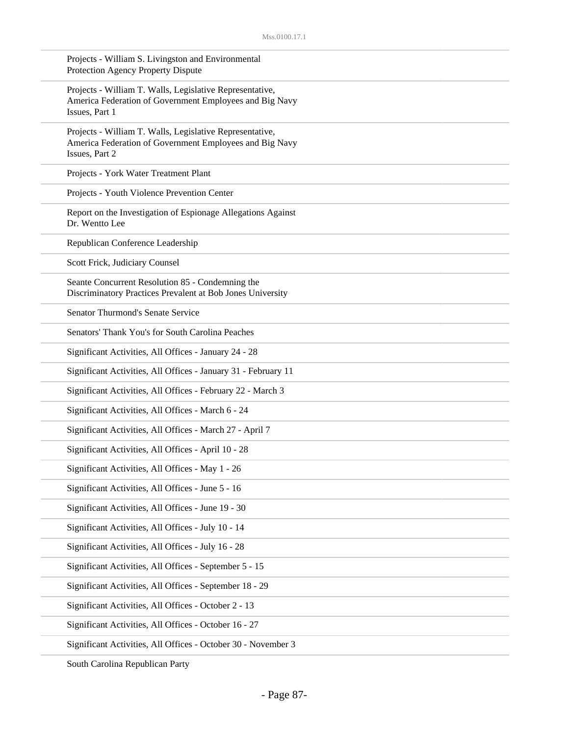| Projects - William S. Livingston and Environmental<br>Protection Agency Property Dispute                                              |
|---------------------------------------------------------------------------------------------------------------------------------------|
| Projects - William T. Walls, Legislative Representative,<br>America Federation of Government Employees and Big Navy<br>Issues, Part 1 |
| Projects - William T. Walls, Legislative Representative,<br>America Federation of Government Employees and Big Navy<br>Issues, Part 2 |
| Projects - York Water Treatment Plant                                                                                                 |
| Projects - Youth Violence Prevention Center                                                                                           |
| Report on the Investigation of Espionage Allegations Against<br>Dr. Wentto Lee                                                        |
| Republican Conference Leadership                                                                                                      |
| Scott Frick, Judiciary Counsel                                                                                                        |
| Seante Concurrent Resolution 85 - Condemning the<br>Discriminatory Practices Prevalent at Bob Jones University                        |
| <b>Senator Thurmond's Senate Service</b>                                                                                              |
| Senators' Thank You's for South Carolina Peaches                                                                                      |
| Significant Activities, All Offices - January 24 - 28                                                                                 |
| Significant Activities, All Offices - January 31 - February 11                                                                        |
| Significant Activities, All Offices - February 22 - March 3                                                                           |
| Significant Activities, All Offices - March 6 - 24                                                                                    |
| Significant Activities, All Offices - March 27 - April 7                                                                              |
| Significant Activities, All Offices - April 10 - 28                                                                                   |
| Significant Activities, All Offices - May 1 - 26                                                                                      |
| Significant Activities, All Offices - June 5 - 16                                                                                     |
| Significant Activities, All Offices - June 19 - 30                                                                                    |
| Significant Activities, All Offices - July 10 - 14                                                                                    |
| Significant Activities, All Offices - July 16 - 28                                                                                    |
| Significant Activities, All Offices - September 5 - 15                                                                                |
| Significant Activities, All Offices - September 18 - 29                                                                               |
| Significant Activities, All Offices - October 2 - 13                                                                                  |
| Significant Activities, All Offices - October 16 - 27                                                                                 |
| Significant Activities, All Offices - October 30 - November 3                                                                         |

South Carolina Republican Party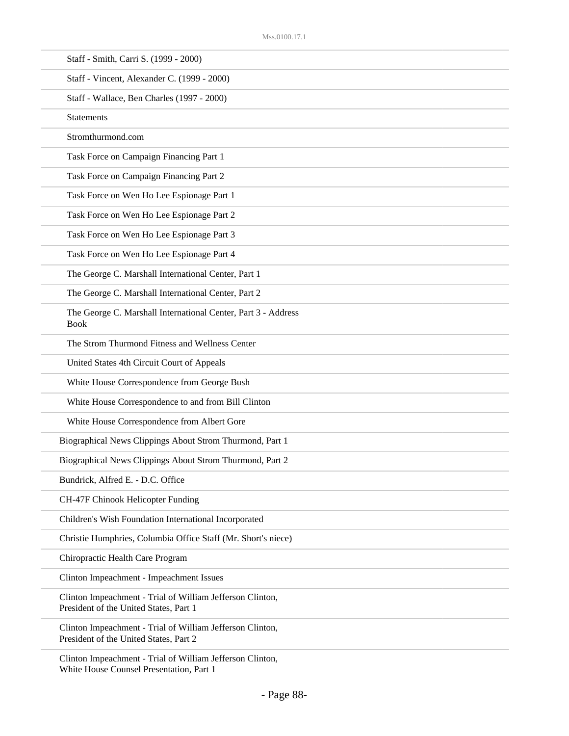| Staff - Smith, Carri S. (1999 - 2000)                                                               |
|-----------------------------------------------------------------------------------------------------|
| Staff - Vincent, Alexander C. (1999 - 2000)                                                         |
| Staff - Wallace, Ben Charles (1997 - 2000)                                                          |
| <b>Statements</b>                                                                                   |
| Stromthurmond.com                                                                                   |
| Task Force on Campaign Financing Part 1                                                             |
| Task Force on Campaign Financing Part 2                                                             |
| Task Force on Wen Ho Lee Espionage Part 1                                                           |
| Task Force on Wen Ho Lee Espionage Part 2                                                           |
| Task Force on Wen Ho Lee Espionage Part 3                                                           |
| Task Force on Wen Ho Lee Espionage Part 4                                                           |
| The George C. Marshall International Center, Part 1                                                 |
| The George C. Marshall International Center, Part 2                                                 |
| The George C. Marshall International Center, Part 3 - Address<br><b>Book</b>                        |
| The Strom Thurmond Fitness and Wellness Center                                                      |
| United States 4th Circuit Court of Appeals                                                          |
| White House Correspondence from George Bush                                                         |
| White House Correspondence to and from Bill Clinton                                                 |
| White House Correspondence from Albert Gore                                                         |
| Biographical News Clippings About Strom Thurmond, Part 1                                            |
| Biographical News Clippings About Strom Thurmond, Part 2                                            |
| Bundrick, Alfred E. - D.C. Office                                                                   |
| CH-47F Chinook Helicopter Funding                                                                   |
| Children's Wish Foundation International Incorporated                                               |
| Christie Humphries, Columbia Office Staff (Mr. Short's niece)                                       |
| Chiropractic Health Care Program                                                                    |
| Clinton Impeachment - Impeachment Issues                                                            |
| Clinton Impeachment - Trial of William Jefferson Clinton,<br>President of the United States, Part 1 |
| Clinton Impeachment - Trial of William Jefferson Clinton,<br>President of the United States, Part 2 |
| Clinton Impeachment - Trial of William Jefferson Clinton,                                           |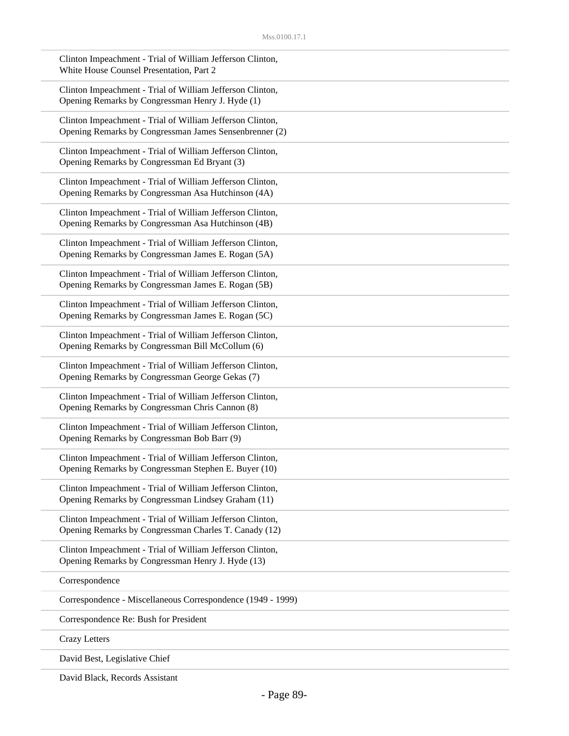| Clinton Impeachment - Trial of William Jefferson Clinton,<br>White House Counsel Presentation, Part 2               |
|---------------------------------------------------------------------------------------------------------------------|
| Clinton Impeachment - Trial of William Jefferson Clinton,<br>Opening Remarks by Congressman Henry J. Hyde (1)       |
| Clinton Impeachment - Trial of William Jefferson Clinton,<br>Opening Remarks by Congressman James Sensenbrenner (2) |
| Clinton Impeachment - Trial of William Jefferson Clinton,<br>Opening Remarks by Congressman Ed Bryant (3)           |
| Clinton Impeachment - Trial of William Jefferson Clinton,<br>Opening Remarks by Congressman Asa Hutchinson (4A)     |
| Clinton Impeachment - Trial of William Jefferson Clinton,<br>Opening Remarks by Congressman Asa Hutchinson (4B)     |
| Clinton Impeachment - Trial of William Jefferson Clinton,<br>Opening Remarks by Congressman James E. Rogan (5A)     |
| Clinton Impeachment - Trial of William Jefferson Clinton,<br>Opening Remarks by Congressman James E. Rogan (5B)     |
| Clinton Impeachment - Trial of William Jefferson Clinton,<br>Opening Remarks by Congressman James E. Rogan (5C)     |
| Clinton Impeachment - Trial of William Jefferson Clinton,<br>Opening Remarks by Congressman Bill McCollum (6)       |
| Clinton Impeachment - Trial of William Jefferson Clinton,<br>Opening Remarks by Congressman George Gekas (7)        |
| Clinton Impeachment - Trial of William Jefferson Clinton,<br>Opening Remarks by Congressman Chris Cannon (8)        |
| Clinton Impeachment - Trial of William Jefferson Clinton,<br>Opening Remarks by Congressman Bob Barr (9)            |
| Clinton Impeachment - Trial of William Jefferson Clinton,<br>Opening Remarks by Congressman Stephen E. Buyer (10)   |
| Clinton Impeachment - Trial of William Jefferson Clinton,<br>Opening Remarks by Congressman Lindsey Graham (11)     |
| Clinton Impeachment - Trial of William Jefferson Clinton,<br>Opening Remarks by Congressman Charles T. Canady (12)  |
| Clinton Impeachment - Trial of William Jefferson Clinton,<br>Opening Remarks by Congressman Henry J. Hyde (13)      |
| Correspondence                                                                                                      |
| Correspondence - Miscellaneous Correspondence (1949 - 1999)                                                         |
| Correspondence Re: Bush for President                                                                               |
| <b>Crazy Letters</b>                                                                                                |
| David Best, Legislative Chief                                                                                       |

David Black, Records Assistant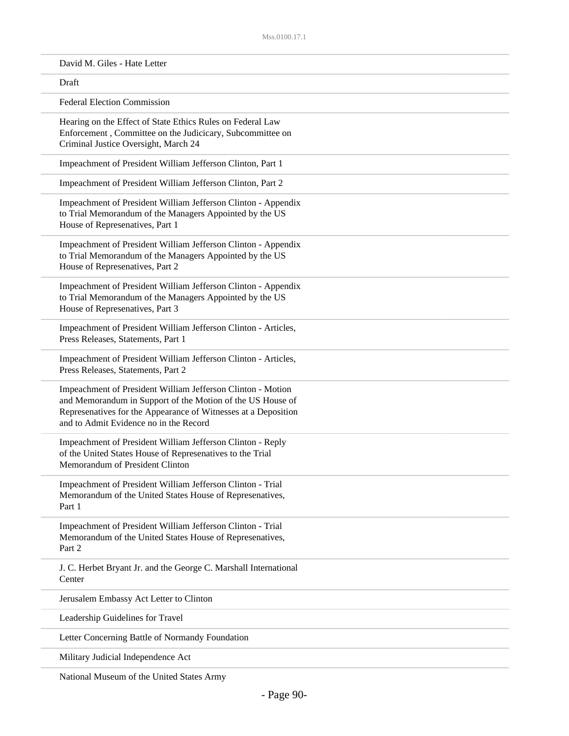| David M. Giles - Hate Letter                                                                                                                                                                                                          |  |
|---------------------------------------------------------------------------------------------------------------------------------------------------------------------------------------------------------------------------------------|--|
| Draft                                                                                                                                                                                                                                 |  |
| <b>Federal Election Commission</b>                                                                                                                                                                                                    |  |
| Hearing on the Effect of State Ethics Rules on Federal Law<br>Enforcement, Committee on the Judicicary, Subcommittee on<br>Criminal Justice Oversight, March 24                                                                       |  |
| Impeachment of President William Jefferson Clinton, Part 1                                                                                                                                                                            |  |
| Impeachment of President William Jefferson Clinton, Part 2                                                                                                                                                                            |  |
| Impeachment of President William Jefferson Clinton - Appendix<br>to Trial Memorandum of the Managers Appointed by the US<br>House of Represenatives, Part 1                                                                           |  |
| Impeachment of President William Jefferson Clinton - Appendix<br>to Trial Memorandum of the Managers Appointed by the US<br>House of Represenatives, Part 2                                                                           |  |
| Impeachment of President William Jefferson Clinton - Appendix<br>to Trial Memorandum of the Managers Appointed by the US<br>House of Represenatives, Part 3                                                                           |  |
| Impeachment of President William Jefferson Clinton - Articles,<br>Press Releases, Statements, Part 1                                                                                                                                  |  |
| Impeachment of President William Jefferson Clinton - Articles,<br>Press Releases, Statements, Part 2                                                                                                                                  |  |
| Impeachment of President William Jefferson Clinton - Motion<br>and Memorandum in Support of the Motion of the US House of<br>Represenatives for the Appearance of Witnesses at a Deposition<br>and to Admit Evidence no in the Record |  |
| Impeachment of President William Jefferson Clinton - Reply<br>of the United States House of Represenatives to the Trial<br>Memorandum of President Clinton                                                                            |  |
| Impeachment of President William Jefferson Clinton - Trial<br>Memorandum of the United States House of Represenatives,<br>Part 1                                                                                                      |  |
| Impeachment of President William Jefferson Clinton - Trial<br>Memorandum of the United States House of Represenatives,<br>Part 2                                                                                                      |  |
| J. C. Herbet Bryant Jr. and the George C. Marshall International<br>Center                                                                                                                                                            |  |
| Jerusalem Embassy Act Letter to Clinton                                                                                                                                                                                               |  |
| Leadership Guidelines for Travel                                                                                                                                                                                                      |  |
| Letter Concerning Battle of Normandy Foundation                                                                                                                                                                                       |  |
| Military Judicial Independence Act                                                                                                                                                                                                    |  |

National Museum of the United States Army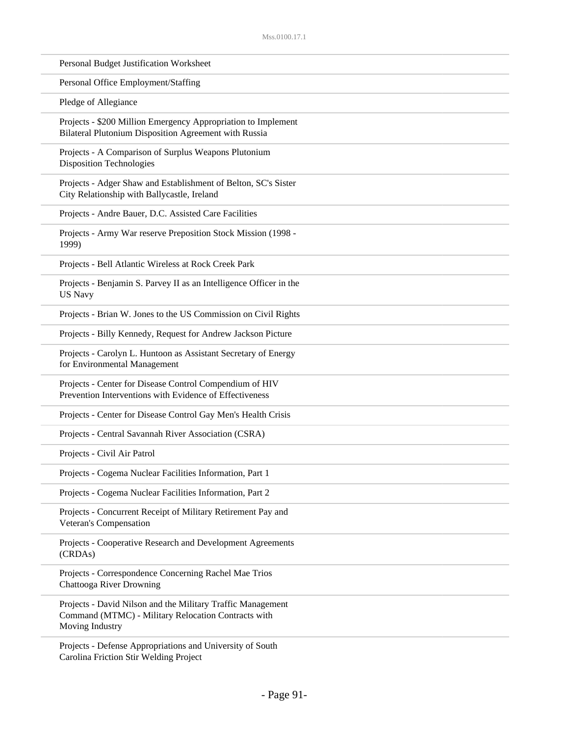| Personal Budget Justification Worksheet                                                                                               |  |
|---------------------------------------------------------------------------------------------------------------------------------------|--|
| Personal Office Employment/Staffing                                                                                                   |  |
| Pledge of Allegiance                                                                                                                  |  |
| Projects - \$200 Million Emergency Appropriation to Implement<br>Bilateral Plutonium Disposition Agreement with Russia                |  |
| Projects - A Comparison of Surplus Weapons Plutonium<br><b>Disposition Technologies</b>                                               |  |
| Projects - Adger Shaw and Establishment of Belton, SC's Sister<br>City Relationship with Ballycastle, Ireland                         |  |
| Projects - Andre Bauer, D.C. Assisted Care Facilities                                                                                 |  |
| Projects - Army War reserve Preposition Stock Mission (1998 -<br>1999)                                                                |  |
| Projects - Bell Atlantic Wireless at Rock Creek Park                                                                                  |  |
| Projects - Benjamin S. Parvey II as an Intelligence Officer in the<br><b>US Navy</b>                                                  |  |
| Projects - Brian W. Jones to the US Commission on Civil Rights                                                                        |  |
| Projects - Billy Kennedy, Request for Andrew Jackson Picture                                                                          |  |
| Projects - Carolyn L. Huntoon as Assistant Secretary of Energy<br>for Environmental Management                                        |  |
| Projects - Center for Disease Control Compendium of HIV<br>Prevention Interventions with Evidence of Effectiveness                    |  |
| Projects - Center for Disease Control Gay Men's Health Crisis                                                                         |  |
| Projects - Central Savannah River Association (CSRA)                                                                                  |  |
| Projects - Civil Air Patrol                                                                                                           |  |
| Projects - Cogema Nuclear Facilities Information, Part 1                                                                              |  |
| Projects - Cogema Nuclear Facilities Information, Part 2                                                                              |  |
| Projects - Concurrent Receipt of Military Retirement Pay and<br>Veteran's Compensation                                                |  |
| Projects - Cooperative Research and Development Agreements<br>(CRDAs)                                                                 |  |
| Projects - Correspondence Concerning Rachel Mae Trios<br><b>Chattooga River Drowning</b>                                              |  |
| Projects - David Nilson and the Military Traffic Management<br>Command (MTMC) - Military Relocation Contracts with<br>Moving Industry |  |
| Projects - Defense Appropriations and University of South                                                                             |  |

Carolina Friction Stir Welding Project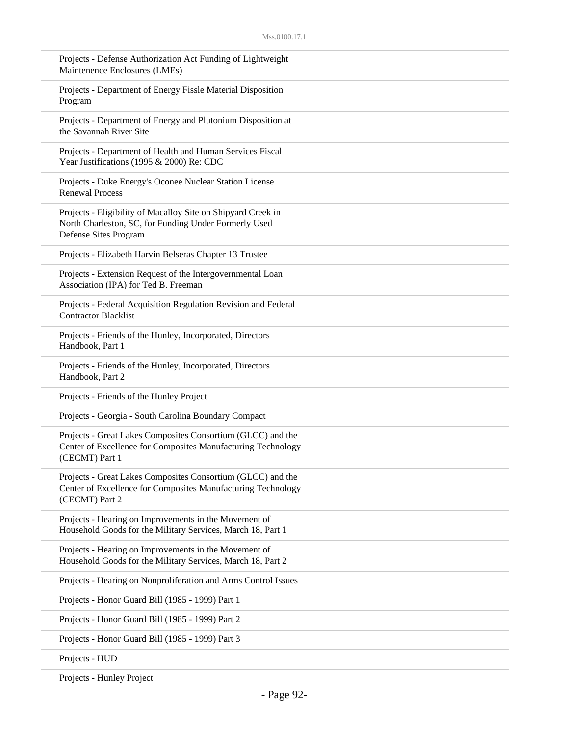| Projects - Defense Authorization Act Funding of Lightweight<br>Maintenence Enclosures (LMEs)                                                   |
|------------------------------------------------------------------------------------------------------------------------------------------------|
| Projects - Department of Energy Fissle Material Disposition<br>Program                                                                         |
| Projects - Department of Energy and Plutonium Disposition at<br>the Savannah River Site                                                        |
| Projects - Department of Health and Human Services Fiscal<br>Year Justifications (1995 & 2000) Re: CDC                                         |
| Projects - Duke Energy's Oconee Nuclear Station License<br><b>Renewal Process</b>                                                              |
| Projects - Eligibility of Macalloy Site on Shipyard Creek in<br>North Charleston, SC, for Funding Under Formerly Used<br>Defense Sites Program |
| Projects - Elizabeth Harvin Belseras Chapter 13 Trustee                                                                                        |
| Projects - Extension Request of the Intergovernmental Loan<br>Association (IPA) for Ted B. Freeman                                             |
| Projects - Federal Acquisition Regulation Revision and Federal<br><b>Contractor Blacklist</b>                                                  |
| Projects - Friends of the Hunley, Incorporated, Directors<br>Handbook, Part 1                                                                  |
| Projects - Friends of the Hunley, Incorporated, Directors<br>Handbook, Part 2                                                                  |
| Projects - Friends of the Hunley Project                                                                                                       |
| Projects - Georgia - South Carolina Boundary Compact                                                                                           |
| Projects - Great Lakes Composites Consortium (GLCC) and the<br>Center of Excellence for Composites Manufacturing Technology<br>(CECMT) Part 1  |
| Projects - Great Lakes Composites Consortium (GLCC) and the<br>Center of Excellence for Composites Manufacturing Technology<br>(CECMT) Part 2  |
| Projects - Hearing on Improvements in the Movement of<br>Household Goods for the Military Services, March 18, Part 1                           |
| Projects - Hearing on Improvements in the Movement of<br>Household Goods for the Military Services, March 18, Part 2                           |
| Projects - Hearing on Nonproliferation and Arms Control Issues                                                                                 |
| Projects - Honor Guard Bill (1985 - 1999) Part 1                                                                                               |
| Projects - Honor Guard Bill (1985 - 1999) Part 2                                                                                               |
| Projects - Honor Guard Bill (1985 - 1999) Part 3                                                                                               |
| Projects - HUD                                                                                                                                 |

Projects - Hunley Project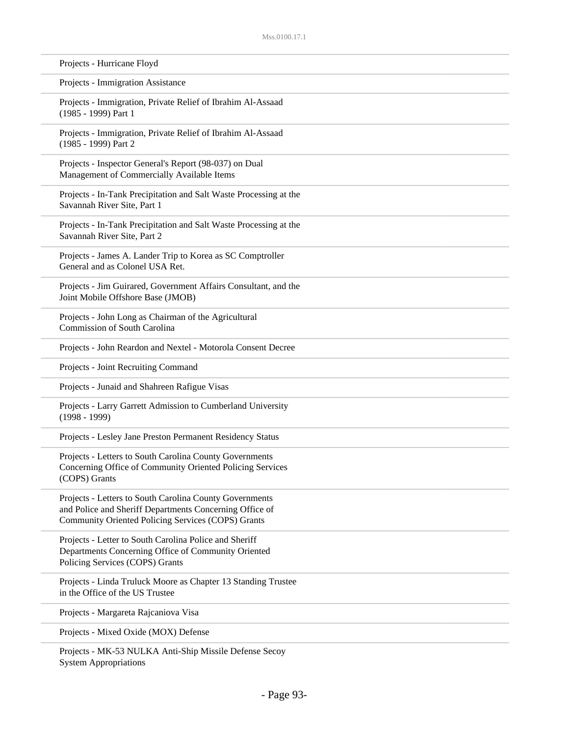| Projects - Hurricane Floyd                                                                                                                                               |
|--------------------------------------------------------------------------------------------------------------------------------------------------------------------------|
| Projects - Immigration Assistance                                                                                                                                        |
| Projects - Immigration, Private Relief of Ibrahim Al-Assaad<br>(1985 - 1999) Part 1                                                                                      |
| Projects - Immigration, Private Relief of Ibrahim Al-Assaad<br>(1985 - 1999) Part 2                                                                                      |
| Projects - Inspector General's Report (98-037) on Dual<br>Management of Commercially Available Items                                                                     |
| Projects - In-Tank Precipitation and Salt Waste Processing at the<br>Savannah River Site, Part 1                                                                         |
| Projects - In-Tank Precipitation and Salt Waste Processing at the<br>Savannah River Site, Part 2                                                                         |
| Projects - James A. Lander Trip to Korea as SC Comptroller<br>General and as Colonel USA Ret.                                                                            |
| Projects - Jim Guirared, Government Affairs Consultant, and the<br>Joint Mobile Offshore Base (JMOB)                                                                     |
| Projects - John Long as Chairman of the Agricultural<br><b>Commission of South Carolina</b>                                                                              |
| Projects - John Reardon and Nextel - Motorola Consent Decree                                                                                                             |
| Projects - Joint Recruiting Command                                                                                                                                      |
| Projects - Junaid and Shahreen Rafigue Visas                                                                                                                             |
| Projects - Larry Garrett Admission to Cumberland University<br>$(1998 - 1999)$                                                                                           |
| Projects - Lesley Jane Preston Permanent Residency Status                                                                                                                |
| Projects - Letters to South Carolina County Governments<br>Concerning Office of Community Oriented Policing Services<br>(COPS) Grants                                    |
| Projects - Letters to South Carolina County Governments<br>and Police and Sheriff Departments Concerning Office of<br>Community Oriented Policing Services (COPS) Grants |
| Projects - Letter to South Carolina Police and Sheriff<br>Departments Concerning Office of Community Oriented<br>Policing Services (COPS) Grants                         |
| Projects - Linda Truluck Moore as Chapter 13 Standing Trustee<br>in the Office of the US Trustee                                                                         |
| Projects - Margareta Rajcaniova Visa                                                                                                                                     |
| Projects - Mixed Oxide (MOX) Defense                                                                                                                                     |
| MIZ COMBITZA A  01. ALCOHOL D.C.                                                                                                                                         |

Projects - MK-53 NULKA Anti-Ship Missile Defense Secoy System Appropriations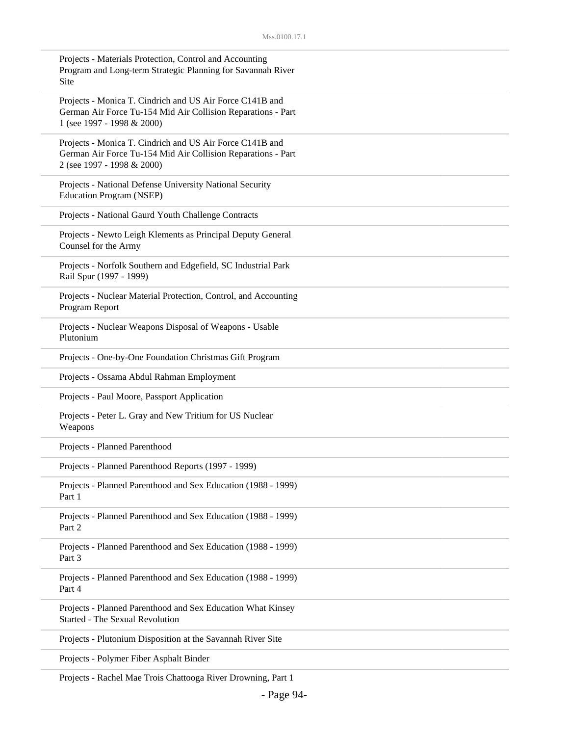| Projects - Materials Protection, Control and Accounting<br>Program and Long-term Strategic Planning for Savannah River<br>Site                         |
|--------------------------------------------------------------------------------------------------------------------------------------------------------|
| Projects - Monica T. Cindrich and US Air Force C141B and<br>German Air Force Tu-154 Mid Air Collision Reparations - Part<br>1 (see 1997 - 1998 & 2000) |
| Projects - Monica T. Cindrich and US Air Force C141B and<br>German Air Force Tu-154 Mid Air Collision Reparations - Part<br>2 (see 1997 - 1998 & 2000) |
| Projects - National Defense University National Security<br>Education Program (NSEP)                                                                   |
| Projects - National Gaurd Youth Challenge Contracts                                                                                                    |
| Projects - Newto Leigh Klements as Principal Deputy General<br>Counsel for the Army                                                                    |
| Projects - Norfolk Southern and Edgefield, SC Industrial Park<br>Rail Spur (1997 - 1999)                                                               |
| Projects - Nuclear Material Protection, Control, and Accounting<br>Program Report                                                                      |
| Projects - Nuclear Weapons Disposal of Weapons - Usable<br>Plutonium                                                                                   |
| Projects - One-by-One Foundation Christmas Gift Program                                                                                                |
| Projects - Ossama Abdul Rahman Employment                                                                                                              |
| Projects - Paul Moore, Passport Application                                                                                                            |
| Projects - Peter L. Gray and New Tritium for US Nuclear<br>Weapons                                                                                     |
| Projects - Planned Parenthood                                                                                                                          |
| Projects - Planned Parenthood Reports (1997 - 1999)                                                                                                    |
| Projects - Planned Parenthood and Sex Education (1988 - 1999)<br>Part 1                                                                                |
| Projects - Planned Parenthood and Sex Education (1988 - 1999)<br>Part 2                                                                                |
| Projects - Planned Parenthood and Sex Education (1988 - 1999)<br>Part 3                                                                                |
| Projects - Planned Parenthood and Sex Education (1988 - 1999)<br>Part 4                                                                                |
| Projects - Planned Parenthood and Sex Education What Kinsey<br>Started - The Sexual Revolution                                                         |
| Projects - Plutonium Disposition at the Savannah River Site                                                                                            |
| Projects - Polymer Fiber Asphalt Binder                                                                                                                |
|                                                                                                                                                        |

Projects - Rachel Mae Trois Chattooga River Drowning, Part 1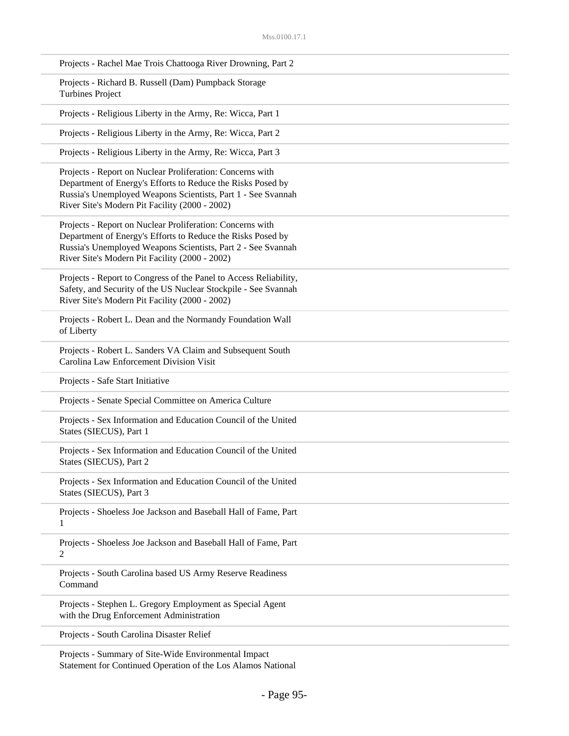|   | Projects - Rachel Mae Trois Chattooga River Drowning, Part 2                                                                                                                                                                               |
|---|--------------------------------------------------------------------------------------------------------------------------------------------------------------------------------------------------------------------------------------------|
|   | Projects - Richard B. Russell (Dam) Pumpback Storage<br><b>Turbines Project</b>                                                                                                                                                            |
|   | Projects - Religious Liberty in the Army, Re: Wicca, Part 1                                                                                                                                                                                |
|   | Projects - Religious Liberty in the Army, Re: Wicca, Part 2                                                                                                                                                                                |
|   | Projects - Religious Liberty in the Army, Re: Wicca, Part 3                                                                                                                                                                                |
|   | Projects - Report on Nuclear Proliferation: Concerns with<br>Department of Energy's Efforts to Reduce the Risks Posed by<br>Russia's Unemployed Weapons Scientists, Part 1 - See Svannah<br>River Site's Modern Pit Facility (2000 - 2002) |
|   | Projects - Report on Nuclear Proliferation: Concerns with<br>Department of Energy's Efforts to Reduce the Risks Posed by<br>Russia's Unemployed Weapons Scientists, Part 2 - See Svannah<br>River Site's Modern Pit Facility (2000 - 2002) |
|   | Projects - Report to Congress of the Panel to Access Reliability,<br>Safety, and Security of the US Nuclear Stockpile - See Svannah<br>River Site's Modern Pit Facility (2000 - 2002)                                                      |
|   | Projects - Robert L. Dean and the Normandy Foundation Wall<br>of Liberty                                                                                                                                                                   |
|   | Projects - Robert L. Sanders VA Claim and Subsequent South<br>Carolina Law Enforcement Division Visit                                                                                                                                      |
|   | Projects - Safe Start Initiative                                                                                                                                                                                                           |
|   | Projects - Senate Special Committee on America Culture                                                                                                                                                                                     |
|   | Projects - Sex Information and Education Council of the United<br>States (SIECUS), Part 1                                                                                                                                                  |
|   | Projects - Sex Information and Education Council of the United<br>States (SIECUS), Part 2                                                                                                                                                  |
|   | Projects - Sex Information and Education Council of the United<br>States (SIECUS), Part 3                                                                                                                                                  |
| 1 | Projects - Shoeless Joe Jackson and Baseball Hall of Fame, Part                                                                                                                                                                            |
| 2 | Projects - Shoeless Joe Jackson and Baseball Hall of Fame, Part                                                                                                                                                                            |
|   | Projects - South Carolina based US Army Reserve Readiness<br>Command                                                                                                                                                                       |
|   | Projects - Stephen L. Gregory Employment as Special Agent<br>with the Drug Enforcement Administration                                                                                                                                      |
|   | Projects - South Carolina Disaster Relief                                                                                                                                                                                                  |

Projects - Summary of Site-Wide Environmental Impact Statement for Continued Operation of the Los Alamos National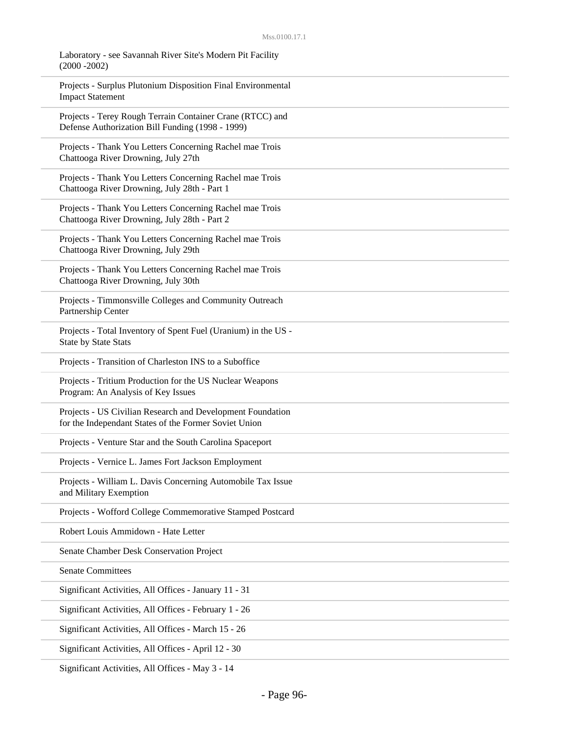Laboratory - see Savannah River Site's Modern Pit Facility (2000 -2002)

Projects - Surplus Plutonium Disposition Final Environmental Impact Statement

Projects - Terey Rough Terrain Container Crane (RTCC) and Defense Authorization Bill Funding (1998 - 1999)

Projects - Thank You Letters Concerning Rachel mae Trois Chattooga River Drowning, July 27th

Projects - Thank You Letters Concerning Rachel mae Trois Chattooga River Drowning, July 28th - Part 1

Projects - Thank You Letters Concerning Rachel mae Trois Chattooga River Drowning, July 28th - Part 2

Projects - Thank You Letters Concerning Rachel mae Trois Chattooga River Drowning, July 29th

Projects - Thank You Letters Concerning Rachel mae Trois Chattooga River Drowning, July 30th

Projects - Timmonsville Colleges and Community Outreach Partnership Center

Projects - Total Inventory of Spent Fuel (Uranium) in the US - State by State Stats

Projects - Transition of Charleston INS to a Suboffice

Projects - Tritium Production for the US Nuclear Weapons Program: An Analysis of Key Issues

Projects - US Civilian Research and Development Foundation for the Independant States of the Former Soviet Union

Projects - Venture Star and the South Carolina Spaceport

Projects - Vernice L. James Fort Jackson Employment

Projects - William L. Davis Concerning Automobile Tax Issue and Military Exemption

Projects - Wofford College Commemorative Stamped Postcard

Robert Louis Ammidown - Hate Letter

Senate Chamber Desk Conservation Project

Senate Committees

Significant Activities, All Offices - January 11 - 31

Significant Activities, All Offices - February 1 - 26

Significant Activities, All Offices - March 15 - 26

Significant Activities, All Offices - April 12 - 30

Significant Activities, All Offices - May 3 - 14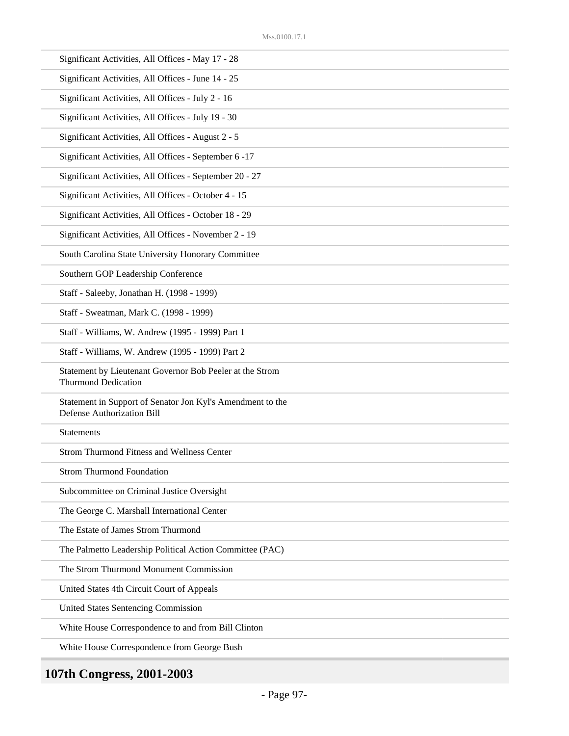| Significant Activities, All Offices - May 17 - 28                                               |
|-------------------------------------------------------------------------------------------------|
| Significant Activities, All Offices - June 14 - 25                                              |
| Significant Activities, All Offices - July 2 - 16                                               |
| Significant Activities, All Offices - July 19 - 30                                              |
| Significant Activities, All Offices - August 2 - 5                                              |
| Significant Activities, All Offices - September 6 -17                                           |
| Significant Activities, All Offices - September 20 - 27                                         |
| Significant Activities, All Offices - October 4 - 15                                            |
| Significant Activities, All Offices - October 18 - 29                                           |
| Significant Activities, All Offices - November 2 - 19                                           |
| South Carolina State University Honorary Committee                                              |
| Southern GOP Leadership Conference                                                              |
| Staff - Saleeby, Jonathan H. (1998 - 1999)                                                      |
| Staff - Sweatman, Mark C. (1998 - 1999)                                                         |
| Staff - Williams, W. Andrew (1995 - 1999) Part 1                                                |
| Staff - Williams, W. Andrew (1995 - 1999) Part 2                                                |
| Statement by Lieutenant Governor Bob Peeler at the Strom<br><b>Thurmond Dedication</b>          |
| Statement in Support of Senator Jon Kyl's Amendment to the<br><b>Defense Authorization Bill</b> |
| <b>Statements</b>                                                                               |
| <b>Strom Thurmond Fitness and Wellness Center</b>                                               |
| <b>Strom Thurmond Foundation</b>                                                                |
| Subcommittee on Criminal Justice Oversight                                                      |
| The George C. Marshall International Center                                                     |
| The Estate of James Strom Thurmond                                                              |
| The Palmetto Leadership Political Action Committee (PAC)                                        |
| The Strom Thurmond Monument Commission                                                          |
| United States 4th Circuit Court of Appeals                                                      |
| <b>United States Sentencing Commission</b>                                                      |
| White House Correspondence to and from Bill Clinton                                             |
| White House Correspondence from George Bush                                                     |
|                                                                                                 |

# **107th Congress, 2001-2003**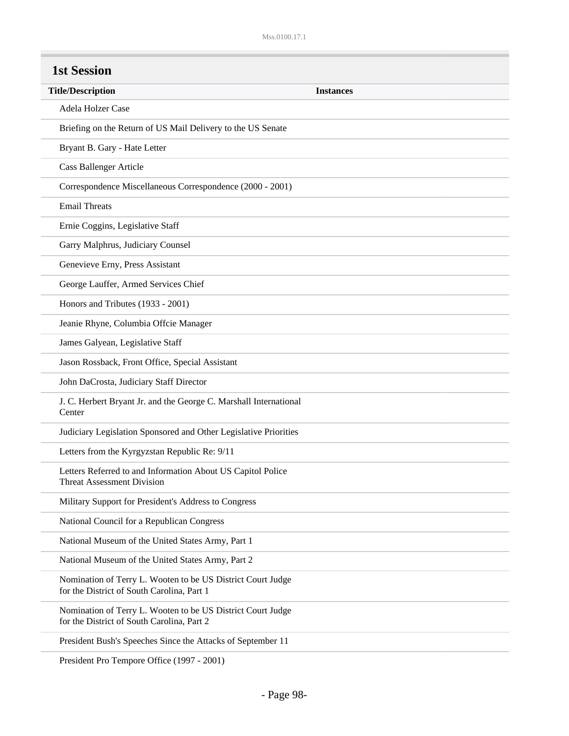| <b>Title/Description</b>                                                                                  | <b>Instances</b> |
|-----------------------------------------------------------------------------------------------------------|------------------|
| Adela Holzer Case                                                                                         |                  |
| Briefing on the Return of US Mail Delivery to the US Senate                                               |                  |
| Bryant B. Gary - Hate Letter                                                                              |                  |
| <b>Cass Ballenger Article</b>                                                                             |                  |
| Correspondence Miscellaneous Correspondence (2000 - 2001)                                                 |                  |
| <b>Email Threats</b>                                                                                      |                  |
| Ernie Coggins, Legislative Staff                                                                          |                  |
| Garry Malphrus, Judiciary Counsel                                                                         |                  |
| Genevieve Erny, Press Assistant                                                                           |                  |
| George Lauffer, Armed Services Chief                                                                      |                  |
| Honors and Tributes (1933 - 2001)                                                                         |                  |
| Jeanie Rhyne, Columbia Offcie Manager                                                                     |                  |
| James Galyean, Legislative Staff                                                                          |                  |
| Jason Rossback, Front Office, Special Assistant                                                           |                  |
| John DaCrosta, Judiciary Staff Director                                                                   |                  |
| J. C. Herbert Bryant Jr. and the George C. Marshall International<br>Center                               |                  |
| Judiciary Legislation Sponsored and Other Legislative Priorities                                          |                  |
| Letters from the Kyrgyzstan Republic Re: 9/11                                                             |                  |
| Letters Referred to and Information About US Capitol Police<br><b>Threat Assessment Division</b>          |                  |
| Military Support for President's Address to Congress                                                      |                  |
| National Council for a Republican Congress                                                                |                  |
| National Museum of the United States Army, Part 1                                                         |                  |
| National Museum of the United States Army, Part 2                                                         |                  |
| Nomination of Terry L. Wooten to be US District Court Judge<br>for the District of South Carolina, Part 1 |                  |
| Nomination of Terry L. Wooten to be US District Court Judge<br>for the District of South Carolina, Part 2 |                  |
| President Bush's Speeches Since the Attacks of September 11                                               |                  |

President Pro Tempore Office (1997 - 2001)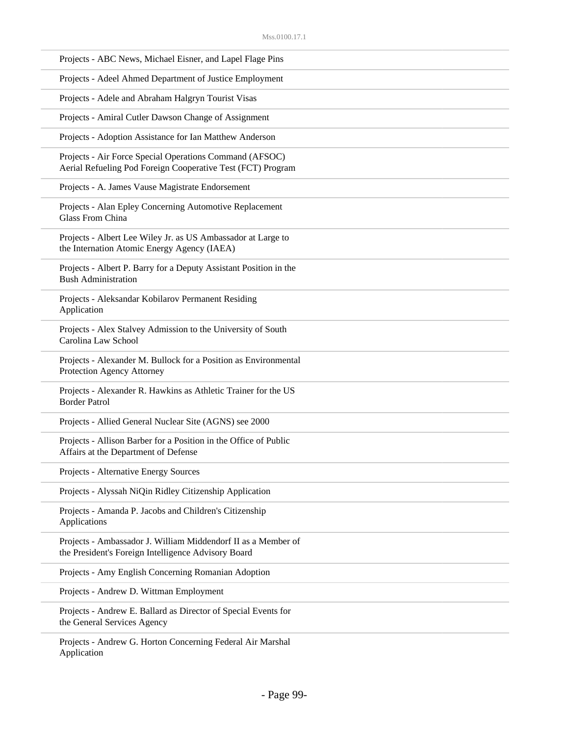| Projects - ABC News, Michael Eisner, and Lapel Flage Pins                                                              |
|------------------------------------------------------------------------------------------------------------------------|
| Projects - Adeel Ahmed Department of Justice Employment                                                                |
| Projects - Adele and Abraham Halgryn Tourist Visas                                                                     |
| Projects - Amiral Cutler Dawson Change of Assignment                                                                   |
| Projects - Adoption Assistance for Ian Matthew Anderson                                                                |
| Projects - Air Force Special Operations Command (AFSOC)<br>Aerial Refueling Pod Foreign Cooperative Test (FCT) Program |
| Projects - A. James Vause Magistrate Endorsement                                                                       |
| Projects - Alan Epley Concerning Automotive Replacement<br><b>Glass From China</b>                                     |
| Projects - Albert Lee Wiley Jr. as US Ambassador at Large to<br>the Internation Atomic Energy Agency (IAEA)            |
| Projects - Albert P. Barry for a Deputy Assistant Position in the<br><b>Bush Administration</b>                        |
| Projects - Aleksandar Kobilarov Permanent Residing<br>Application                                                      |
| Projects - Alex Stalvey Admission to the University of South<br>Carolina Law School                                    |
| Projects - Alexander M. Bullock for a Position as Environmental<br>Protection Agency Attorney                          |
| Projects - Alexander R. Hawkins as Athletic Trainer for the US<br><b>Border Patrol</b>                                 |
| Projects - Allied General Nuclear Site (AGNS) see 2000                                                                 |
| Projects - Allison Barber for a Position in the Office of Public<br>Affairs at the Department of Defense               |
| Projects - Alternative Energy Sources                                                                                  |
| Projects - Alyssah NiQin Ridley Citizenship Application                                                                |
| Projects - Amanda P. Jacobs and Children's Citizenship<br>Applications                                                 |
| Projects - Ambassador J. William Middendorf II as a Member of<br>the President's Foreign Intelligence Advisory Board   |
| Projects - Amy English Concerning Romanian Adoption                                                                    |
| Projects - Andrew D. Wittman Employment                                                                                |
| Projects - Andrew E. Ballard as Director of Special Events for<br>the General Services Agency                          |
| Projects - Andrew G. Horton Concerning Federal Air Marshal<br>Application                                              |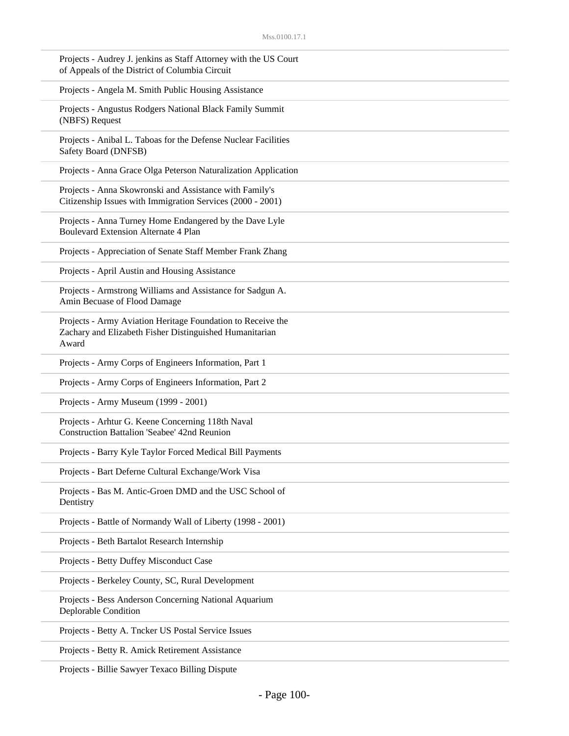| Projects - Audrey J. jenkins as Staff Attorney with the US Court<br>of Appeals of the District of Columbia Circuit              |
|---------------------------------------------------------------------------------------------------------------------------------|
| Projects - Angela M. Smith Public Housing Assistance                                                                            |
| Projects - Angustus Rodgers National Black Family Summit<br>(NBFS) Request                                                      |
| Projects - Anibal L. Taboas for the Defense Nuclear Facilities<br>Safety Board (DNFSB)                                          |
| Projects - Anna Grace Olga Peterson Naturalization Application                                                                  |
| Projects - Anna Skowronski and Assistance with Family's<br>Citizenship Issues with Immigration Services (2000 - 2001)           |
| Projects - Anna Turney Home Endangered by the Dave Lyle<br><b>Boulevard Extension Alternate 4 Plan</b>                          |
| Projects - Appreciation of Senate Staff Member Frank Zhang                                                                      |
| Projects - April Austin and Housing Assistance                                                                                  |
| Projects - Armstrong Williams and Assistance for Sadgun A.<br>Amin Becuase of Flood Damage                                      |
| Projects - Army Aviation Heritage Foundation to Receive the<br>Zachary and Elizabeth Fisher Distinguished Humanitarian<br>Award |
| Projects - Army Corps of Engineers Information, Part 1                                                                          |
| Projects - Army Corps of Engineers Information, Part 2                                                                          |
| Projects - Army Museum (1999 - 2001)                                                                                            |
| Projects - Arhtur G. Keene Concerning 118th Naval<br><b>Construction Battalion 'Seabee' 42nd Reunion</b>                        |
| Projects - Barry Kyle Taylor Forced Medical Bill Payments                                                                       |
| Projects - Bart Deferne Cultural Exchange/Work Visa                                                                             |
| Projects - Bas M. Antic-Groen DMD and the USC School of<br>Dentistry                                                            |
| Projects - Battle of Normandy Wall of Liberty (1998 - 2001)                                                                     |
| Projects - Beth Bartalot Research Internship                                                                                    |
| Projects - Betty Duffey Misconduct Case                                                                                         |
| Projects - Berkeley County, SC, Rural Development                                                                               |
| Projects - Bess Anderson Concerning National Aquarium<br>Deplorable Condition                                                   |
| Projects - Betty A. Tncker US Postal Service Issues                                                                             |
| Projects - Betty R. Amick Retirement Assistance                                                                                 |

Projects - Billie Sawyer Texaco Billing Dispute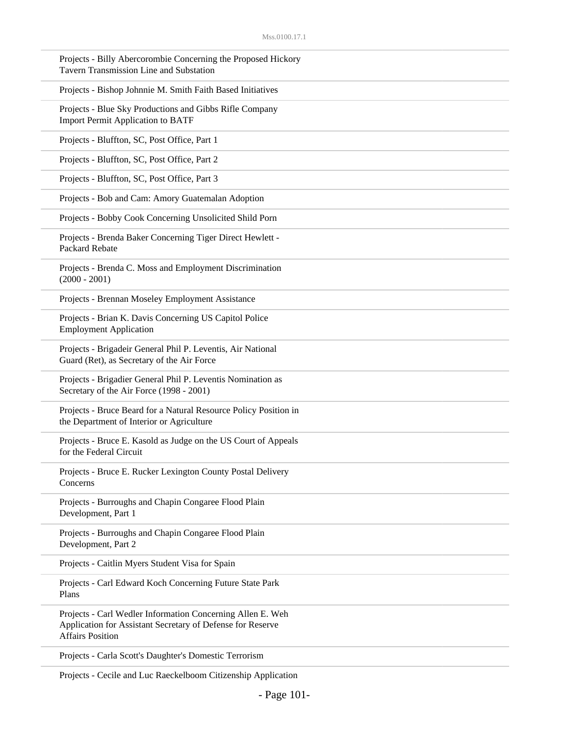| Projects - Billy Abercorombie Concerning the Proposed Hickory<br>Tavern Transmission Line and Substation                                            |
|-----------------------------------------------------------------------------------------------------------------------------------------------------|
| Projects - Bishop Johnnie M. Smith Faith Based Initiatives                                                                                          |
| Projects - Blue Sky Productions and Gibbs Rifle Company<br><b>Import Permit Application to BATF</b>                                                 |
| Projects - Bluffton, SC, Post Office, Part 1                                                                                                        |
| Projects - Bluffton, SC, Post Office, Part 2                                                                                                        |
| Projects - Bluffton, SC, Post Office, Part 3                                                                                                        |
| Projects - Bob and Cam: Amory Guatemalan Adoption                                                                                                   |
| Projects - Bobby Cook Concerning Unsolicited Shild Porn                                                                                             |
| Projects - Brenda Baker Concerning Tiger Direct Hewlett -<br>Packard Rebate                                                                         |
| Projects - Brenda C. Moss and Employment Discrimination<br>$(2000 - 2001)$                                                                          |
| Projects - Brennan Moseley Employment Assistance                                                                                                    |
| Projects - Brian K. Davis Concerning US Capitol Police<br><b>Employment Application</b>                                                             |
| Projects - Brigadeir General Phil P. Leventis, Air National<br>Guard (Ret), as Secretary of the Air Force                                           |
| Projects - Brigadier General Phil P. Leventis Nomination as<br>Secretary of the Air Force (1998 - 2001)                                             |
| Projects - Bruce Beard for a Natural Resource Policy Position in<br>the Department of Interior or Agriculture                                       |
| Projects - Bruce E. Kasold as Judge on the US Court of Appeals<br>for the Federal Circuit                                                           |
| Projects - Bruce E. Rucker Lexington County Postal Delivery<br>Concerns                                                                             |
| Projects - Burroughs and Chapin Congaree Flood Plain<br>Development, Part 1                                                                         |
| Projects - Burroughs and Chapin Congaree Flood Plain<br>Development, Part 2                                                                         |
| Projects - Caitlin Myers Student Visa for Spain                                                                                                     |
| Projects - Carl Edward Koch Concerning Future State Park<br>Plans                                                                                   |
| Projects - Carl Wedler Information Concerning Allen E. Weh<br>Application for Assistant Secretary of Defense for Reserve<br><b>Affairs Position</b> |
| Projects - Carla Scott's Daughter's Domestic Terrorism                                                                                              |
|                                                                                                                                                     |

Projects - Cecile and Luc Raeckelboom Citizenship Application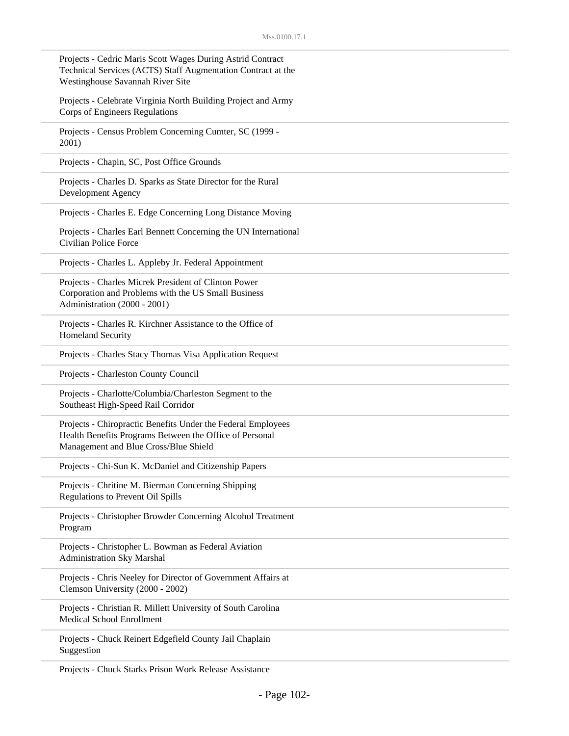| Projects - Cedric Maris Scott Wages During Astrid Contract<br>Technical Services (ACTS) Staff Augmentation Contract at the<br>Westinghouse Savannah River Site   |
|------------------------------------------------------------------------------------------------------------------------------------------------------------------|
| Projects - Celebrate Virginia North Building Project and Army<br>Corps of Engineers Regulations                                                                  |
| Projects - Census Problem Concerning Cumter, SC (1999 -<br>2001)                                                                                                 |
| Projects - Chapin, SC, Post Office Grounds                                                                                                                       |
| Projects - Charles D. Sparks as State Director for the Rural<br>Development Agency                                                                               |
| Projects - Charles E. Edge Concerning Long Distance Moving                                                                                                       |
| Projects - Charles Earl Bennett Concerning the UN International<br><b>Civilian Police Force</b>                                                                  |
| Projects - Charles L. Appleby Jr. Federal Appointment                                                                                                            |
| Projects - Charles Micrek President of Clinton Power<br>Corporation and Problems with the US Small Business<br>Administration (2000 - 2001)                      |
| Projects - Charles R. Kirchner Assistance to the Office of<br>Homeland Security                                                                                  |
| Projects - Charles Stacy Thomas Visa Application Request                                                                                                         |
| Projects - Charleston County Council                                                                                                                             |
| Projects - Charlotte/Columbia/Charleston Segment to the<br>Southeast High-Speed Rail Corridor                                                                    |
| Projects - Chiropractic Benefits Under the Federal Employees<br>Health Benefits Programs Between the Office of Personal<br>Management and Blue Cross/Blue Shield |
| Projects - Chi-Sun K. McDaniel and Citizenship Papers                                                                                                            |
| Projects - Chritine M. Bierman Concerning Shipping<br>Regulations to Prevent Oil Spills                                                                          |
| Projects - Christopher Browder Concerning Alcohol Treatment<br>Program                                                                                           |
| Projects - Christopher L. Bowman as Federal Aviation<br><b>Administration Sky Marshal</b>                                                                        |
| Projects - Chris Neeley for Director of Government Affairs at<br>Clemson University (2000 - 2002)                                                                |
| Projects - Christian R. Millett University of South Carolina<br>Medical School Enrollment                                                                        |
| Projects - Chuck Reinert Edgefield County Jail Chaplain<br>Suggestion                                                                                            |
| Projects - Chuck Starks Prison Work Release Assistance                                                                                                           |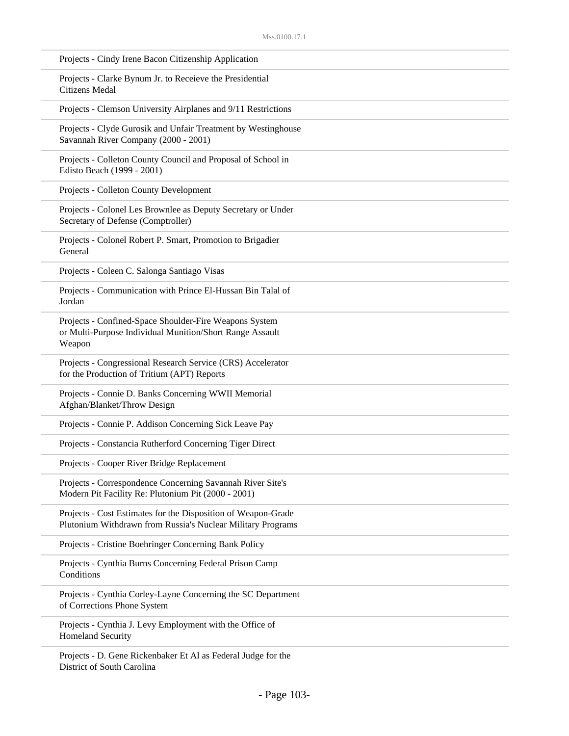| Projects - Cindy Irene Bacon Citizenship Application                                                                         |
|------------------------------------------------------------------------------------------------------------------------------|
| Projects - Clarke Bynum Jr. to Receieve the Presidential<br>Citizens Medal                                                   |
| Projects - Clemson University Airplanes and 9/11 Restrictions                                                                |
| Projects - Clyde Gurosik and Unfair Treatment by Westinghouse<br>Savannah River Company (2000 - 2001)                        |
| Projects - Colleton County Council and Proposal of School in<br>Edisto Beach (1999 - 2001)                                   |
| Projects - Colleton County Development                                                                                       |
| Projects - Colonel Les Brownlee as Deputy Secretary or Under<br>Secretary of Defense (Comptroller)                           |
| Projects - Colonel Robert P. Smart, Promotion to Brigadier<br>General                                                        |
| Projects - Coleen C. Salonga Santiago Visas                                                                                  |
| Projects - Communication with Prince El-Hussan Bin Talal of<br>Jordan                                                        |
| Projects - Confined-Space Shoulder-Fire Weapons System<br>or Multi-Purpose Individual Munition/Short Range Assault<br>Weapon |
| Projects - Congressional Research Service (CRS) Accelerator<br>for the Production of Tritium (APT) Reports                   |
| Projects - Connie D. Banks Concerning WWII Memorial<br>Afghan/Blanket/Throw Design                                           |
| Projects - Connie P. Addison Concerning Sick Leave Pay                                                                       |
| Projects - Constancia Rutherford Concerning Tiger Direct                                                                     |
| Projects - Cooper River Bridge Replacement                                                                                   |
| Projects - Correspondence Concerning Savannah River Site's<br>Modern Pit Facility Re: Plutonium Pit (2000 - 2001)            |
| Projects - Cost Estimates for the Disposition of Weapon-Grade<br>Plutonium Withdrawn from Russia's Nuclear Military Programs |
| Projects - Cristine Boehringer Concerning Bank Policy                                                                        |
| Projects - Cynthia Burns Concerning Federal Prison Camp<br>Conditions                                                        |
| Projects - Cynthia Corley-Layne Concerning the SC Department<br>of Corrections Phone System                                  |
| Projects - Cynthia J. Levy Employment with the Office of<br>Homeland Security                                                |
| Projects - D. Gene Rickenbaker Et Al as Federal Judge for the                                                                |

District of South Carolina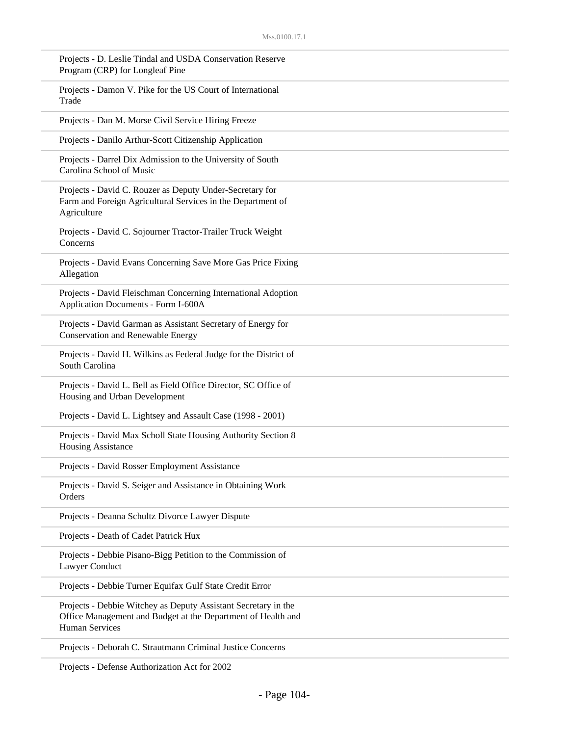| Projects - D. Leslie Tindal and USDA Conservation Reserve<br>Program (CRP) for Longleaf Pine                                                            |
|---------------------------------------------------------------------------------------------------------------------------------------------------------|
| Projects - Damon V. Pike for the US Court of International<br>Trade                                                                                     |
| Projects - Dan M. Morse Civil Service Hiring Freeze                                                                                                     |
| Projects - Danilo Arthur-Scott Citizenship Application                                                                                                  |
| Projects - Darrel Dix Admission to the University of South<br>Carolina School of Music                                                                  |
| Projects - David C. Rouzer as Deputy Under-Secretary for<br>Farm and Foreign Agricultural Services in the Department of<br>Agriculture                  |
| Projects - David C. Sojourner Tractor-Trailer Truck Weight<br>Concerns                                                                                  |
| Projects - David Evans Concerning Save More Gas Price Fixing<br>Allegation                                                                              |
| Projects - David Fleischman Concerning International Adoption<br>Application Documents - Form I-600A                                                    |
| Projects - David Garman as Assistant Secretary of Energy for<br><b>Conservation and Renewable Energy</b>                                                |
| Projects - David H. Wilkins as Federal Judge for the District of<br>South Carolina                                                                      |
| Projects - David L. Bell as Field Office Director, SC Office of<br>Housing and Urban Development                                                        |
| Projects - David L. Lightsey and Assault Case (1998 - 2001)                                                                                             |
| Projects - David Max Scholl State Housing Authority Section 8<br><b>Housing Assistance</b>                                                              |
| Projects - David Rosser Employment Assistance                                                                                                           |
| Projects - David S. Seiger and Assistance in Obtaining Work<br>Orders                                                                                   |
| Projects - Deanna Schultz Divorce Lawyer Dispute                                                                                                        |
| Projects - Death of Cadet Patrick Hux                                                                                                                   |
| Projects - Debbie Pisano-Bigg Petition to the Commission of<br>Lawyer Conduct                                                                           |
| Projects - Debbie Turner Equifax Gulf State Credit Error                                                                                                |
| Projects - Debbie Witchey as Deputy Assistant Secretary in the<br>Office Management and Budget at the Department of Health and<br><b>Human Services</b> |
| Projects - Deborah C. Strautmann Criminal Justice Concerns                                                                                              |

Projects - Defense Authorization Act for 2002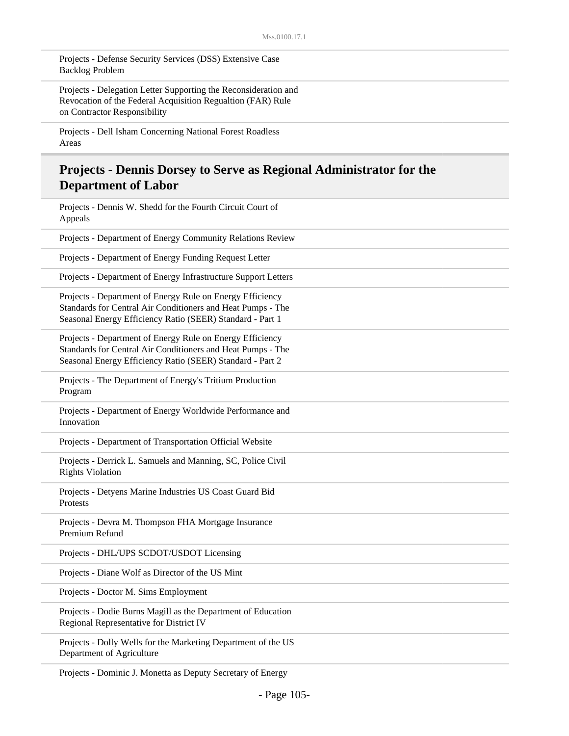Projects - Defense Security Services (DSS) Extensive Case Backlog Problem

Projects - Delegation Letter Supporting the Reconsideration and Revocation of the Federal Acquisition Regualtion (FAR) Rule on Contractor Responsibility

Projects - Dell Isham Concerning National Forest Roadless Areas

#### **Projects - Dennis Dorsey to Serve as Regional Administrator for the Department of Labor**

Projects - Dennis W. Shedd for the Fourth Circuit Court of Appeals Projects - Department of Energy Community Relations Review Projects - Department of Energy Funding Request Letter Projects - Department of Energy Infrastructure Support Letters Projects - Department of Energy Rule on Energy Efficiency Standards for Central Air Conditioners and Heat Pumps - The Seasonal Energy Efficiency Ratio (SEER) Standard - Part 1 Projects - Department of Energy Rule on Energy Efficiency Standards for Central Air Conditioners and Heat Pumps - The Seasonal Energy Efficiency Ratio (SEER) Standard - Part 2 Projects - The Department of Energy's Tritium Production Program Projects - Department of Energy Worldwide Performance and Innovation Projects - Department of Transportation Official Website Projects - Derrick L. Samuels and Manning, SC, Police Civil Rights Violation Projects - Detyens Marine Industries US Coast Guard Bid Protests Projects - Devra M. Thompson FHA Mortgage Insurance Premium Refund Projects - DHL/UPS SCDOT/USDOT Licensing Projects - Diane Wolf as Director of the US Mint Projects - Doctor M. Sims Employment Projects - Dodie Burns Magill as the Department of Education Regional Representative for District IV Projects - Dolly Wells for the Marketing Department of the US Department of Agriculture

Projects - Dominic J. Monetta as Deputy Secretary of Energy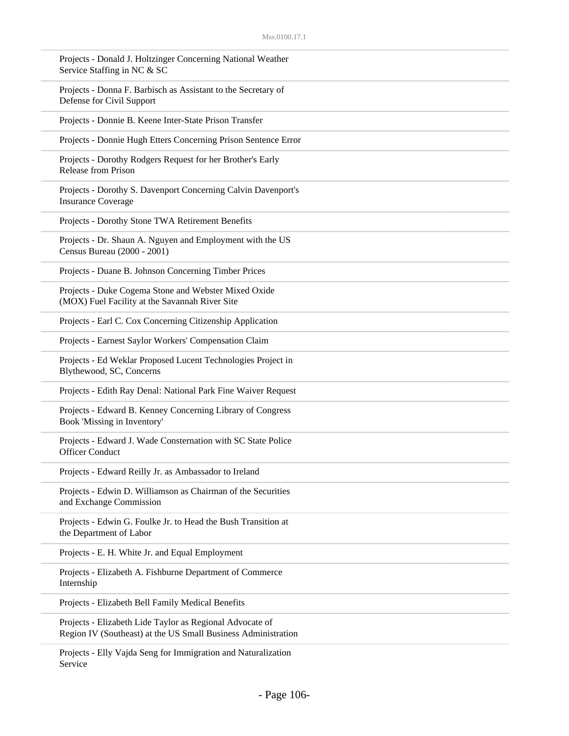| Projects - Donald J. Holtzinger Concerning National Weather<br>Service Staffing in NC & SC                                |
|---------------------------------------------------------------------------------------------------------------------------|
| Projects - Donna F. Barbisch as Assistant to the Secretary of<br>Defense for Civil Support                                |
| Projects - Donnie B. Keene Inter-State Prison Transfer                                                                    |
| Projects - Donnie Hugh Etters Concerning Prison Sentence Error                                                            |
| Projects - Dorothy Rodgers Request for her Brother's Early<br><b>Release from Prison</b>                                  |
| Projects - Dorothy S. Davenport Concerning Calvin Davenport's<br><b>Insurance Coverage</b>                                |
| Projects - Dorothy Stone TWA Retirement Benefits                                                                          |
| Projects - Dr. Shaun A. Nguyen and Employment with the US<br>Census Bureau (2000 - 2001)                                  |
| Projects - Duane B. Johnson Concerning Timber Prices                                                                      |
| Projects - Duke Cogema Stone and Webster Mixed Oxide<br>(MOX) Fuel Facility at the Savannah River Site                    |
| Projects - Earl C. Cox Concerning Citizenship Application                                                                 |
| Projects - Earnest Saylor Workers' Compensation Claim                                                                     |
| Projects - Ed Weklar Proposed Lucent Technologies Project in<br>Blythewood, SC, Concerns                                  |
| Projects - Edith Ray Denal: National Park Fine Waiver Request                                                             |
| Projects - Edward B. Kenney Concerning Library of Congress<br>Book 'Missing in Inventory'                                 |
| Projects - Edward J. Wade Consternation with SC State Police<br><b>Officer Conduct</b>                                    |
| Projects - Edward Reilly Jr. as Ambassador to Ireland                                                                     |
| Projects - Edwin D. Williamson as Chairman of the Securities<br>and Exchange Commission                                   |
| Projects - Edwin G. Foulke Jr. to Head the Bush Transition at<br>the Department of Labor                                  |
| Projects - E. H. White Jr. and Equal Employment                                                                           |
| Projects - Elizabeth A. Fishburne Department of Commerce<br>Internship                                                    |
| Projects - Elizabeth Bell Family Medical Benefits                                                                         |
| Projects - Elizabeth Lide Taylor as Regional Advocate of<br>Region IV (Southeast) at the US Small Business Administration |
|                                                                                                                           |

Projects - Elly Vajda Seng for Immigration and Naturalization Service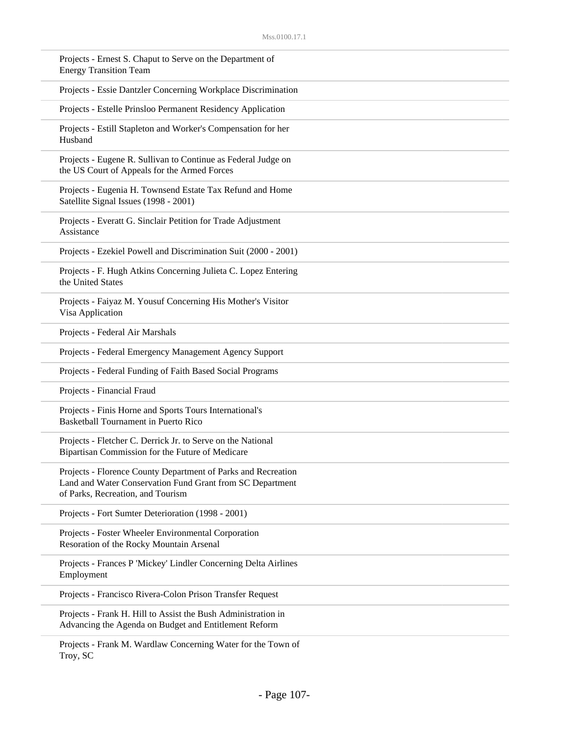| Projects - Ernest S. Chaput to Serve on the Department of<br><b>Energy Transition Team</b>                                                                      |
|-----------------------------------------------------------------------------------------------------------------------------------------------------------------|
| Projects - Essie Dantzler Concerning Workplace Discrimination                                                                                                   |
| Projects - Estelle Prinsloo Permanent Residency Application                                                                                                     |
| Projects - Estill Stapleton and Worker's Compensation for her<br>Husband                                                                                        |
| Projects - Eugene R. Sullivan to Continue as Federal Judge on<br>the US Court of Appeals for the Armed Forces                                                   |
| Projects - Eugenia H. Townsend Estate Tax Refund and Home<br>Satellite Signal Issues (1998 - 2001)                                                              |
| Projects - Everatt G. Sinclair Petition for Trade Adjustment<br>Assistance                                                                                      |
| Projects - Ezekiel Powell and Discrimination Suit (2000 - 2001)                                                                                                 |
| Projects - F. Hugh Atkins Concerning Julieta C. Lopez Entering<br>the United States                                                                             |
| Projects - Faiyaz M. Yousuf Concerning His Mother's Visitor<br>Visa Application                                                                                 |
| Projects - Federal Air Marshals                                                                                                                                 |
| Projects - Federal Emergency Management Agency Support                                                                                                          |
| Projects - Federal Funding of Faith Based Social Programs                                                                                                       |
| Projects - Financial Fraud                                                                                                                                      |
| Projects - Finis Horne and Sports Tours International's<br><b>Basketball Tournament in Puerto Rico</b>                                                          |
| Projects - Fletcher C. Derrick Jr. to Serve on the National<br>Bipartisan Commission for the Future of Medicare                                                 |
| Projects - Florence County Department of Parks and Recreation<br>Land and Water Conservation Fund Grant from SC Department<br>of Parks, Recreation, and Tourism |
| Projects - Fort Sumter Deterioration (1998 - 2001)                                                                                                              |
| Projects - Foster Wheeler Environmental Corporation<br>Resoration of the Rocky Mountain Arsenal                                                                 |
| Projects - Frances P 'Mickey' Lindler Concerning Delta Airlines<br>Employment                                                                                   |
| Projects - Francisco Rivera-Colon Prison Transfer Request                                                                                                       |
| Projects - Frank H. Hill to Assist the Bush Administration in<br>Advancing the Agenda on Budget and Entitlement Reform                                          |
| Projects - Frank M. Wardlaw Concerning Water for the Town of                                                                                                    |

Troy, SC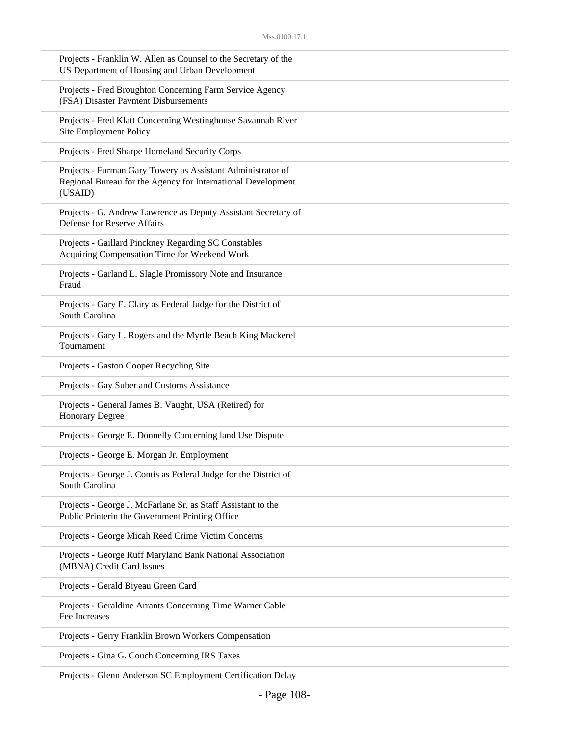| Projects - Franklin W. Allen as Counsel to the Secretary of the<br>US Department of Housing and Urban Development                      |
|----------------------------------------------------------------------------------------------------------------------------------------|
| Projects - Fred Broughton Concerning Farm Service Agency<br>(FSA) Disaster Payment Disbursements                                       |
| Projects - Fred Klatt Concerning Westinghouse Savannah River<br>Site Employment Policy                                                 |
| Projects - Fred Sharpe Homeland Security Corps                                                                                         |
| Projects - Furman Gary Towery as Assistant Administrator of<br>Regional Bureau for the Agency for International Development<br>(USAID) |
| Projects - G. Andrew Lawrence as Deputy Assistant Secretary of<br>Defense for Reserve Affairs                                          |
| Projects - Gaillard Pinckney Regarding SC Constables<br>Acquiring Compensation Time for Weekend Work                                   |
| Projects - Garland L. Slagle Promissory Note and Insurance<br>Fraud                                                                    |
| Projects - Gary E. Clary as Federal Judge for the District of<br>South Carolina                                                        |
| Projects - Gary L. Rogers and the Myrtle Beach King Mackerel<br>Tournament                                                             |
| Projects - Gaston Cooper Recycling Site                                                                                                |
| Projects - Gay Suber and Customs Assistance                                                                                            |
| Projects - General James B. Vaught, USA (Retired) for<br><b>Honorary Degree</b>                                                        |
| Projects - George E. Donnelly Concerning land Use Dispute                                                                              |
| Projects - George E. Morgan Jr. Employment                                                                                             |
| Projects - George J. Contis as Federal Judge for the District of<br>South Carolina                                                     |
| Projects - George J. McFarlane Sr. as Staff Assistant to the<br>Public Printerin the Government Printing Office                        |
| Projects - George Micah Reed Crime Victim Concerns                                                                                     |
| Projects - George Ruff Maryland Bank National Association<br>(MBNA) Credit Card Issues                                                 |
| Projects - Gerald Biyeau Green Card                                                                                                    |
| Projects - Geraldine Arrants Concerning Time Warner Cable<br>Fee Increases                                                             |
| Projects - Gerry Franklin Brown Workers Compensation                                                                                   |
| Projects - Gina G. Couch Concerning IRS Taxes                                                                                          |

Projects - Glenn Anderson SC Employment Certification Delay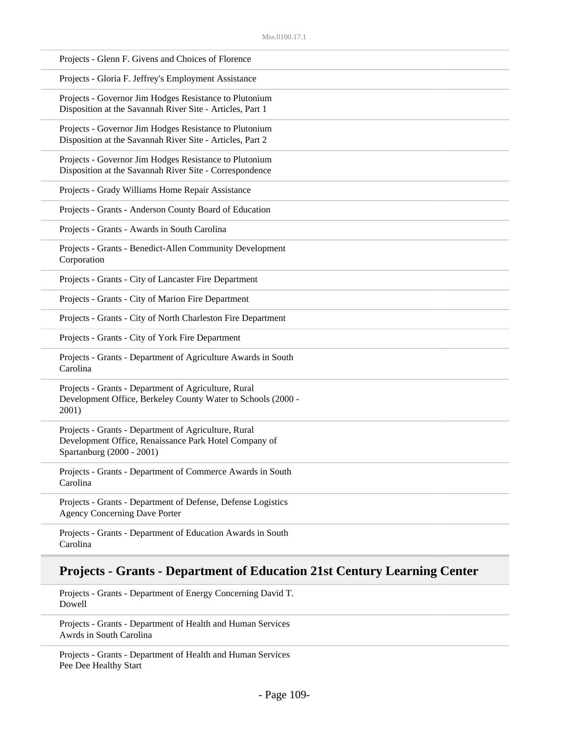| Projects - Glenn F. Givens and Choices of Florence                                                                                         |  |
|--------------------------------------------------------------------------------------------------------------------------------------------|--|
| Projects - Gloria F. Jeffrey's Employment Assistance                                                                                       |  |
| Projects - Governor Jim Hodges Resistance to Plutonium<br>Disposition at the Savannah River Site - Articles, Part 1                        |  |
| Projects - Governor Jim Hodges Resistance to Plutonium<br>Disposition at the Savannah River Site - Articles, Part 2                        |  |
| Projects - Governor Jim Hodges Resistance to Plutonium<br>Disposition at the Savannah River Site - Correspondence                          |  |
| Projects - Grady Williams Home Repair Assistance                                                                                           |  |
| Projects - Grants - Anderson County Board of Education                                                                                     |  |
| Projects - Grants - Awards in South Carolina                                                                                               |  |
| Projects - Grants - Benedict-Allen Community Development<br>Corporation                                                                    |  |
| Projects - Grants - City of Lancaster Fire Department                                                                                      |  |
| Projects - Grants - City of Marion Fire Department                                                                                         |  |
| Projects - Grants - City of North Charleston Fire Department                                                                               |  |
| Projects - Grants - City of York Fire Department                                                                                           |  |
| Projects - Grants - Department of Agriculture Awards in South<br>Carolina                                                                  |  |
| Projects - Grants - Department of Agriculture, Rural<br>Development Office, Berkeley County Water to Schools (2000 -<br>2001)              |  |
| Projects - Grants - Department of Agriculture, Rural<br>Development Office, Renaissance Park Hotel Company of<br>Spartanburg (2000 - 2001) |  |
| Projects - Grants - Department of Commerce Awards in South<br>Carolina                                                                     |  |
| Projects - Grants - Department of Defense, Defense Logistics<br><b>Agency Concerning Dave Porter</b>                                       |  |
| Projects - Grants - Department of Education Awards in South                                                                                |  |

## Carolina

## **Projects - Grants - Department of Education 21st Century Learning Center**

Projects - Grants - Department of Energy Concerning David T. Dowell

Projects - Grants - Department of Health and Human Services Awrds in South Carolina

Projects - Grants - Department of Health and Human Services Pee Dee Healthy Start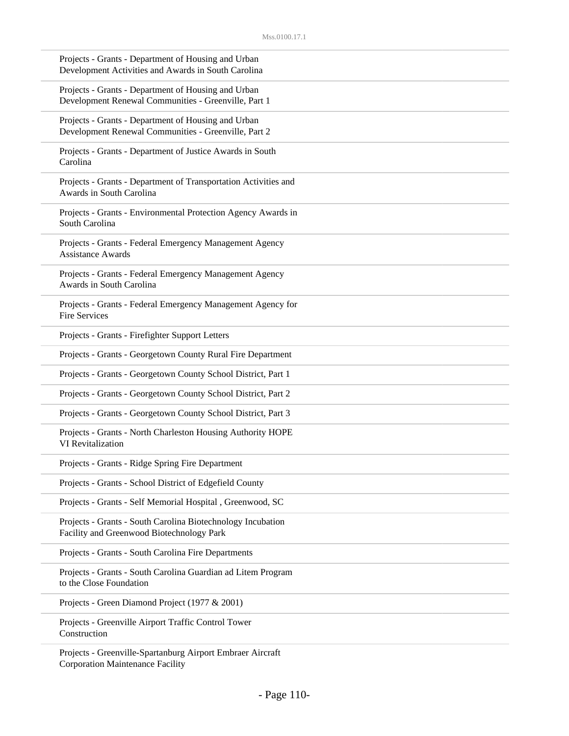| Projects - Grants - Department of Housing and Urban<br>Development Activities and Awards in South Carolina  |  |
|-------------------------------------------------------------------------------------------------------------|--|
| Projects - Grants - Department of Housing and Urban<br>Development Renewal Communities - Greenville, Part 1 |  |
| Projects - Grants - Department of Housing and Urban<br>Development Renewal Communities - Greenville, Part 2 |  |
| Projects - Grants - Department of Justice Awards in South<br>Carolina                                       |  |
| Projects - Grants - Department of Transportation Activities and<br>Awards in South Carolina                 |  |
| Projects - Grants - Environmental Protection Agency Awards in<br>South Carolina                             |  |
| Projects - Grants - Federal Emergency Management Agency<br><b>Assistance Awards</b>                         |  |
| Projects - Grants - Federal Emergency Management Agency<br>Awards in South Carolina                         |  |
| Projects - Grants - Federal Emergency Management Agency for<br><b>Fire Services</b>                         |  |
| Projects - Grants - Firefighter Support Letters                                                             |  |
| Projects - Grants - Georgetown County Rural Fire Department                                                 |  |
| Projects - Grants - Georgetown County School District, Part 1                                               |  |
| Projects - Grants - Georgetown County School District, Part 2                                               |  |
| Projects - Grants - Georgetown County School District, Part 3                                               |  |
| Projects - Grants - North Charleston Housing Authority HOPE<br>VI Revitalization                            |  |
| Projects - Grants - Ridge Spring Fire Department                                                            |  |
| Projects - Grants - School District of Edgefield County                                                     |  |
| Projects - Grants - Self Memorial Hospital, Greenwood, SC                                                   |  |
| Projects - Grants - South Carolina Biotechnology Incubation<br>Facility and Greenwood Biotechnology Park    |  |
| Projects - Grants - South Carolina Fire Departments                                                         |  |
| Projects - Grants - South Carolina Guardian ad Litem Program<br>to the Close Foundation                     |  |
| Projects - Green Diamond Project (1977 & 2001)                                                              |  |
| Projects - Greenville Airport Traffic Control Tower<br>Construction                                         |  |
| Projects - Greenville-Spartanburg Airport Embraer Aircraft<br><b>Corporation Maintenance Facility</b>       |  |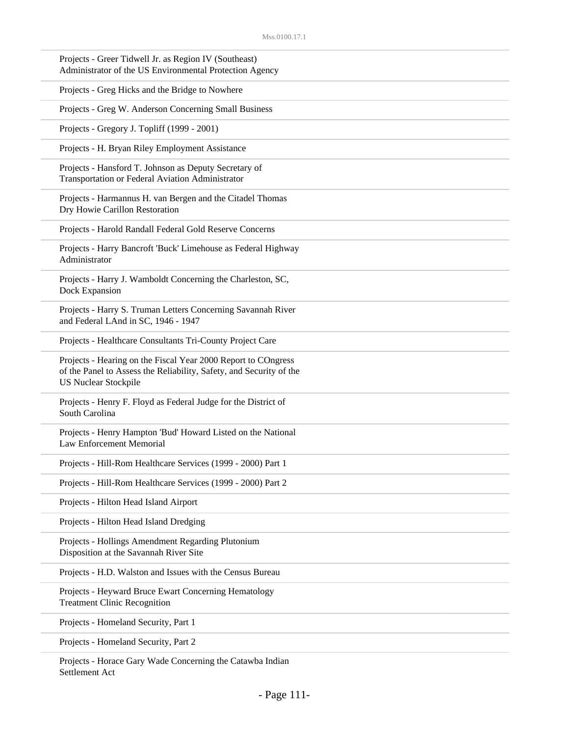| Projects - Greer Tidwell Jr. as Region IV (Southeast)<br>Administrator of the US Environmental Protection Agency                                                    |
|---------------------------------------------------------------------------------------------------------------------------------------------------------------------|
| Projects - Greg Hicks and the Bridge to Nowhere                                                                                                                     |
| Projects - Greg W. Anderson Concerning Small Business                                                                                                               |
| Projects - Gregory J. Topliff (1999 - 2001)                                                                                                                         |
| Projects - H. Bryan Riley Employment Assistance                                                                                                                     |
| Projects - Hansford T. Johnson as Deputy Secretary of<br>Transportation or Federal Aviation Administrator                                                           |
| Projects - Harmannus H. van Bergen and the Citadel Thomas<br>Dry Howie Carillon Restoration                                                                         |
| Projects - Harold Randall Federal Gold Reserve Concerns                                                                                                             |
| Projects - Harry Bancroft 'Buck' Limehouse as Federal Highway<br>Administrator                                                                                      |
| Projects - Harry J. Wamboldt Concerning the Charleston, SC,<br>Dock Expansion                                                                                       |
| Projects - Harry S. Truman Letters Concerning Savannah River<br>and Federal LAnd in SC, 1946 - 1947                                                                 |
| Projects - Healthcare Consultants Tri-County Project Care                                                                                                           |
| Projects - Hearing on the Fiscal Year 2000 Report to COngress<br>of the Panel to Assess the Reliability, Safety, and Security of the<br><b>US Nuclear Stockpile</b> |
| Projects - Henry F. Floyd as Federal Judge for the District of<br>South Carolina                                                                                    |
| Projects - Henry Hampton 'Bud' Howard Listed on the National<br><b>Law Enforcement Memorial</b>                                                                     |
| Projects - Hill-Rom Healthcare Services (1999 - 2000) Part 1                                                                                                        |
| Projects - Hill-Rom Healthcare Services (1999 - 2000) Part 2                                                                                                        |
| Projects - Hilton Head Island Airport                                                                                                                               |
| Projects - Hilton Head Island Dredging                                                                                                                              |
| Projects - Hollings Amendment Regarding Plutonium<br>Disposition at the Savannah River Site                                                                         |
| Projects - H.D. Walston and Issues with the Census Bureau                                                                                                           |
| Projects - Heyward Bruce Ewart Concerning Hematology<br><b>Treatment Clinic Recognition</b>                                                                         |
| Projects - Homeland Security, Part 1                                                                                                                                |
| Projects - Homeland Security, Part 2                                                                                                                                |
|                                                                                                                                                                     |

Projects - Horace Gary Wade Concerning the Catawba Indian Settlement Act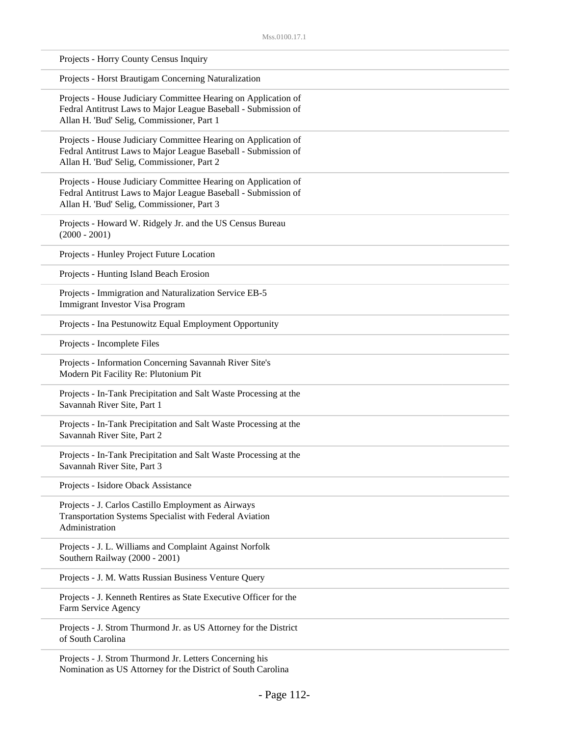| Projects - Horry County Census Inquiry                                                                                                                                         |
|--------------------------------------------------------------------------------------------------------------------------------------------------------------------------------|
| Projects - Horst Brautigam Concerning Naturalization                                                                                                                           |
| Projects - House Judiciary Committee Hearing on Application of<br>Fedral Antitrust Laws to Major League Baseball - Submission of<br>Allan H. 'Bud' Selig, Commissioner, Part 1 |
| Projects - House Judiciary Committee Hearing on Application of<br>Fedral Antitrust Laws to Major League Baseball - Submission of<br>Allan H. 'Bud' Selig, Commissioner, Part 2 |
| Projects - House Judiciary Committee Hearing on Application of<br>Fedral Antitrust Laws to Major League Baseball - Submission of<br>Allan H. 'Bud' Selig, Commissioner, Part 3 |
| Projects - Howard W. Ridgely Jr. and the US Census Bureau<br>$(2000 - 2001)$                                                                                                   |
| Projects - Hunley Project Future Location                                                                                                                                      |
| Projects - Hunting Island Beach Erosion                                                                                                                                        |
| Projects - Immigration and Naturalization Service EB-5<br><b>Immigrant Investor Visa Program</b>                                                                               |
| Projects - Ina Pestunowitz Equal Employment Opportunity                                                                                                                        |
| Projects - Incomplete Files                                                                                                                                                    |
| Projects - Information Concerning Savannah River Site's<br>Modern Pit Facility Re: Plutonium Pit                                                                               |
| Projects - In-Tank Precipitation and Salt Waste Processing at the<br>Savannah River Site, Part 1                                                                               |
| Projects - In-Tank Precipitation and Salt Waste Processing at the<br>Savannah River Site, Part 2                                                                               |
| Projects - In-Tank Precipitation and Salt Waste Processing at the<br>Savannah River Site, Part 3                                                                               |
| Projects - Isidore Oback Assistance                                                                                                                                            |
| Projects - J. Carlos Castillo Employment as Airways<br>Transportation Systems Specialist with Federal Aviation<br>Administration                                               |
| Projects - J. L. Williams and Complaint Against Norfolk<br>Southern Railway (2000 - 2001)                                                                                      |
| Projects - J. M. Watts Russian Business Venture Query                                                                                                                          |
| Projects - J. Kenneth Rentires as State Executive Officer for the<br>Farm Service Agency                                                                                       |
| Projects - J. Strom Thurmond Jr. as US Attorney for the District<br>of South Carolina                                                                                          |
| Projects - J. Strom Thurmond Jr. Letters Concerning his<br>Nomination as US Attorney for the District of South Carolina                                                        |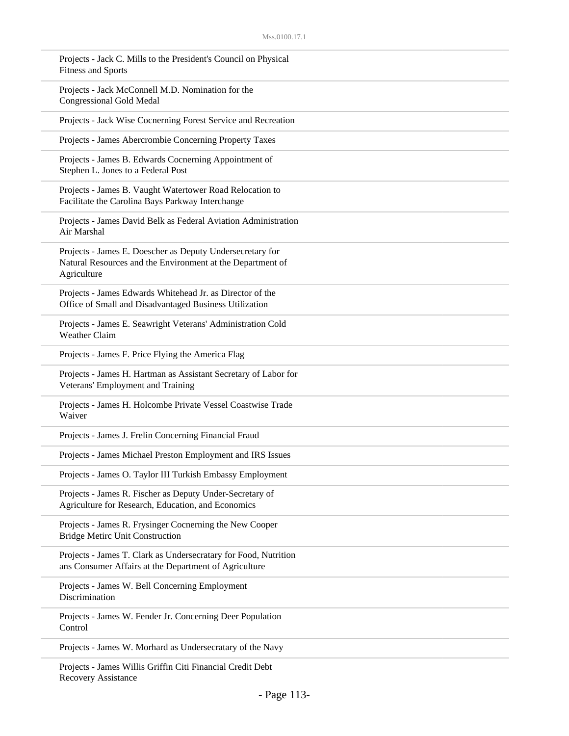| Projects - Jack C. Mills to the President's Council on Physical<br><b>Fitness and Sports</b>                                           |
|----------------------------------------------------------------------------------------------------------------------------------------|
| Projects - Jack McConnell M.D. Nomination for the<br><b>Congressional Gold Medal</b>                                                   |
| Projects - Jack Wise Cocnerning Forest Service and Recreation                                                                          |
| Projects - James Abercrombie Concerning Property Taxes                                                                                 |
| Projects - James B. Edwards Cocnerning Appointment of<br>Stephen L. Jones to a Federal Post                                            |
| Projects - James B. Vaught Watertower Road Relocation to<br>Facilitate the Carolina Bays Parkway Interchange                           |
| Projects - James David Belk as Federal Aviation Administration<br>Air Marshal                                                          |
| Projects - James E. Doescher as Deputy Undersecretary for<br>Natural Resources and the Environment at the Department of<br>Agriculture |
| Projects - James Edwards Whitehead Jr. as Director of the<br>Office of Small and Disadvantaged Business Utilization                    |
| Projects - James E. Seawright Veterans' Administration Cold<br><b>Weather Claim</b>                                                    |
| Projects - James F. Price Flying the America Flag                                                                                      |
| Projects - James H. Hartman as Assistant Secretary of Labor for<br>Veterans' Employment and Training                                   |
| Projects - James H. Holcombe Private Vessel Coastwise Trade<br>Waiver                                                                  |
| Projects - James J. Frelin Concerning Financial Fraud                                                                                  |
| Projects - James Michael Preston Employment and IRS Issues                                                                             |
| Projects - James O. Taylor III Turkish Embassy Employment                                                                              |
| Projects - James R. Fischer as Deputy Under-Secretary of<br>Agriculture for Research, Education, and Economics                         |
| Projects - James R. Frysinger Cocnerning the New Cooper<br><b>Bridge Metirc Unit Construction</b>                                      |
| Projects - James T. Clark as Undersecratary for Food, Nutrition<br>ans Consumer Affairs at the Department of Agriculture               |
| Projects - James W. Bell Concerning Employment<br>Discrimination                                                                       |
| Projects - James W. Fender Jr. Concerning Deer Population<br>Control                                                                   |
| Projects - James W. Morhard as Undersecratary of the Navy                                                                              |
| <b>Droigota</b> Ignos Willie Criffin Citi Einangial Crodit Dobt                                                                        |

Projects - James Willis Griffin Citi Financial Credit Debt Recovery Assistance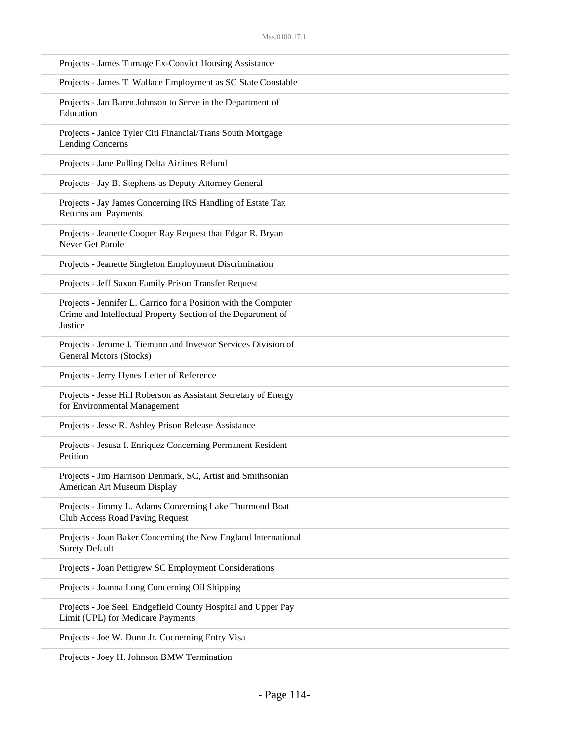| Projects - James Turnage Ex-Convict Housing Assistance                                                                                     |
|--------------------------------------------------------------------------------------------------------------------------------------------|
| Projects - James T. Wallace Employment as SC State Constable                                                                               |
| Projects - Jan Baren Johnson to Serve in the Department of<br>Education                                                                    |
| Projects - Janice Tyler Citi Financial/Trans South Mortgage<br><b>Lending Concerns</b>                                                     |
| Projects - Jane Pulling Delta Airlines Refund                                                                                              |
| Projects - Jay B. Stephens as Deputy Attorney General                                                                                      |
| Projects - Jay James Concerning IRS Handling of Estate Tax<br><b>Returns and Payments</b>                                                  |
| Projects - Jeanette Cooper Ray Request that Edgar R. Bryan<br>Never Get Parole                                                             |
| Projects - Jeanette Singleton Employment Discrimination                                                                                    |
| Projects - Jeff Saxon Family Prison Transfer Request                                                                                       |
| Projects - Jennifer L. Carrico for a Position with the Computer<br>Crime and Intellectual Property Section of the Department of<br>Justice |
| Projects - Jerome J. Tiemann and Investor Services Division of<br>General Motors (Stocks)                                                  |
| Projects - Jerry Hynes Letter of Reference                                                                                                 |
| Projects - Jesse Hill Roberson as Assistant Secretary of Energy<br>for Environmental Management                                            |
| Projects - Jesse R. Ashley Prison Release Assistance                                                                                       |
| Projects - Jesusa I. Enriquez Concerning Permanent Resident<br>Petition                                                                    |
| Projects - Jim Harrison Denmark, SC, Artist and Smithsonian<br>American Art Museum Display                                                 |
| Projects - Jimmy L. Adams Concerning Lake Thurmond Boat<br>Club Access Road Paving Request                                                 |
| Projects - Joan Baker Concerning the New England International<br><b>Surety Default</b>                                                    |
| Projects - Joan Pettigrew SC Employment Considerations                                                                                     |
| Projects - Joanna Long Concerning Oil Shipping                                                                                             |
| Projects - Joe Seel, Endgefield County Hospital and Upper Pay<br>Limit (UPL) for Medicare Payments                                         |
| Projects - Joe W. Dunn Jr. Cocnerning Entry Visa                                                                                           |

Projects - Joey H. Johnson BMW Termination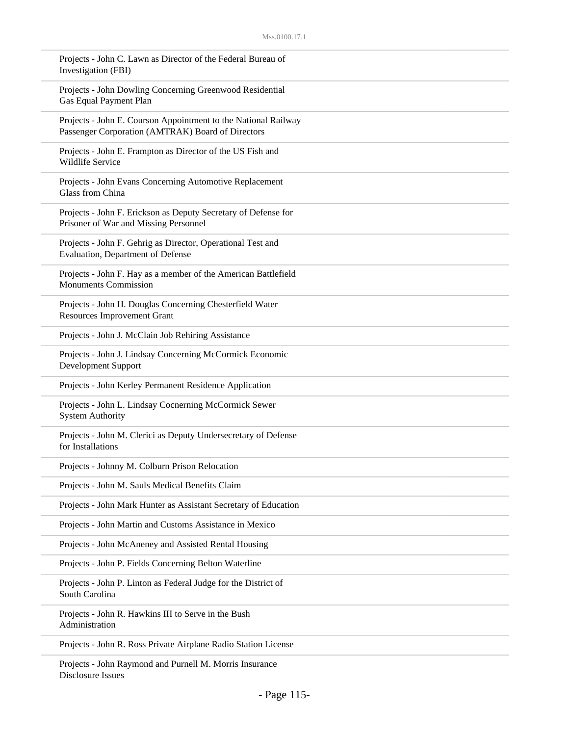| Projects - John C. Lawn as Director of the Federal Bureau of<br>Investigation (FBI)                                 |
|---------------------------------------------------------------------------------------------------------------------|
| Projects - John Dowling Concerning Greenwood Residential<br>Gas Equal Payment Plan                                  |
| Projects - John E. Courson Appointment to the National Railway<br>Passenger Corporation (AMTRAK) Board of Directors |
| Projects - John E. Frampton as Director of the US Fish and<br>Wildlife Service                                      |
| Projects - John Evans Concerning Automotive Replacement<br>Glass from China                                         |
| Projects - John F. Erickson as Deputy Secretary of Defense for<br>Prisoner of War and Missing Personnel             |
| Projects - John F. Gehrig as Director, Operational Test and<br>Evaluation, Department of Defense                    |
| Projects - John F. Hay as a member of the American Battlefield<br><b>Monuments Commission</b>                       |
| Projects - John H. Douglas Concerning Chesterfield Water<br><b>Resources Improvement Grant</b>                      |
| Projects - John J. McClain Job Rehiring Assistance                                                                  |
| Projects - John J. Lindsay Concerning McCormick Economic<br>Development Support                                     |
| Projects - John Kerley Permanent Residence Application                                                              |
| Projects - John L. Lindsay Cocnerning McCormick Sewer<br><b>System Authority</b>                                    |
| Projects - John M. Clerici as Deputy Undersecretary of Defense<br>for Installations                                 |
| Projects - Johnny M. Colburn Prison Relocation                                                                      |
| Projects - John M. Sauls Medical Benefits Claim                                                                     |
| Projects - John Mark Hunter as Assistant Secretary of Education                                                     |
| Projects - John Martin and Customs Assistance in Mexico                                                             |
| Projects - John McAneney and Assisted Rental Housing                                                                |
| Projects - John P. Fields Concerning Belton Waterline                                                               |
| Projects - John P. Linton as Federal Judge for the District of<br>South Carolina                                    |
| Projects - John R. Hawkins III to Serve in the Bush<br>Administration                                               |
| Projects - John R. Ross Private Airplane Radio Station License                                                      |
|                                                                                                                     |

Projects - John Raymond and Purnell M. Morris Insurance Disclosure Issues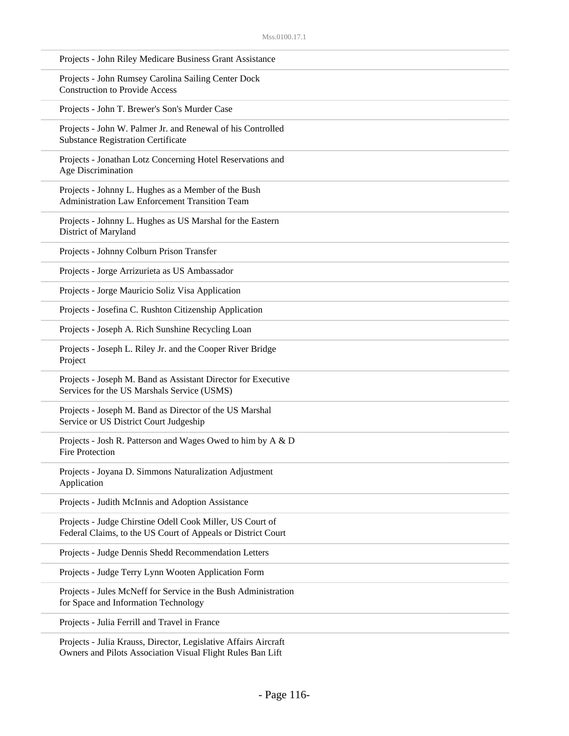| Projects - John Riley Medicare Business Grant Assistance                                                                  |
|---------------------------------------------------------------------------------------------------------------------------|
| Projects - John Rumsey Carolina Sailing Center Dock<br><b>Construction to Provide Access</b>                              |
| Projects - John T. Brewer's Son's Murder Case                                                                             |
| Projects - John W. Palmer Jr. and Renewal of his Controlled<br><b>Substance Registration Certificate</b>                  |
| Projects - Jonathan Lotz Concerning Hotel Reservations and<br>Age Discrimination                                          |
| Projects - Johnny L. Hughes as a Member of the Bush<br><b>Administration Law Enforcement Transition Team</b>              |
| Projects - Johnny L. Hughes as US Marshal for the Eastern<br>District of Maryland                                         |
| Projects - Johnny Colburn Prison Transfer                                                                                 |
| Projects - Jorge Arrizurieta as US Ambassador                                                                             |
| Projects - Jorge Mauricio Soliz Visa Application                                                                          |
| Projects - Josefina C. Rushton Citizenship Application                                                                    |
| Projects - Joseph A. Rich Sunshine Recycling Loan                                                                         |
| Projects - Joseph L. Riley Jr. and the Cooper River Bridge<br>Project                                                     |
| Projects - Joseph M. Band as Assistant Director for Executive<br>Services for the US Marshals Service (USMS)              |
| Projects - Joseph M. Band as Director of the US Marshal<br>Service or US District Court Judgeship                         |
| Projects - Josh R. Patterson and Wages Owed to him by A & D<br><b>Fire Protection</b>                                     |
| Projects - Joyana D. Simmons Naturalization Adjustment<br>Application                                                     |
| Projects - Judith McInnis and Adoption Assistance                                                                         |
| Projects - Judge Chirstine Odell Cook Miller, US Court of<br>Federal Claims, to the US Court of Appeals or District Court |
| Projects - Judge Dennis Shedd Recommendation Letters                                                                      |
| Projects - Judge Terry Lynn Wooten Application Form                                                                       |
| Projects - Jules McNeff for Service in the Bush Administration<br>for Space and Information Technology                    |
| Projects - Julia Ferrill and Travel in France                                                                             |
| Projects - Julia Krauss, Director, Legislative Affairs Aircraft                                                           |

Owners and Pilots Association Visual Flight Rules Ban Lift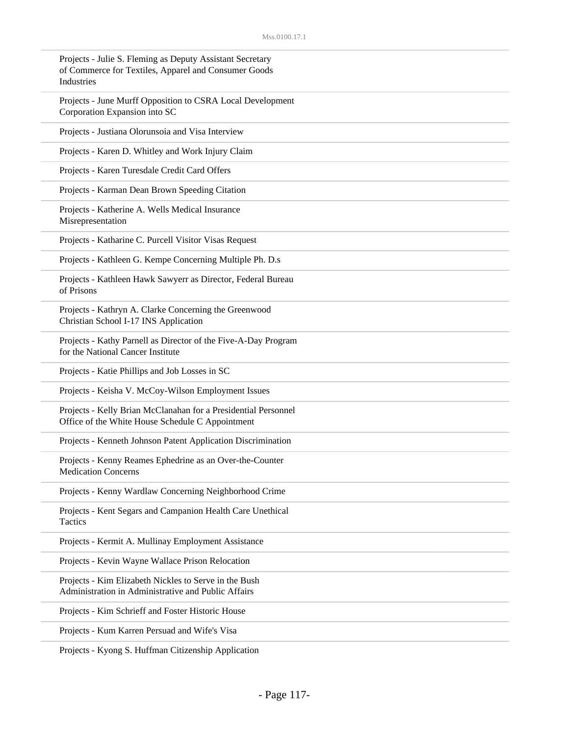| Projects - Julie S. Fleming as Deputy Assistant Secretary<br>of Commerce for Textiles, Apparel and Consumer Goods<br>Industries |
|---------------------------------------------------------------------------------------------------------------------------------|
| Projects - June Murff Opposition to CSRA Local Development<br>Corporation Expansion into SC                                     |
| Projects - Justiana Olorunsoia and Visa Interview                                                                               |
| Projects - Karen D. Whitley and Work Injury Claim                                                                               |
| Projects - Karen Turesdale Credit Card Offers                                                                                   |
| Projects - Karman Dean Brown Speeding Citation                                                                                  |
| Projects - Katherine A. Wells Medical Insurance<br>Misrepresentation                                                            |
| Projects - Katharine C. Purcell Visitor Visas Request                                                                           |
| Projects - Kathleen G. Kempe Concerning Multiple Ph. D.s                                                                        |
| Projects - Kathleen Hawk Sawyerr as Director, Federal Bureau<br>of Prisons                                                      |
| Projects - Kathryn A. Clarke Concerning the Greenwood<br>Christian School I-17 INS Application                                  |
| Projects - Kathy Parnell as Director of the Five-A-Day Program<br>for the National Cancer Institute                             |
| Projects - Katie Phillips and Job Losses in SC                                                                                  |
| Projects - Keisha V. McCoy-Wilson Employment Issues                                                                             |
| Projects - Kelly Brian McClanahan for a Presidential Personnel<br>Office of the White House Schedule C Appointment              |
| Projects - Kenneth Johnson Patent Application Discrimination                                                                    |
| Projects - Kenny Reames Ephedrine as an Over-the-Counter<br><b>Medication Concerns</b>                                          |
| Projects - Kenny Wardlaw Concerning Neighborhood Crime                                                                          |
| Projects - Kent Segars and Campanion Health Care Unethical<br><b>Tactics</b>                                                    |
| Projects - Kermit A. Mullinay Employment Assistance                                                                             |
| Projects - Kevin Wayne Wallace Prison Relocation                                                                                |
| Projects - Kim Elizabeth Nickles to Serve in the Bush<br>Administration in Administrative and Public Affairs                    |
| Projects - Kim Schrieff and Foster Historic House                                                                               |
| Projects - Kum Karren Persuad and Wife's Visa                                                                                   |

Projects - Kyong S. Huffman Citizenship Application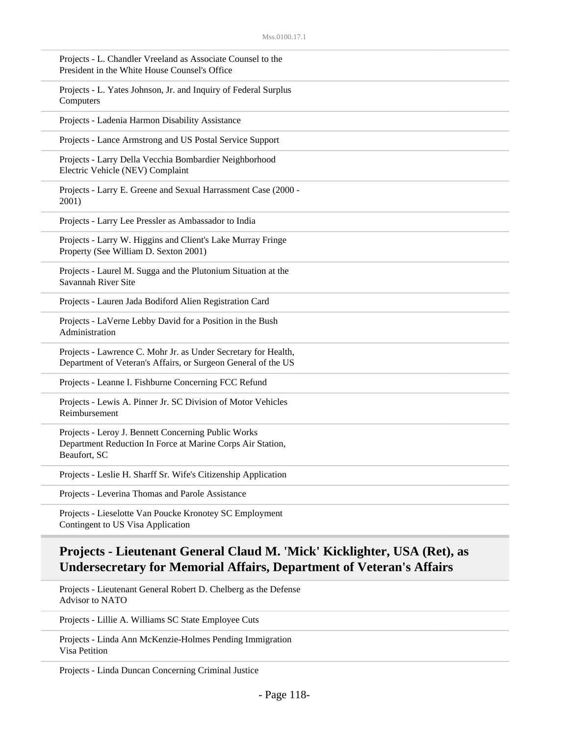| Projects - L. Chandler Vreeland as Associate Counsel to the<br>President in the White House Counsel's Office                      |
|-----------------------------------------------------------------------------------------------------------------------------------|
| Projects - L. Yates Johnson, Jr. and Inquiry of Federal Surplus<br>Computers                                                      |
| Projects - Ladenia Harmon Disability Assistance                                                                                   |
| Projects - Lance Armstrong and US Postal Service Support                                                                          |
| Projects - Larry Della Vecchia Bombardier Neighborhood<br>Electric Vehicle (NEV) Complaint                                        |
| Projects - Larry E. Greene and Sexual Harrassment Case (2000 -<br>2001)                                                           |
| Projects - Larry Lee Pressler as Ambassador to India                                                                              |
| Projects - Larry W. Higgins and Client's Lake Murray Fringe<br>Property (See William D. Sexton 2001)                              |
| Projects - Laurel M. Sugga and the Plutonium Situation at the<br>Savannah River Site                                              |
| Projects - Lauren Jada Bodiford Alien Registration Card                                                                           |
| Projects - LaVerne Lebby David for a Position in the Bush<br>Administration                                                       |
| Projects - Lawrence C. Mohr Jr. as Under Secretary for Health,<br>Department of Veteran's Affairs, or Surgeon General of the US   |
| Projects - Leanne I. Fishburne Concerning FCC Refund                                                                              |
| Projects - Lewis A. Pinner Jr. SC Division of Motor Vehicles<br>Reimbursement                                                     |
| Projects - Leroy J. Bennett Concerning Public Works<br>Department Reduction In Force at Marine Corps Air Station,<br>Beaufort, SC |
| Projects - Leslie H. Sharff Sr. Wife's Citizenship Application                                                                    |
| Projects - Leverina Thomas and Parole Assistance                                                                                  |
| Projects - Lieselotte Van Poucke Kronotey SC Employment                                                                           |

Contingent to US Visa Application

## **Projects - Lieutenant General Claud M. 'Mick' Kicklighter, USA (Ret), as Undersecretary for Memorial Affairs, Department of Veteran's Affairs**

Projects - Lieutenant General Robert D. Chelberg as the Defense Advisor to NATO

Projects - Lillie A. Williams SC State Employee Cuts

Projects - Linda Ann McKenzie-Holmes Pending Immigration Visa Petition

Projects - Linda Duncan Concerning Criminal Justice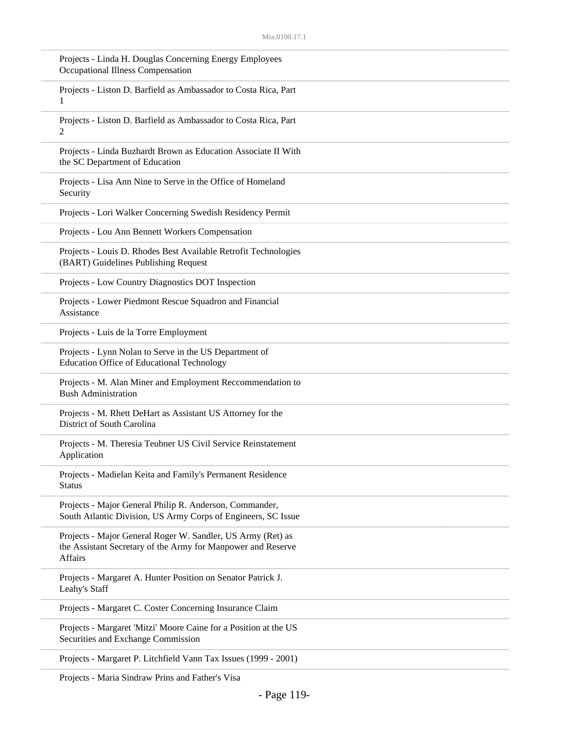| Projects - Linda H. Douglas Concerning Energy Employees<br>Occupational Illness Compensation                                                  |
|-----------------------------------------------------------------------------------------------------------------------------------------------|
| Projects - Liston D. Barfield as Ambassador to Costa Rica, Part<br>1                                                                          |
| Projects - Liston D. Barfield as Ambassador to Costa Rica, Part<br>2                                                                          |
| Projects - Linda Buzhardt Brown as Education Associate II With<br>the SC Department of Education                                              |
| Projects - Lisa Ann Nine to Serve in the Office of Homeland<br>Security                                                                       |
| Projects - Lori Walker Concerning Swedish Residency Permit                                                                                    |
| Projects - Lou Ann Bennett Workers Compensation                                                                                               |
| Projects - Louis D. Rhodes Best Available Retrofit Technologies<br>(BART) Guidelines Publishing Request                                       |
| Projects - Low Country Diagnostics DOT Inspection                                                                                             |
| Projects - Lower Piedmont Rescue Squadron and Financial<br>Assistance                                                                         |
| Projects - Luis de la Torre Employment                                                                                                        |
| Projects - Lynn Nolan to Serve in the US Department of<br><b>Education Office of Educational Technology</b>                                   |
| Projects - M. Alan Miner and Employment Reccommendation to<br><b>Bush Administration</b>                                                      |
| Projects - M. Rhett DeHart as Assistant US Attorney for the<br>District of South Carolina                                                     |
| Projects - M. Theresia Teubner US Civil Service Reinstatement<br>Application                                                                  |
| Projects - Madielan Keita and Family's Permanent Residence<br><b>Status</b>                                                                   |
| Projects - Major General Philip R. Anderson, Commander,<br>South Atlantic Division, US Army Corps of Engineers, SC Issue                      |
| Projects - Major General Roger W. Sandler, US Army (Ret) as<br>the Assistant Secretary of the Army for Manpower and Reserve<br><b>Affairs</b> |
| Projects - Margaret A. Hunter Position on Senator Patrick J.<br>Leahy's Staff                                                                 |
| Projects - Margaret C. Coster Concerning Insurance Claim                                                                                      |
| Projects - Margaret 'Mitzi' Moore Caine for a Position at the US<br>Securities and Exchange Commission                                        |
| Projects - Margaret P. Litchfield Vann Tax Issues (1999 - 2001)                                                                               |

Projects - Maria Sindraw Prins and Father's Visa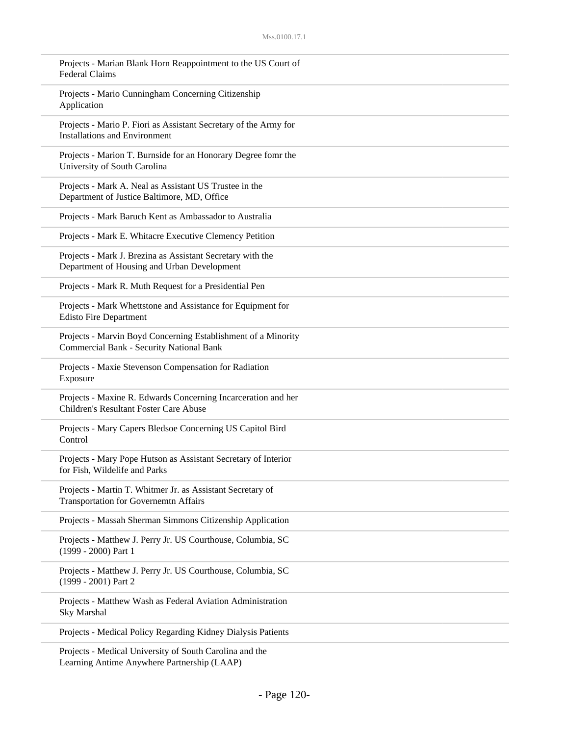| Projects - Marian Blank Horn Reappointment to the US Court of<br><b>Federal Claims</b>                     |
|------------------------------------------------------------------------------------------------------------|
| Projects - Mario Cunningham Concerning Citizenship<br>Application                                          |
| Projects - Mario P. Fiori as Assistant Secretary of the Army for<br><b>Installations and Environment</b>   |
| Projects - Marion T. Burnside for an Honorary Degree fomr the<br>University of South Carolina              |
| Projects - Mark A. Neal as Assistant US Trustee in the<br>Department of Justice Baltimore, MD, Office      |
| Projects - Mark Baruch Kent as Ambassador to Australia                                                     |
| Projects - Mark E. Whitacre Executive Clemency Petition                                                    |
| Projects - Mark J. Brezina as Assistant Secretary with the<br>Department of Housing and Urban Development  |
| Projects - Mark R. Muth Request for a Presidential Pen                                                     |
| Projects - Mark Whettstone and Assistance for Equipment for<br><b>Edisto Fire Department</b>               |
| Projects - Marvin Boyd Concerning Establishment of a Minority<br>Commercial Bank - Security National Bank  |
| Projects - Maxie Stevenson Compensation for Radiation<br>Exposure                                          |
| Projects - Maxine R. Edwards Concerning Incarceration and her<br>Children's Resultant Foster Care Abuse    |
| Projects - Mary Capers Bledsoe Concerning US Capitol Bird<br>Control                                       |
| Projects - Mary Pope Hutson as Assistant Secretary of Interior<br>for Fish, Wildelife and Parks            |
| Projects - Martin T. Whitmer Jr. as Assistant Secretary of<br><b>Transportation for Governemtn Affairs</b> |
| Projects - Massah Sherman Simmons Citizenship Application                                                  |
| Projects - Matthew J. Perry Jr. US Courthouse, Columbia, SC<br>(1999 - 2000) Part 1                        |
| Projects - Matthew J. Perry Jr. US Courthouse, Columbia, SC<br>(1999 - 2001) Part 2                        |
| Projects - Matthew Wash as Federal Aviation Administration<br>Sky Marshal                                  |
| Projects - Medical Policy Regarding Kidney Dialysis Patients                                               |
| Projects - Medical University of South Carolina and the                                                    |

Learning Antime Anywhere Partnership (LAAP)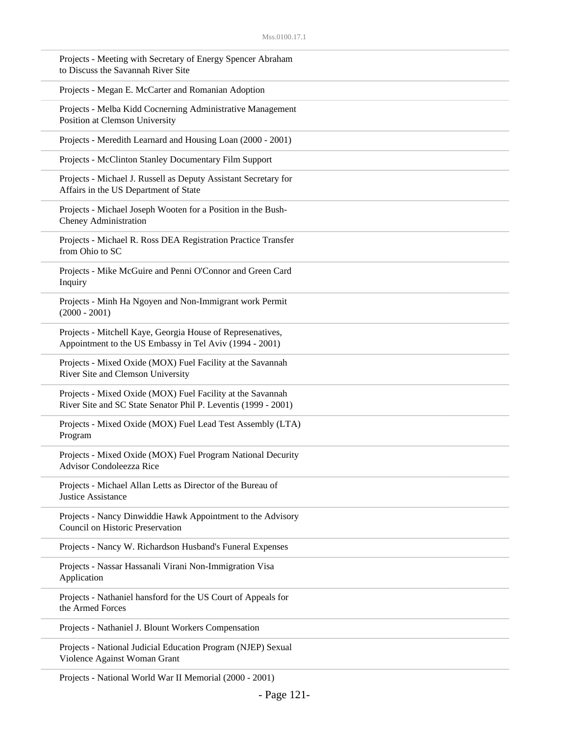| Projects - Meeting with Secretary of Energy Spencer Abraham<br>to Discuss the Savannah River Site                            |
|------------------------------------------------------------------------------------------------------------------------------|
| Projects - Megan E. McCarter and Romanian Adoption                                                                           |
| Projects - Melba Kidd Cocnerning Administrative Management<br>Position at Clemson University                                 |
| Projects - Meredith Learnard and Housing Loan (2000 - 2001)                                                                  |
| Projects - McClinton Stanley Documentary Film Support                                                                        |
| Projects - Michael J. Russell as Deputy Assistant Secretary for<br>Affairs in the US Department of State                     |
| Projects - Michael Joseph Wooten for a Position in the Bush-<br>Cheney Administration                                        |
| Projects - Michael R. Ross DEA Registration Practice Transfer<br>from Ohio to SC                                             |
| Projects - Mike McGuire and Penni O'Connor and Green Card<br>Inquiry                                                         |
| Projects - Minh Ha Ngoyen and Non-Immigrant work Permit<br>$(2000 - 2001)$                                                   |
| Projects - Mitchell Kaye, Georgia House of Represenatives,<br>Appointment to the US Embassy in Tel Aviv (1994 - 2001)        |
| Projects - Mixed Oxide (MOX) Fuel Facility at the Savannah<br>River Site and Clemson University                              |
| Projects - Mixed Oxide (MOX) Fuel Facility at the Savannah<br>River Site and SC State Senator Phil P. Leventis (1999 - 2001) |
| Projects - Mixed Oxide (MOX) Fuel Lead Test Assembly (LTA)<br>Program                                                        |
| Projects - Mixed Oxide (MOX) Fuel Program National Decurity<br><b>Advisor Condoleezza Rice</b>                               |
| Projects - Michael Allan Letts as Director of the Bureau of<br><b>Justice Assistance</b>                                     |
| Projects - Nancy Dinwiddie Hawk Appointment to the Advisory<br>Council on Historic Preservation                              |
| Projects - Nancy W. Richardson Husband's Funeral Expenses                                                                    |
| Projects - Nassar Hassanali Virani Non-Immigration Visa<br>Application                                                       |
| Projects - Nathaniel hansford for the US Court of Appeals for<br>the Armed Forces                                            |
| Projects - Nathaniel J. Blount Workers Compensation                                                                          |
| Projects - National Judicial Education Program (NJEP) Sexual<br>Violence Against Woman Grant                                 |

Projects - National World War II Memorial (2000 - 2001)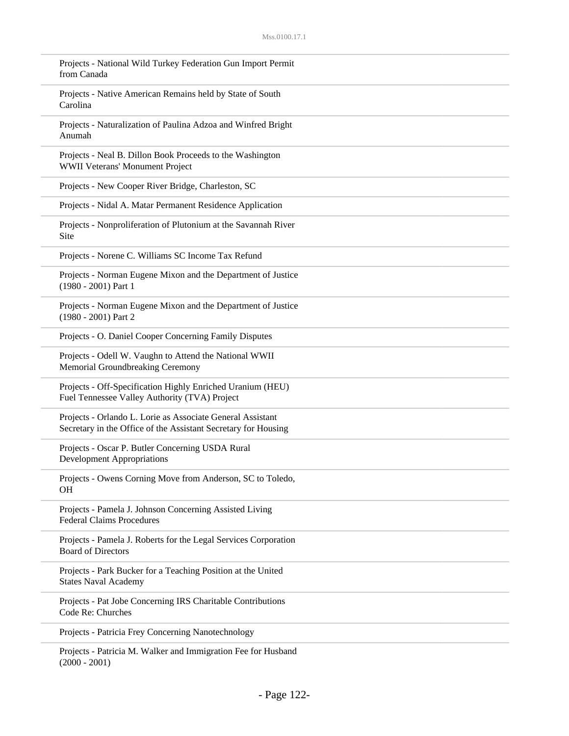| Projects - National Wild Turkey Federation Gun Import Permit<br>from Canada                                                  |
|------------------------------------------------------------------------------------------------------------------------------|
| Projects - Native American Remains held by State of South<br>Carolina                                                        |
| Projects - Naturalization of Paulina Adzoa and Winfred Bright<br>Anumah                                                      |
| Projects - Neal B. Dillon Book Proceeds to the Washington<br>WWII Veterans' Monument Project                                 |
| Projects - New Cooper River Bridge, Charleston, SC                                                                           |
| Projects - Nidal A. Matar Permanent Residence Application                                                                    |
| Projects - Nonproliferation of Plutonium at the Savannah River<br>Site                                                       |
| Projects - Norene C. Williams SC Income Tax Refund                                                                           |
| Projects - Norman Eugene Mixon and the Department of Justice<br>(1980 - 2001) Part 1                                         |
| Projects - Norman Eugene Mixon and the Department of Justice<br>$(1980 - 2001)$ Part 2                                       |
| Projects - O. Daniel Cooper Concerning Family Disputes                                                                       |
| Projects - Odell W. Vaughn to Attend the National WWII<br>Memorial Groundbreaking Ceremony                                   |
| Projects - Off-Specification Highly Enriched Uranium (HEU)<br>Fuel Tennessee Valley Authority (TVA) Project                  |
| Projects - Orlando L. Lorie as Associate General Assistant<br>Secretary in the Office of the Assistant Secretary for Housing |
| Projects - Oscar P. Butler Concerning USDA Rural<br><b>Development Appropriations</b>                                        |
| Projects - Owens Corning Move from Anderson, SC to Toledo,<br><b>OH</b>                                                      |
| Projects - Pamela J. Johnson Concerning Assisted Living<br><b>Federal Claims Procedures</b>                                  |
| Projects - Pamela J. Roberts for the Legal Services Corporation<br><b>Board of Directors</b>                                 |
| Projects - Park Bucker for a Teaching Position at the United<br><b>States Naval Academy</b>                                  |
| Projects - Pat Jobe Concerning IRS Charitable Contributions<br>Code Re: Churches                                             |
| Projects - Patricia Frey Concerning Nanotechnology                                                                           |
|                                                                                                                              |

Projects - Patricia M. Walker and Immigration Fee for Husband  $(2000 - 2001)$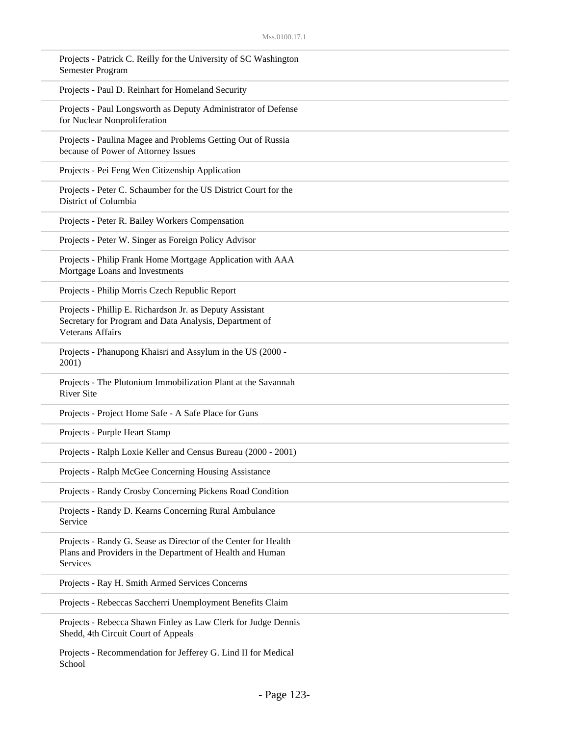| Projects - Patrick C. Reilly for the University of SC Washington<br>Semester Program                                                          |
|-----------------------------------------------------------------------------------------------------------------------------------------------|
| Projects - Paul D. Reinhart for Homeland Security                                                                                             |
| Projects - Paul Longsworth as Deputy Administrator of Defense<br>for Nuclear Nonproliferation                                                 |
| Projects - Paulina Magee and Problems Getting Out of Russia<br>because of Power of Attorney Issues                                            |
| Projects - Pei Feng Wen Citizenship Application                                                                                               |
| Projects - Peter C. Schaumber for the US District Court for the<br>District of Columbia                                                       |
| Projects - Peter R. Bailey Workers Compensation                                                                                               |
| Projects - Peter W. Singer as Foreign Policy Advisor                                                                                          |
| Projects - Philip Frank Home Mortgage Application with AAA<br>Mortgage Loans and Investments                                                  |
| Projects - Philip Morris Czech Republic Report                                                                                                |
| Projects - Phillip E. Richardson Jr. as Deputy Assistant<br>Secretary for Program and Data Analysis, Department of<br><b>Veterans Affairs</b> |
| Projects - Phanupong Khaisri and Assylum in the US (2000 -<br>2001)                                                                           |
| Projects - The Plutonium Immobilization Plant at the Savannah<br><b>River Site</b>                                                            |
| Projects - Project Home Safe - A Safe Place for Guns                                                                                          |
| Projects - Purple Heart Stamp                                                                                                                 |
| Projects - Ralph Loxie Keller and Census Bureau (2000 - 2001)                                                                                 |
| Projects - Ralph McGee Concerning Housing Assistance                                                                                          |
| Projects - Randy Crosby Concerning Pickens Road Condition                                                                                     |
| Projects - Randy D. Kearns Concerning Rural Ambulance<br>Service                                                                              |
| Projects - Randy G. Sease as Director of the Center for Health<br>Plans and Providers in the Department of Health and Human<br>Services       |
| Projects - Ray H. Smith Armed Services Concerns                                                                                               |
| Projects - Rebeccas Saccherri Unemployment Benefits Claim                                                                                     |
| Projects - Rebecca Shawn Finley as Law Clerk for Judge Dennis<br>Shedd, 4th Circuit Court of Appeals                                          |
|                                                                                                                                               |

Projects - Recommendation for Jefferey G. Lind II for Medical School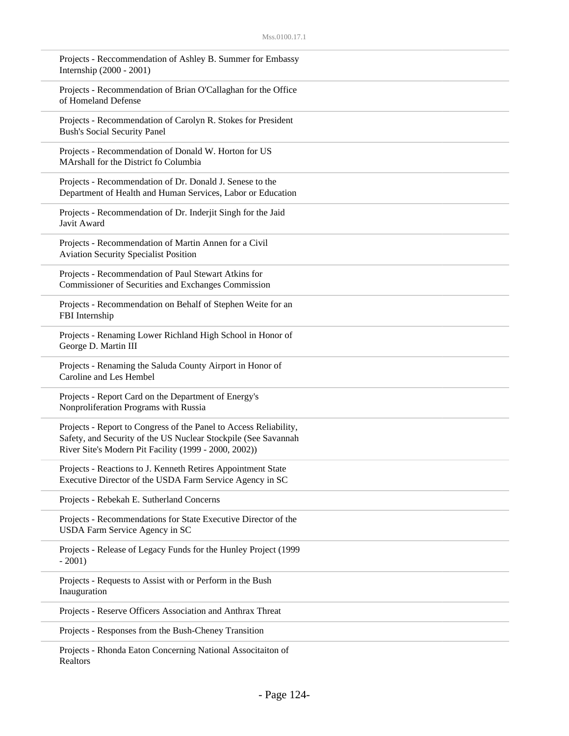| Projects - Reccommendation of Ashley B. Summer for Embassy<br>Internship (2000 - 2001)                                                                                                       |
|----------------------------------------------------------------------------------------------------------------------------------------------------------------------------------------------|
| Projects - Recommendation of Brian O'Callaghan for the Office<br>of Homeland Defense                                                                                                         |
| Projects - Recommendation of Carolyn R. Stokes for President<br><b>Bush's Social Security Panel</b>                                                                                          |
| Projects - Recommendation of Donald W. Horton for US<br>MArshall for the District fo Columbia                                                                                                |
| Projects - Recommendation of Dr. Donald J. Senese to the<br>Department of Health and Human Services, Labor or Education                                                                      |
| Projects - Recommendation of Dr. Inderjit Singh for the Jaid<br>Javit Award                                                                                                                  |
| Projects - Recommendation of Martin Annen for a Civil<br><b>Aviation Security Specialist Position</b>                                                                                        |
| Projects - Recommendation of Paul Stewart Atkins for<br>Commissioner of Securities and Exchanges Commission                                                                                  |
| Projects - Recommendation on Behalf of Stephen Weite for an<br>FBI Internship                                                                                                                |
| Projects - Renaming Lower Richland High School in Honor of<br>George D. Martin III                                                                                                           |
| Projects - Renaming the Saluda County Airport in Honor of<br>Caroline and Les Hembel                                                                                                         |
| Projects - Report Card on the Department of Energy's<br>Nonproliferation Programs with Russia                                                                                                |
| Projects - Report to Congress of the Panel to Access Reliability,<br>Safety, and Security of the US Nuclear Stockpile (See Savannah<br>River Site's Modern Pit Facility (1999 - 2000, 2002)) |
| Projects - Reactions to J. Kenneth Retires Appointment State<br>Executive Director of the USDA Farm Service Agency in SC                                                                     |
| Projects - Rebekah E. Sutherland Concerns                                                                                                                                                    |
| Projects - Recommendations for State Executive Director of the<br>USDA Farm Service Agency in SC                                                                                             |
| Projects - Release of Legacy Funds for the Hunley Project (1999<br>$-2001)$                                                                                                                  |
| Projects - Requests to Assist with or Perform in the Bush<br>Inauguration                                                                                                                    |
| Projects - Reserve Officers Association and Anthrax Threat                                                                                                                                   |
| Projects - Responses from the Bush-Cheney Transition                                                                                                                                         |
|                                                                                                                                                                                              |

Projects - Rhonda Eaton Concerning National Associtaiton of Realtors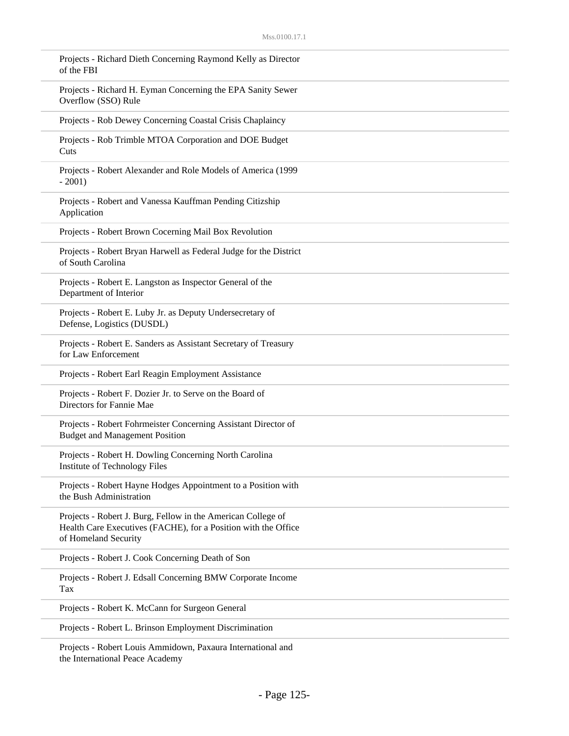| Projects - Richard Dieth Concerning Raymond Kelly as Director<br>of the FBI                                                                            |
|--------------------------------------------------------------------------------------------------------------------------------------------------------|
| Projects - Richard H. Eyman Concerning the EPA Sanity Sewer<br>Overflow (SSO) Rule                                                                     |
| Projects - Rob Dewey Concerning Coastal Crisis Chaplaincy                                                                                              |
| Projects - Rob Trimble MTOA Corporation and DOE Budget<br>Cuts                                                                                         |
| Projects - Robert Alexander and Role Models of America (1999<br>$-2001$ )                                                                              |
| Projects - Robert and Vanessa Kauffman Pending Citizship<br>Application                                                                                |
| Projects - Robert Brown Cocerning Mail Box Revolution                                                                                                  |
| Projects - Robert Bryan Harwell as Federal Judge for the District<br>of South Carolina                                                                 |
| Projects - Robert E. Langston as Inspector General of the<br>Department of Interior                                                                    |
| Projects - Robert E. Luby Jr. as Deputy Undersecretary of<br>Defense, Logistics (DUSDL)                                                                |
| Projects - Robert E. Sanders as Assistant Secretary of Treasury<br>for Law Enforcement                                                                 |
| Projects - Robert Earl Reagin Employment Assistance                                                                                                    |
| Projects - Robert F. Dozier Jr. to Serve on the Board of<br>Directors for Fannie Mae                                                                   |
| Projects - Robert Fohrmeister Concerning Assistant Director of<br><b>Budget and Management Position</b>                                                |
| Projects - Robert H. Dowling Concerning North Carolina<br>Institute of Technology Files                                                                |
| Projects - Robert Hayne Hodges Appointment to a Position with<br>the Bush Administration                                                               |
| Projects - Robert J. Burg, Fellow in the American College of<br>Health Care Executives (FACHE), for a Position with the Office<br>of Homeland Security |
| Projects - Robert J. Cook Concerning Death of Son                                                                                                      |
| Projects - Robert J. Edsall Concerning BMW Corporate Income<br>Tax                                                                                     |
| Projects - Robert K. McCann for Surgeon General                                                                                                        |
| Projects - Robert L. Brinson Employment Discrimination                                                                                                 |
| Projects - Robert Louis Ammidown, Paxaura International and                                                                                            |

the International Peace Academy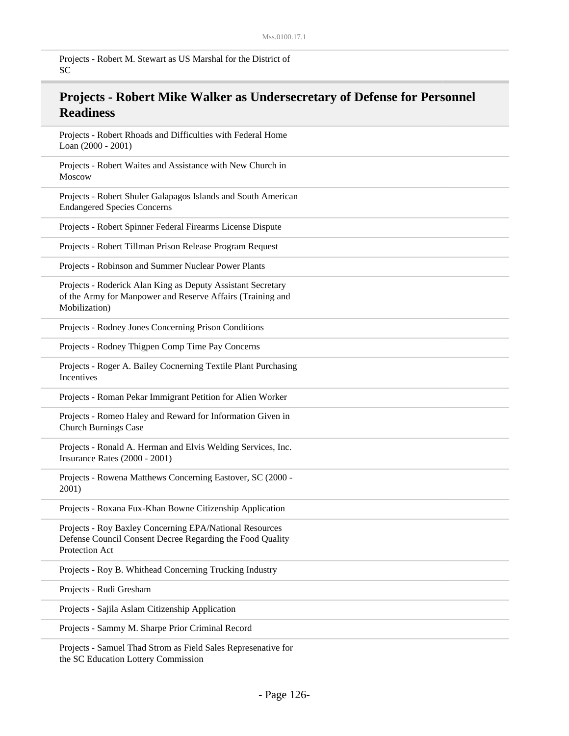Projects - Robert M. Stewart as US Marshal for the District of SC

## **Projects - Robert Mike Walker as Undersecretary of Defense for Personnel Readiness**

Projects - Robert Rhoads and Difficulties with Federal Home Loan (2000 - 2001)

Projects - Robert Waites and Assistance with New Church in Moscow

Projects - Robert Shuler Galapagos Islands and South American Endangered Species Concerns

Projects - Robert Spinner Federal Firearms License Dispute

Projects - Robert Tillman Prison Release Program Request

Projects - Robinson and Summer Nuclear Power Plants

Projects - Roderick Alan King as Deputy Assistant Secretary of the Army for Manpower and Reserve Affairs (Training and Mobilization)

Projects - Rodney Jones Concerning Prison Conditions

Projects - Rodney Thigpen Comp Time Pay Concerns

Projects - Roger A. Bailey Cocnerning Textile Plant Purchasing Incentives

Projects - Roman Pekar Immigrant Petition for Alien Worker

Projects - Romeo Haley and Reward for Information Given in Church Burnings Case

Projects - Ronald A. Herman and Elvis Welding Services, Inc. Insurance Rates (2000 - 2001)

Projects - Rowena Matthews Concerning Eastover, SC (2000 - 2001)

Projects - Roxana Fux-Khan Bowne Citizenship Application

Projects - Roy Baxley Concerning EPA/National Resources Defense Council Consent Decree Regarding the Food Quality Protection Act

Projects - Roy B. Whithead Concerning Trucking Industry

Projects - Rudi Gresham

Projects - Sajila Aslam Citizenship Application

Projects - Sammy M. Sharpe Prior Criminal Record

Projects - Samuel Thad Strom as Field Sales Represenative for the SC Education Lottery Commission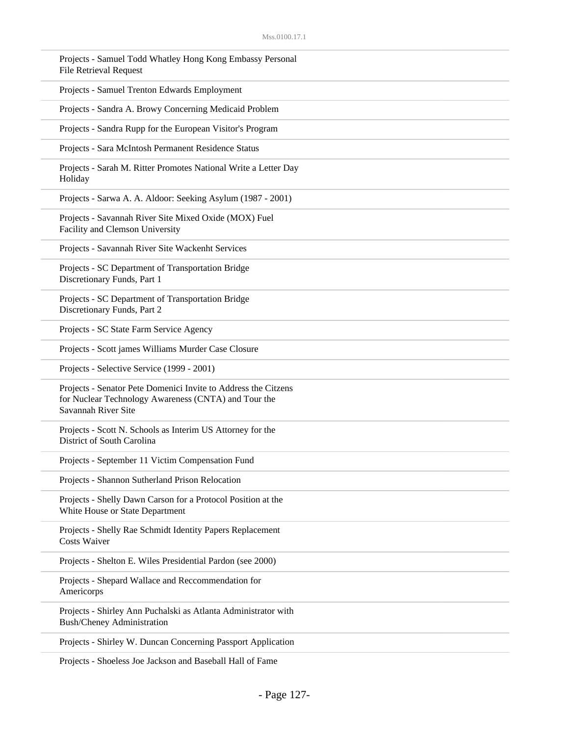| Projects - Samuel Todd Whatley Hong Kong Embassy Personal<br><b>File Retrieval Request</b>                                                    |  |
|-----------------------------------------------------------------------------------------------------------------------------------------------|--|
| Projects - Samuel Trenton Edwards Employment                                                                                                  |  |
| Projects - Sandra A. Browy Concerning Medicaid Problem                                                                                        |  |
| Projects - Sandra Rupp for the European Visitor's Program                                                                                     |  |
| Projects - Sara McIntosh Permanent Residence Status                                                                                           |  |
| Projects - Sarah M. Ritter Promotes National Write a Letter Day<br>Holiday                                                                    |  |
| Projects - Sarwa A. A. Aldoor: Seeking Asylum (1987 - 2001)                                                                                   |  |
| Projects - Savannah River Site Mixed Oxide (MOX) Fuel<br>Facility and Clemson University                                                      |  |
| Projects - Savannah River Site Wackenht Services                                                                                              |  |
| Projects - SC Department of Transportation Bridge<br>Discretionary Funds, Part 1                                                              |  |
| Projects - SC Department of Transportation Bridge<br>Discretionary Funds, Part 2                                                              |  |
| Projects - SC State Farm Service Agency                                                                                                       |  |
| Projects - Scott james Williams Murder Case Closure                                                                                           |  |
| Projects - Selective Service (1999 - 2001)                                                                                                    |  |
| Projects - Senator Pete Domenici Invite to Address the Citzens<br>for Nuclear Technology Awareness (CNTA) and Tour the<br>Savannah River Site |  |
| Projects - Scott N. Schools as Interim US Attorney for the<br>District of South Carolina                                                      |  |
| Projects - September 11 Victim Compensation Fund                                                                                              |  |
| Projects - Shannon Sutherland Prison Relocation                                                                                               |  |
| Projects - Shelly Dawn Carson for a Protocol Position at the<br>White House or State Department                                               |  |
| Projects - Shelly Rae Schmidt Identity Papers Replacement<br><b>Costs Waiver</b>                                                              |  |
| Projects - Shelton E. Wiles Presidential Pardon (see 2000)                                                                                    |  |
| Projects - Shepard Wallace and Reccommendation for<br>Americorps                                                                              |  |
| Projects - Shirley Ann Puchalski as Atlanta Administrator with<br><b>Bush/Cheney Administration</b>                                           |  |
| Projects - Shirley W. Duncan Concerning Passport Application                                                                                  |  |

Projects - Shoeless Joe Jackson and Baseball Hall of Fame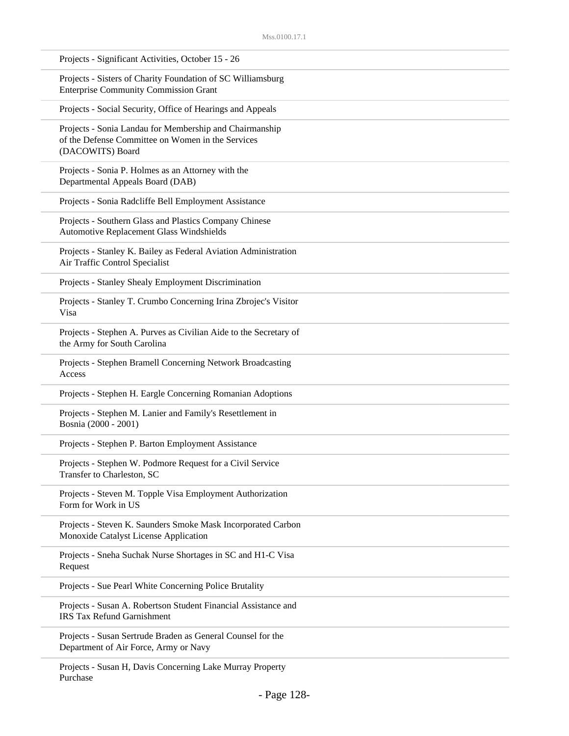| Projects - Significant Activities, October 15 - 26                                                                               |
|----------------------------------------------------------------------------------------------------------------------------------|
| Projects - Sisters of Charity Foundation of SC Williamsburg<br><b>Enterprise Community Commission Grant</b>                      |
| Projects - Social Security, Office of Hearings and Appeals                                                                       |
| Projects - Sonia Landau for Membership and Chairmanship<br>of the Defense Committee on Women in the Services<br>(DACOWITS) Board |
| Projects - Sonia P. Holmes as an Attorney with the<br>Departmental Appeals Board (DAB)                                           |
| Projects - Sonia Radcliffe Bell Employment Assistance                                                                            |
| Projects - Southern Glass and Plastics Company Chinese<br>Automotive Replacement Glass Windshields                               |
| Projects - Stanley K. Bailey as Federal Aviation Administration<br>Air Traffic Control Specialist                                |
| Projects - Stanley Shealy Employment Discrimination                                                                              |
| Projects - Stanley T. Crumbo Concerning Irina Zbrojec's Visitor<br>Visa                                                          |
| Projects - Stephen A. Purves as Civilian Aide to the Secretary of<br>the Army for South Carolina                                 |
| Projects - Stephen Bramell Concerning Network Broadcasting<br>Access                                                             |
| Projects - Stephen H. Eargle Concerning Romanian Adoptions                                                                       |
| Projects - Stephen M. Lanier and Family's Resettlement in<br>Bosnia (2000 - 2001)                                                |
| Projects - Stephen P. Barton Employment Assistance                                                                               |
| Projects - Stephen W. Podmore Request for a Civil Service<br>Transfer to Charleston, SC                                          |
| Projects - Steven M. Topple Visa Employment Authorization<br>Form for Work in US                                                 |
| Projects - Steven K. Saunders Smoke Mask Incorporated Carbon<br>Monoxide Catalyst License Application                            |
| Projects - Sneha Suchak Nurse Shortages in SC and H1-C Visa<br>Request                                                           |
| Projects - Sue Pearl White Concerning Police Brutality                                                                           |
| Projects - Susan A. Robertson Student Financial Assistance and<br><b>IRS Tax Refund Garnishment</b>                              |
| Projects - Susan Sertrude Braden as General Counsel for the<br>Department of Air Force, Army or Navy                             |
|                                                                                                                                  |

Projects - Susan H, Davis Concerning Lake Murray Property Purchase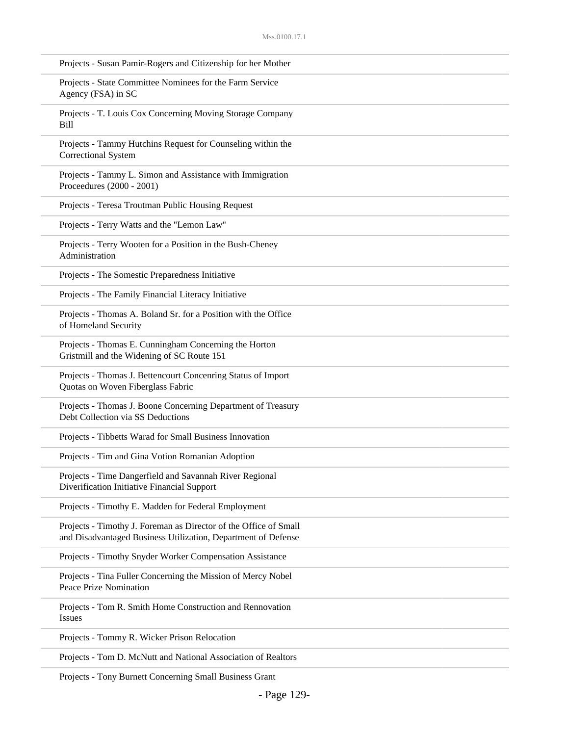| Projects - Susan Pamir-Rogers and Citizenship for her Mother                                                                      |
|-----------------------------------------------------------------------------------------------------------------------------------|
| Projects - State Committee Nominees for the Farm Service<br>Agency (FSA) in SC                                                    |
| Projects - T. Louis Cox Concerning Moving Storage Company<br>Bill                                                                 |
| Projects - Tammy Hutchins Request for Counseling within the<br>Correctional System                                                |
| Projects - Tammy L. Simon and Assistance with Immigration<br>Proceedures (2000 - 2001)                                            |
| Projects - Teresa Troutman Public Housing Request                                                                                 |
| Projects - Terry Watts and the "Lemon Law"                                                                                        |
| Projects - Terry Wooten for a Position in the Bush-Cheney<br>Administration                                                       |
| Projects - The Somestic Preparedness Initiative                                                                                   |
| Projects - The Family Financial Literacy Initiative                                                                               |
| Projects - Thomas A. Boland Sr. for a Position with the Office<br>of Homeland Security                                            |
| Projects - Thomas E. Cunningham Concerning the Horton<br>Gristmill and the Widening of SC Route 151                               |
| Projects - Thomas J. Bettencourt Concenring Status of Import<br>Quotas on Woven Fiberglass Fabric                                 |
| Projects - Thomas J. Boone Concerning Department of Treasury<br>Debt Collection via SS Deductions                                 |
| Projects - Tibbetts Warad for Small Business Innovation                                                                           |
| Projects - Tim and Gina Votion Romanian Adoption                                                                                  |
| Projects - Time Dangerfield and Savannah River Regional<br>Diverification Initiative Financial Support                            |
| Projects - Timothy E. Madden for Federal Employment                                                                               |
| Projects - Timothy J. Foreman as Director of the Office of Small<br>and Disadvantaged Business Utilization, Department of Defense |
| Projects - Timothy Snyder Worker Compensation Assistance                                                                          |
| Projects - Tina Fuller Concerning the Mission of Mercy Nobel<br>Peace Prize Nomination                                            |
| Projects - Tom R. Smith Home Construction and Rennovation<br><b>Issues</b>                                                        |
| Projects - Tommy R. Wicker Prison Relocation                                                                                      |
| Projects - Tom D. McNutt and National Association of Realtors                                                                     |

Projects - Tony Burnett Concerning Small Business Grant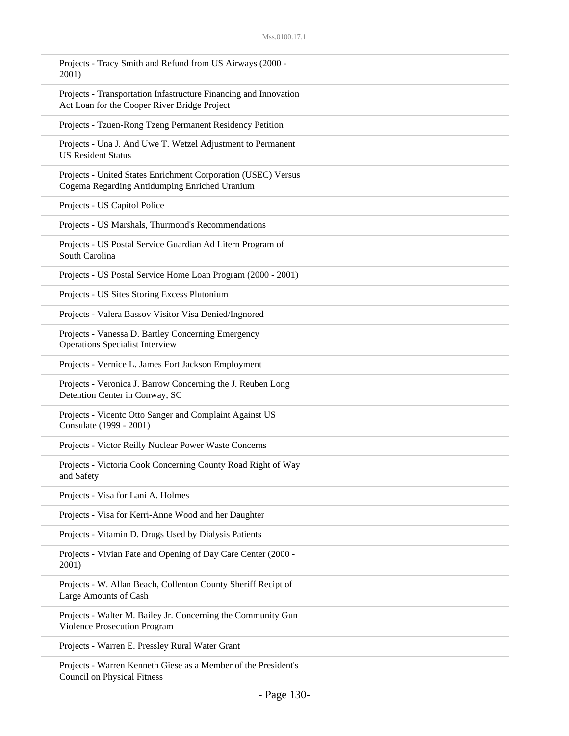| Projects - Tracy Smith and Refund from US Airways (2000 -<br>2001)                                               |
|------------------------------------------------------------------------------------------------------------------|
| Projects - Transportation Infastructure Financing and Innovation<br>Act Loan for the Cooper River Bridge Project |
| Projects - Tzuen-Rong Tzeng Permanent Residency Petition                                                         |
| Projects - Una J. And Uwe T. Wetzel Adjustment to Permanent<br><b>US Resident Status</b>                         |
| Projects - United States Enrichment Corporation (USEC) Versus<br>Cogema Regarding Antidumping Enriched Uranium   |
| Projects - US Capitol Police                                                                                     |
| Projects - US Marshals, Thurmond's Recommendations                                                               |
| Projects - US Postal Service Guardian Ad Litern Program of<br>South Carolina                                     |
| Projects - US Postal Service Home Loan Program (2000 - 2001)                                                     |
| Projects - US Sites Storing Excess Plutonium                                                                     |
| Projects - Valera Bassov Visitor Visa Denied/Ingnored                                                            |
| Projects - Vanessa D. Bartley Concerning Emergency<br>Operations Specialist Interview                            |
| Projects - Vernice L. James Fort Jackson Employment                                                              |
| Projects - Veronica J. Barrow Concerning the J. Reuben Long<br>Detention Center in Conway, SC                    |
| Projects - Vicentc Otto Sanger and Complaint Against US<br>Consulate (1999 - 2001)                               |
| Projects - Victor Reilly Nuclear Power Waste Concerns                                                            |
| Projects - Victoria Cook Concerning County Road Right of Way<br>and Safety                                       |
| Projects - Visa for Lani A. Holmes                                                                               |
| Projects - Visa for Kerri-Anne Wood and her Daughter                                                             |
| Projects - Vitamin D. Drugs Used by Dialysis Patients                                                            |
| Projects - Vivian Pate and Opening of Day Care Center (2000 -<br>2001)                                           |
| Projects - W. Allan Beach, Collenton County Sheriff Recipt of<br>Large Amounts of Cash                           |
| Projects - Walter M. Bailey Jr. Concerning the Community Gun<br>Violence Prosecution Program                     |
| Projects - Warren E. Pressley Rural Water Grant                                                                  |
|                                                                                                                  |

Projects - Warren Kenneth Giese as a Member of the President's Council on Physical Fitness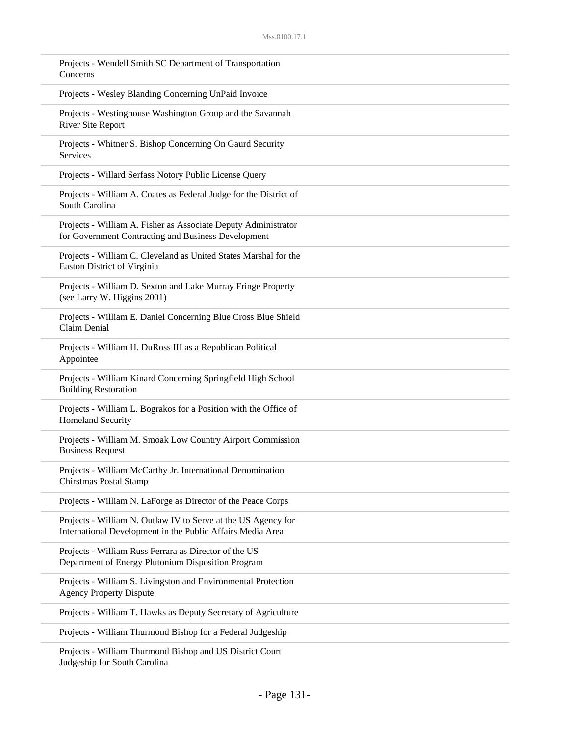| Projects - Wendell Smith SC Department of Transportation<br>Concerns                                                        |
|-----------------------------------------------------------------------------------------------------------------------------|
| Projects - Wesley Blanding Concerning UnPaid Invoice                                                                        |
| Projects - Westinghouse Washington Group and the Savannah<br><b>River Site Report</b>                                       |
| Projects - Whitner S. Bishop Concerning On Gaurd Security<br>Services                                                       |
| Projects - Willard Serfass Notory Public License Query                                                                      |
| Projects - William A. Coates as Federal Judge for the District of<br>South Carolina                                         |
| Projects - William A. Fisher as Associate Deputy Administrator<br>for Government Contracting and Business Development       |
| Projects - William C. Cleveland as United States Marshal for the<br><b>Easton District of Virginia</b>                      |
| Projects - William D. Sexton and Lake Murray Fringe Property<br>(see Larry W. Higgins 2001)                                 |
| Projects - William E. Daniel Concerning Blue Cross Blue Shield<br>Claim Denial                                              |
| Projects - William H. DuRoss III as a Republican Political<br>Appointee                                                     |
| Projects - William Kinard Concerning Springfield High School<br><b>Building Restoration</b>                                 |
| Projects - William L. Bograkos for a Position with the Office of<br>Homeland Security                                       |
| Projects - William M. Smoak Low Country Airport Commission<br><b>Business Request</b>                                       |
| Projects - William McCarthy Jr. International Denomination<br>Chirstmas Postal Stamp                                        |
| Projects - William N. LaForge as Director of the Peace Corps                                                                |
| Projects - William N. Outlaw IV to Serve at the US Agency for<br>International Development in the Public Affairs Media Area |
| Projects - William Russ Ferrara as Director of the US<br>Department of Energy Plutonium Disposition Program                 |
| Projects - William S. Livingston and Environmental Protection<br><b>Agency Property Dispute</b>                             |
| Projects - William T. Hawks as Deputy Secretary of Agriculture                                                              |
| Projects - William Thurmond Bishop for a Federal Judgeship                                                                  |
| Projects - William Thurmond Bishop and US District Court                                                                    |

Judgeship for South Carolina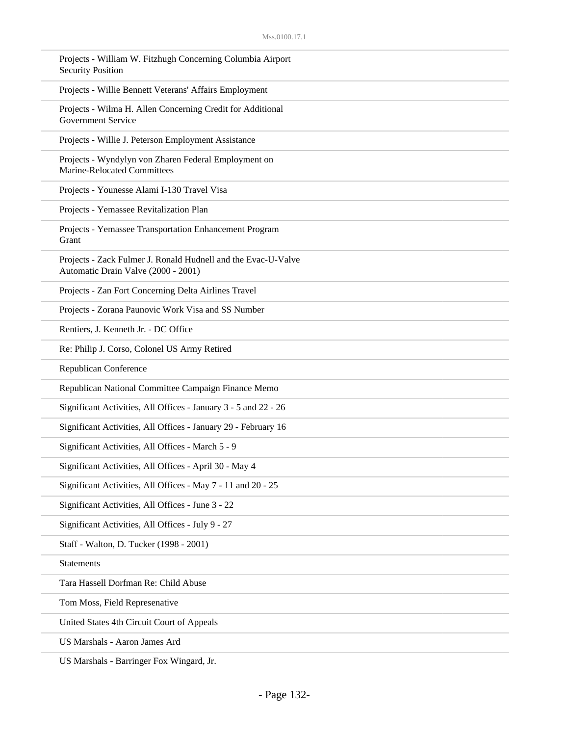| Projects - William W. Fitzhugh Concerning Columbia Airport<br><b>Security Position</b>               |
|------------------------------------------------------------------------------------------------------|
| Projects - Willie Bennett Veterans' Affairs Employment                                               |
| Projects - Wilma H. Allen Concerning Credit for Additional<br>Government Service                     |
| Projects - Willie J. Peterson Employment Assistance                                                  |
| Projects - Wyndylyn von Zharen Federal Employment on<br>Marine-Relocated Committees                  |
| Projects - Younesse Alami I-130 Travel Visa                                                          |
| Projects - Yemassee Revitalization Plan                                                              |
| Projects - Yemassee Transportation Enhancement Program<br>Grant                                      |
| Projects - Zack Fulmer J. Ronald Hudnell and the Evac-U-Valve<br>Automatic Drain Valve (2000 - 2001) |
| Projects - Zan Fort Concerning Delta Airlines Travel                                                 |
| Projects - Zorana Paunovic Work Visa and SS Number                                                   |
| Rentiers, J. Kenneth Jr. - DC Office                                                                 |
| Re: Philip J. Corso, Colonel US Army Retired                                                         |
| Republican Conference                                                                                |
| Republican National Committee Campaign Finance Memo                                                  |
| Significant Activities, All Offices - January 3 - 5 and 22 - 26                                      |
| Significant Activities, All Offices - January 29 - February 16                                       |
| Significant Activities, All Offices - March 5 - 9                                                    |
| Significant Activities, All Offices - April 30 - May 4                                               |
| Significant Activities, All Offices - May 7 - 11 and 20 - 25                                         |
| Significant Activities, All Offices - June 3 - 22                                                    |
| Significant Activities, All Offices - July 9 - 27                                                    |
| Staff - Walton, D. Tucker (1998 - 2001)                                                              |
| <b>Statements</b>                                                                                    |
| Tara Hassell Dorfman Re: Child Abuse                                                                 |
| Tom Moss, Field Represenative                                                                        |
| United States 4th Circuit Court of Appeals                                                           |
| US Marshals - Aaron James Ard                                                                        |
|                                                                                                      |

US Marshals - Barringer Fox Wingard, Jr.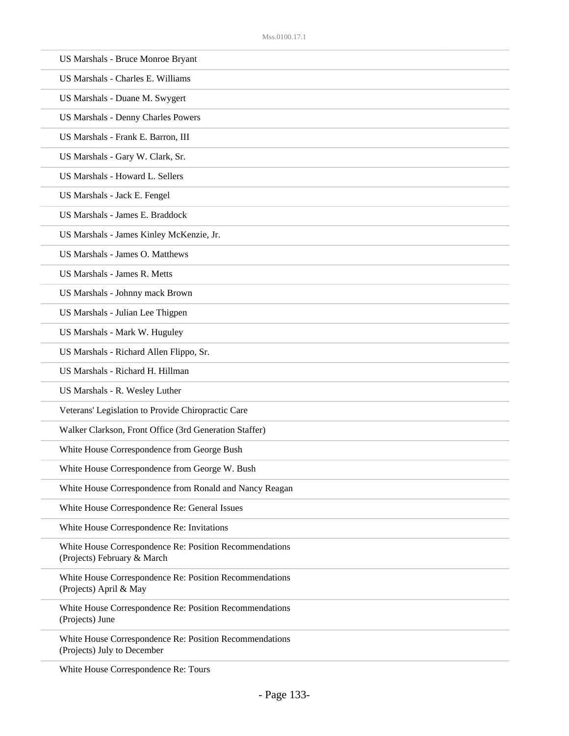| US Marshals - Bruce Monroe Bryant                                                      |
|----------------------------------------------------------------------------------------|
| US Marshals - Charles E. Williams                                                      |
| US Marshals - Duane M. Swygert                                                         |
| <b>US Marshals - Denny Charles Powers</b>                                              |
| US Marshals - Frank E. Barron, III                                                     |
| US Marshals - Gary W. Clark, Sr.                                                       |
| US Marshals - Howard L. Sellers                                                        |
| US Marshals - Jack E. Fengel                                                           |
| US Marshals - James E. Braddock                                                        |
| US Marshals - James Kinley McKenzie, Jr.                                               |
| <b>US Marshals - James O. Matthews</b>                                                 |
| <b>US Marshals - James R. Metts</b>                                                    |
| US Marshals - Johnny mack Brown                                                        |
| US Marshals - Julian Lee Thigpen                                                       |
| US Marshals - Mark W. Huguley                                                          |
| US Marshals - Richard Allen Flippo, Sr.                                                |
| US Marshals - Richard H. Hillman                                                       |
| US Marshals - R. Wesley Luther                                                         |
| Veterans' Legislation to Provide Chiropractic Care                                     |
| Walker Clarkson, Front Office (3rd Generation Staffer)                                 |
| White House Correspondence from George Bush                                            |
| White House Correspondence from George W. Bush                                         |
| White House Correspondence from Ronald and Nancy Reagan                                |
| White House Correspondence Re: General Issues                                          |
| White House Correspondence Re: Invitations                                             |
| White House Correspondence Re: Position Recommendations<br>(Projects) February & March |
| White House Correspondence Re: Position Recommendations<br>(Projects) April & May      |
| White House Correspondence Re: Position Recommendations<br>(Projects) June             |
| White House Correspondence Re: Position Recommendations<br>(Projects) July to December |
| White House Correspondence Re: Tours                                                   |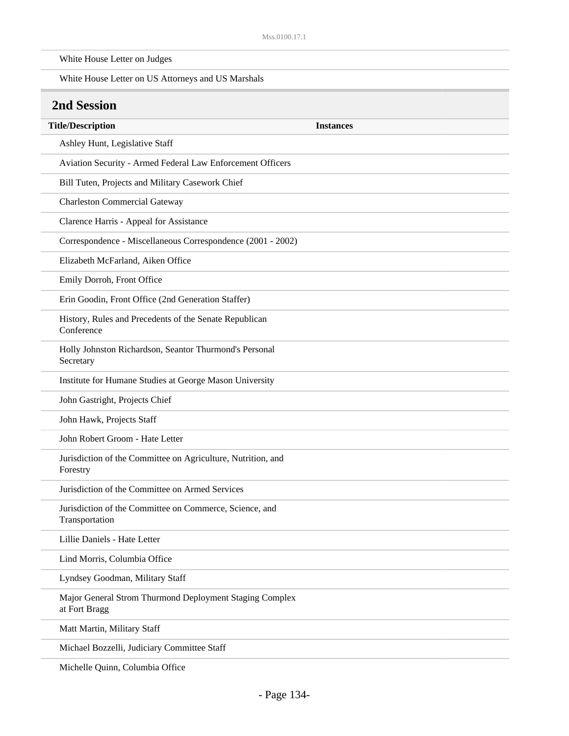| White House Letter on Judges                                              |                  |
|---------------------------------------------------------------------------|------------------|
| White House Letter on US Attorneys and US Marshals                        |                  |
| <b>2nd Session</b>                                                        |                  |
| <b>Title/Description</b>                                                  | <b>Instances</b> |
| Ashley Hunt, Legislative Staff                                            |                  |
| Aviation Security - Armed Federal Law Enforcement Officers                |                  |
| Bill Tuten, Projects and Military Casework Chief                          |                  |
| <b>Charleston Commercial Gateway</b>                                      |                  |
| Clarence Harris - Appeal for Assistance                                   |                  |
| Correspondence - Miscellaneous Correspondence (2001 - 2002)               |                  |
| Elizabeth McFarland, Aiken Office                                         |                  |
| Emily Dorroh, Front Office                                                |                  |
| Erin Goodin, Front Office (2nd Generation Staffer)                        |                  |
| History, Rules and Precedents of the Senate Republican<br>Conference      |                  |
| Holly Johnston Richardson, Seantor Thurmond's Personal<br>Secretary       |                  |
| Institute for Humane Studies at George Mason University                   |                  |
| John Gastright, Projects Chief                                            |                  |
| John Hawk, Projects Staff                                                 |                  |
| John Robert Groom - Hate Letter                                           |                  |
| Jurisdiction of the Committee on Agriculture, Nutrition, and<br>Forestry  |                  |
| Jurisdiction of the Committee on Armed Services                           |                  |
| Jurisdiction of the Committee on Commerce, Science, and<br>Transportation |                  |
| Lillie Daniels - Hate Letter                                              |                  |
| Lind Morris, Columbia Office                                              |                  |
| Lyndsey Goodman, Military Staff                                           |                  |
| Major General Strom Thurmond Deployment Staging Complex<br>at Fort Bragg  |                  |
| Matt Martin, Military Staff                                               |                  |
| Michael Bozzelli, Judiciary Committee Staff                               |                  |
| Michelle Quinn, Columbia Office                                           |                  |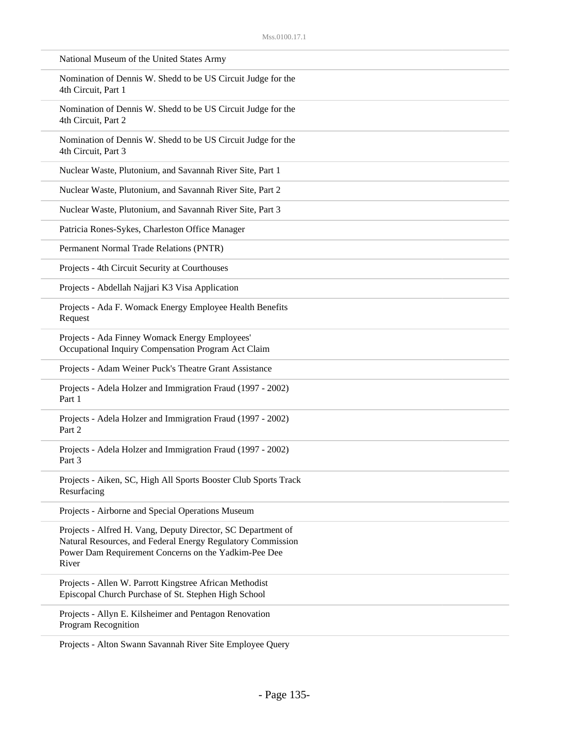| National Museum of the United States Army                                                                                                                                                    |
|----------------------------------------------------------------------------------------------------------------------------------------------------------------------------------------------|
| Nomination of Dennis W. Shedd to be US Circuit Judge for the<br>4th Circuit, Part 1                                                                                                          |
| Nomination of Dennis W. Shedd to be US Circuit Judge for the<br>4th Circuit, Part 2                                                                                                          |
| Nomination of Dennis W. Shedd to be US Circuit Judge for the<br>4th Circuit, Part 3                                                                                                          |
| Nuclear Waste, Plutonium, and Savannah River Site, Part 1                                                                                                                                    |
| Nuclear Waste, Plutonium, and Savannah River Site, Part 2                                                                                                                                    |
| Nuclear Waste, Plutonium, and Savannah River Site, Part 3                                                                                                                                    |
| Patricia Rones-Sykes, Charleston Office Manager                                                                                                                                              |
| Permanent Normal Trade Relations (PNTR)                                                                                                                                                      |
| Projects - 4th Circuit Security at Courthouses                                                                                                                                               |
| Projects - Abdellah Najjari K3 Visa Application                                                                                                                                              |
| Projects - Ada F. Womack Energy Employee Health Benefits<br>Request                                                                                                                          |
| Projects - Ada Finney Womack Energy Employees'<br>Occupational Inquiry Compensation Program Act Claim                                                                                        |
| Projects - Adam Weiner Puck's Theatre Grant Assistance                                                                                                                                       |
| Projects - Adela Holzer and Immigration Fraud (1997 - 2002)<br>Part 1                                                                                                                        |
| Projects - Adela Holzer and Immigration Fraud (1997 - 2002)<br>Part 2                                                                                                                        |
| Projects - Adela Holzer and Immigration Fraud (1997 - 2002)<br>Part 3                                                                                                                        |
| Projects - Aiken, SC, High All Sports Booster Club Sports Track<br>Resurfacing                                                                                                               |
| Projects - Airborne and Special Operations Museum                                                                                                                                            |
| Projects - Alfred H. Vang, Deputy Director, SC Department of<br>Natural Resources, and Federal Energy Regulatory Commission<br>Power Dam Requirement Concerns on the Yadkim-Pee Dee<br>River |
| Projects - Allen W. Parrott Kingstree African Methodist<br>Episcopal Church Purchase of St. Stephen High School                                                                              |
| Projects - Allyn E. Kilsheimer and Pentagon Renovation<br>Program Recognition                                                                                                                |
|                                                                                                                                                                                              |

Projects - Alton Swann Savannah River Site Employee Query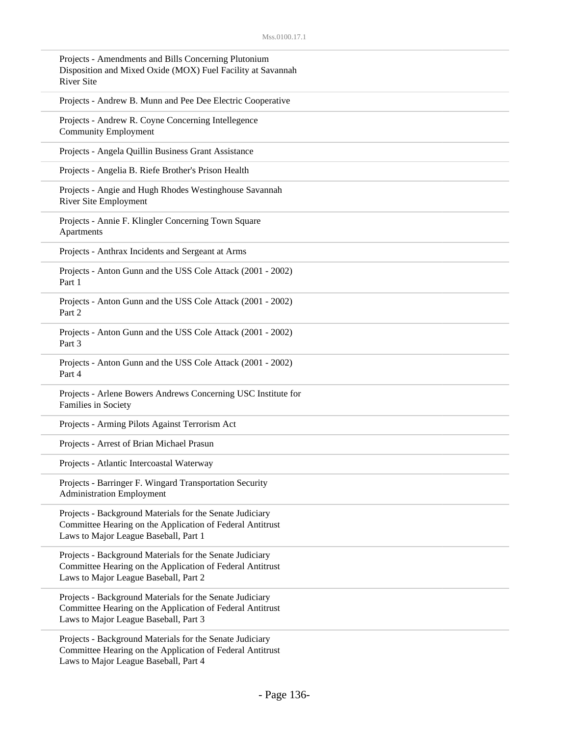| Projects - Amendments and Bills Concerning Plutonium<br>Disposition and Mixed Oxide (MOX) Fuel Facility at Savannah<br><b>River Site</b>                       |
|----------------------------------------------------------------------------------------------------------------------------------------------------------------|
| Projects - Andrew B. Munn and Pee Dee Electric Cooperative                                                                                                     |
| Projects - Andrew R. Coyne Concerning Intellegence<br><b>Community Employment</b>                                                                              |
| Projects - Angela Quillin Business Grant Assistance                                                                                                            |
| Projects - Angelia B. Riefe Brother's Prison Health                                                                                                            |
| Projects - Angie and Hugh Rhodes Westinghouse Savannah<br>River Site Employment                                                                                |
| Projects - Annie F. Klingler Concerning Town Square<br>Apartments                                                                                              |
| Projects - Anthrax Incidents and Sergeant at Arms                                                                                                              |
| Projects - Anton Gunn and the USS Cole Attack (2001 - 2002)<br>Part 1                                                                                          |
| Projects - Anton Gunn and the USS Cole Attack (2001 - 2002)<br>Part 2                                                                                          |
| Projects - Anton Gunn and the USS Cole Attack (2001 - 2002)<br>Part 3                                                                                          |
| Projects - Anton Gunn and the USS Cole Attack (2001 - 2002)<br>Part 4                                                                                          |
| Projects - Arlene Bowers Andrews Concerning USC Institute for<br>Families in Society                                                                           |
| Projects - Arming Pilots Against Terrorism Act                                                                                                                 |
| Projects - Arrest of Brian Michael Prasun                                                                                                                      |
| Projects - Atlantic Intercoastal Waterway                                                                                                                      |
| Projects - Barringer F. Wingard Transportation Security<br><b>Administration Employment</b>                                                                    |
| Projects - Background Materials for the Senate Judiciary<br>Committee Hearing on the Application of Federal Antitrust<br>Laws to Major League Baseball, Part 1 |
| Projects - Background Materials for the Senate Judiciary<br>Committee Hearing on the Application of Federal Antitrust<br>Laws to Major League Baseball, Part 2 |
| Projects - Background Materials for the Senate Judiciary<br>Committee Hearing on the Application of Federal Antitrust<br>Laws to Major League Baseball, Part 3 |
| Projects - Background Materials for the Senate Judiciary                                                                                                       |

Committee Hearing on the Application of Federal Antitrust Laws to Major League Baseball, Part 4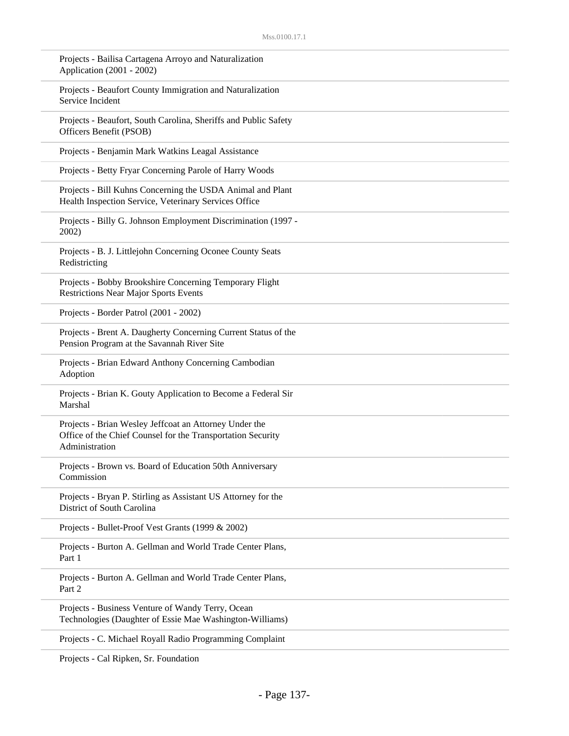| Projects - Bailisa Cartagena Arroyo and Naturalization<br>Application (2001 - 2002)                                                     |
|-----------------------------------------------------------------------------------------------------------------------------------------|
| Projects - Beaufort County Immigration and Naturalization<br>Service Incident                                                           |
| Projects - Beaufort, South Carolina, Sheriffs and Public Safety<br>Officers Benefit (PSOB)                                              |
| Projects - Benjamin Mark Watkins Leagal Assistance                                                                                      |
| Projects - Betty Fryar Concerning Parole of Harry Woods                                                                                 |
| Projects - Bill Kuhns Concerning the USDA Animal and Plant<br>Health Inspection Service, Veterinary Services Office                     |
| Projects - Billy G. Johnson Employment Discrimination (1997 -<br>2002)                                                                  |
| Projects - B. J. Littlejohn Concerning Oconee County Seats<br>Redistricting                                                             |
| Projects - Bobby Brookshire Concerning Temporary Flight<br><b>Restrictions Near Major Sports Events</b>                                 |
| Projects - Border Patrol (2001 - 2002)                                                                                                  |
| Projects - Brent A. Daugherty Concerning Current Status of the<br>Pension Program at the Savannah River Site                            |
| Projects - Brian Edward Anthony Concerning Cambodian<br>Adoption                                                                        |
| Projects - Brian K. Gouty Application to Become a Federal Sir<br>Marshal                                                                |
| Projects - Brian Wesley Jeffcoat an Attorney Under the<br>Office of the Chief Counsel for the Transportation Security<br>Administration |
| Projects - Brown vs. Board of Education 50th Anniversary<br>Commission                                                                  |
| Projects - Bryan P. Stirling as Assistant US Attorney for the<br>District of South Carolina                                             |
| Projects - Bullet-Proof Vest Grants (1999 & 2002)                                                                                       |
| Projects - Burton A. Gellman and World Trade Center Plans,<br>Part 1                                                                    |
| Projects - Burton A. Gellman and World Trade Center Plans,<br>Part 2                                                                    |
| Projects - Business Venture of Wandy Terry, Ocean<br>Technologies (Daughter of Essie Mae Washington-Williams)                           |
| Projects - C. Michael Royall Radio Programming Complaint                                                                                |

Projects - Cal Ripken, Sr. Foundation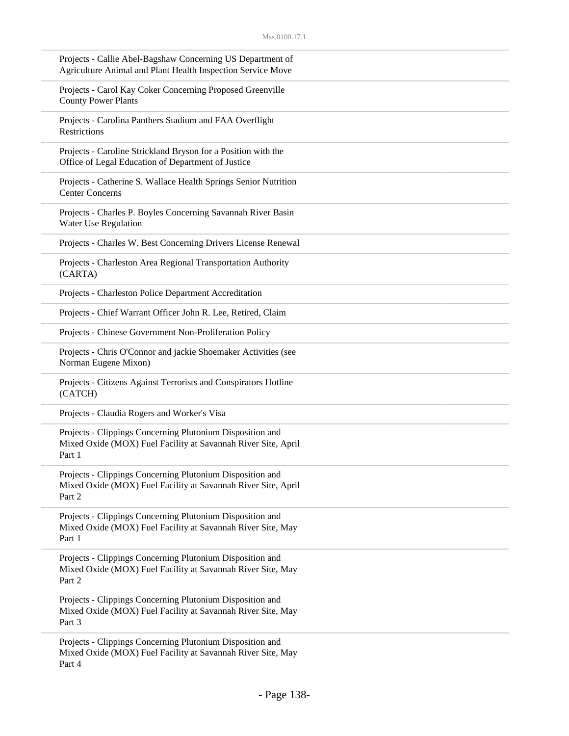| Projects - Callie Abel-Bagshaw Concerning US Department of<br>Agriculture Animal and Plant Health Inspection Service Move            |
|--------------------------------------------------------------------------------------------------------------------------------------|
| Projects - Carol Kay Coker Concerning Proposed Greenville<br><b>County Power Plants</b>                                              |
| Projects - Carolina Panthers Stadium and FAA Overflight<br>Restrictions                                                              |
| Projects - Caroline Strickland Bryson for a Position with the<br>Office of Legal Education of Department of Justice                  |
| Projects - Catherine S. Wallace Health Springs Senior Nutrition<br><b>Center Concerns</b>                                            |
| Projects - Charles P. Boyles Concerning Savannah River Basin<br>Water Use Regulation                                                 |
| Projects - Charles W. Best Concerning Drivers License Renewal                                                                        |
| Projects - Charleston Area Regional Transportation Authority<br>(CARTA)                                                              |
| Projects - Charleston Police Department Accreditation                                                                                |
| Projects - Chief Warrant Officer John R. Lee, Retired, Claim                                                                         |
| Projects - Chinese Government Non-Proliferation Policy                                                                               |
| Projects - Chris O'Connor and jackie Shoemaker Activities (see<br>Norman Eugene Mixon)                                               |
| Projects - Citizens Against Terrorists and Conspirators Hotline<br>(CATCH)                                                           |
| Projects - Claudia Rogers and Worker's Visa                                                                                          |
| Projects - Clippings Concerning Plutonium Disposition and<br>Mixed Oxide (MOX) Fuel Facility at Savannah River Site, April<br>Part 1 |
| Projects - Clippings Concerning Plutonium Disposition and<br>Mixed Oxide (MOX) Fuel Facility at Savannah River Site, April<br>Part 2 |
| Projects - Clippings Concerning Plutonium Disposition and<br>Mixed Oxide (MOX) Fuel Facility at Savannah River Site, May<br>Part 1   |
| Projects - Clippings Concerning Plutonium Disposition and<br>Mixed Oxide (MOX) Fuel Facility at Savannah River Site, May<br>Part 2   |
| Projects - Clippings Concerning Plutonium Disposition and<br>Mixed Oxide (MOX) Fuel Facility at Savannah River Site, May<br>Part 3   |
| Projects - Clippings Concerning Plutonium Disposition and<br>Mixed Oxide (MOX) Fuel Facility at Savannah River Site, May<br>Part 4   |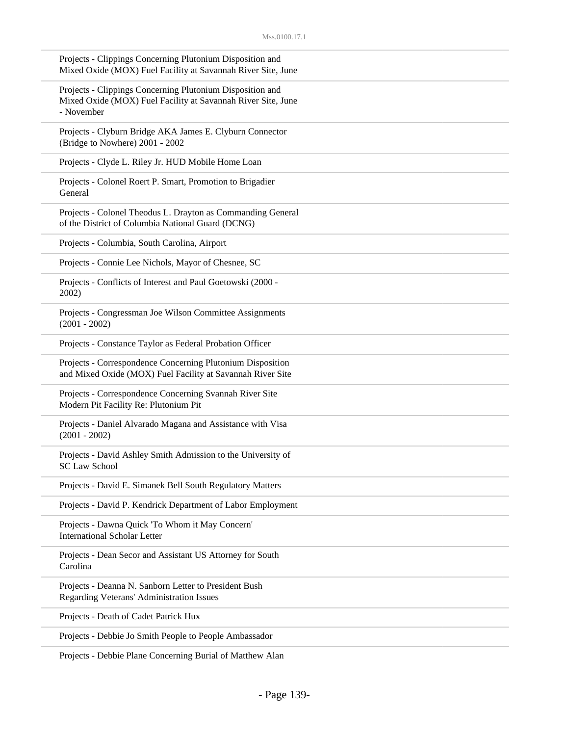| Projects - Clippings Concerning Plutonium Disposition and<br>Mixed Oxide (MOX) Fuel Facility at Savannah River Site, June               |
|-----------------------------------------------------------------------------------------------------------------------------------------|
| Projects - Clippings Concerning Plutonium Disposition and<br>Mixed Oxide (MOX) Fuel Facility at Savannah River Site, June<br>- November |
| Projects - Clyburn Bridge AKA James E. Clyburn Connector<br>(Bridge to Nowhere) 2001 - 2002                                             |
| Projects - Clyde L. Riley Jr. HUD Mobile Home Loan                                                                                      |
| Projects - Colonel Roert P. Smart, Promotion to Brigadier<br>General                                                                    |
| Projects - Colonel Theodus L. Drayton as Commanding General<br>of the District of Columbia National Guard (DCNG)                        |
| Projects - Columbia, South Carolina, Airport                                                                                            |
| Projects - Connie Lee Nichols, Mayor of Chesnee, SC                                                                                     |
| Projects - Conflicts of Interest and Paul Goetowski (2000 -<br>2002)                                                                    |
| Projects - Congressman Joe Wilson Committee Assignments<br>$(2001 - 2002)$                                                              |
| Projects - Constance Taylor as Federal Probation Officer                                                                                |
| Projects - Correspondence Concerning Plutonium Disposition<br>and Mixed Oxide (MOX) Fuel Facility at Savannah River Site                |
| Projects - Correspondence Concerning Svannah River Site<br>Modern Pit Facility Re: Plutonium Pit                                        |
| Projects - Daniel Alvarado Magana and Assistance with Visa<br>$(2001 - 2002)$                                                           |
| Projects - David Ashley Smith Admission to the University of<br><b>SC Law School</b>                                                    |
| Projects - David E. Simanek Bell South Regulatory Matters                                                                               |
| Projects - David P. Kendrick Department of Labor Employment                                                                             |
| Projects - Dawna Quick 'To Whom it May Concern'<br><b>International Scholar Letter</b>                                                  |
| Projects - Dean Secor and Assistant US Attorney for South<br>Carolina                                                                   |
| Projects - Deanna N. Sanborn Letter to President Bush<br>Regarding Veterans' Administration Issues                                      |
| Projects - Death of Cadet Patrick Hux                                                                                                   |
| Projects - Debbie Jo Smith People to People Ambassador                                                                                  |
|                                                                                                                                         |

Projects - Debbie Plane Concerning Burial of Matthew Alan

J.

L.

 $\overline{\phantom{a}}$ 

 $\overline{\phantom{a}}$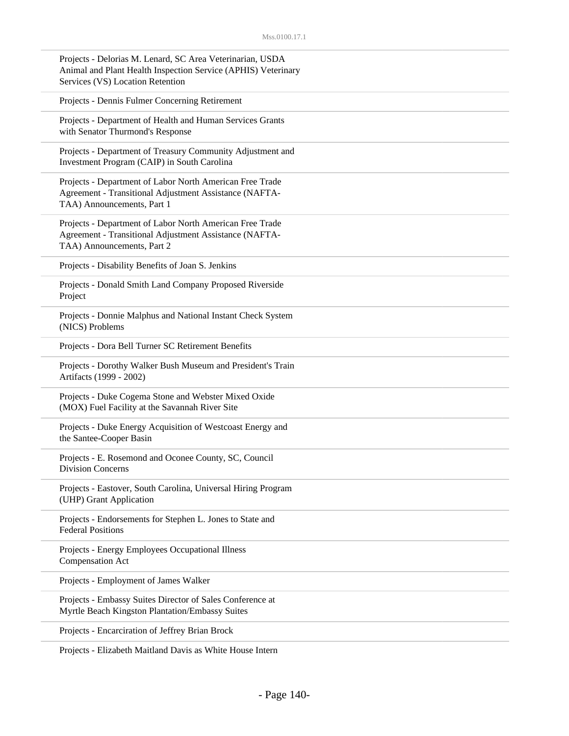| Projects - Delorias M. Lenard, SC Area Veterinarian, USDA     |  |
|---------------------------------------------------------------|--|
| Animal and Plant Health Inspection Service (APHIS) Veterinary |  |
| Services (VS) Location Retention                              |  |

Projects - Dennis Fulmer Concerning Retirement

Projects - Department of Health and Human Services Grants with Senator Thurmond's Response

Projects - Department of Treasury Community Adjustment and Investment Program (CAIP) in South Carolina

Projects - Department of Labor North American Free Trade Agreement - Transitional Adjustment Assistance (NAFTA-TAA) Announcements, Part 1

Projects - Department of Labor North American Free Trade Agreement - Transitional Adjustment Assistance (NAFTA-TAA) Announcements, Part 2

Projects - Disability Benefits of Joan S. Jenkins

Projects - Donald Smith Land Company Proposed Riverside Project

Projects - Donnie Malphus and National Instant Check System (NICS) Problems

Projects - Dora Bell Turner SC Retirement Benefits

Projects - Dorothy Walker Bush Museum and President's Train Artifacts (1999 - 2002)

Projects - Duke Cogema Stone and Webster Mixed Oxide (MOX) Fuel Facility at the Savannah River Site

Projects - Duke Energy Acquisition of Westcoast Energy and the Santee-Cooper Basin

Projects - E. Rosemond and Oconee County, SC, Council Division Concerns

Projects - Eastover, South Carolina, Universal Hiring Program (UHP) Grant Application

Projects - Endorsements for Stephen L. Jones to State and Federal Positions

Projects - Energy Employees Occupational Illness Compensation Act

Projects - Employment of James Walker

Projects - Embassy Suites Director of Sales Conference at Myrtle Beach Kingston Plantation/Embassy Suites

Projects - Encarciration of Jeffrey Brian Brock

Projects - Elizabeth Maitland Davis as White House Intern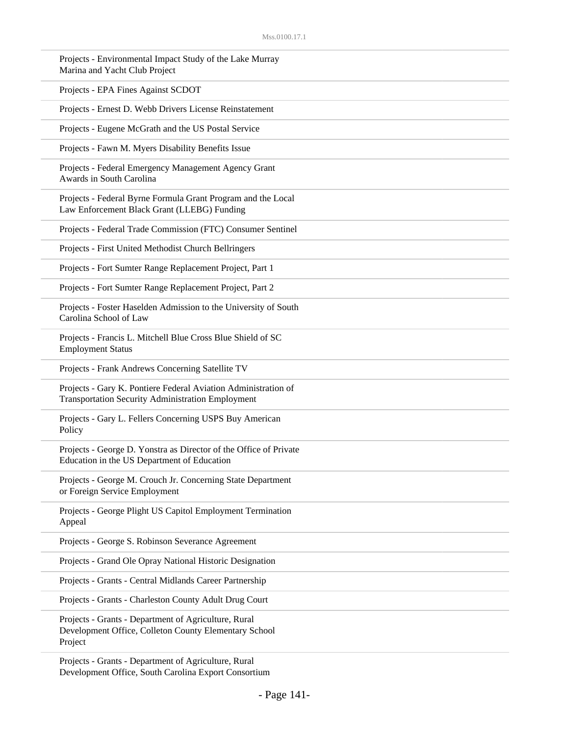| Projects - Environmental Impact Study of the Lake Murray<br>Marina and Yacht Club Project                                  |
|----------------------------------------------------------------------------------------------------------------------------|
| Projects - EPA Fines Against SCDOT                                                                                         |
| Projects - Ernest D. Webb Drivers License Reinstatement                                                                    |
| Projects - Eugene McGrath and the US Postal Service                                                                        |
| Projects - Fawn M. Myers Disability Benefits Issue                                                                         |
| Projects - Federal Emergency Management Agency Grant<br>Awards in South Carolina                                           |
| Projects - Federal Byrne Formula Grant Program and the Local<br>Law Enforcement Black Grant (LLEBG) Funding                |
| Projects - Federal Trade Commission (FTC) Consumer Sentinel                                                                |
| Projects - First United Methodist Church Bellringers                                                                       |
| Projects - Fort Sumter Range Replacement Project, Part 1                                                                   |
| Projects - Fort Sumter Range Replacement Project, Part 2                                                                   |
| Projects - Foster Haselden Admission to the University of South<br>Carolina School of Law                                  |
| Projects - Francis L. Mitchell Blue Cross Blue Shield of SC<br><b>Employment Status</b>                                    |
| Projects - Frank Andrews Concerning Satellite TV                                                                           |
| Projects - Gary K. Pontiere Federal Aviation Administration of<br><b>Transportation Security Administration Employment</b> |
| Projects - Gary L. Fellers Concerning USPS Buy American<br>Policy                                                          |
| Projects - George D. Yonstra as Director of the Office of Private<br>Education in the US Department of Education           |
| Projects - George M. Crouch Jr. Concerning State Department<br>or Foreign Service Employment                               |
| Projects - George Plight US Capitol Employment Termination<br>Appeal                                                       |
| Projects - George S. Robinson Severance Agreement                                                                          |
| Projects - Grand Ole Opray National Historic Designation                                                                   |
| Projects - Grants - Central Midlands Career Partnership                                                                    |
| Projects - Grants - Charleston County Adult Drug Court                                                                     |
| Projects - Grants - Department of Agriculture, Rural<br>Development Office, Colleton County Elementary School<br>Project   |

Projects - Grants - Department of Agriculture, Rural Development Office, South Carolina Export Consortium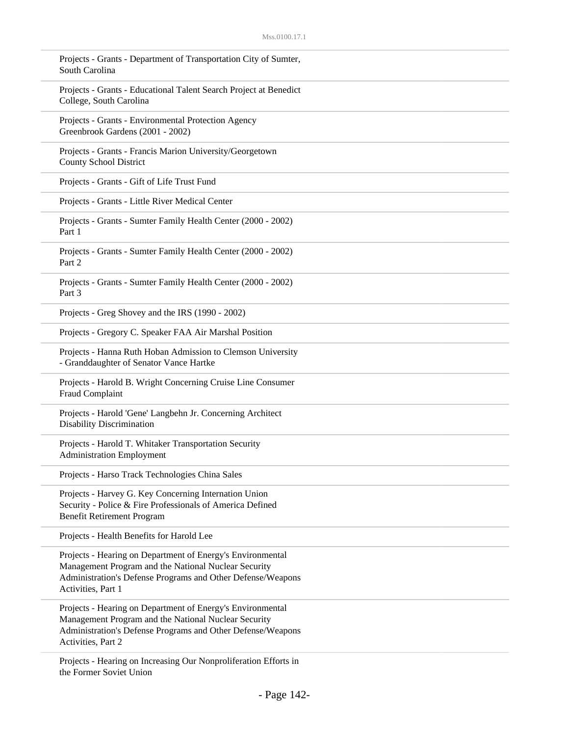| Projects - Grants - Department of Transportation City of Sumter,<br>South Carolina                                                                                                                      |
|---------------------------------------------------------------------------------------------------------------------------------------------------------------------------------------------------------|
| Projects - Grants - Educational Talent Search Project at Benedict<br>College, South Carolina                                                                                                            |
| Projects - Grants - Environmental Protection Agency<br>Greenbrook Gardens (2001 - 2002)                                                                                                                 |
| Projects - Grants - Francis Marion University/Georgetown<br><b>County School District</b>                                                                                                               |
| Projects - Grants - Gift of Life Trust Fund                                                                                                                                                             |
| Projects - Grants - Little River Medical Center                                                                                                                                                         |
| Projects - Grants - Sumter Family Health Center (2000 - 2002)<br>Part 1                                                                                                                                 |
| Projects - Grants - Sumter Family Health Center (2000 - 2002)<br>Part 2                                                                                                                                 |
| Projects - Grants - Sumter Family Health Center (2000 - 2002)<br>Part 3                                                                                                                                 |
| Projects - Greg Shovey and the IRS (1990 - 2002)                                                                                                                                                        |
| Projects - Gregory C. Speaker FAA Air Marshal Position                                                                                                                                                  |
| Projects - Hanna Ruth Hoban Admission to Clemson University<br>- Granddaughter of Senator Vance Hartke                                                                                                  |
| Projects - Harold B. Wright Concerning Cruise Line Consumer<br>Fraud Complaint                                                                                                                          |
| Projects - Harold 'Gene' Langbehn Jr. Concerning Architect<br><b>Disability Discrimination</b>                                                                                                          |
| Projects - Harold T. Whitaker Transportation Security<br><b>Administration Employment</b>                                                                                                               |
| Projects - Harso Track Technologies China Sales                                                                                                                                                         |
| Projects - Harvey G. Key Concerning Internation Union<br>Security - Police & Fire Professionals of America Defined<br><b>Benefit Retirement Program</b>                                                 |
| Projects - Health Benefits for Harold Lee                                                                                                                                                               |
| Projects - Hearing on Department of Energy's Environmental<br>Management Program and the National Nuclear Security<br>Administration's Defense Programs and Other Defense/Weapons<br>Activities, Part 1 |
| Projects - Hearing on Department of Energy's Environmental<br>Management Program and the National Nuclear Security<br>Administration's Defense Programs and Other Defense/Weapons<br>Activities, Part 2 |
| Projects - Hearing on Increasing Our Nonproliferation Efforts in<br>the Former Soviet Union                                                                                                             |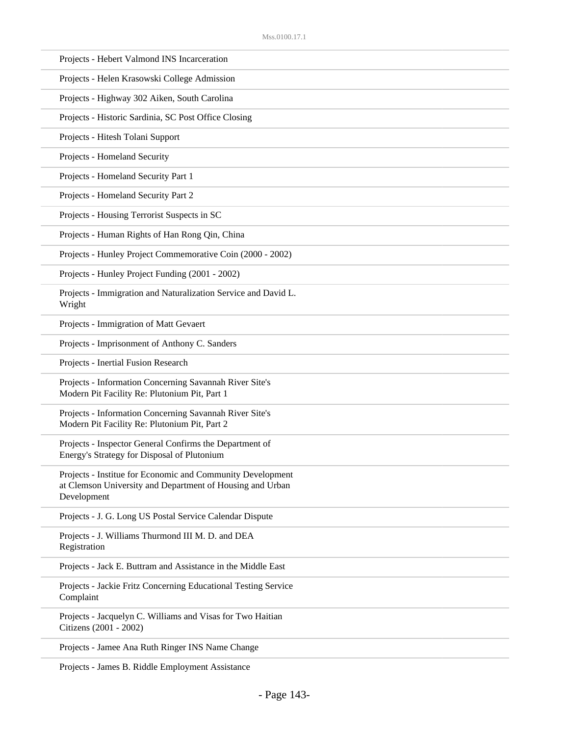| Projects - Hebert Valmond INS Incarceration                                                                                            |
|----------------------------------------------------------------------------------------------------------------------------------------|
| Projects - Helen Krasowski College Admission                                                                                           |
| Projects - Highway 302 Aiken, South Carolina                                                                                           |
| Projects - Historic Sardinia, SC Post Office Closing                                                                                   |
| Projects - Hitesh Tolani Support                                                                                                       |
| Projects - Homeland Security                                                                                                           |
| Projects - Homeland Security Part 1                                                                                                    |
| Projects - Homeland Security Part 2                                                                                                    |
| Projects - Housing Terrorist Suspects in SC                                                                                            |
| Projects - Human Rights of Han Rong Qin, China                                                                                         |
| Projects - Hunley Project Commemorative Coin (2000 - 2002)                                                                             |
| Projects - Hunley Project Funding (2001 - 2002)                                                                                        |
| Projects - Immigration and Naturalization Service and David L.<br>Wright                                                               |
| Projects - Immigration of Matt Gevaert                                                                                                 |
| Projects - Imprisonment of Anthony C. Sanders                                                                                          |
| Projects - Inertial Fusion Research                                                                                                    |
| Projects - Information Concerning Savannah River Site's<br>Modern Pit Facility Re: Plutonium Pit, Part 1                               |
| Projects - Information Concerning Savannah River Site's<br>Modern Pit Facility Re: Plutonium Pit, Part 2                               |
| Projects - Inspector General Confirms the Department of<br>Energy's Strategy for Disposal of Plutonium                                 |
| Projects - Institue for Economic and Community Development<br>at Clemson University and Department of Housing and Urban<br>Development |
| Projects - J. G. Long US Postal Service Calendar Dispute                                                                               |
| Projects - J. Williams Thurmond III M. D. and DEA<br>Registration                                                                      |
| Projects - Jack E. Buttram and Assistance in the Middle East                                                                           |
| Projects - Jackie Fritz Concerning Educational Testing Service<br>Complaint                                                            |
| Projects - Jacquelyn C. Williams and Visas for Two Haitian<br>Citizens (2001 - 2002)                                                   |
| Projects - Jamee Ana Ruth Ringer INS Name Change                                                                                       |
|                                                                                                                                        |

Projects - James B. Riddle Employment Assistance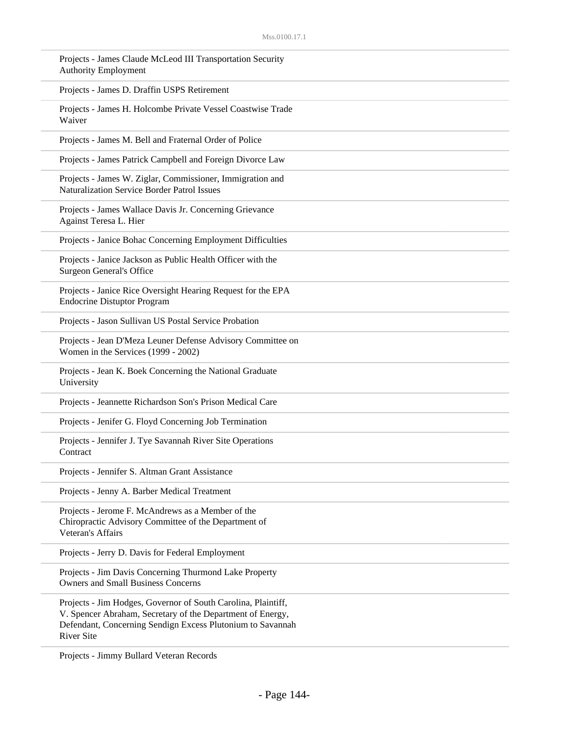| Projects - James Claude McLeod III Transportation Security<br><b>Authority Employment</b>                                                                                                                      |
|----------------------------------------------------------------------------------------------------------------------------------------------------------------------------------------------------------------|
| Projects - James D. Draffin USPS Retirement                                                                                                                                                                    |
| Projects - James H. Holcombe Private Vessel Coastwise Trade<br>Waiver                                                                                                                                          |
| Projects - James M. Bell and Fraternal Order of Police                                                                                                                                                         |
| Projects - James Patrick Campbell and Foreign Divorce Law                                                                                                                                                      |
| Projects - James W. Ziglar, Commissioner, Immigration and<br><b>Naturalization Service Border Patrol Issues</b>                                                                                                |
| Projects - James Wallace Davis Jr. Concerning Grievance<br>Against Teresa L. Hier                                                                                                                              |
| Projects - Janice Bohac Concerning Employment Difficulties                                                                                                                                                     |
| Projects - Janice Jackson as Public Health Officer with the<br><b>Surgeon General's Office</b>                                                                                                                 |
| Projects - Janice Rice Oversight Hearing Request for the EPA<br><b>Endocrine Distuptor Program</b>                                                                                                             |
| Projects - Jason Sullivan US Postal Service Probation                                                                                                                                                          |
| Projects - Jean D'Meza Leuner Defense Advisory Committee on<br>Women in the Services (1999 - 2002)                                                                                                             |
| Projects - Jean K. Boek Concerning the National Graduate<br>University                                                                                                                                         |
| Projects - Jeannette Richardson Son's Prison Medical Care                                                                                                                                                      |
| Projects - Jenifer G. Floyd Concerning Job Termination                                                                                                                                                         |
| Projects - Jennifer J. Tye Savannah River Site Operations<br>Contract                                                                                                                                          |
| Projects - Jennifer S. Altman Grant Assistance                                                                                                                                                                 |
| Projects - Jenny A. Barber Medical Treatment                                                                                                                                                                   |
| Projects - Jerome F. McAndrews as a Member of the<br>Chiropractic Advisory Committee of the Department of<br>Veteran's Affairs                                                                                 |
| Projects - Jerry D. Davis for Federal Employment                                                                                                                                                               |
| Projects - Jim Davis Concerning Thurmond Lake Property<br><b>Owners and Small Business Concerns</b>                                                                                                            |
| Projects - Jim Hodges, Governor of South Carolina, Plaintiff,<br>V. Spencer Abraham, Secretary of the Department of Energy,<br>Defendant, Concerning Sendign Excess Plutonium to Savannah<br><b>River Site</b> |
|                                                                                                                                                                                                                |

Projects - Jimmy Bullard Veteran Records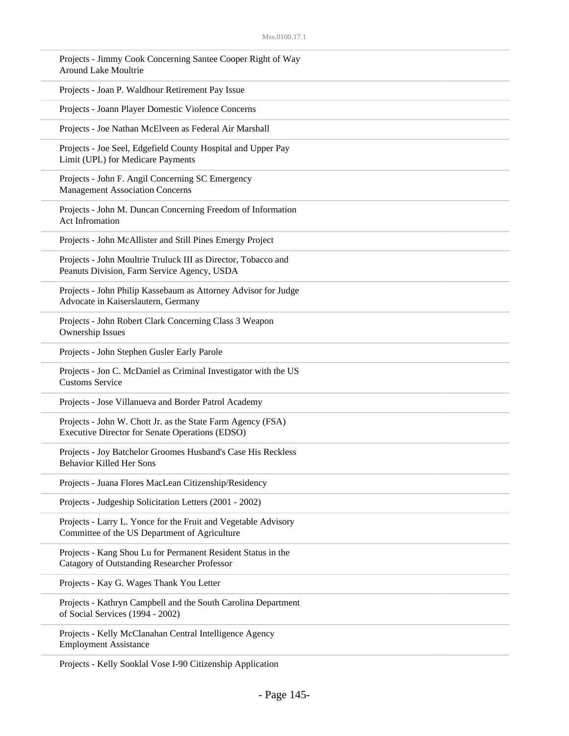| Projects - Jimmy Cook Concerning Santee Cooper Right of Way<br>Around Lake Moultrie                                 |
|---------------------------------------------------------------------------------------------------------------------|
| Projects - Joan P. Waldhour Retirement Pay Issue                                                                    |
| Projects - Joann Player Domestic Violence Concerns                                                                  |
| Projects - Joe Nathan McElveen as Federal Air Marshall                                                              |
| Projects - Joe Seel, Edgefield County Hospital and Upper Pay<br>Limit (UPL) for Medicare Payments                   |
| Projects - John F. Angil Concerning SC Emergency<br><b>Management Association Concerns</b>                          |
| Projects - John M. Duncan Concerning Freedom of Information<br>Act Infromation                                      |
| Projects - John McAllister and Still Pines Emergy Project                                                           |
| Projects - John Moultrie Truluck III as Director, Tobacco and<br>Peanuts Division, Farm Service Agency, USDA        |
| Projects - John Philip Kassebaum as Attorney Advisor for Judge<br>Advocate in Kaiserslautern, Germany               |
| Projects - John Robert Clark Concerning Class 3 Weapon<br>Ownership Issues                                          |
| Projects - John Stephen Gusler Early Parole                                                                         |
| Projects - Jon C. McDaniel as Criminal Investigator with the US<br><b>Customs Service</b>                           |
| Projects - Jose Villanueva and Border Patrol Academy                                                                |
| Projects - John W. Chott Jr. as the State Farm Agency (FSA)<br>Executive Director for Senate Operations (EDSO)      |
| Projects - Joy Batchelor Groomes Husband's Case His Reckless<br><b>Behavior Killed Her Sons</b>                     |
| Projects - Juana Flores MacLean Citizenship/Residency                                                               |
| Projects - Judgeship Solicitation Letters (2001 - 2002)                                                             |
| Projects - Larry L. Yonce for the Fruit and Vegetable Advisory<br>Committee of the US Department of Agriculture     |
| Projects - Kang Shou Lu for Permanent Resident Status in the<br><b>Catagory of Outstanding Researcher Professor</b> |
| Projects - Kay G. Wages Thank You Letter                                                                            |
| Projects - Kathryn Campbell and the South Carolina Department<br>of Social Services (1994 - 2002)                   |
| Projects - Kelly McClanahan Central Intelligence Agency<br><b>Employment Assistance</b>                             |

Projects - Kelly Sooklal Vose I-90 Citizenship Application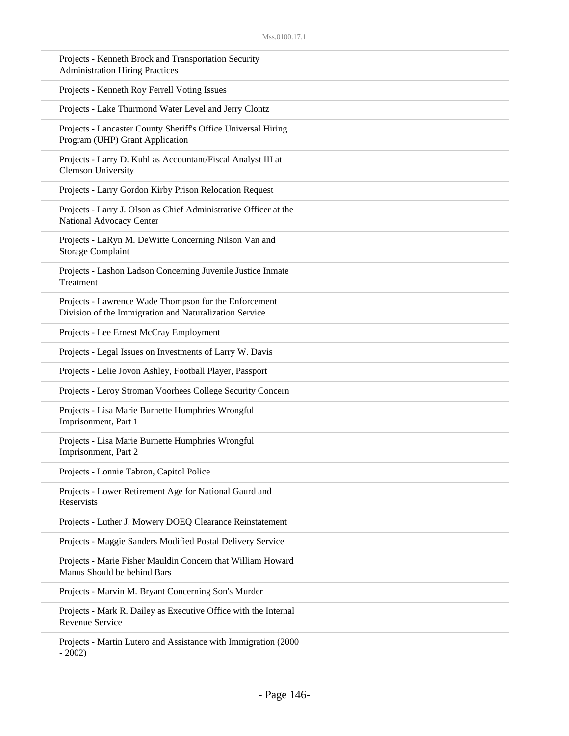| Projects - Kenneth Brock and Transportation Security<br><b>Administration Hiring Practices</b>                  |
|-----------------------------------------------------------------------------------------------------------------|
| Projects - Kenneth Roy Ferrell Voting Issues                                                                    |
| Projects - Lake Thurmond Water Level and Jerry Clontz                                                           |
| Projects - Lancaster County Sheriff's Office Universal Hiring<br>Program (UHP) Grant Application                |
| Projects - Larry D. Kuhl as Accountant/Fiscal Analyst III at<br><b>Clemson University</b>                       |
| Projects - Larry Gordon Kirby Prison Relocation Request                                                         |
| Projects - Larry J. Olson as Chief Administrative Officer at the<br>National Advocacy Center                    |
| Projects - LaRyn M. DeWitte Concerning Nilson Van and<br><b>Storage Complaint</b>                               |
| Projects - Lashon Ladson Concerning Juvenile Justice Inmate<br>Treatment                                        |
| Projects - Lawrence Wade Thompson for the Enforcement<br>Division of the Immigration and Naturalization Service |
| Projects - Lee Ernest McCray Employment                                                                         |
| Projects - Legal Issues on Investments of Larry W. Davis                                                        |
| Projects - Lelie Jovon Ashley, Football Player, Passport                                                        |
| Projects - Leroy Stroman Voorhees College Security Concern                                                      |
| Projects - Lisa Marie Burnette Humphries Wrongful<br>Imprisonment, Part 1                                       |
| Projects - Lisa Marie Burnette Humphries Wrongful<br>Imprisonment, Part 2                                       |
| Projects - Lonnie Tabron, Capitol Police                                                                        |
| Projects - Lower Retirement Age for National Gaurd and<br>Reservists                                            |
| Projects - Luther J. Mowery DOEQ Clearance Reinstatement                                                        |
| Projects - Maggie Sanders Modified Postal Delivery Service                                                      |
| Projects - Marie Fisher Mauldin Concern that William Howard<br>Manus Should be behind Bars                      |
| Projects - Marvin M. Bryant Concerning Son's Murder                                                             |
| Projects - Mark R. Dailey as Executive Office with the Internal<br><b>Revenue Service</b>                       |
| Projects - Martin Lutero and Assistance with Immigration (2000)<br>$-2002)$                                     |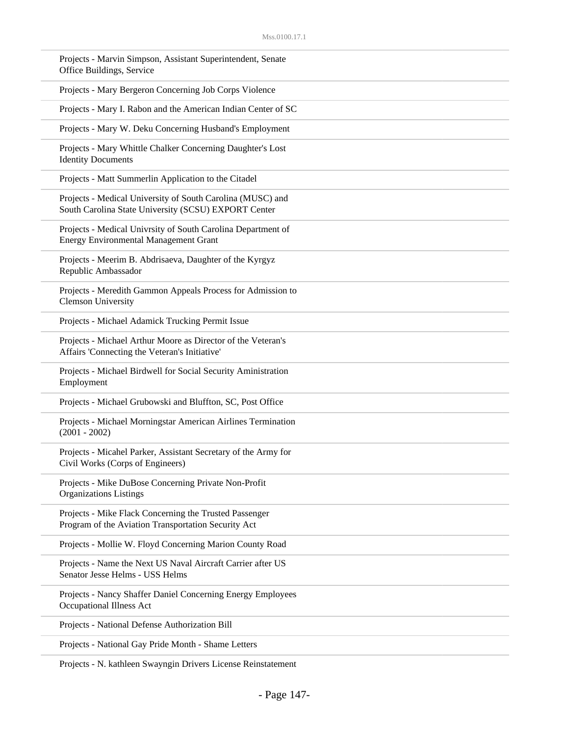| Projects - Marvin Simpson, Assistant Superintendent, Senate<br>Office Buildings, Service                           |  |
|--------------------------------------------------------------------------------------------------------------------|--|
| Projects - Mary Bergeron Concerning Job Corps Violence                                                             |  |
| Projects - Mary I. Rabon and the American Indian Center of SC                                                      |  |
| Projects - Mary W. Deku Concerning Husband's Employment                                                            |  |
| Projects - Mary Whittle Chalker Concerning Daughter's Lost<br><b>Identity Documents</b>                            |  |
| Projects - Matt Summerlin Application to the Citadel                                                               |  |
| Projects - Medical University of South Carolina (MUSC) and<br>South Carolina State University (SCSU) EXPORT Center |  |
| Projects - Medical Univrsity of South Carolina Department of<br><b>Energy Environmental Management Grant</b>       |  |
| Projects - Meerim B. Abdrisaeva, Daughter of the Kyrgyz<br>Republic Ambassador                                     |  |
| Projects - Meredith Gammon Appeals Process for Admission to<br><b>Clemson University</b>                           |  |
| Projects - Michael Adamick Trucking Permit Issue                                                                   |  |
| Projects - Michael Arthur Moore as Director of the Veteran's<br>Affairs 'Connecting the Veteran's Initiative'      |  |
| Projects - Michael Birdwell for Social Security Aministration<br>Employment                                        |  |
| Projects - Michael Grubowski and Bluffton, SC, Post Office                                                         |  |
| Projects - Michael Morningstar American Airlines Termination<br>$(2001 - 2002)$                                    |  |
| Projects - Micahel Parker, Assistant Secretary of the Army for<br>Civil Works (Corps of Engineers)                 |  |
| Projects - Mike DuBose Concerning Private Non-Profit<br><b>Organizations Listings</b>                              |  |
| Projects - Mike Flack Concerning the Trusted Passenger<br>Program of the Aviation Transportation Security Act      |  |
| Projects - Mollie W. Floyd Concerning Marion County Road                                                           |  |
| Projects - Name the Next US Naval Aircraft Carrier after US<br>Senator Jesse Helms - USS Helms                     |  |
| Projects - Nancy Shaffer Daniel Concerning Energy Employees<br>Occupational Illness Act                            |  |
| Projects - National Defense Authorization Bill                                                                     |  |
| Projects - National Gay Pride Month - Shame Letters                                                                |  |

Projects - N. kathleen Swayngin Drivers License Reinstatement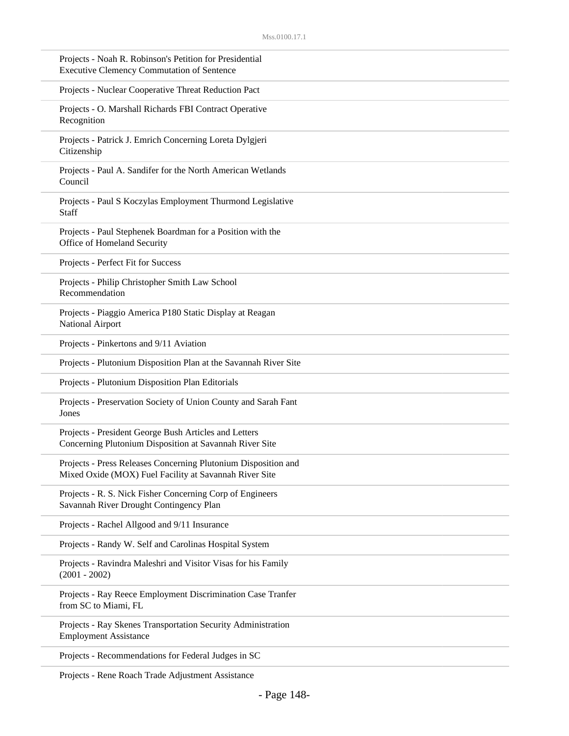| Projects - Noah R. Robinson's Petition for Presidential<br><b>Executive Clemency Commutation of Sentence</b>             |
|--------------------------------------------------------------------------------------------------------------------------|
| Projects - Nuclear Cooperative Threat Reduction Pact                                                                     |
| Projects - O. Marshall Richards FBI Contract Operative<br>Recognition                                                    |
| Projects - Patrick J. Emrich Concerning Loreta Dylgjeri<br>Citizenship                                                   |
| Projects - Paul A. Sandifer for the North American Wetlands<br>Council                                                   |
| Projects - Paul S Koczylas Employment Thurmond Legislative<br><b>Staff</b>                                               |
| Projects - Paul Stephenek Boardman for a Position with the<br>Office of Homeland Security                                |
| Projects - Perfect Fit for Success                                                                                       |
| Projects - Philip Christopher Smith Law School<br>Recommendation                                                         |
| Projects - Piaggio America P180 Static Display at Reagan<br>National Airport                                             |
| Projects - Pinkertons and 9/11 Aviation                                                                                  |
| Projects - Plutonium Disposition Plan at the Savannah River Site                                                         |
| Projects - Plutonium Disposition Plan Editorials                                                                         |
| Projects - Preservation Society of Union County and Sarah Fant<br>Jones                                                  |
| Projects - President George Bush Articles and Letters<br>Concerning Plutonium Disposition at Savannah River Site         |
| Projects - Press Releases Concerning Plutonium Disposition and<br>Mixed Oxide (MOX) Fuel Facility at Savannah River Site |
| Projects - R. S. Nick Fisher Concerning Corp of Engineers<br>Savannah River Drought Contingency Plan                     |
| Projects - Rachel Allgood and 9/11 Insurance                                                                             |
| Projects - Randy W. Self and Carolinas Hospital System                                                                   |
| Projects - Ravindra Maleshri and Visitor Visas for his Family<br>$(2001 - 2002)$                                         |
| Projects - Ray Reece Employment Discrimination Case Tranfer<br>from SC to Miami, FL                                      |
| Projects - Ray Skenes Transportation Security Administration<br><b>Employment Assistance</b>                             |
| Projects - Recommendations for Federal Judges in SC                                                                      |

Projects - Rene Roach Trade Adjustment Assistance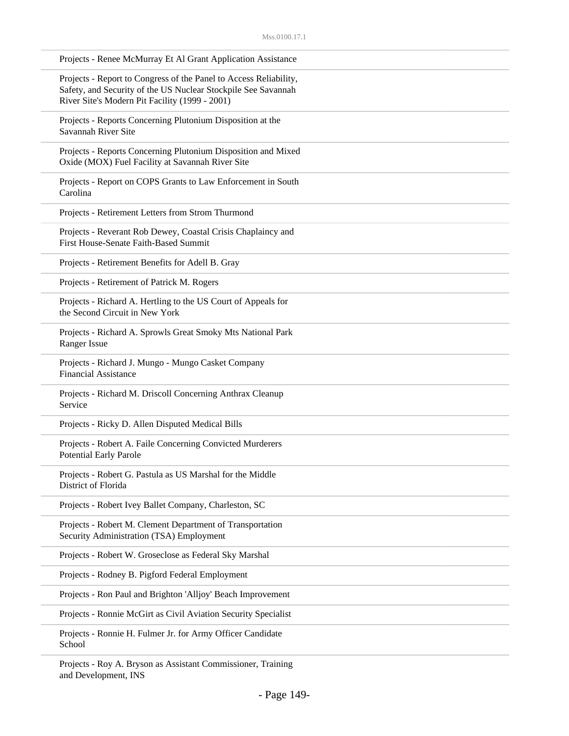| Projects - Renee McMurray Et Al Grant Application Assistance                                                                                                                         |
|--------------------------------------------------------------------------------------------------------------------------------------------------------------------------------------|
| Projects - Report to Congress of the Panel to Access Reliability,<br>Safety, and Security of the US Nuclear Stockpile See Savannah<br>River Site's Modern Pit Facility (1999 - 2001) |
| Projects - Reports Concerning Plutonium Disposition at the<br>Savannah River Site                                                                                                    |
| Projects - Reports Concerning Plutonium Disposition and Mixed<br>Oxide (MOX) Fuel Facility at Savannah River Site                                                                    |
| Projects - Report on COPS Grants to Law Enforcement in South<br>Carolina                                                                                                             |
| Projects - Retirement Letters from Strom Thurmond                                                                                                                                    |
| Projects - Reverant Rob Dewey, Coastal Crisis Chaplaincy and<br>First House-Senate Faith-Based Summit                                                                                |
| Projects - Retirement Benefits for Adell B. Gray                                                                                                                                     |
| Projects - Retirement of Patrick M. Rogers                                                                                                                                           |
| Projects - Richard A. Hertling to the US Court of Appeals for<br>the Second Circuit in New York                                                                                      |
| Projects - Richard A. Sprowls Great Smoky Mts National Park<br>Ranger Issue                                                                                                          |
| Projects - Richard J. Mungo - Mungo Casket Company<br><b>Financial Assistance</b>                                                                                                    |
| Projects - Richard M. Driscoll Concerning Anthrax Cleanup<br>Service                                                                                                                 |
| Projects - Ricky D. Allen Disputed Medical Bills                                                                                                                                     |
| Projects - Robert A. Faile Concerning Convicted Murderers<br><b>Potential Early Parole</b>                                                                                           |
| Projects - Robert G. Pastula as US Marshal for the Middle<br>District of Florida                                                                                                     |
| Projects - Robert Ivey Ballet Company, Charleston, SC                                                                                                                                |
| Projects - Robert M. Clement Department of Transportation<br>Security Administration (TSA) Employment                                                                                |
| Projects - Robert W. Groseclose as Federal Sky Marshal                                                                                                                               |
| Projects - Rodney B. Pigford Federal Employment                                                                                                                                      |
| Projects - Ron Paul and Brighton 'Alljoy' Beach Improvement                                                                                                                          |
| Projects - Ronnie McGirt as Civil Aviation Security Specialist                                                                                                                       |
| Projects - Ronnie H. Fulmer Jr. for Army Officer Candidate<br>School                                                                                                                 |

Projects - Roy A. Bryson as Assistant Commissioner, Training and Development, INS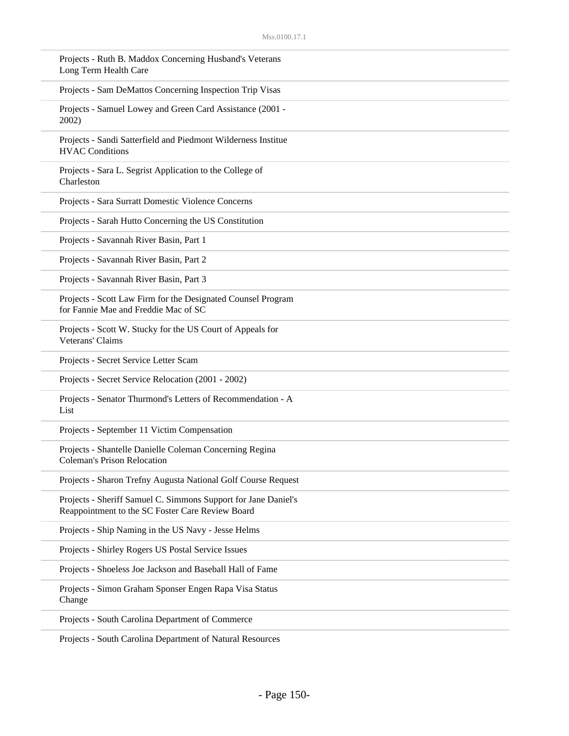| Projects - Ruth B. Maddox Concerning Husband's Veterans<br>Long Term Health Care                                   |
|--------------------------------------------------------------------------------------------------------------------|
| Projects - Sam DeMattos Concerning Inspection Trip Visas                                                           |
| Projects - Samuel Lowey and Green Card Assistance (2001 -<br>2002)                                                 |
| Projects - Sandi Satterfield and Piedmont Wilderness Institue<br><b>HVAC Conditions</b>                            |
| Projects - Sara L. Segrist Application to the College of<br>Charleston                                             |
| Projects - Sara Surratt Domestic Violence Concerns                                                                 |
| Projects - Sarah Hutto Concerning the US Constitution                                                              |
| Projects - Savannah River Basin, Part 1                                                                            |
| Projects - Savannah River Basin, Part 2                                                                            |
| Projects - Savannah River Basin, Part 3                                                                            |
| Projects - Scott Law Firm for the Designated Counsel Program<br>for Fannie Mae and Freddie Mac of SC               |
| Projects - Scott W. Stucky for the US Court of Appeals for<br>Veterans' Claims                                     |
| Projects - Secret Service Letter Scam                                                                              |
| Projects - Secret Service Relocation (2001 - 2002)                                                                 |
| Projects - Senator Thurmond's Letters of Recommendation - A<br>List                                                |
| Projects - September 11 Victim Compensation                                                                        |
| Projects - Shantelle Danielle Coleman Concerning Regina<br><b>Coleman's Prison Relocation</b>                      |
| Projects - Sharon Trefny Augusta National Golf Course Request                                                      |
| Projects - Sheriff Samuel C. Simmons Support for Jane Daniel's<br>Reappointment to the SC Foster Care Review Board |
| Projects - Ship Naming in the US Navy - Jesse Helms                                                                |
| Projects - Shirley Rogers US Postal Service Issues                                                                 |
| Projects - Shoeless Joe Jackson and Baseball Hall of Fame                                                          |
| Projects - Simon Graham Sponser Engen Rapa Visa Status<br>Change                                                   |
| Projects - South Carolina Department of Commerce                                                                   |
|                                                                                                                    |

Projects - South Carolina Department of Natural Resources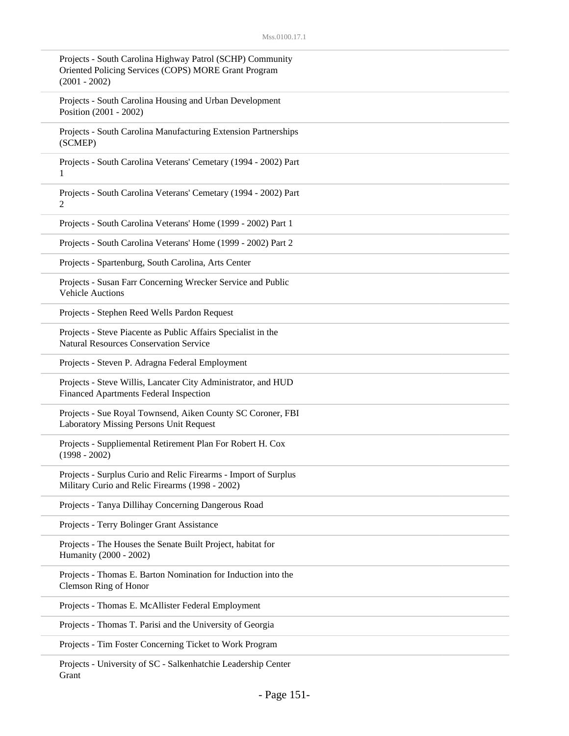| Projects - South Carolina Highway Patrol (SCHP) Community<br>Oriented Policing Services (COPS) MORE Grant Program<br>$(2001 - 2002)$ |
|--------------------------------------------------------------------------------------------------------------------------------------|
| Projects - South Carolina Housing and Urban Development<br>Position (2001 - 2002)                                                    |
| Projects - South Carolina Manufacturing Extension Partnerships<br>(SCMEP)                                                            |
| Projects - South Carolina Veterans' Cemetary (1994 - 2002) Part<br>1                                                                 |
| Projects - South Carolina Veterans' Cemetary (1994 - 2002) Part<br>$\overline{2}$                                                    |
| Projects - South Carolina Veterans' Home (1999 - 2002) Part 1                                                                        |
| Projects - South Carolina Veterans' Home (1999 - 2002) Part 2                                                                        |
| Projects - Spartenburg, South Carolina, Arts Center                                                                                  |
| Projects - Susan Farr Concerning Wrecker Service and Public<br><b>Vehicle Auctions</b>                                               |
| Projects - Stephen Reed Wells Pardon Request                                                                                         |
| Projects - Steve Piacente as Public Affairs Specialist in the<br><b>Natural Resources Conservation Service</b>                       |
| Projects - Steven P. Adragna Federal Employment                                                                                      |
| Projects - Steve Willis, Lancater City Administrator, and HUD<br>Financed Apartments Federal Inspection                              |
| Projects - Sue Royal Townsend, Aiken County SC Coroner, FBI<br>Laboratory Missing Persons Unit Request                               |
| Projects - Suppliemental Retirement Plan For Robert H. Cox<br>$(1998 - 2002)$                                                        |
| Projects - Surplus Curio and Relic Firearms - Import of Surplus<br>Military Curio and Relic Firearms (1998 - 2002)                   |
| Projects - Tanya Dillihay Concerning Dangerous Road                                                                                  |
| Projects - Terry Bolinger Grant Assistance                                                                                           |
| Projects - The Houses the Senate Built Project, habitat for<br>Humanity (2000 - 2002)                                                |
| Projects - Thomas E. Barton Nomination for Induction into the<br>Clemson Ring of Honor                                               |
| Projects - Thomas E. McAllister Federal Employment                                                                                   |
| Projects - Thomas T. Parisi and the University of Georgia                                                                            |
| Projects - Tim Foster Concerning Ticket to Work Program                                                                              |
|                                                                                                                                      |

Projects - University of SC - Salkenhatchie Leadership Center Grant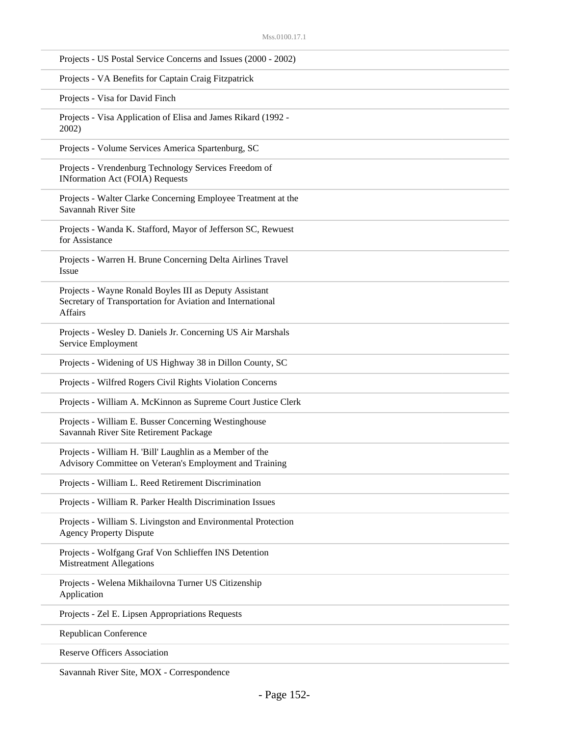| Projects - US Postal Service Concerns and Issues (2000 - 2002)                                                                         |
|----------------------------------------------------------------------------------------------------------------------------------------|
| Projects - VA Benefits for Captain Craig Fitzpatrick                                                                                   |
| Projects - Visa for David Finch                                                                                                        |
| Projects - Visa Application of Elisa and James Rikard (1992 -<br>2002)                                                                 |
| Projects - Volume Services America Spartenburg, SC                                                                                     |
| Projects - Vrendenburg Technology Services Freedom of<br><b>INformation Act (FOIA) Requests</b>                                        |
| Projects - Walter Clarke Concerning Employee Treatment at the<br>Savannah River Site                                                   |
| Projects - Wanda K. Stafford, Mayor of Jefferson SC, Rewuest<br>for Assistance                                                         |
| Projects - Warren H. Brune Concerning Delta Airlines Travel<br><b>Issue</b>                                                            |
| Projects - Wayne Ronald Boyles III as Deputy Assistant<br>Secretary of Transportation for Aviation and International<br><b>Affairs</b> |
| Projects - Wesley D. Daniels Jr. Concerning US Air Marshals<br>Service Employment                                                      |
| Projects - Widening of US Highway 38 in Dillon County, SC                                                                              |
| Projects - Wilfred Rogers Civil Rights Violation Concerns                                                                              |
| Projects - William A. McKinnon as Supreme Court Justice Clerk                                                                          |
| Projects - William E. Busser Concerning Westinghouse<br>Savannah River Site Retirement Package                                         |
| Projects - William H. 'Bill' Laughlin as a Member of the<br>Advisory Committee on Veteran's Employment and Training                    |
| Projects - William L. Reed Retirement Discrimination                                                                                   |
| Projects - William R. Parker Health Discrimination Issues                                                                              |
| Projects - William S. Livingston and Environmental Protection<br><b>Agency Property Dispute</b>                                        |
| Projects - Wolfgang Graf Von Schlieffen INS Detention<br><b>Mistreatment Allegations</b>                                               |
| Projects - Welena Mikhailovna Turner US Citizenship<br>Application                                                                     |
| Projects - Zel E. Lipsen Appropriations Requests                                                                                       |
| <b>Republican Conference</b>                                                                                                           |
| <b>Reserve Officers Association</b>                                                                                                    |
|                                                                                                                                        |

Savannah River Site, MOX - Correspondence